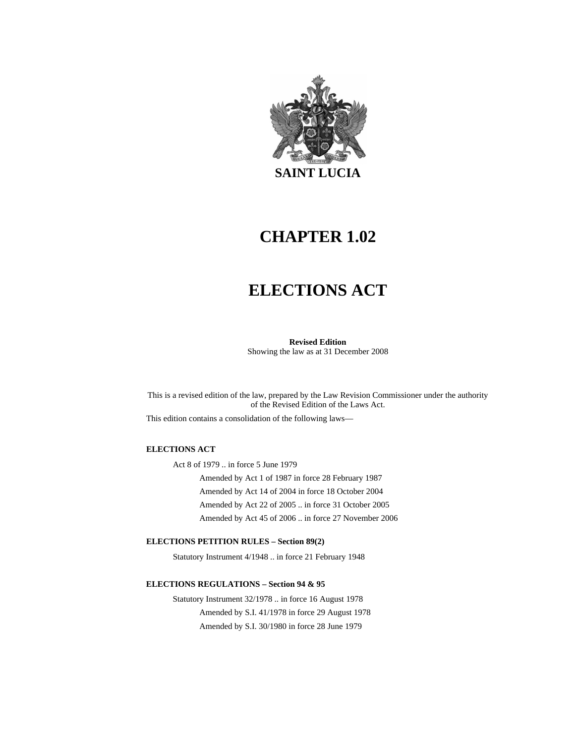

# **CHAPTER 1.02**

# **ELECTIONS ACT**

**Revised Edition**  Showing the law as at 31 December 2008

This is a revised edition of the law, prepared by the Law Revision Commissioner under the authority of the Revised Edition of the Laws Act.

This edition contains a consolidation of the following laws—

#### **ELECTIONS ACT**

Act 8 of 1979 .. in force 5 June 1979 Amended by Act 1 of 1987 in force 28 February 1987 Amended by Act 14 of 2004 in force 18 October 2004 Amended by Act 22 of 2005 .. in force 31 October 2005 Amended by Act 45 of 2006 .. in force 27 November 2006

#### **ELECTIONS PETITION RULES – Section 89(2)**

Statutory Instrument 4/1948 .. in force 21 February 1948

#### **ELECTIONS REGULATIONS – Section 94 & 95**

Statutory Instrument 32/1978 .. in force 16 August 1978 Amended by S.I. 41/1978 in force 29 August 1978 Amended by S.I. 30/1980 in force 28 June 1979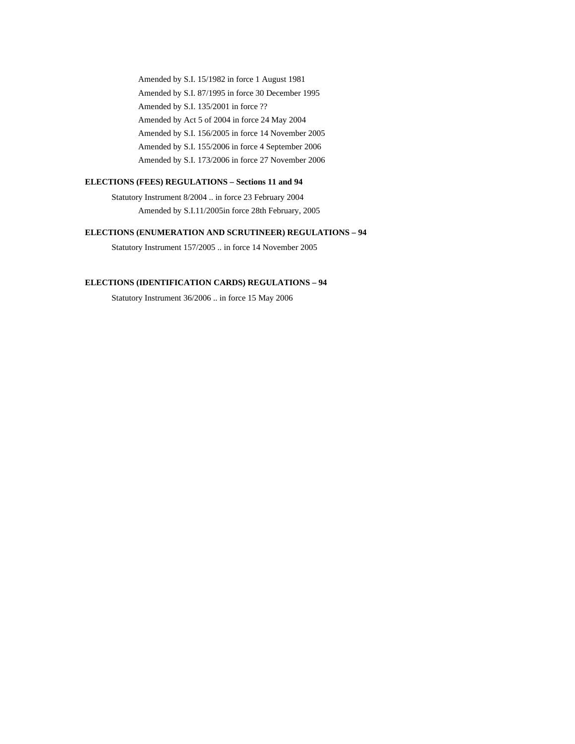Amended by S.I. 15/1982 in force 1 August 1981 Amended by S.I. 87/1995 in force 30 December 1995 Amended by S.I. 135/2001 in force ?? Amended by Act 5 of 2004 in force 24 May 2004 Amended by S.I. 156/2005 in force 14 November 2005 Amended by S.I. 155/2006 in force 4 September 2006 Amended by S.I. 173/2006 in force 27 November 2006

#### **ELECTIONS (FEES) REGULATIONS – Sections 11 and 94**

Statutory Instrument 8/2004 .. in force 23 February 2004 Amended by S.I.11/2005in force 28th February, 2005

#### **ELECTIONS (ENUMERATION AND SCRUTINEER) REGULATIONS – 94**

Statutory Instrument 157/2005 .. in force 14 November 2005

#### **ELECTIONS (IDENTIFICATION CARDS) REGULATIONS – 94**

Statutory Instrument 36/2006 .. in force 15 May 2006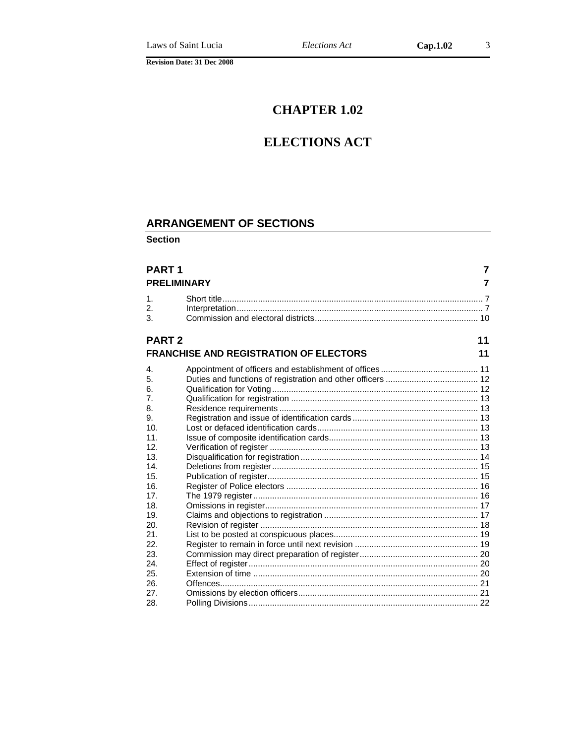# **CHAPTER 1.02**

# **ELECTIONS ACT**

# **ARRANGEMENT OF SECTIONS**

**Section** 

| <b>PART1</b>    | <b>PRELIMINARY</b>                            | $\overline{7}$<br>7 |
|-----------------|-----------------------------------------------|---------------------|
|                 |                                               |                     |
| $\mathbf 1$ .   |                                               |                     |
| 2.              |                                               |                     |
| 3.              |                                               |                     |
| <b>PART 2</b>   |                                               | 11                  |
|                 | <b>FRANCHISE AND REGISTRATION OF ELECTORS</b> | 11                  |
| 4.              |                                               |                     |
| 5.              |                                               |                     |
| 6.              |                                               |                     |
| 7.              |                                               |                     |
| 8.              |                                               |                     |
| 9.              |                                               |                     |
| 10.             |                                               |                     |
| 11.             |                                               |                     |
| 12.             |                                               |                     |
| 13.             |                                               |                     |
| 14.             |                                               |                     |
| 15.             |                                               |                     |
| 16.             |                                               |                     |
| 17 <sub>1</sub> |                                               |                     |
| 18.             |                                               |                     |
| 19.             |                                               |                     |
| 20.             |                                               |                     |
| 21.             |                                               |                     |
| 22.             |                                               |                     |
| 23.             |                                               |                     |
| 24.             |                                               |                     |
| 25.             |                                               |                     |
| 26.             |                                               |                     |
| 27.             |                                               |                     |
| 28.             |                                               |                     |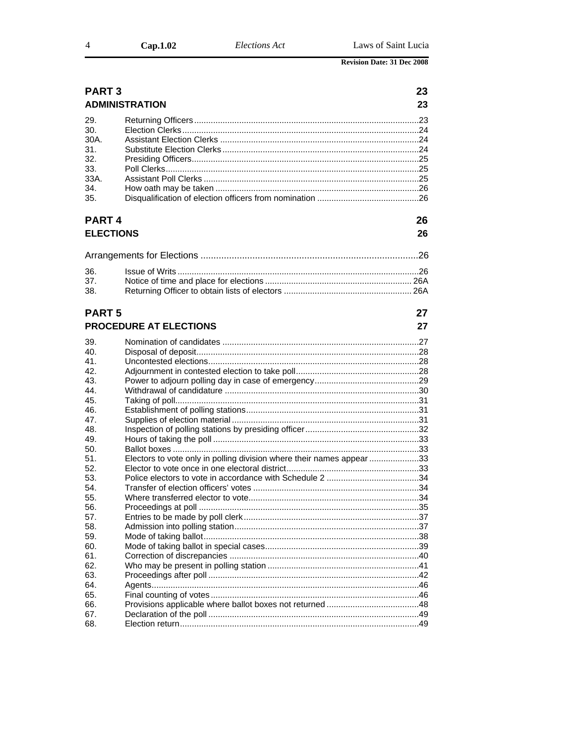| Cap.1.02 | Elections Act | Laws of Saint Lucia |
|----------|---------------|---------------------|
|          |               |                     |

| <b>PART3</b>                                                  |                                                                       | 23 |
|---------------------------------------------------------------|-----------------------------------------------------------------------|----|
|                                                               | <b>ADMINISTRATION</b>                                                 | 23 |
| 29.<br>30.<br>30A.<br>31.<br>32.<br>33.<br>33A.<br>34.<br>35. |                                                                       |    |
| <b>PART4</b>                                                  |                                                                       | 26 |
|                                                               |                                                                       |    |
| <b>ELECTIONS</b>                                              |                                                                       | 26 |
|                                                               |                                                                       |    |
| 36.                                                           |                                                                       |    |
| 37.                                                           |                                                                       |    |
| 38.                                                           |                                                                       |    |
|                                                               |                                                                       |    |
| <b>PART 5</b>                                                 |                                                                       | 27 |
|                                                               | <b>PROCEDURE AT ELECTIONS</b>                                         | 27 |
| 39.                                                           |                                                                       |    |
| 40.                                                           |                                                                       |    |
| 41.                                                           |                                                                       |    |
| 42.                                                           |                                                                       |    |
| 43.                                                           |                                                                       |    |
| 44.                                                           |                                                                       |    |
| 45.                                                           |                                                                       |    |
| 46.                                                           |                                                                       |    |
| 47.<br>48.                                                    |                                                                       |    |
| 49.                                                           |                                                                       |    |
| 50.                                                           |                                                                       |    |
| 51.                                                           | Electors to vote only in polling division where their names appear 33 |    |
| 52.                                                           |                                                                       |    |
| 53.                                                           |                                                                       |    |
| 54.                                                           |                                                                       |    |
| 55.                                                           |                                                                       |    |
| 56.                                                           |                                                                       | 35 |
| 57.                                                           |                                                                       |    |
| 58.                                                           |                                                                       |    |
| 59.<br>60.                                                    |                                                                       |    |
| 61.                                                           |                                                                       |    |
| 62.                                                           |                                                                       |    |
| 63.                                                           |                                                                       |    |
| 64.                                                           |                                                                       |    |
| 65.                                                           |                                                                       |    |
| 66.                                                           |                                                                       |    |
| 67.                                                           |                                                                       |    |
| 68.                                                           |                                                                       |    |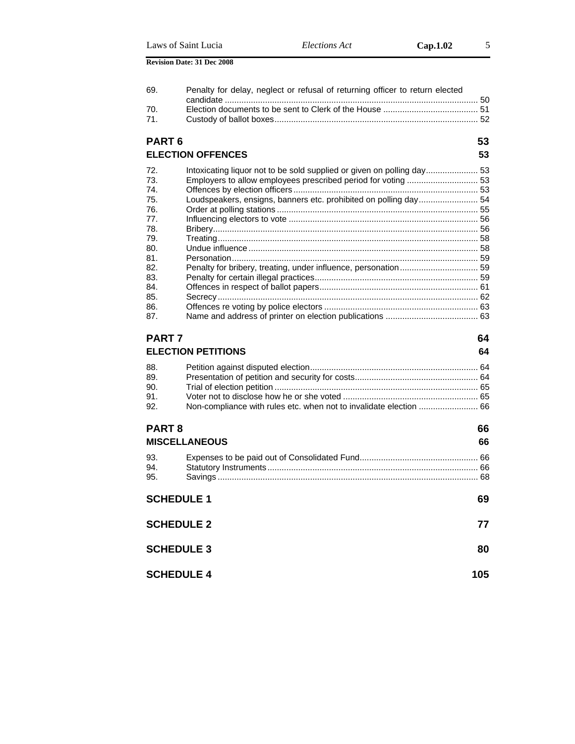| 69.               | Penalty for delay, neglect or refusal of returning officer to return elected |     |
|-------------------|------------------------------------------------------------------------------|-----|
| 70.               |                                                                              |     |
| 71.               |                                                                              |     |
| PART <sub>6</sub> |                                                                              | 53  |
|                   | <b>ELECTION OFFENCES</b>                                                     | 53  |
| 72.               | Intoxicating liquor not to be sold supplied or given on polling day 53       |     |
| 73.               |                                                                              |     |
| 74.               |                                                                              |     |
| 75.               | Loudspeakers, ensigns, banners etc. prohibited on polling day 54             |     |
| 76.               |                                                                              |     |
| 77.               |                                                                              |     |
| 78.               |                                                                              |     |
| 79.               |                                                                              |     |
| 80.<br>81.        |                                                                              |     |
| 82.               |                                                                              |     |
| 83.               |                                                                              |     |
| 84.               |                                                                              |     |
| 85.               |                                                                              |     |
| 86.               |                                                                              |     |
| 87.               |                                                                              |     |
| PART <sub>7</sub> |                                                                              | 64  |
|                   | <b>ELECTION PETITIONS</b>                                                    | 64  |
|                   |                                                                              |     |
| 88.               |                                                                              |     |
| 89.               |                                                                              |     |
| 90.               |                                                                              |     |
| 91.               |                                                                              |     |
| 92.               | Non-compliance with rules etc. when not to invalidate election  66           |     |
| PART <sub>8</sub> |                                                                              | 66  |
|                   | <b>MISCELLANEOUS</b>                                                         | 66  |
| 93.               |                                                                              |     |
| 94.               |                                                                              |     |
| 95.               |                                                                              |     |
|                   | <b>SCHEDULE 1</b>                                                            | 69  |
|                   | <b>SCHEDULE 2</b>                                                            | 77  |
|                   | <b>SCHEDULE 3</b>                                                            | 80  |
|                   | <b>SCHEDULE 4</b>                                                            | 105 |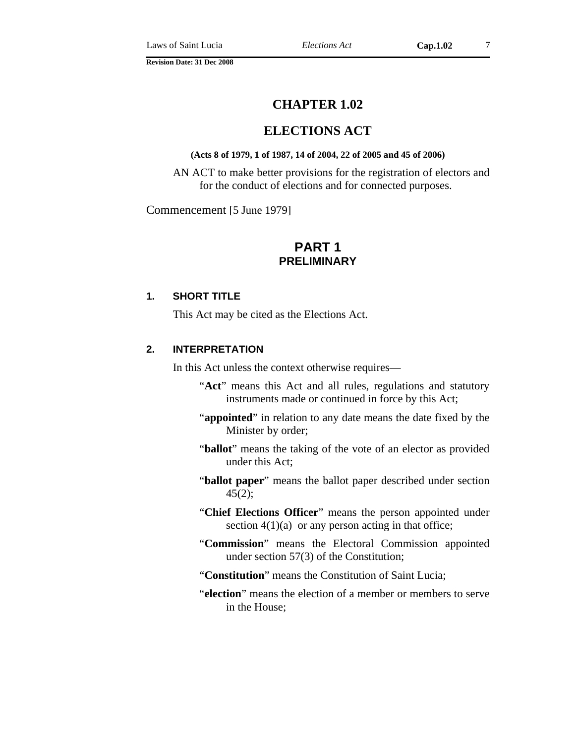# **CHAPTER 1.02**

# **ELECTIONS ACT**

#### **(Acts 8 of 1979, 1 of 1987, 14 of 2004, 22 of 2005 and 45 of 2006)**

AN ACT to make better provisions for the registration of electors and for the conduct of elections and for connected purposes.

#### Commencement [5 June 1979]

# **PART 1 PRELIMINARY**

#### **1. SHORT TITLE**

This Act may be cited as the Elections Act.

#### **2. INTERPRETATION**

In this Act unless the context otherwise requires—

- "**Act**" means this Act and all rules, regulations and statutory instruments made or continued in force by this Act;
- "**appointed**" in relation to any date means the date fixed by the Minister by order;
- "**ballot**" means the taking of the vote of an elector as provided under this Act;
- "**ballot paper**" means the ballot paper described under section  $45(2);$
- "**Chief Elections Officer**" means the person appointed under section  $4(1)(a)$  or any person acting in that office;
- "**Commission**" means the Electoral Commission appointed under section 57(3) of the Constitution;
- "**Constitution**" means the Constitution of Saint Lucia;
- "**election**" means the election of a member or members to serve in the House;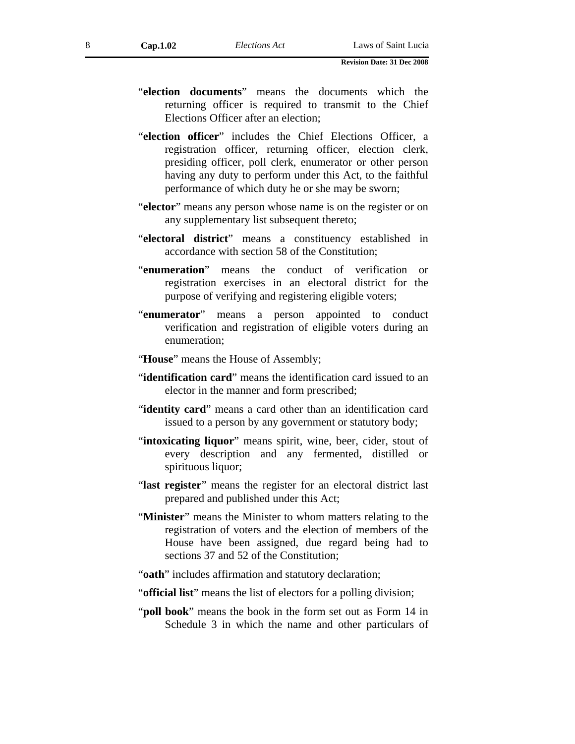- "**election documents**" means the documents which the returning officer is required to transmit to the Chief Elections Officer after an election;
- "**election officer**" includes the Chief Elections Officer, a registration officer, returning officer, election clerk, presiding officer, poll clerk, enumerator or other person having any duty to perform under this Act, to the faithful performance of which duty he or she may be sworn;
- "**elector**" means any person whose name is on the register or on any supplementary list subsequent thereto;
- "**electoral district**" means a constituency established in accordance with section 58 of the Constitution;
- "**enumeration**" means the conduct of verification or registration exercises in an electoral district for the purpose of verifying and registering eligible voters;
- "**enumerator**" means a person appointed to conduct verification and registration of eligible voters during an enumeration;
- "**House**" means the House of Assembly;
- "**identification card**" means the identification card issued to an elector in the manner and form prescribed;
- "**identity card**" means a card other than an identification card issued to a person by any government or statutory body;
- "intoxicating liquor" means spirit, wine, beer, cider, stout of every description and any fermented, distilled or spirituous liquor;
- "**last register**" means the register for an electoral district last prepared and published under this Act;
- "**Minister**" means the Minister to whom matters relating to the registration of voters and the election of members of the House have been assigned, due regard being had to sections 37 and 52 of the Constitution;
- "**oath**" includes affirmation and statutory declaration;
- "**official list**" means the list of electors for a polling division;
- "**poll book**" means the book in the form set out as Form 14 in Schedule 3 in which the name and other particulars of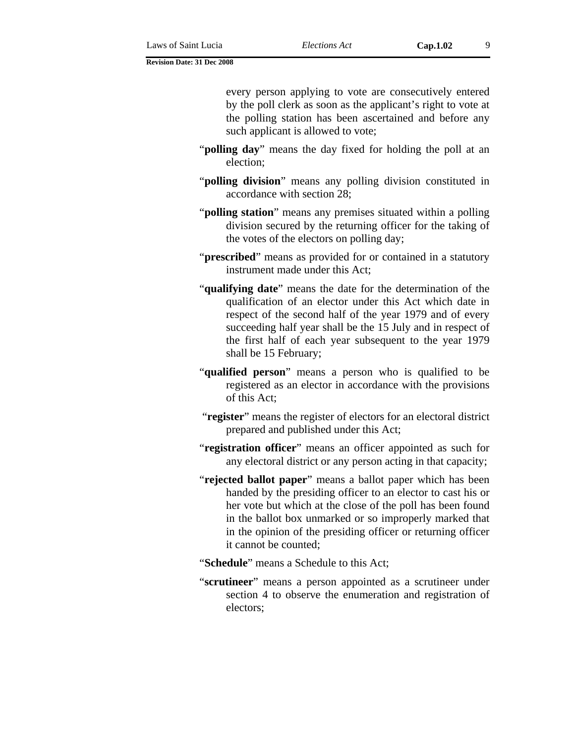every person applying to vote are consecutively entered by the poll clerk as soon as the applicant's right to vote at the polling station has been ascertained and before any such applicant is allowed to vote;

- "**polling day**" means the day fixed for holding the poll at an election;
- "**polling division**" means any polling division constituted in accordance with section 28;
- "**polling station**" means any premises situated within a polling division secured by the returning officer for the taking of the votes of the electors on polling day;
- "**prescribed**" means as provided for or contained in a statutory instrument made under this Act;
- "**qualifying date**" means the date for the determination of the qualification of an elector under this Act which date in respect of the second half of the year 1979 and of every succeeding half year shall be the 15 July and in respect of the first half of each year subsequent to the year 1979 shall be 15 February;
- "**qualified person**" means a person who is qualified to be registered as an elector in accordance with the provisions of this Act;
- "**register**" means the register of electors for an electoral district prepared and published under this Act;
- "**registration officer**" means an officer appointed as such for any electoral district or any person acting in that capacity;
- "**rejected ballot paper**" means a ballot paper which has been handed by the presiding officer to an elector to cast his or her vote but which at the close of the poll has been found in the ballot box unmarked or so improperly marked that in the opinion of the presiding officer or returning officer it cannot be counted;
- "**Schedule**" means a Schedule to this Act;
- "**scrutineer**" means a person appointed as a scrutineer under section 4 to observe the enumeration and registration of electors;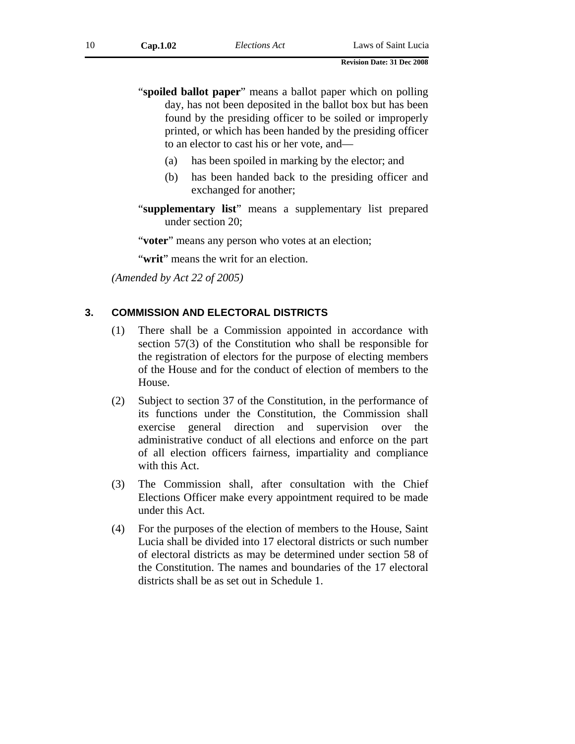- "**spoiled ballot paper**" means a ballot paper which on polling day, has not been deposited in the ballot box but has been found by the presiding officer to be soiled or improperly printed, or which has been handed by the presiding officer to an elector to cast his or her vote, and—
	- (a) has been spoiled in marking by the elector; and
	- (b) has been handed back to the presiding officer and exchanged for another;
- "**supplementary list**" means a supplementary list prepared under section 20;

"**voter**" means any person who votes at an election;

"**writ**" means the writ for an election.

*(Amended by Act 22 of 2005)* 

#### **3. COMMISSION AND ELECTORAL DISTRICTS**

- (1) There shall be a Commission appointed in accordance with section 57(3) of the Constitution who shall be responsible for the registration of electors for the purpose of electing members of the House and for the conduct of election of members to the House.
- (2) Subject to section 37 of the Constitution, in the performance of its functions under the Constitution, the Commission shall exercise general direction and supervision over the administrative conduct of all elections and enforce on the part of all election officers fairness, impartiality and compliance with this Act.
- (3) The Commission shall, after consultation with the Chief Elections Officer make every appointment required to be made under this Act.
- (4) For the purposes of the election of members to the House, Saint Lucia shall be divided into 17 electoral districts or such number of electoral districts as may be determined under section 58 of the Constitution. The names and boundaries of the 17 electoral districts shall be as set out in Schedule 1.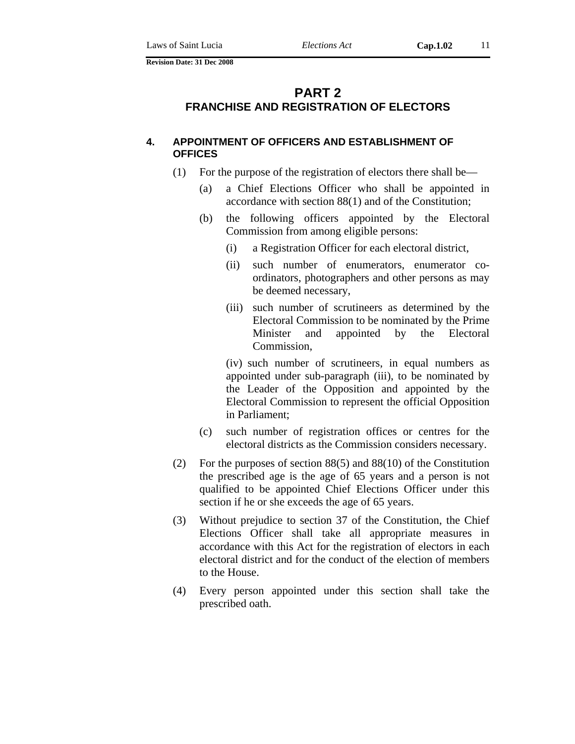# **PART 2 FRANCHISE AND REGISTRATION OF ELECTORS**

#### **4. APPOINTMENT OF OFFICERS AND ESTABLISHMENT OF OFFICES**

- (1) For the purpose of the registration of electors there shall be—
	- (a) a Chief Elections Officer who shall be appointed in accordance with section 88(1) and of the Constitution;
	- (b) the following officers appointed by the Electoral Commission from among eligible persons:
		- (i) a Registration Officer for each electoral district,
		- (ii) such number of enumerators, enumerator coordinators, photographers and other persons as may be deemed necessary,
		- (iii) such number of scrutineers as determined by the Electoral Commission to be nominated by the Prime Minister and appointed by the Electoral Commission,

 (iv) such number of scrutineers, in equal numbers as appointed under sub-paragraph (iii), to be nominated by the Leader of the Opposition and appointed by the Electoral Commission to represent the official Opposition in Parliament;

- (c) such number of registration offices or centres for the electoral districts as the Commission considers necessary.
- (2) For the purposes of section 88(5) and 88(10) of the Constitution the prescribed age is the age of 65 years and a person is not qualified to be appointed Chief Elections Officer under this section if he or she exceeds the age of 65 years.
- (3) Without prejudice to section 37 of the Constitution, the Chief Elections Officer shall take all appropriate measures in accordance with this Act for the registration of electors in each electoral district and for the conduct of the election of members to the House.
- (4) Every person appointed under this section shall take the prescribed oath.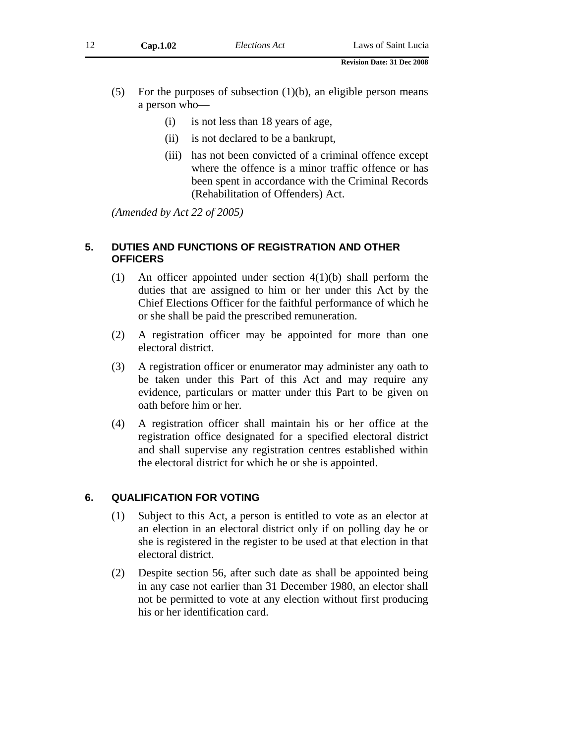- (i) is not less than 18 years of age,
- (ii) is not declared to be a bankrupt,
- (iii) has not been convicted of a criminal offence except where the offence is a minor traffic offence or has been spent in accordance with the Criminal Records (Rehabilitation of Offenders) Act.

*(Amended by Act 22 of 2005)* 

#### **5. DUTIES AND FUNCTIONS OF REGISTRATION AND OTHER OFFICERS**

- (1) An officer appointed under section 4(1)(b) shall perform the duties that are assigned to him or her under this Act by the Chief Elections Officer for the faithful performance of which he or she shall be paid the prescribed remuneration.
- (2) A registration officer may be appointed for more than one electoral district.
- (3) A registration officer or enumerator may administer any oath to be taken under this Part of this Act and may require any evidence, particulars or matter under this Part to be given on oath before him or her.
- (4) A registration officer shall maintain his or her office at the registration office designated for a specified electoral district and shall supervise any registration centres established within the electoral district for which he or she is appointed.

# **6. QUALIFICATION FOR VOTING**

- (1) Subject to this Act, a person is entitled to vote as an elector at an election in an electoral district only if on polling day he or she is registered in the register to be used at that election in that electoral district.
- (2) Despite section 56, after such date as shall be appointed being in any case not earlier than 31 December 1980, an elector shall not be permitted to vote at any election without first producing his or her identification card.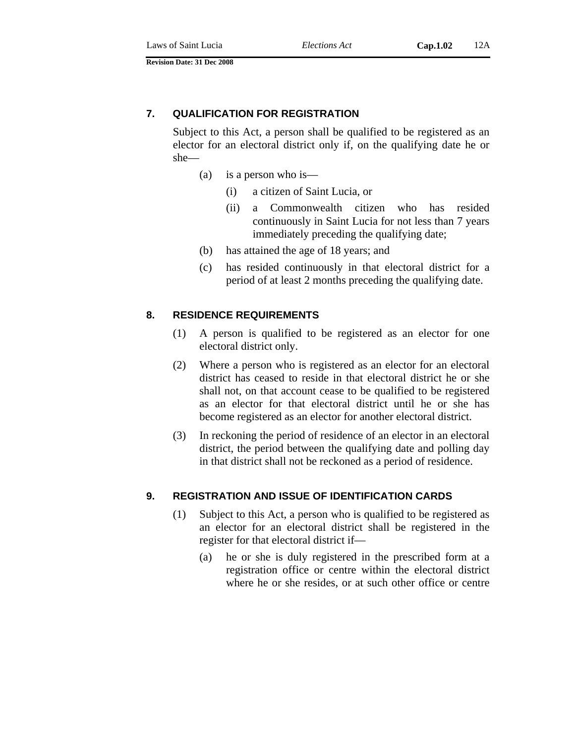# **7. QUALIFICATION FOR REGISTRATION**

Subject to this Act, a person shall be qualified to be registered as an elector for an electoral district only if, on the qualifying date he or she—

- (a) is a person who is—
	- (i) a citizen of Saint Lucia, or
	- (ii) a Commonwealth citizen who has resided continuously in Saint Lucia for not less than 7 years immediately preceding the qualifying date;
- (b) has attained the age of 18 years; and
- (c) has resided continuously in that electoral district for a period of at least 2 months preceding the qualifying date.

#### **8. RESIDENCE REQUIREMENTS**

- (1) A person is qualified to be registered as an elector for one electoral district only.
- (2) Where a person who is registered as an elector for an electoral district has ceased to reside in that electoral district he or she shall not, on that account cease to be qualified to be registered as an elector for that electoral district until he or she has become registered as an elector for another electoral district.
- (3) In reckoning the period of residence of an elector in an electoral district, the period between the qualifying date and polling day in that district shall not be reckoned as a period of residence.

#### **9. REGISTRATION AND ISSUE OF IDENTIFICATION CARDS**

- (1) Subject to this Act, a person who is qualified to be registered as an elector for an electoral district shall be registered in the register for that electoral district if—
	- (a) he or she is duly registered in the prescribed form at a registration office or centre within the electoral district where he or she resides, or at such other office or centre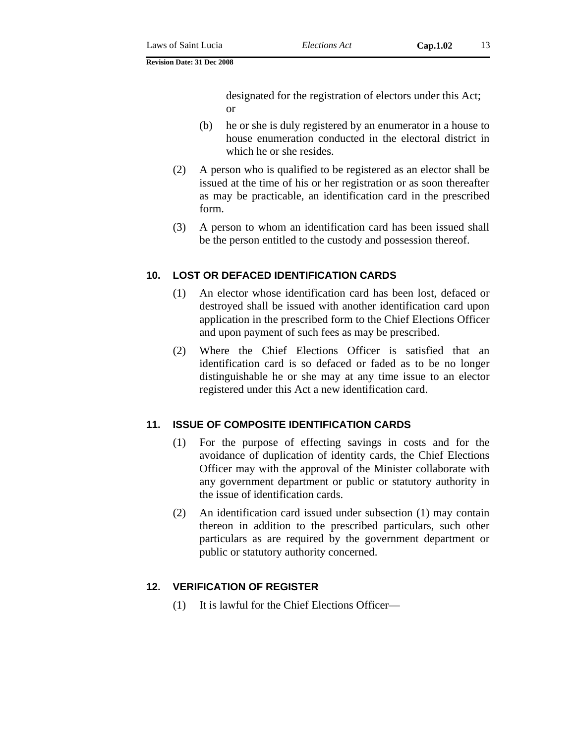designated for the registration of electors under this Act; or

- (b) he or she is duly registered by an enumerator in a house to house enumeration conducted in the electoral district in which he or she resides.
- (2) A person who is qualified to be registered as an elector shall be issued at the time of his or her registration or as soon thereafter as may be practicable, an identification card in the prescribed form.
- (3) A person to whom an identification card has been issued shall be the person entitled to the custody and possession thereof.

# **10. LOST OR DEFACED IDENTIFICATION CARDS**

- (1) An elector whose identification card has been lost, defaced or destroyed shall be issued with another identification card upon application in the prescribed form to the Chief Elections Officer and upon payment of such fees as may be prescribed.
- (2) Where the Chief Elections Officer is satisfied that an identification card is so defaced or faded as to be no longer distinguishable he or she may at any time issue to an elector registered under this Act a new identification card.

# **11. ISSUE OF COMPOSITE IDENTIFICATION CARDS**

- (1) For the purpose of effecting savings in costs and for the avoidance of duplication of identity cards, the Chief Elections Officer may with the approval of the Minister collaborate with any government department or public or statutory authority in the issue of identification cards.
- (2) An identification card issued under subsection (1) may contain thereon in addition to the prescribed particulars, such other particulars as are required by the government department or public or statutory authority concerned.

# **12. VERIFICATION OF REGISTER**

(1) It is lawful for the Chief Elections Officer—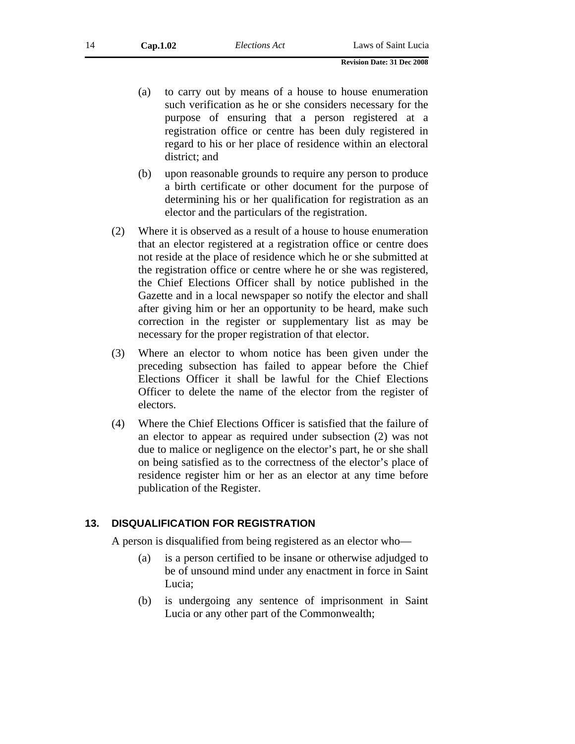- (a) to carry out by means of a house to house enumeration such verification as he or she considers necessary for the purpose of ensuring that a person registered at a registration office or centre has been duly registered in regard to his or her place of residence within an electoral district; and
- (b) upon reasonable grounds to require any person to produce a birth certificate or other document for the purpose of determining his or her qualification for registration as an elector and the particulars of the registration.
- (2) Where it is observed as a result of a house to house enumeration that an elector registered at a registration office or centre does not reside at the place of residence which he or she submitted at the registration office or centre where he or she was registered, the Chief Elections Officer shall by notice published in the Gazette and in a local newspaper so notify the elector and shall after giving him or her an opportunity to be heard, make such correction in the register or supplementary list as may be necessary for the proper registration of that elector.
- (3) Where an elector to whom notice has been given under the preceding subsection has failed to appear before the Chief Elections Officer it shall be lawful for the Chief Elections Officer to delete the name of the elector from the register of electors.
- (4) Where the Chief Elections Officer is satisfied that the failure of an elector to appear as required under subsection (2) was not due to malice or negligence on the elector's part, he or she shall on being satisfied as to the correctness of the elector's place of residence register him or her as an elector at any time before publication of the Register.

#### **13. DISQUALIFICATION FOR REGISTRATION**

A person is disqualified from being registered as an elector who—

- (a) is a person certified to be insane or otherwise adjudged to be of unsound mind under any enactment in force in Saint Lucia;
- (b) is undergoing any sentence of imprisonment in Saint Lucia or any other part of the Commonwealth;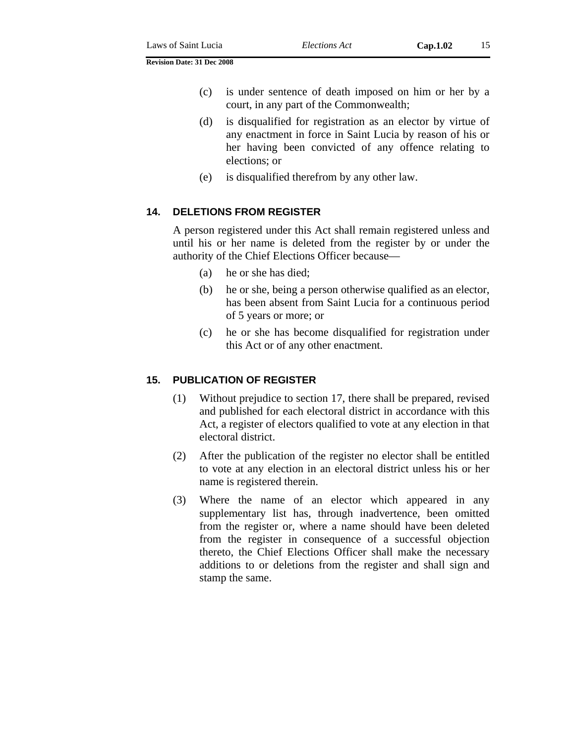- (c) is under sentence of death imposed on him or her by a court, in any part of the Commonwealth;
- (d) is disqualified for registration as an elector by virtue of any enactment in force in Saint Lucia by reason of his or her having been convicted of any offence relating to elections; or
- (e) is disqualified therefrom by any other law.

# **14. DELETIONS FROM REGISTER**

A person registered under this Act shall remain registered unless and until his or her name is deleted from the register by or under the authority of the Chief Elections Officer because—

- (a) he or she has died;
- (b) he or she, being a person otherwise qualified as an elector, has been absent from Saint Lucia for a continuous period of 5 years or more; or
- (c) he or she has become disqualified for registration under this Act or of any other enactment.

#### **15. PUBLICATION OF REGISTER**

- (1) Without prejudice to section 17, there shall be prepared, revised and published for each electoral district in accordance with this Act, a register of electors qualified to vote at any election in that electoral district.
- (2) After the publication of the register no elector shall be entitled to vote at any election in an electoral district unless his or her name is registered therein.
- (3) Where the name of an elector which appeared in any supplementary list has, through inadvertence, been omitted from the register or, where a name should have been deleted from the register in consequence of a successful objection thereto, the Chief Elections Officer shall make the necessary additions to or deletions from the register and shall sign and stamp the same.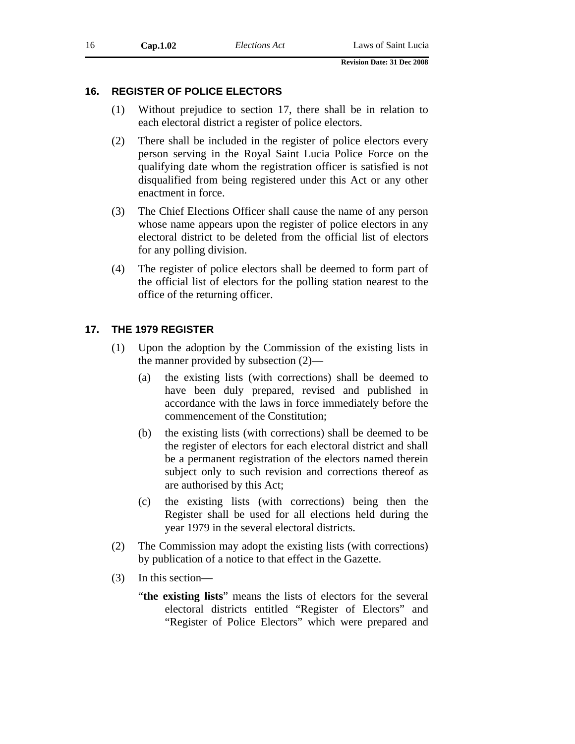#### **16. REGISTER OF POLICE ELECTORS**

- (1) Without prejudice to section 17, there shall be in relation to each electoral district a register of police electors.
- (2) There shall be included in the register of police electors every person serving in the Royal Saint Lucia Police Force on the qualifying date whom the registration officer is satisfied is not disqualified from being registered under this Act or any other enactment in force.
- (3) The Chief Elections Officer shall cause the name of any person whose name appears upon the register of police electors in any electoral district to be deleted from the official list of electors for any polling division.
- (4) The register of police electors shall be deemed to form part of the official list of electors for the polling station nearest to the office of the returning officer.

#### **17. THE 1979 REGISTER**

- (1) Upon the adoption by the Commission of the existing lists in the manner provided by subsection (2)—
	- (a) the existing lists (with corrections) shall be deemed to have been duly prepared, revised and published in accordance with the laws in force immediately before the commencement of the Constitution;
	- (b) the existing lists (with corrections) shall be deemed to be the register of electors for each electoral district and shall be a permanent registration of the electors named therein subject only to such revision and corrections thereof as are authorised by this Act;
	- (c) the existing lists (with corrections) being then the Register shall be used for all elections held during the year 1979 in the several electoral districts.
- (2) The Commission may adopt the existing lists (with corrections) by publication of a notice to that effect in the Gazette.
- (3) In this section—
	- "**the existing lists**" means the lists of electors for the several electoral districts entitled "Register of Electors" and "Register of Police Electors" which were prepared and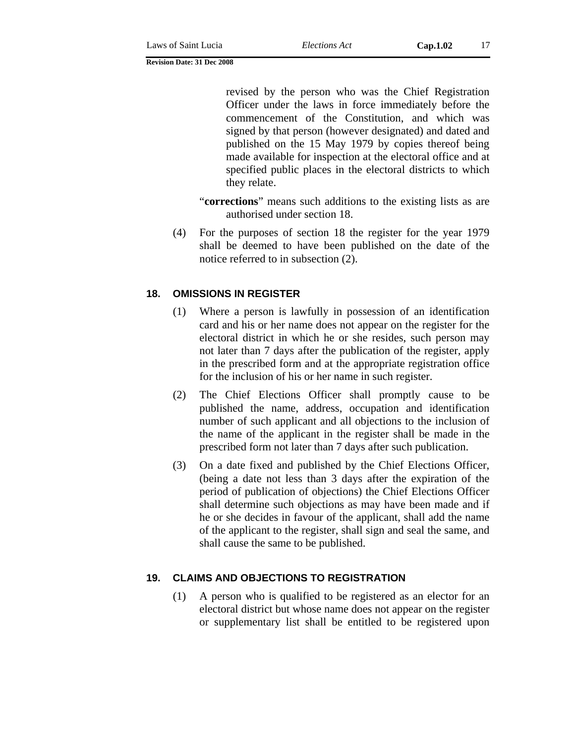revised by the person who was the Chief Registration Officer under the laws in force immediately before the commencement of the Constitution, and which was signed by that person (however designated) and dated and published on the 15 May 1979 by copies thereof being made available for inspection at the electoral office and at specified public places in the electoral districts to which they relate.

"**corrections**" means such additions to the existing lists as are authorised under section 18.

(4) For the purposes of section 18 the register for the year 1979 shall be deemed to have been published on the date of the notice referred to in subsection (2).

#### **18. OMISSIONS IN REGISTER**

- (1) Where a person is lawfully in possession of an identification card and his or her name does not appear on the register for the electoral district in which he or she resides, such person may not later than 7 days after the publication of the register, apply in the prescribed form and at the appropriate registration office for the inclusion of his or her name in such register.
- (2) The Chief Elections Officer shall promptly cause to be published the name, address, occupation and identification number of such applicant and all objections to the inclusion of the name of the applicant in the register shall be made in the prescribed form not later than 7 days after such publication.
- (3) On a date fixed and published by the Chief Elections Officer, (being a date not less than 3 days after the expiration of the period of publication of objections) the Chief Elections Officer shall determine such objections as may have been made and if he or she decides in favour of the applicant, shall add the name of the applicant to the register, shall sign and seal the same, and shall cause the same to be published.

#### **19. CLAIMS AND OBJECTIONS TO REGISTRATION**

(1) A person who is qualified to be registered as an elector for an electoral district but whose name does not appear on the register or supplementary list shall be entitled to be registered upon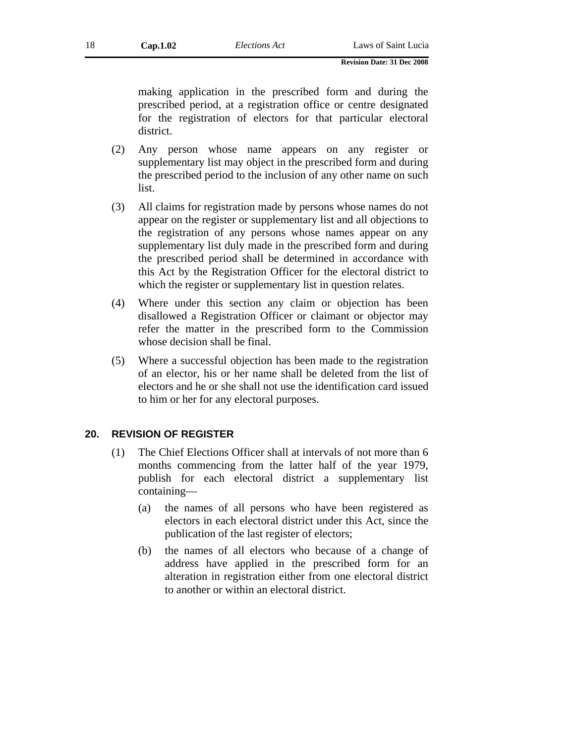making application in the prescribed form and during the prescribed period, at a registration office or centre designated for the registration of electors for that particular electoral district.

- (2) Any person whose name appears on any register or supplementary list may object in the prescribed form and during the prescribed period to the inclusion of any other name on such list.
- (3) All claims for registration made by persons whose names do not appear on the register or supplementary list and all objections to the registration of any persons whose names appear on any supplementary list duly made in the prescribed form and during the prescribed period shall be determined in accordance with this Act by the Registration Officer for the electoral district to which the register or supplementary list in question relates.
- (4) Where under this section any claim or objection has been disallowed a Registration Officer or claimant or objector may refer the matter in the prescribed form to the Commission whose decision shall be final.
- (5) Where a successful objection has been made to the registration of an elector, his or her name shall be deleted from the list of electors and he or she shall not use the identification card issued to him or her for any electoral purposes.

#### **20. REVISION OF REGISTER**

- (1) The Chief Elections Officer shall at intervals of not more than 6 months commencing from the latter half of the year 1979, publish for each electoral district a supplementary list containing—
	- (a) the names of all persons who have been registered as electors in each electoral district under this Act, since the publication of the last register of electors;
	- (b) the names of all electors who because of a change of address have applied in the prescribed form for an alteration in registration either from one electoral district to another or within an electoral district.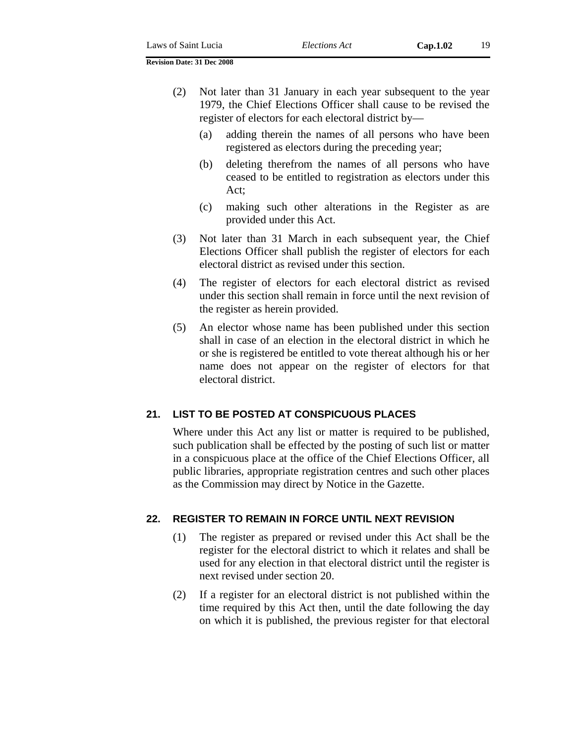- (2) Not later than 31 January in each year subsequent to the year 1979, the Chief Elections Officer shall cause to be revised the register of electors for each electoral district by—
	- (a) adding therein the names of all persons who have been registered as electors during the preceding year;
	- (b) deleting therefrom the names of all persons who have ceased to be entitled to registration as electors under this Act;
	- (c) making such other alterations in the Register as are provided under this Act.
- (3) Not later than 31 March in each subsequent year, the Chief Elections Officer shall publish the register of electors for each electoral district as revised under this section.
- (4) The register of electors for each electoral district as revised under this section shall remain in force until the next revision of the register as herein provided.
- (5) An elector whose name has been published under this section shall in case of an election in the electoral district in which he or she is registered be entitled to vote thereat although his or her name does not appear on the register of electors for that electoral district.

# **21. LIST TO BE POSTED AT CONSPICUOUS PLACES**

Where under this Act any list or matter is required to be published, such publication shall be effected by the posting of such list or matter in a conspicuous place at the office of the Chief Elections Officer, all public libraries, appropriate registration centres and such other places as the Commission may direct by Notice in the Gazette.

#### **22. REGISTER TO REMAIN IN FORCE UNTIL NEXT REVISION**

- (1) The register as prepared or revised under this Act shall be the register for the electoral district to which it relates and shall be used for any election in that electoral district until the register is next revised under section 20.
- (2) If a register for an electoral district is not published within the time required by this Act then, until the date following the day on which it is published, the previous register for that electoral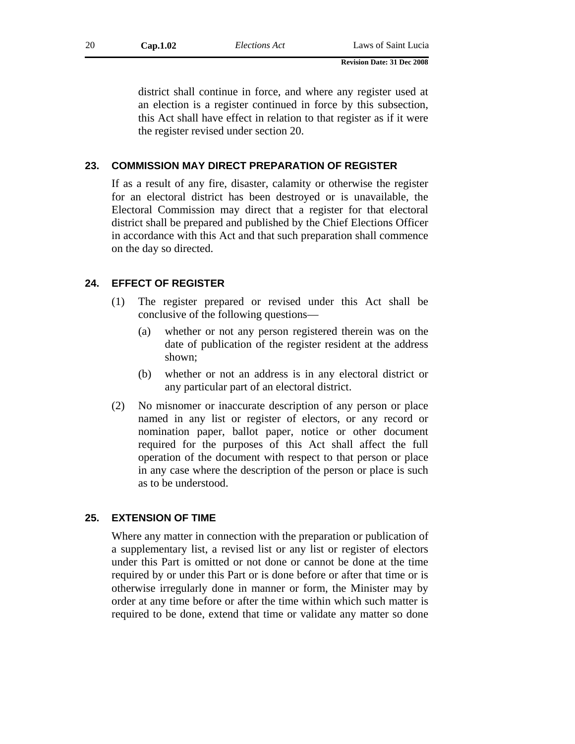district shall continue in force, and where any register used at an election is a register continued in force by this subsection, this Act shall have effect in relation to that register as if it were the register revised under section 20.

# **23. COMMISSION MAY DIRECT PREPARATION OF REGISTER**

If as a result of any fire, disaster, calamity or otherwise the register for an electoral district has been destroyed or is unavailable, the Electoral Commission may direct that a register for that electoral district shall be prepared and published by the Chief Elections Officer in accordance with this Act and that such preparation shall commence on the day so directed.

# **24. EFFECT OF REGISTER**

- (1) The register prepared or revised under this Act shall be conclusive of the following questions—
	- (a) whether or not any person registered therein was on the date of publication of the register resident at the address shown;
	- (b) whether or not an address is in any electoral district or any particular part of an electoral district.
- (2) No misnomer or inaccurate description of any person or place named in any list or register of electors, or any record or nomination paper, ballot paper, notice or other document required for the purposes of this Act shall affect the full operation of the document with respect to that person or place in any case where the description of the person or place is such as to be understood.

# **25. EXTENSION OF TIME**

Where any matter in connection with the preparation or publication of a supplementary list, a revised list or any list or register of electors under this Part is omitted or not done or cannot be done at the time required by or under this Part or is done before or after that time or is otherwise irregularly done in manner or form, the Minister may by order at any time before or after the time within which such matter is required to be done, extend that time or validate any matter so done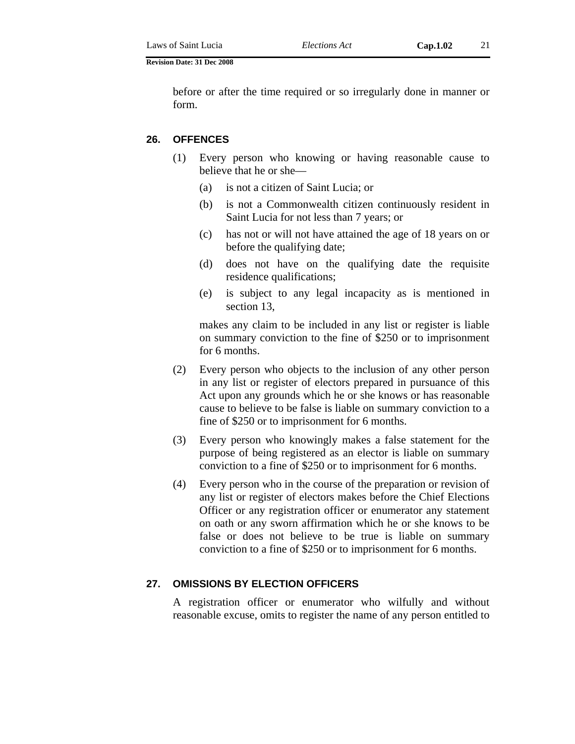before or after the time required or so irregularly done in manner or form.

#### **26. OFFENCES**

- (1) Every person who knowing or having reasonable cause to believe that he or she—
	- (a) is not a citizen of Saint Lucia; or
	- (b) is not a Commonwealth citizen continuously resident in Saint Lucia for not less than 7 years; or
	- (c) has not or will not have attained the age of 18 years on or before the qualifying date;
	- (d) does not have on the qualifying date the requisite residence qualifications;
	- (e) is subject to any legal incapacity as is mentioned in section 13,

makes any claim to be included in any list or register is liable on summary conviction to the fine of \$250 or to imprisonment for 6 months.

- (2) Every person who objects to the inclusion of any other person in any list or register of electors prepared in pursuance of this Act upon any grounds which he or she knows or has reasonable cause to believe to be false is liable on summary conviction to a fine of \$250 or to imprisonment for 6 months.
- (3) Every person who knowingly makes a false statement for the purpose of being registered as an elector is liable on summary conviction to a fine of \$250 or to imprisonment for 6 months.
- (4) Every person who in the course of the preparation or revision of any list or register of electors makes before the Chief Elections Officer or any registration officer or enumerator any statement on oath or any sworn affirmation which he or she knows to be false or does not believe to be true is liable on summary conviction to a fine of \$250 or to imprisonment for 6 months.

#### **27. OMISSIONS BY ELECTION OFFICERS**

A registration officer or enumerator who wilfully and without reasonable excuse, omits to register the name of any person entitled to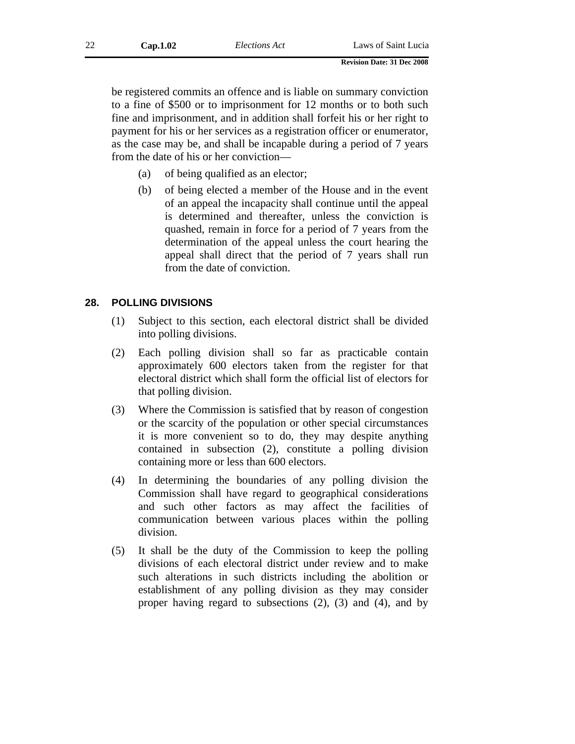be registered commits an offence and is liable on summary conviction to a fine of \$500 or to imprisonment for 12 months or to both such fine and imprisonment, and in addition shall forfeit his or her right to payment for his or her services as a registration officer or enumerator, as the case may be, and shall be incapable during a period of 7 years from the date of his or her conviction—

- (a) of being qualified as an elector;
- (b) of being elected a member of the House and in the event of an appeal the incapacity shall continue until the appeal is determined and thereafter, unless the conviction is quashed, remain in force for a period of 7 years from the determination of the appeal unless the court hearing the appeal shall direct that the period of 7 years shall run from the date of conviction.

#### **28. POLLING DIVISIONS**

- (1) Subject to this section, each electoral district shall be divided into polling divisions.
- (2) Each polling division shall so far as practicable contain approximately 600 electors taken from the register for that electoral district which shall form the official list of electors for that polling division.
- (3) Where the Commission is satisfied that by reason of congestion or the scarcity of the population or other special circumstances it is more convenient so to do, they may despite anything contained in subsection (2), constitute a polling division containing more or less than 600 electors.
- (4) In determining the boundaries of any polling division the Commission shall have regard to geographical considerations and such other factors as may affect the facilities of communication between various places within the polling division.
- (5) It shall be the duty of the Commission to keep the polling divisions of each electoral district under review and to make such alterations in such districts including the abolition or establishment of any polling division as they may consider proper having regard to subsections (2), (3) and (4), and by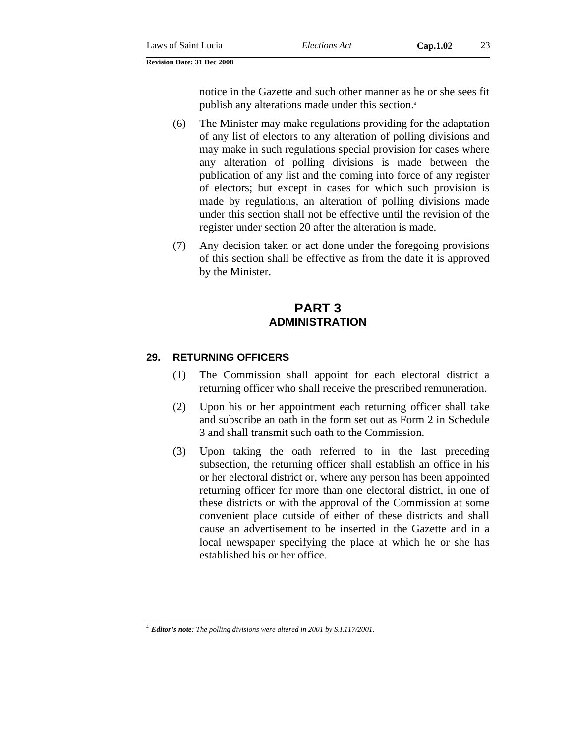notice in the Gazette and such other manner as he or she sees fit publish any alterations made under this section.4

- (6) The Minister may make regulations providing for the adaptation of any list of electors to any alteration of polling divisions and may make in such regulations special provision for cases where any alteration of polling divisions is made between the publication of any list and the coming into force of any register of electors; but except in cases for which such provision is made by regulations, an alteration of polling divisions made under this section shall not be effective until the revision of the register under section 20 after the alteration is made.
- (7) Any decision taken or act done under the foregoing provisions of this section shall be effective as from the date it is approved by the Minister.

# **PART 3 ADMINISTRATION**

#### **29. RETURNING OFFICERS**

- (1) The Commission shall appoint for each electoral district a returning officer who shall receive the prescribed remuneration.
- (2) Upon his or her appointment each returning officer shall take and subscribe an oath in the form set out as Form 2 in Schedule 3 and shall transmit such oath to the Commission.
- (3) Upon taking the oath referred to in the last preceding subsection, the returning officer shall establish an office in his or her electoral district or, where any person has been appointed returning officer for more than one electoral district, in one of these districts or with the approval of the Commission at some convenient place outside of either of these districts and shall cause an advertisement to be inserted in the Gazette and in a local newspaper specifying the place at which he or she has established his or her office.

 $\overline{a}$ <sup>4</sup> *Editor's note: The polling divisions were altered in 2001 by S.I.117/2001*.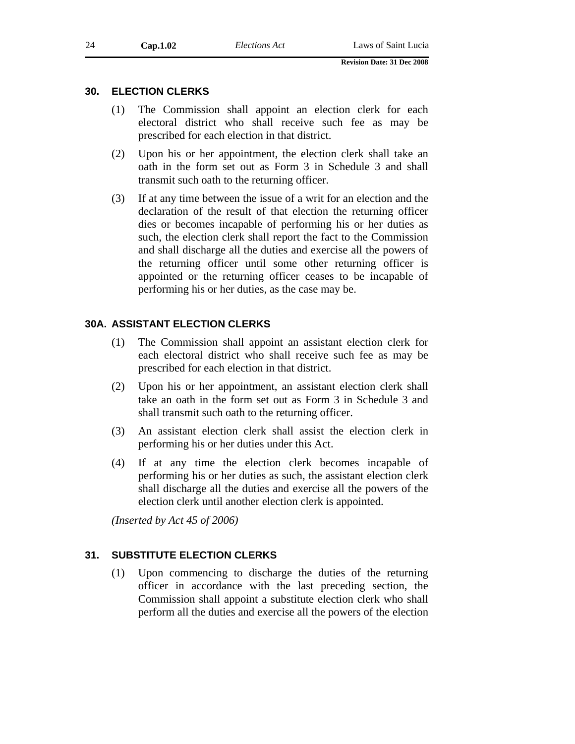#### **30. ELECTION CLERKS**

- (1) The Commission shall appoint an election clerk for each electoral district who shall receive such fee as may be prescribed for each election in that district.
- (2) Upon his or her appointment, the election clerk shall take an oath in the form set out as Form 3 in Schedule 3 and shall transmit such oath to the returning officer.
- (3) If at any time between the issue of a writ for an election and the declaration of the result of that election the returning officer dies or becomes incapable of performing his or her duties as such, the election clerk shall report the fact to the Commission and shall discharge all the duties and exercise all the powers of the returning officer until some other returning officer is appointed or the returning officer ceases to be incapable of performing his or her duties, as the case may be.

#### **30A. ASSISTANT ELECTION CLERKS**

- (1) The Commission shall appoint an assistant election clerk for each electoral district who shall receive such fee as may be prescribed for each election in that district.
- (2) Upon his or her appointment, an assistant election clerk shall take an oath in the form set out as Form 3 in Schedule 3 and shall transmit such oath to the returning officer.
- (3) An assistant election clerk shall assist the election clerk in performing his or her duties under this Act.
- (4) If at any time the election clerk becomes incapable of performing his or her duties as such, the assistant election clerk shall discharge all the duties and exercise all the powers of the election clerk until another election clerk is appointed.

*(Inserted by Act 45 of 2006)* 

#### **31. SUBSTITUTE ELECTION CLERKS**

(1) Upon commencing to discharge the duties of the returning officer in accordance with the last preceding section, the Commission shall appoint a substitute election clerk who shall perform all the duties and exercise all the powers of the election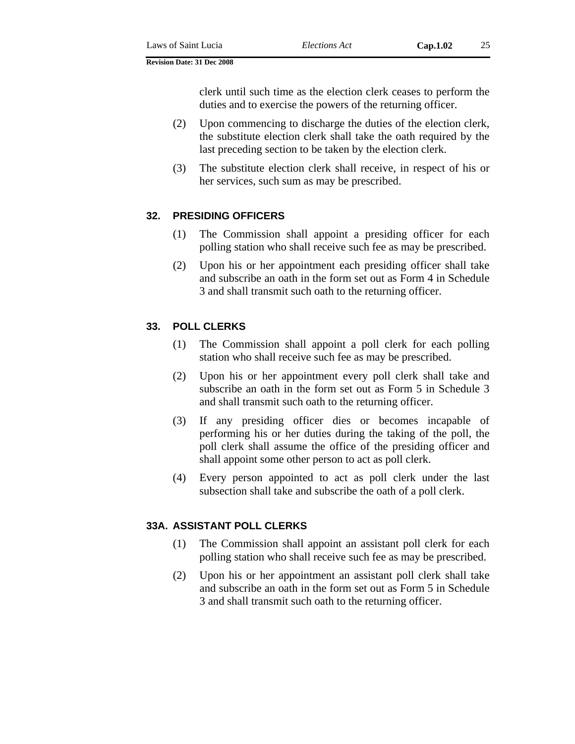clerk until such time as the election clerk ceases to perform the duties and to exercise the powers of the returning officer.

- (2) Upon commencing to discharge the duties of the election clerk, the substitute election clerk shall take the oath required by the last preceding section to be taken by the election clerk.
- (3) The substitute election clerk shall receive, in respect of his or her services, such sum as may be prescribed.

#### **32. PRESIDING OFFICERS**

- (1) The Commission shall appoint a presiding officer for each polling station who shall receive such fee as may be prescribed.
- (2) Upon his or her appointment each presiding officer shall take and subscribe an oath in the form set out as Form 4 in Schedule 3 and shall transmit such oath to the returning officer.

# **33. POLL CLERKS**

- (1) The Commission shall appoint a poll clerk for each polling station who shall receive such fee as may be prescribed.
- (2) Upon his or her appointment every poll clerk shall take and subscribe an oath in the form set out as Form 5 in Schedule 3 and shall transmit such oath to the returning officer.
- (3) If any presiding officer dies or becomes incapable of performing his or her duties during the taking of the poll, the poll clerk shall assume the office of the presiding officer and shall appoint some other person to act as poll clerk.
- (4) Every person appointed to act as poll clerk under the last subsection shall take and subscribe the oath of a poll clerk.

#### **33A. ASSISTANT POLL CLERKS**

- (1) The Commission shall appoint an assistant poll clerk for each polling station who shall receive such fee as may be prescribed.
- (2) Upon his or her appointment an assistant poll clerk shall take and subscribe an oath in the form set out as Form 5 in Schedule 3 and shall transmit such oath to the returning officer.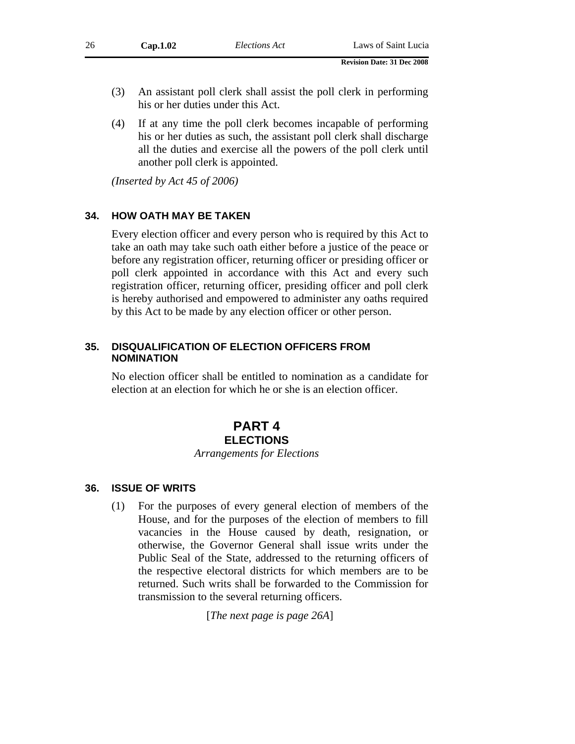- (3) An assistant poll clerk shall assist the poll clerk in performing his or her duties under this Act.
- (4) If at any time the poll clerk becomes incapable of performing his or her duties as such, the assistant poll clerk shall discharge all the duties and exercise all the powers of the poll clerk until another poll clerk is appointed.

*(Inserted by Act 45 of 2006)* 

#### **34. HOW OATH MAY BE TAKEN**

Every election officer and every person who is required by this Act to take an oath may take such oath either before a justice of the peace or before any registration officer, returning officer or presiding officer or poll clerk appointed in accordance with this Act and every such registration officer, returning officer, presiding officer and poll clerk is hereby authorised and empowered to administer any oaths required by this Act to be made by any election officer or other person.

#### **35. DISQUALIFICATION OF ELECTION OFFICERS FROM NOMINATION**

No election officer shall be entitled to nomination as a candidate for election at an election for which he or she is an election officer.

#### **PART 4 ELECTIONS**

#### *Arrangements for Elections*

#### **36. ISSUE OF WRITS**

(1) For the purposes of every general election of members of the House, and for the purposes of the election of members to fill vacancies in the House caused by death, resignation, or otherwise, the Governor General shall issue writs under the Public Seal of the State, addressed to the returning officers of the respective electoral districts for which members are to be returned. Such writs shall be forwarded to the Commission for transmission to the several returning officers.

[*The next page is page 26A*]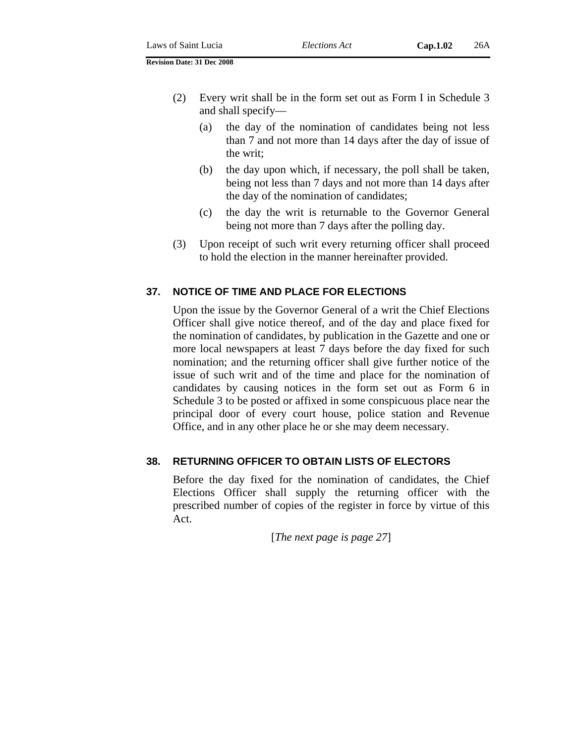- (2) Every writ shall be in the form set out as Form I in Schedule 3 and shall specify—
	- (a) the day of the nomination of candidates being not less than 7 and not more than 14 days after the day of issue of the writ;
	- (b) the day upon which, if necessary, the poll shall be taken, being not less than 7 days and not more than 14 days after the day of the nomination of candidates;
	- (c) the day the writ is returnable to the Governor General being not more than 7 days after the polling day.
- (3) Upon receipt of such writ every returning officer shall proceed to hold the election in the manner hereinafter provided.

#### **37. NOTICE OF TIME AND PLACE FOR ELECTIONS**

Upon the issue by the Governor General of a writ the Chief Elections Officer shall give notice thereof, and of the day and place fixed for the nomination of candidates, by publication in the Gazette and one or more local newspapers at least 7 days before the day fixed for such nomination; and the returning officer shall give further notice of the issue of such writ and of the time and place for the nomination of candidates by causing notices in the form set out as Form 6 in Schedule 3 to be posted or affixed in some conspicuous place near the principal door of every court house, police station and Revenue Office, and in any other place he or she may deem necessary.

#### **38. RETURNING OFFICER TO OBTAIN LISTS OF ELECTORS**

Before the day fixed for the nomination of candidates, the Chief Elections Officer shall supply the returning officer with the prescribed number of copies of the register in force by virtue of this Act.

[*The next page is page 27*]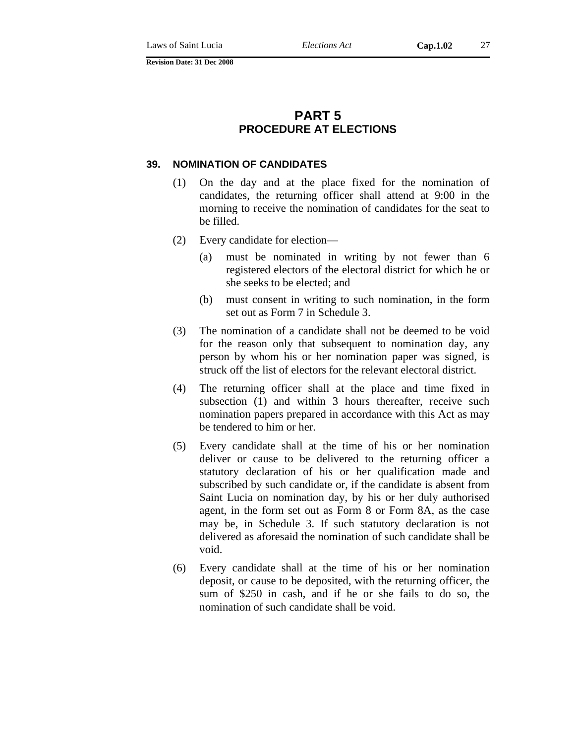# **PART 5 PROCEDURE AT ELECTIONS**

#### **39. NOMINATION OF CANDIDATES**

- (1) On the day and at the place fixed for the nomination of candidates, the returning officer shall attend at 9:00 in the morning to receive the nomination of candidates for the seat to be filled.
- (2) Every candidate for election—
	- (a) must be nominated in writing by not fewer than 6 registered electors of the electoral district for which he or she seeks to be elected; and
	- (b) must consent in writing to such nomination, in the form set out as Form 7 in Schedule 3.
- (3) The nomination of a candidate shall not be deemed to be void for the reason only that subsequent to nomination day, any person by whom his or her nomination paper was signed, is struck off the list of electors for the relevant electoral district.
- (4) The returning officer shall at the place and time fixed in subsection (1) and within 3 hours thereafter, receive such nomination papers prepared in accordance with this Act as may be tendered to him or her.
- (5) Every candidate shall at the time of his or her nomination deliver or cause to be delivered to the returning officer a statutory declaration of his or her qualification made and subscribed by such candidate or, if the candidate is absent from Saint Lucia on nomination day, by his or her duly authorised agent, in the form set out as Form 8 or Form 8A, as the case may be, in Schedule 3. If such statutory declaration is not delivered as aforesaid the nomination of such candidate shall be void.
- (6) Every candidate shall at the time of his or her nomination deposit, or cause to be deposited, with the returning officer, the sum of \$250 in cash, and if he or she fails to do so, the nomination of such candidate shall be void.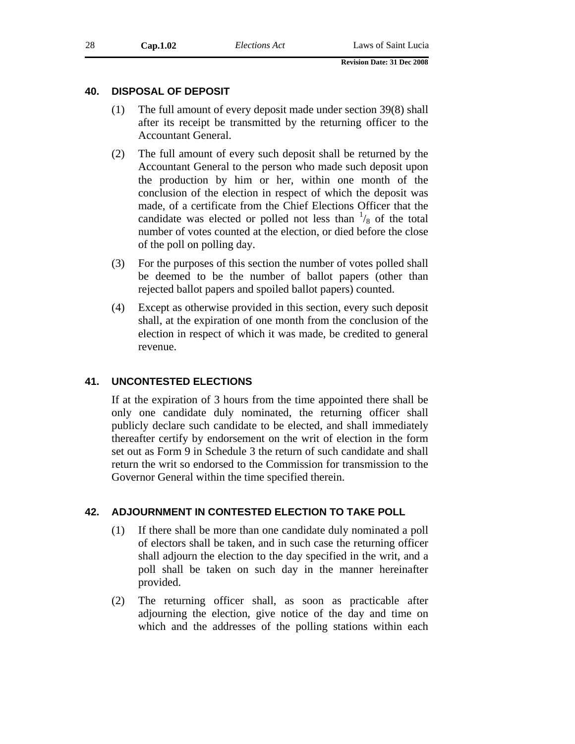#### **40. DISPOSAL OF DEPOSIT**

- (1) The full amount of every deposit made under section 39(8) shall after its receipt be transmitted by the returning officer to the Accountant General.
- (2) The full amount of every such deposit shall be returned by the Accountant General to the person who made such deposit upon the production by him or her, within one month of the conclusion of the election in respect of which the deposit was made, of a certificate from the Chief Elections Officer that the candidate was elected or polled not less than  $\frac{1}{8}$  of the total number of votes counted at the election, or died before the close of the poll on polling day.
- (3) For the purposes of this section the number of votes polled shall be deemed to be the number of ballot papers (other than rejected ballot papers and spoiled ballot papers) counted.
- (4) Except as otherwise provided in this section, every such deposit shall, at the expiration of one month from the conclusion of the election in respect of which it was made, be credited to general revenue.

# **41. UNCONTESTED ELECTIONS**

If at the expiration of 3 hours from the time appointed there shall be only one candidate duly nominated, the returning officer shall publicly declare such candidate to be elected, and shall immediately thereafter certify by endorsement on the writ of election in the form set out as Form 9 in Schedule 3 the return of such candidate and shall return the writ so endorsed to the Commission for transmission to the Governor General within the time specified therein.

# **42. ADJOURNMENT IN CONTESTED ELECTION TO TAKE POLL**

- (1) If there shall be more than one candidate duly nominated a poll of electors shall be taken, and in such case the returning officer shall adjourn the election to the day specified in the writ, and a poll shall be taken on such day in the manner hereinafter provided.
- (2) The returning officer shall, as soon as practicable after adjourning the election, give notice of the day and time on which and the addresses of the polling stations within each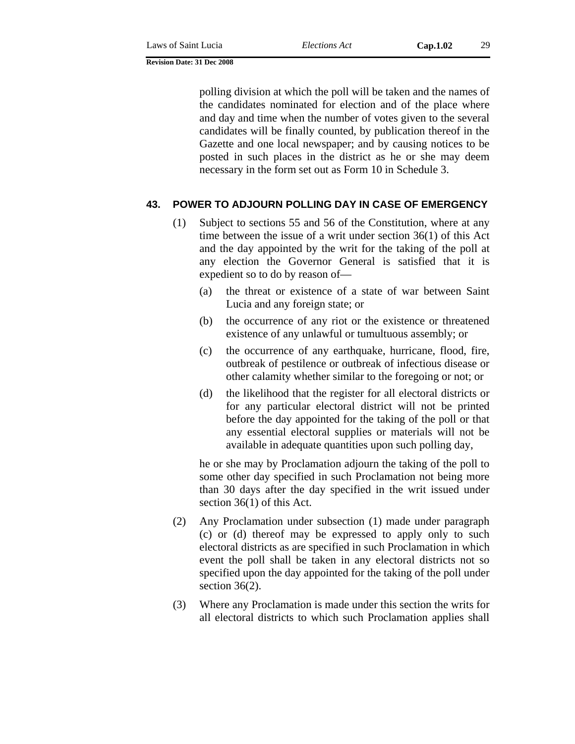polling division at which the poll will be taken and the names of the candidates nominated for election and of the place where and day and time when the number of votes given to the several candidates will be finally counted, by publication thereof in the Gazette and one local newspaper; and by causing notices to be posted in such places in the district as he or she may deem necessary in the form set out as Form 10 in Schedule 3.

#### **43. POWER TO ADJOURN POLLING DAY IN CASE OF EMERGENCY**

- (1) Subject to sections 55 and 56 of the Constitution, where at any time between the issue of a writ under section 36(1) of this Act and the day appointed by the writ for the taking of the poll at any election the Governor General is satisfied that it is expedient so to do by reason of—
	- (a) the threat or existence of a state of war between Saint Lucia and any foreign state; or
	- (b) the occurrence of any riot or the existence or threatened existence of any unlawful or tumultuous assembly; or
	- (c) the occurrence of any earthquake, hurricane, flood, fire, outbreak of pestilence or outbreak of infectious disease or other calamity whether similar to the foregoing or not; or
	- (d) the likelihood that the register for all electoral districts or for any particular electoral district will not be printed before the day appointed for the taking of the poll or that any essential electoral supplies or materials will not be available in adequate quantities upon such polling day,

he or she may by Proclamation adjourn the taking of the poll to some other day specified in such Proclamation not being more than 30 days after the day specified in the writ issued under section 36(1) of this Act.

- (2) Any Proclamation under subsection (1) made under paragraph (c) or (d) thereof may be expressed to apply only to such electoral districts as are specified in such Proclamation in which event the poll shall be taken in any electoral districts not so specified upon the day appointed for the taking of the poll under section  $36(2)$ .
- (3) Where any Proclamation is made under this section the writs for all electoral districts to which such Proclamation applies shall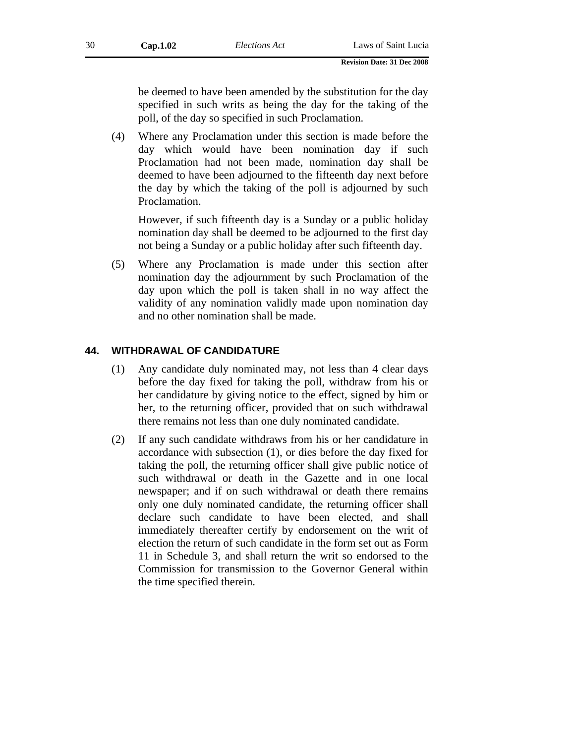be deemed to have been amended by the substitution for the day specified in such writs as being the day for the taking of the poll, of the day so specified in such Proclamation.

(4) Where any Proclamation under this section is made before the day which would have been nomination day if such Proclamation had not been made, nomination day shall be deemed to have been adjourned to the fifteenth day next before the day by which the taking of the poll is adjourned by such Proclamation.

However, if such fifteenth day is a Sunday or a public holiday nomination day shall be deemed to be adjourned to the first day not being a Sunday or a public holiday after such fifteenth day.

(5) Where any Proclamation is made under this section after nomination day the adjournment by such Proclamation of the day upon which the poll is taken shall in no way affect the validity of any nomination validly made upon nomination day and no other nomination shall be made.

#### **44. WITHDRAWAL OF CANDIDATURE**

- (1) Any candidate duly nominated may, not less than 4 clear days before the day fixed for taking the poll, withdraw from his or her candidature by giving notice to the effect, signed by him or her, to the returning officer, provided that on such withdrawal there remains not less than one duly nominated candidate.
- (2) If any such candidate withdraws from his or her candidature in accordance with subsection (1), or dies before the day fixed for taking the poll, the returning officer shall give public notice of such withdrawal or death in the Gazette and in one local newspaper; and if on such withdrawal or death there remains only one duly nominated candidate, the returning officer shall declare such candidate to have been elected, and shall immediately thereafter certify by endorsement on the writ of election the return of such candidate in the form set out as Form 11 in Schedule 3, and shall return the writ so endorsed to the Commission for transmission to the Governor General within the time specified therein.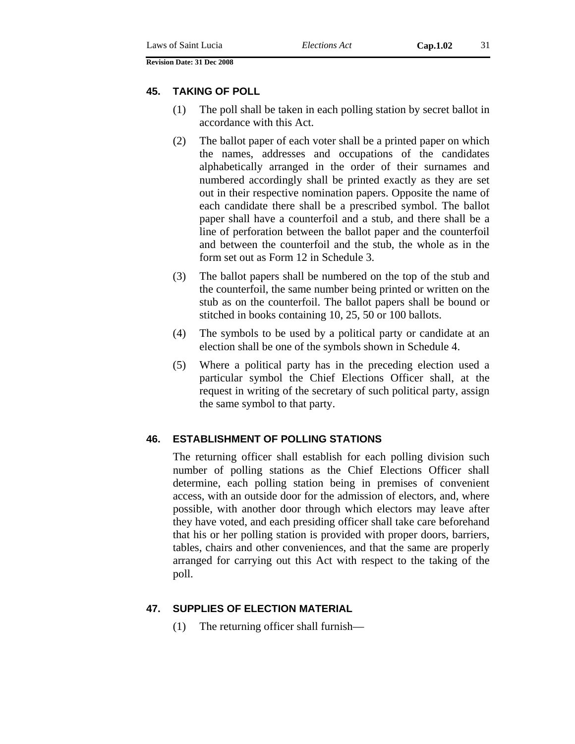# **45. TAKING OF POLL**

- (1) The poll shall be taken in each polling station by secret ballot in accordance with this Act.
- (2) The ballot paper of each voter shall be a printed paper on which the names, addresses and occupations of the candidates alphabetically arranged in the order of their surnames and numbered accordingly shall be printed exactly as they are set out in their respective nomination papers. Opposite the name of each candidate there shall be a prescribed symbol. The ballot paper shall have a counterfoil and a stub, and there shall be a line of perforation between the ballot paper and the counterfoil and between the counterfoil and the stub, the whole as in the form set out as Form 12 in Schedule 3.
- (3) The ballot papers shall be numbered on the top of the stub and the counterfoil, the same number being printed or written on the stub as on the counterfoil. The ballot papers shall be bound or stitched in books containing 10, 25, 50 or 100 ballots.
- (4) The symbols to be used by a political party or candidate at an election shall be one of the symbols shown in Schedule 4.
- (5) Where a political party has in the preceding election used a particular symbol the Chief Elections Officer shall, at the request in writing of the secretary of such political party, assign the same symbol to that party.

# **46. ESTABLISHMENT OF POLLING STATIONS**

The returning officer shall establish for each polling division such number of polling stations as the Chief Elections Officer shall determine, each polling station being in premises of convenient access, with an outside door for the admission of electors, and, where possible, with another door through which electors may leave after they have voted, and each presiding officer shall take care beforehand that his or her polling station is provided with proper doors, barriers, tables, chairs and other conveniences, and that the same are properly arranged for carrying out this Act with respect to the taking of the poll.

# **47. SUPPLIES OF ELECTION MATERIAL**

(1) The returning officer shall furnish—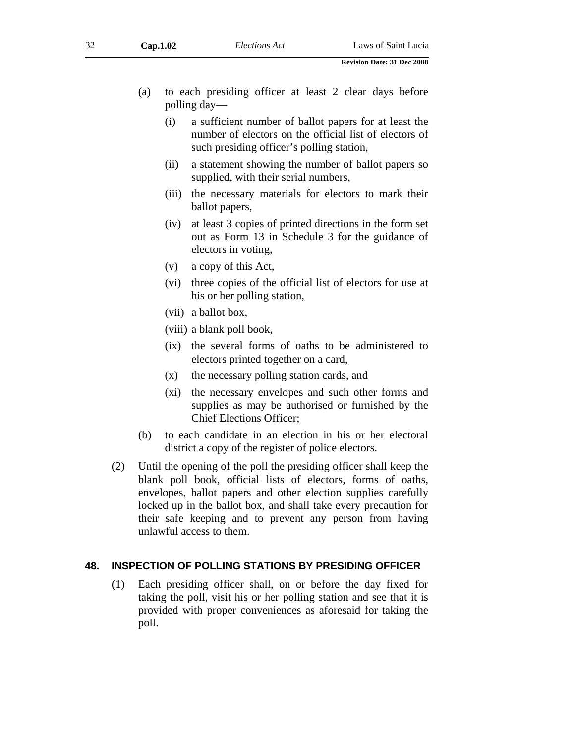- (a) to each presiding officer at least 2 clear days before polling day—
	- (i) a sufficient number of ballot papers for at least the number of electors on the official list of electors of such presiding officer's polling station,
	- (ii) a statement showing the number of ballot papers so supplied, with their serial numbers,
	- (iii) the necessary materials for electors to mark their ballot papers,
	- (iv) at least 3 copies of printed directions in the form set out as Form 13 in Schedule 3 for the guidance of electors in voting,
	- (v) a copy of this Act,
	- (vi) three copies of the official list of electors for use at his or her polling station,
	- (vii) a ballot box,
	- (viii) a blank poll book,
	- (ix) the several forms of oaths to be administered to electors printed together on a card,
	- (x) the necessary polling station cards, and
	- (xi) the necessary envelopes and such other forms and supplies as may be authorised or furnished by the Chief Elections Officer;
- (b) to each candidate in an election in his or her electoral district a copy of the register of police electors.
- (2) Until the opening of the poll the presiding officer shall keep the blank poll book, official lists of electors, forms of oaths, envelopes, ballot papers and other election supplies carefully locked up in the ballot box, and shall take every precaution for their safe keeping and to prevent any person from having unlawful access to them.

#### **48. INSPECTION OF POLLING STATIONS BY PRESIDING OFFICER**

(1) Each presiding officer shall, on or before the day fixed for taking the poll, visit his or her polling station and see that it is provided with proper conveniences as aforesaid for taking the poll.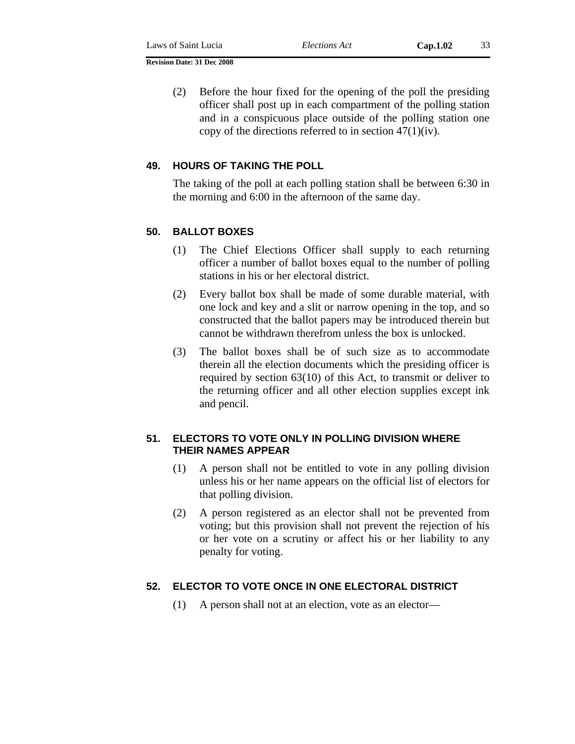(2) Before the hour fixed for the opening of the poll the presiding officer shall post up in each compartment of the polling station and in a conspicuous place outside of the polling station one copy of the directions referred to in section  $47(1)(iv)$ .

## **49. HOURS OF TAKING THE POLL**

The taking of the poll at each polling station shall be between 6:30 in the morning and 6:00 in the afternoon of the same day.

## **50. BALLOT BOXES**

- (1) The Chief Elections Officer shall supply to each returning officer a number of ballot boxes equal to the number of polling stations in his or her electoral district.
- (2) Every ballot box shall be made of some durable material, with one lock and key and a slit or narrow opening in the top, and so constructed that the ballot papers may be introduced therein but cannot be withdrawn therefrom unless the box is unlocked.
- (3) The ballot boxes shall be of such size as to accommodate therein all the election documents which the presiding officer is required by section 63(10) of this Act, to transmit or deliver to the returning officer and all other election supplies except ink and pencil.

## **51. ELECTORS TO VOTE ONLY IN POLLING DIVISION WHERE THEIR NAMES APPEAR**

- (1) A person shall not be entitled to vote in any polling division unless his or her name appears on the official list of electors for that polling division.
- (2) A person registered as an elector shall not be prevented from voting; but this provision shall not prevent the rejection of his or her vote on a scrutiny or affect his or her liability to any penalty for voting.

## **52. ELECTOR TO VOTE ONCE IN ONE ELECTORAL DISTRICT**

(1) A person shall not at an election, vote as an elector—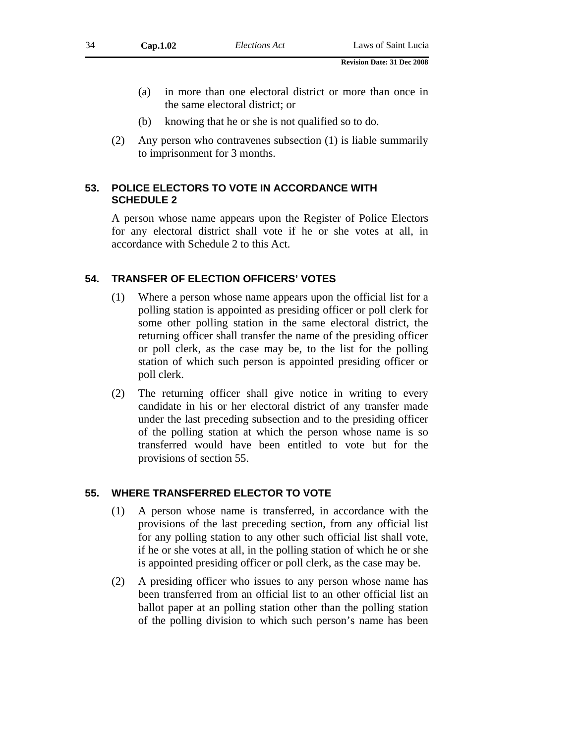- (a) in more than one electoral district or more than once in the same electoral district; or
- (b) knowing that he or she is not qualified so to do.
- (2) Any person who contravenes subsection (1) is liable summarily to imprisonment for 3 months.

## **53. POLICE ELECTORS TO VOTE IN ACCORDANCE WITH SCHEDULE 2**

A person whose name appears upon the Register of Police Electors for any electoral district shall vote if he or she votes at all, in accordance with Schedule 2 to this Act.

### **54. TRANSFER OF ELECTION OFFICERS' VOTES**

- (1) Where a person whose name appears upon the official list for a polling station is appointed as presiding officer or poll clerk for some other polling station in the same electoral district, the returning officer shall transfer the name of the presiding officer or poll clerk, as the case may be, to the list for the polling station of which such person is appointed presiding officer or poll clerk.
- (2) The returning officer shall give notice in writing to every candidate in his or her electoral district of any transfer made under the last preceding subsection and to the presiding officer of the polling station at which the person whose name is so transferred would have been entitled to vote but for the provisions of section 55.

### **55. WHERE TRANSFERRED ELECTOR TO VOTE**

- (1) A person whose name is transferred, in accordance with the provisions of the last preceding section, from any official list for any polling station to any other such official list shall vote, if he or she votes at all, in the polling station of which he or she is appointed presiding officer or poll clerk, as the case may be.
- (2) A presiding officer who issues to any person whose name has been transferred from an official list to an other official list an ballot paper at an polling station other than the polling station of the polling division to which such person's name has been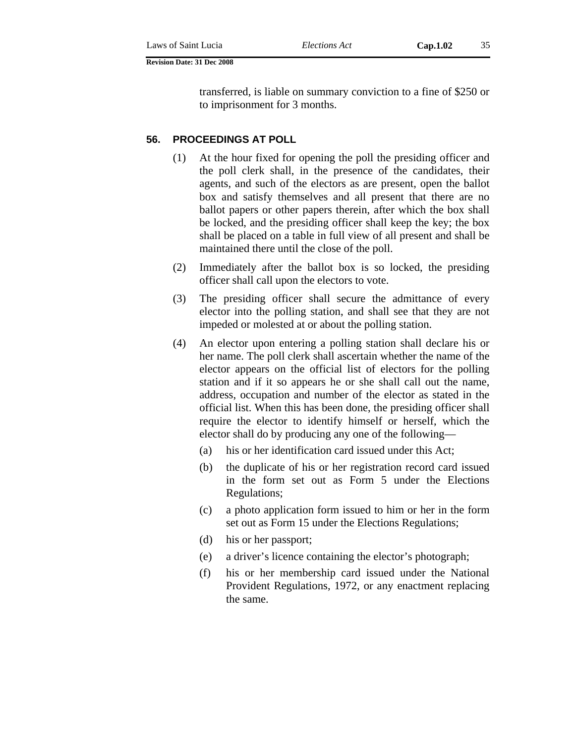transferred, is liable on summary conviction to a fine of \$250 or to imprisonment for 3 months.

### **56. PROCEEDINGS AT POLL**

- (1) At the hour fixed for opening the poll the presiding officer and the poll clerk shall, in the presence of the candidates, their agents, and such of the electors as are present, open the ballot box and satisfy themselves and all present that there are no ballot papers or other papers therein, after which the box shall be locked, and the presiding officer shall keep the key; the box shall be placed on a table in full view of all present and shall be maintained there until the close of the poll.
- (2) Immediately after the ballot box is so locked, the presiding officer shall call upon the electors to vote.
- (3) The presiding officer shall secure the admittance of every elector into the polling station, and shall see that they are not impeded or molested at or about the polling station.
- (4) An elector upon entering a polling station shall declare his or her name. The poll clerk shall ascertain whether the name of the elector appears on the official list of electors for the polling station and if it so appears he or she shall call out the name, address, occupation and number of the elector as stated in the official list. When this has been done, the presiding officer shall require the elector to identify himself or herself, which the elector shall do by producing any one of the following—
	- (a) his or her identification card issued under this Act;
	- (b) the duplicate of his or her registration record card issued in the form set out as Form 5 under the Elections Regulations;
	- (c) a photo application form issued to him or her in the form set out as Form 15 under the Elections Regulations;
	- (d) his or her passport;
	- (e) a driver's licence containing the elector's photograph;
	- (f) his or her membership card issued under the National Provident Regulations, 1972, or any enactment replacing the same.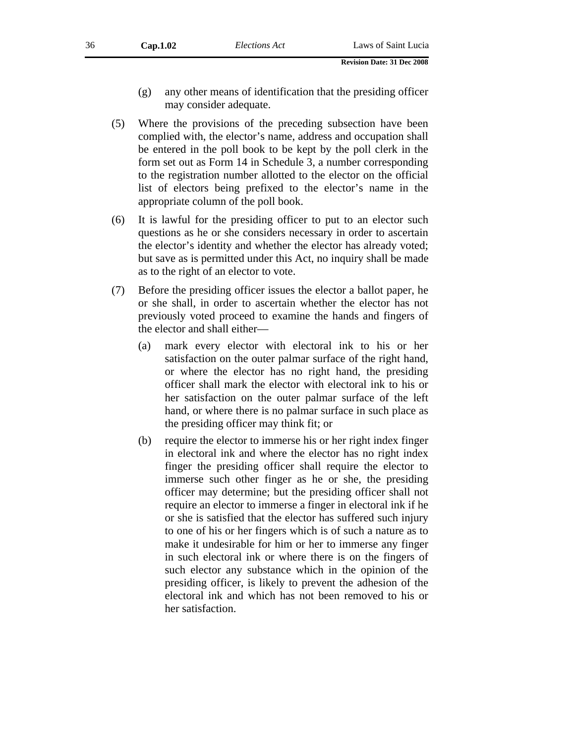- (g) any other means of identification that the presiding officer may consider adequate.
- (5) Where the provisions of the preceding subsection have been complied with, the elector's name, address and occupation shall be entered in the poll book to be kept by the poll clerk in the form set out as Form 14 in Schedule 3, a number corresponding to the registration number allotted to the elector on the official list of electors being prefixed to the elector's name in the appropriate column of the poll book.
- (6) It is lawful for the presiding officer to put to an elector such questions as he or she considers necessary in order to ascertain the elector's identity and whether the elector has already voted; but save as is permitted under this Act, no inquiry shall be made as to the right of an elector to vote.
- (7) Before the presiding officer issues the elector a ballot paper, he or she shall, in order to ascertain whether the elector has not previously voted proceed to examine the hands and fingers of the elector and shall either—
	- (a) mark every elector with electoral ink to his or her satisfaction on the outer palmar surface of the right hand, or where the elector has no right hand, the presiding officer shall mark the elector with electoral ink to his or her satisfaction on the outer palmar surface of the left hand, or where there is no palmar surface in such place as the presiding officer may think fit; or
	- (b) require the elector to immerse his or her right index finger in electoral ink and where the elector has no right index finger the presiding officer shall require the elector to immerse such other finger as he or she, the presiding officer may determine; but the presiding officer shall not require an elector to immerse a finger in electoral ink if he or she is satisfied that the elector has suffered such injury to one of his or her fingers which is of such a nature as to make it undesirable for him or her to immerse any finger in such electoral ink or where there is on the fingers of such elector any substance which in the opinion of the presiding officer, is likely to prevent the adhesion of the electoral ink and which has not been removed to his or her satisfaction.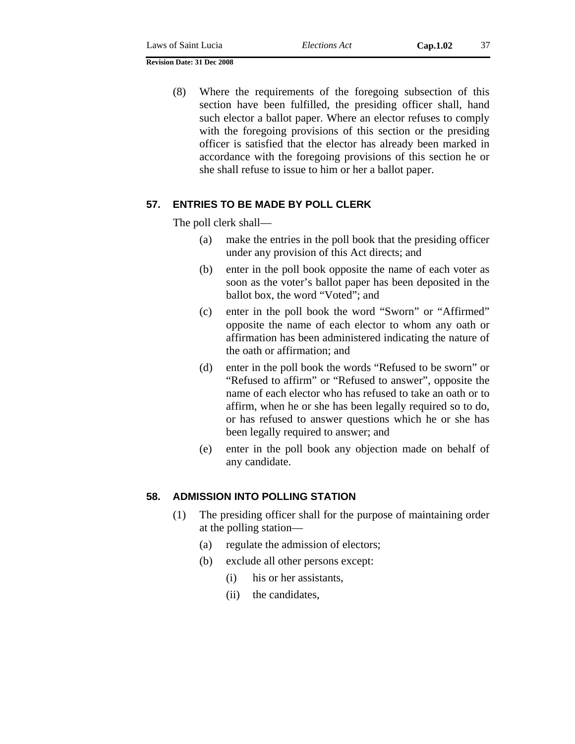(8) Where the requirements of the foregoing subsection of this section have been fulfilled, the presiding officer shall, hand such elector a ballot paper. Where an elector refuses to comply with the foregoing provisions of this section or the presiding officer is satisfied that the elector has already been marked in accordance with the foregoing provisions of this section he or she shall refuse to issue to him or her a ballot paper.

## **57. ENTRIES TO BE MADE BY POLL CLERK**

The poll clerk shall—

- (a) make the entries in the poll book that the presiding officer under any provision of this Act directs; and
- (b) enter in the poll book opposite the name of each voter as soon as the voter's ballot paper has been deposited in the ballot box, the word "Voted"; and
- (c) enter in the poll book the word "Sworn" or "Affirmed" opposite the name of each elector to whom any oath or affirmation has been administered indicating the nature of the oath or affirmation; and
- (d) enter in the poll book the words "Refused to be sworn" or "Refused to affirm" or "Refused to answer", opposite the name of each elector who has refused to take an oath or to affirm, when he or she has been legally required so to do, or has refused to answer questions which he or she has been legally required to answer; and
- (e) enter in the poll book any objection made on behalf of any candidate.

### **58. ADMISSION INTO POLLING STATION**

- (1) The presiding officer shall for the purpose of maintaining order at the polling station—
	- (a) regulate the admission of electors;
	- (b) exclude all other persons except:
		- (i) his or her assistants,
		- (ii) the candidates,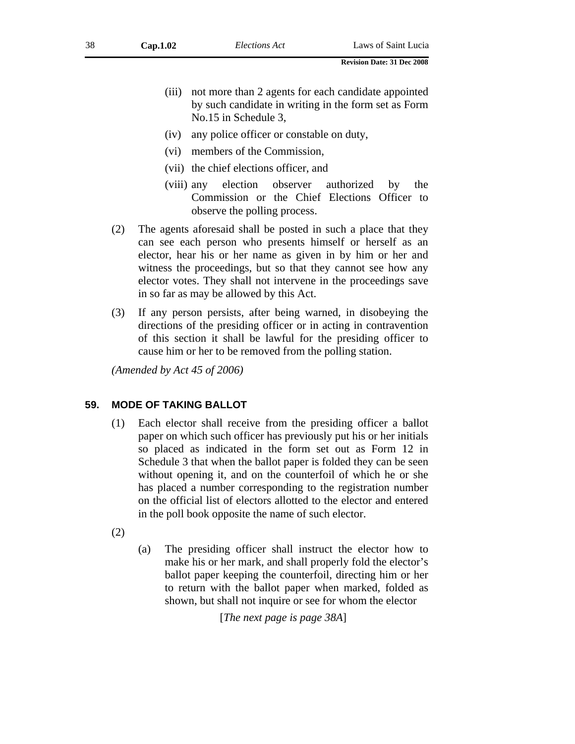- (iii) not more than 2 agents for each candidate appointed by such candidate in writing in the form set as Form No.15 in Schedule 3,
- (iv) any police officer or constable on duty,
- (vi) members of the Commission,
- (vii) the chief elections officer, and
- (viii) any election observer authorized by the Commission or the Chief Elections Officer to observe the polling process.
- (2) The agents aforesaid shall be posted in such a place that they can see each person who presents himself or herself as an elector, hear his or her name as given in by him or her and witness the proceedings, but so that they cannot see how any elector votes. They shall not intervene in the proceedings save in so far as may be allowed by this Act.
- (3) If any person persists, after being warned, in disobeying the directions of the presiding officer or in acting in contravention of this section it shall be lawful for the presiding officer to cause him or her to be removed from the polling station.

*(Amended by Act 45 of 2006)* 

## **59. MODE OF TAKING BALLOT**

- (1) Each elector shall receive from the presiding officer a ballot paper on which such officer has previously put his or her initials so placed as indicated in the form set out as Form 12 in Schedule 3 that when the ballot paper is folded they can be seen without opening it, and on the counterfoil of which he or she has placed a number corresponding to the registration number on the official list of electors allotted to the elector and entered in the poll book opposite the name of such elector.
- (2)
- (a) The presiding officer shall instruct the elector how to make his or her mark, and shall properly fold the elector's ballot paper keeping the counterfoil, directing him or her to return with the ballot paper when marked, folded as shown, but shall not inquire or see for whom the elector

[*The next page is page 38A*]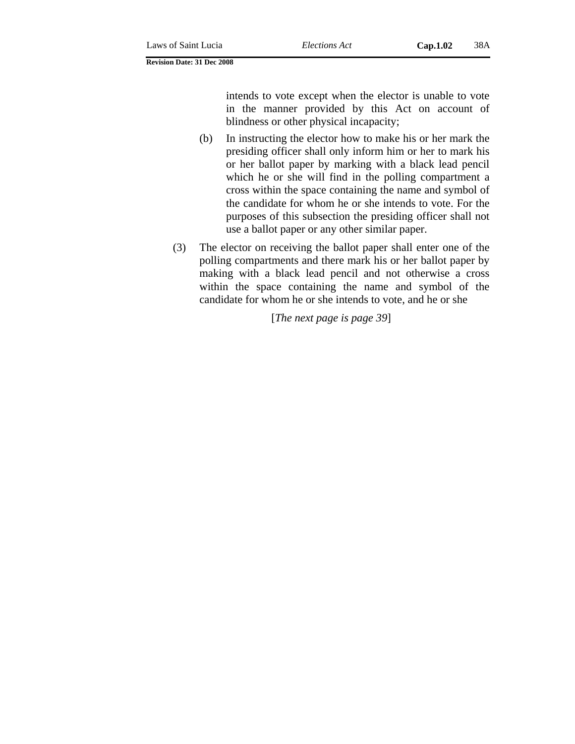intends to vote except when the elector is unable to vote in the manner provided by this Act on account of blindness or other physical incapacity;

- (b) In instructing the elector how to make his or her mark the presiding officer shall only inform him or her to mark his or her ballot paper by marking with a black lead pencil which he or she will find in the polling compartment a cross within the space containing the name and symbol of the candidate for whom he or she intends to vote. For the purposes of this subsection the presiding officer shall not use a ballot paper or any other similar paper.
- (3) The elector on receiving the ballot paper shall enter one of the polling compartments and there mark his or her ballot paper by making with a black lead pencil and not otherwise a cross within the space containing the name and symbol of the candidate for whom he or she intends to vote, and he or she

[*The next page is page 39*]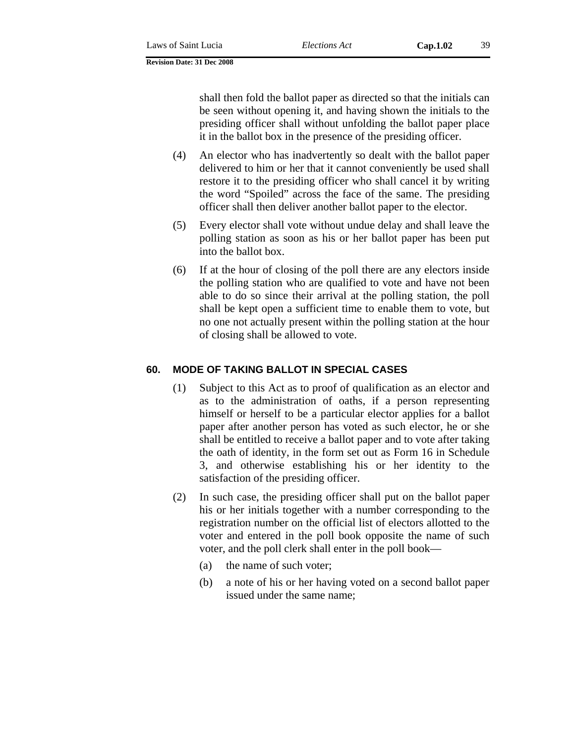shall then fold the ballot paper as directed so that the initials can be seen without opening it, and having shown the initials to the presiding officer shall without unfolding the ballot paper place it in the ballot box in the presence of the presiding officer.

- (4) An elector who has inadvertently so dealt with the ballot paper delivered to him or her that it cannot conveniently be used shall restore it to the presiding officer who shall cancel it by writing the word "Spoiled" across the face of the same. The presiding officer shall then deliver another ballot paper to the elector.
- (5) Every elector shall vote without undue delay and shall leave the polling station as soon as his or her ballot paper has been put into the ballot box.
- (6) If at the hour of closing of the poll there are any electors inside the polling station who are qualified to vote and have not been able to do so since their arrival at the polling station, the poll shall be kept open a sufficient time to enable them to vote, but no one not actually present within the polling station at the hour of closing shall be allowed to vote.

## **60. MODE OF TAKING BALLOT IN SPECIAL CASES**

- (1) Subject to this Act as to proof of qualification as an elector and as to the administration of oaths, if a person representing himself or herself to be a particular elector applies for a ballot paper after another person has voted as such elector, he or she shall be entitled to receive a ballot paper and to vote after taking the oath of identity, in the form set out as Form 16 in Schedule 3, and otherwise establishing his or her identity to the satisfaction of the presiding officer.
- (2) In such case, the presiding officer shall put on the ballot paper his or her initials together with a number corresponding to the registration number on the official list of electors allotted to the voter and entered in the poll book opposite the name of such voter, and the poll clerk shall enter in the poll book—
	- (a) the name of such voter;
	- (b) a note of his or her having voted on a second ballot paper issued under the same name;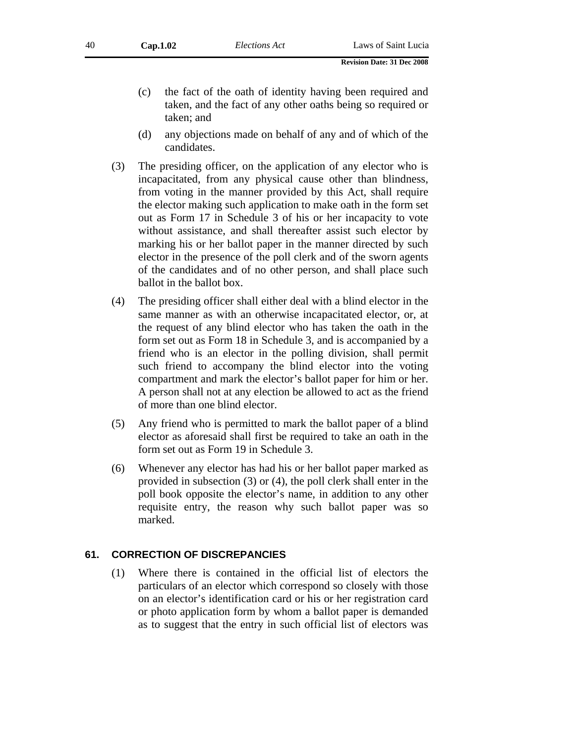- (c) the fact of the oath of identity having been required and taken, and the fact of any other oaths being so required or taken; and
- (d) any objections made on behalf of any and of which of the candidates.
- (3) The presiding officer, on the application of any elector who is incapacitated, from any physical cause other than blindness, from voting in the manner provided by this Act, shall require the elector making such application to make oath in the form set out as Form 17 in Schedule 3 of his or her incapacity to vote without assistance, and shall thereafter assist such elector by marking his or her ballot paper in the manner directed by such elector in the presence of the poll clerk and of the sworn agents of the candidates and of no other person, and shall place such ballot in the ballot box.
- (4) The presiding officer shall either deal with a blind elector in the same manner as with an otherwise incapacitated elector, or, at the request of any blind elector who has taken the oath in the form set out as Form 18 in Schedule 3, and is accompanied by a friend who is an elector in the polling division, shall permit such friend to accompany the blind elector into the voting compartment and mark the elector's ballot paper for him or her. A person shall not at any election be allowed to act as the friend of more than one blind elector.
- (5) Any friend who is permitted to mark the ballot paper of a blind elector as aforesaid shall first be required to take an oath in the form set out as Form 19 in Schedule 3.
- (6) Whenever any elector has had his or her ballot paper marked as provided in subsection (3) or (4), the poll clerk shall enter in the poll book opposite the elector's name, in addition to any other requisite entry, the reason why such ballot paper was so marked.

## **61. CORRECTION OF DISCREPANCIES**

(1) Where there is contained in the official list of electors the particulars of an elector which correspond so closely with those on an elector's identification card or his or her registration card or photo application form by whom a ballot paper is demanded as to suggest that the entry in such official list of electors was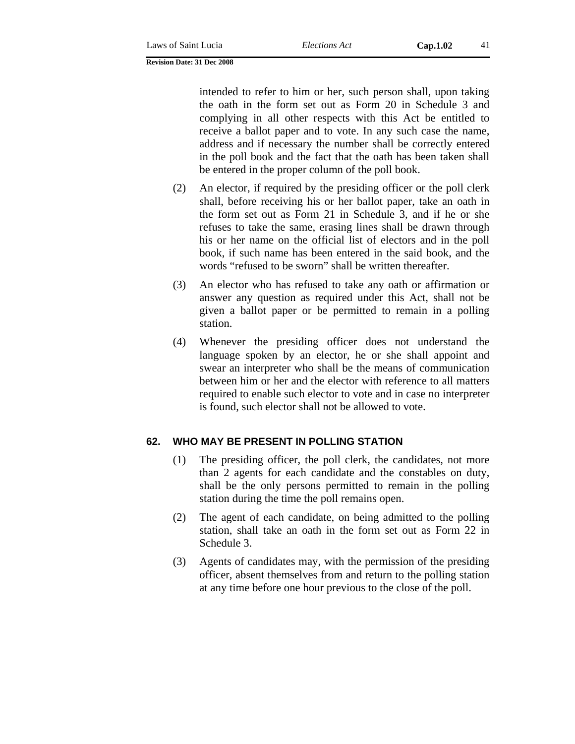intended to refer to him or her, such person shall, upon taking the oath in the form set out as Form 20 in Schedule 3 and complying in all other respects with this Act be entitled to receive a ballot paper and to vote. In any such case the name, address and if necessary the number shall be correctly entered in the poll book and the fact that the oath has been taken shall be entered in the proper column of the poll book.

- (2) An elector, if required by the presiding officer or the poll clerk shall, before receiving his or her ballot paper, take an oath in the form set out as Form 21 in Schedule 3, and if he or she refuses to take the same, erasing lines shall be drawn through his or her name on the official list of electors and in the poll book, if such name has been entered in the said book, and the words "refused to be sworn" shall be written thereafter.
- (3) An elector who has refused to take any oath or affirmation or answer any question as required under this Act, shall not be given a ballot paper or be permitted to remain in a polling station.
- (4) Whenever the presiding officer does not understand the language spoken by an elector, he or she shall appoint and swear an interpreter who shall be the means of communication between him or her and the elector with reference to all matters required to enable such elector to vote and in case no interpreter is found, such elector shall not be allowed to vote.

## **62. WHO MAY BE PRESENT IN POLLING STATION**

- (1) The presiding officer, the poll clerk, the candidates, not more than 2 agents for each candidate and the constables on duty, shall be the only persons permitted to remain in the polling station during the time the poll remains open.
- (2) The agent of each candidate, on being admitted to the polling station, shall take an oath in the form set out as Form 22 in Schedule 3.
- (3) Agents of candidates may, with the permission of the presiding officer, absent themselves from and return to the polling station at any time before one hour previous to the close of the poll.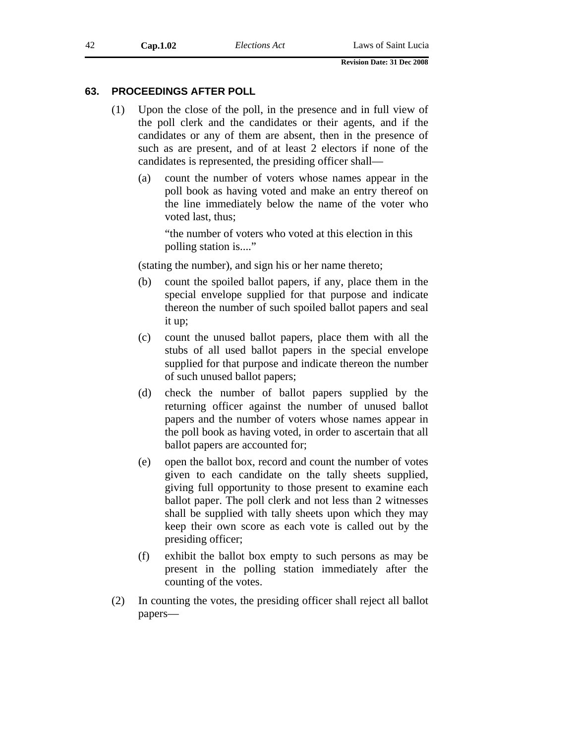### **63. PROCEEDINGS AFTER POLL**

- (1) Upon the close of the poll, in the presence and in full view of the poll clerk and the candidates or their agents, and if the candidates or any of them are absent, then in the presence of such as are present, and of at least 2 electors if none of the candidates is represented, the presiding officer shall—
	- (a) count the number of voters whose names appear in the poll book as having voted and make an entry thereof on the line immediately below the name of the voter who voted last, thus;

"the number of voters who voted at this election in this polling station is...."

(stating the number), and sign his or her name thereto;

- (b) count the spoiled ballot papers, if any, place them in the special envelope supplied for that purpose and indicate thereon the number of such spoiled ballot papers and seal it up;
- (c) count the unused ballot papers, place them with all the stubs of all used ballot papers in the special envelope supplied for that purpose and indicate thereon the number of such unused ballot papers;
- (d) check the number of ballot papers supplied by the returning officer against the number of unused ballot papers and the number of voters whose names appear in the poll book as having voted, in order to ascertain that all ballot papers are accounted for;
- (e) open the ballot box, record and count the number of votes given to each candidate on the tally sheets supplied, giving full opportunity to those present to examine each ballot paper. The poll clerk and not less than 2 witnesses shall be supplied with tally sheets upon which they may keep their own score as each vote is called out by the presiding officer;
- (f) exhibit the ballot box empty to such persons as may be present in the polling station immediately after the counting of the votes.
- (2) In counting the votes, the presiding officer shall reject all ballot papers—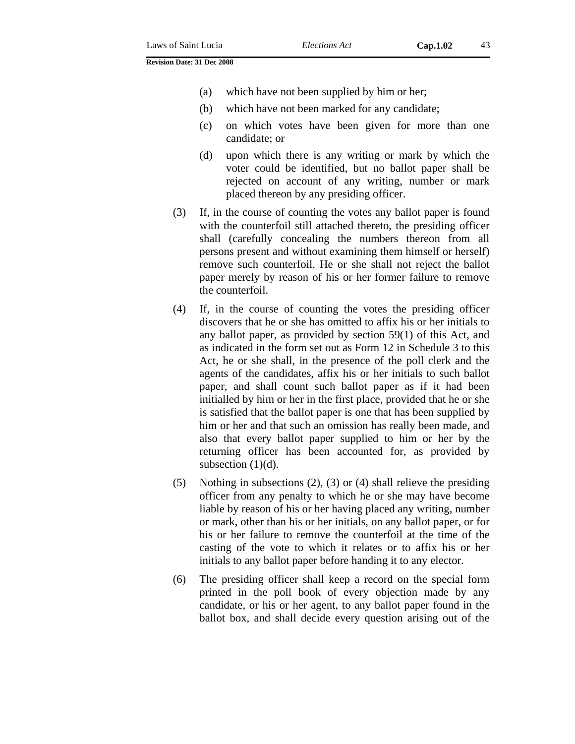- (a) which have not been supplied by him or her;
- (b) which have not been marked for any candidate;
- (c) on which votes have been given for more than one candidate; or
- (d) upon which there is any writing or mark by which the voter could be identified, but no ballot paper shall be rejected on account of any writing, number or mark placed thereon by any presiding officer.
- (3) If, in the course of counting the votes any ballot paper is found with the counterfoil still attached thereto, the presiding officer shall (carefully concealing the numbers thereon from all persons present and without examining them himself or herself) remove such counterfoil. He or she shall not reject the ballot paper merely by reason of his or her former failure to remove the counterfoil.
- (4) If, in the course of counting the votes the presiding officer discovers that he or she has omitted to affix his or her initials to any ballot paper, as provided by section 59(1) of this Act, and as indicated in the form set out as Form 12 in Schedule 3 to this Act, he or she shall, in the presence of the poll clerk and the agents of the candidates, affix his or her initials to such ballot paper, and shall count such ballot paper as if it had been initialled by him or her in the first place, provided that he or she is satisfied that the ballot paper is one that has been supplied by him or her and that such an omission has really been made, and also that every ballot paper supplied to him or her by the returning officer has been accounted for, as provided by subsection  $(1)(d)$ .
- (5) Nothing in subsections (2), (3) or (4) shall relieve the presiding officer from any penalty to which he or she may have become liable by reason of his or her having placed any writing, number or mark, other than his or her initials, on any ballot paper, or for his or her failure to remove the counterfoil at the time of the casting of the vote to which it relates or to affix his or her initials to any ballot paper before handing it to any elector.
- (6) The presiding officer shall keep a record on the special form printed in the poll book of every objection made by any candidate, or his or her agent, to any ballot paper found in the ballot box, and shall decide every question arising out of the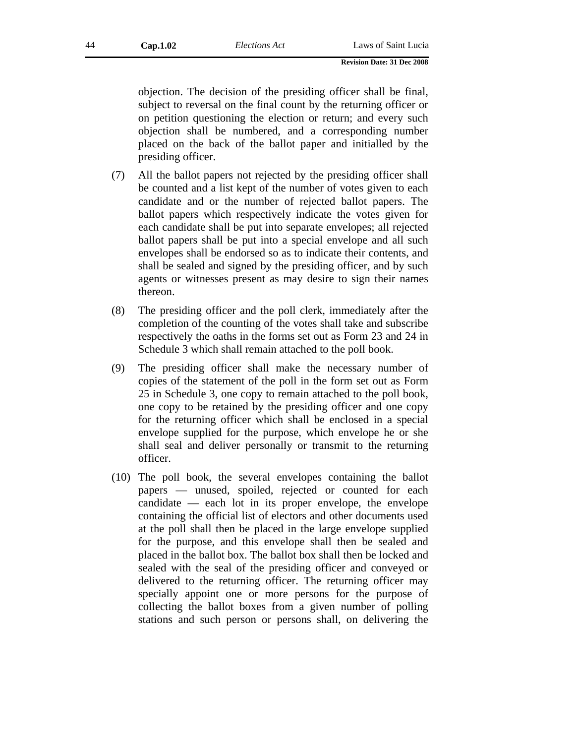objection. The decision of the presiding officer shall be final, subject to reversal on the final count by the returning officer or on petition questioning the election or return; and every such objection shall be numbered, and a corresponding number placed on the back of the ballot paper and initialled by the presiding officer.

- (7) All the ballot papers not rejected by the presiding officer shall be counted and a list kept of the number of votes given to each candidate and or the number of rejected ballot papers. The ballot papers which respectively indicate the votes given for each candidate shall be put into separate envelopes; all rejected ballot papers shall be put into a special envelope and all such envelopes shall be endorsed so as to indicate their contents, and shall be sealed and signed by the presiding officer, and by such agents or witnesses present as may desire to sign their names thereon.
- (8) The presiding officer and the poll clerk, immediately after the completion of the counting of the votes shall take and subscribe respectively the oaths in the forms set out as Form 23 and 24 in Schedule 3 which shall remain attached to the poll book.
- (9) The presiding officer shall make the necessary number of copies of the statement of the poll in the form set out as Form 25 in Schedule 3, one copy to remain attached to the poll book, one copy to be retained by the presiding officer and one copy for the returning officer which shall be enclosed in a special envelope supplied for the purpose, which envelope he or she shall seal and deliver personally or transmit to the returning officer.
- (10) The poll book, the several envelopes containing the ballot papers — unused, spoiled, rejected or counted for each candidate — each lot in its proper envelope, the envelope containing the official list of electors and other documents used at the poll shall then be placed in the large envelope supplied for the purpose, and this envelope shall then be sealed and placed in the ballot box. The ballot box shall then be locked and sealed with the seal of the presiding officer and conveyed or delivered to the returning officer. The returning officer may specially appoint one or more persons for the purpose of collecting the ballot boxes from a given number of polling stations and such person or persons shall, on delivering the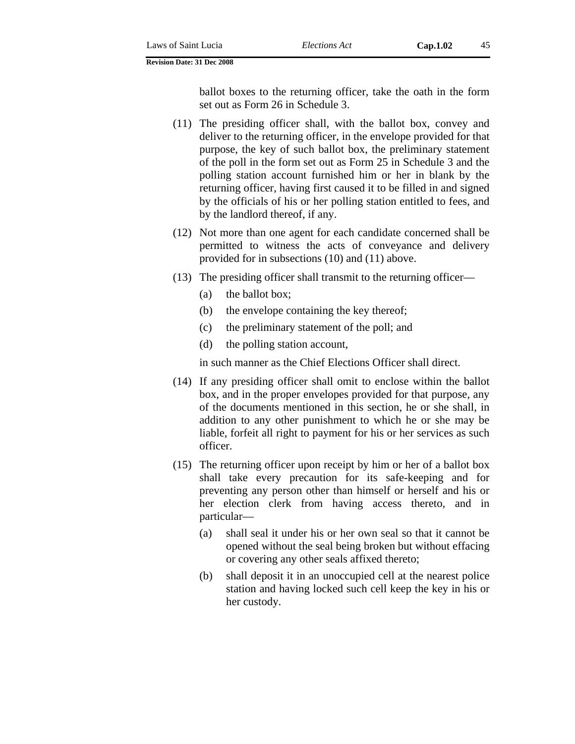ballot boxes to the returning officer, take the oath in the form set out as Form 26 in Schedule 3.

- (11) The presiding officer shall, with the ballot box, convey and deliver to the returning officer, in the envelope provided for that purpose, the key of such ballot box, the preliminary statement of the poll in the form set out as Form 25 in Schedule 3 and the polling station account furnished him or her in blank by the returning officer, having first caused it to be filled in and signed by the officials of his or her polling station entitled to fees, and by the landlord thereof, if any.
- (12) Not more than one agent for each candidate concerned shall be permitted to witness the acts of conveyance and delivery provided for in subsections (10) and (11) above.
- (13) The presiding officer shall transmit to the returning officer—
	- (a) the ballot box;
	- (b) the envelope containing the key thereof;
	- (c) the preliminary statement of the poll; and
	- (d) the polling station account,

in such manner as the Chief Elections Officer shall direct.

- (14) If any presiding officer shall omit to enclose within the ballot box, and in the proper envelopes provided for that purpose, any of the documents mentioned in this section, he or she shall, in addition to any other punishment to which he or she may be liable, forfeit all right to payment for his or her services as such officer.
- (15) The returning officer upon receipt by him or her of a ballot box shall take every precaution for its safe-keeping and for preventing any person other than himself or herself and his or her election clerk from having access thereto, and in particular—
	- (a) shall seal it under his or her own seal so that it cannot be opened without the seal being broken but without effacing or covering any other seals affixed thereto;
	- (b) shall deposit it in an unoccupied cell at the nearest police station and having locked such cell keep the key in his or her custody.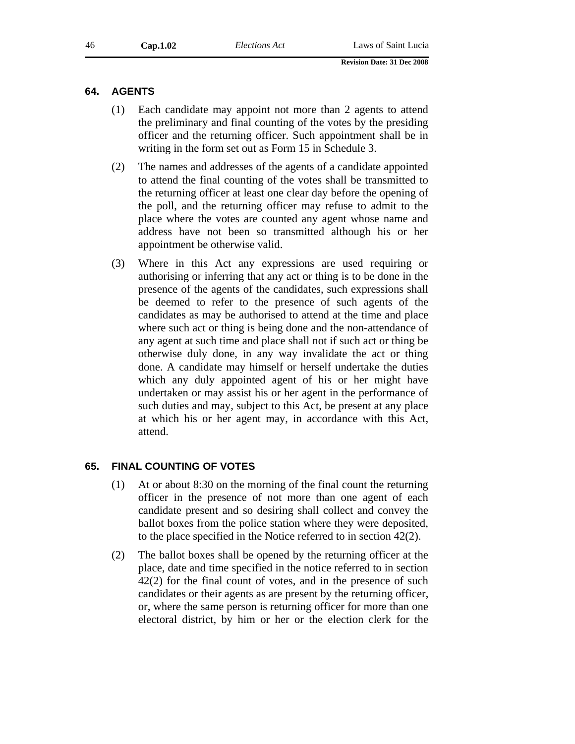### **64. AGENTS**

- (1) Each candidate may appoint not more than 2 agents to attend the preliminary and final counting of the votes by the presiding officer and the returning officer. Such appointment shall be in writing in the form set out as Form 15 in Schedule 3.
- (2) The names and addresses of the agents of a candidate appointed to attend the final counting of the votes shall be transmitted to the returning officer at least one clear day before the opening of the poll, and the returning officer may refuse to admit to the place where the votes are counted any agent whose name and address have not been so transmitted although his or her appointment be otherwise valid.
- (3) Where in this Act any expressions are used requiring or authorising or inferring that any act or thing is to be done in the presence of the agents of the candidates, such expressions shall be deemed to refer to the presence of such agents of the candidates as may be authorised to attend at the time and place where such act or thing is being done and the non-attendance of any agent at such time and place shall not if such act or thing be otherwise duly done, in any way invalidate the act or thing done. A candidate may himself or herself undertake the duties which any duly appointed agent of his or her might have undertaken or may assist his or her agent in the performance of such duties and may, subject to this Act, be present at any place at which his or her agent may, in accordance with this Act, attend.

### **65. FINAL COUNTING OF VOTES**

- (1) At or about 8:30 on the morning of the final count the returning officer in the presence of not more than one agent of each candidate present and so desiring shall collect and convey the ballot boxes from the police station where they were deposited, to the place specified in the Notice referred to in section 42(2).
- (2) The ballot boxes shall be opened by the returning officer at the place, date and time specified in the notice referred to in section 42(2) for the final count of votes, and in the presence of such candidates or their agents as are present by the returning officer, or, where the same person is returning officer for more than one electoral district, by him or her or the election clerk for the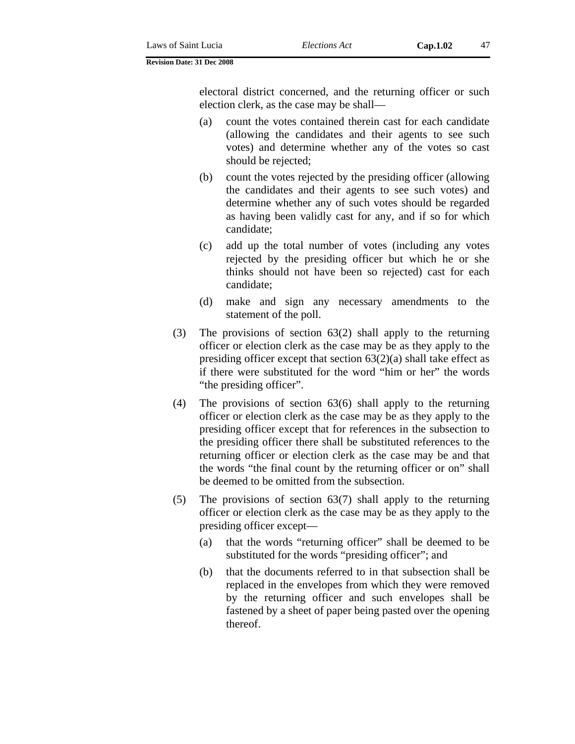electoral district concerned, and the returning officer or such election clerk, as the case may be shall—

- (a) count the votes contained therein cast for each candidate (allowing the candidates and their agents to see such votes) and determine whether any of the votes so cast should be rejected;
- (b) count the votes rejected by the presiding officer (allowing the candidates and their agents to see such votes) and determine whether any of such votes should be regarded as having been validly cast for any, and if so for which candidate;
- (c) add up the total number of votes (including any votes rejected by the presiding officer but which he or she thinks should not have been so rejected) cast for each candidate;
- (d) make and sign any necessary amendments to the statement of the poll.
- (3) The provisions of section 63(2) shall apply to the returning officer or election clerk as the case may be as they apply to the presiding officer except that section  $63(2)(a)$  shall take effect as if there were substituted for the word "him or her" the words "the presiding officer".
- (4) The provisions of section 63(6) shall apply to the returning officer or election clerk as the case may be as they apply to the presiding officer except that for references in the subsection to the presiding officer there shall be substituted references to the returning officer or election clerk as the case may be and that the words "the final count by the returning officer or on" shall be deemed to be omitted from the subsection.
- (5) The provisions of section 63(7) shall apply to the returning officer or election clerk as the case may be as they apply to the presiding officer except—
	- (a) that the words "returning officer" shall be deemed to be substituted for the words "presiding officer"; and
	- (b) that the documents referred to in that subsection shall be replaced in the envelopes from which they were removed by the returning officer and such envelopes shall be fastened by a sheet of paper being pasted over the opening thereof.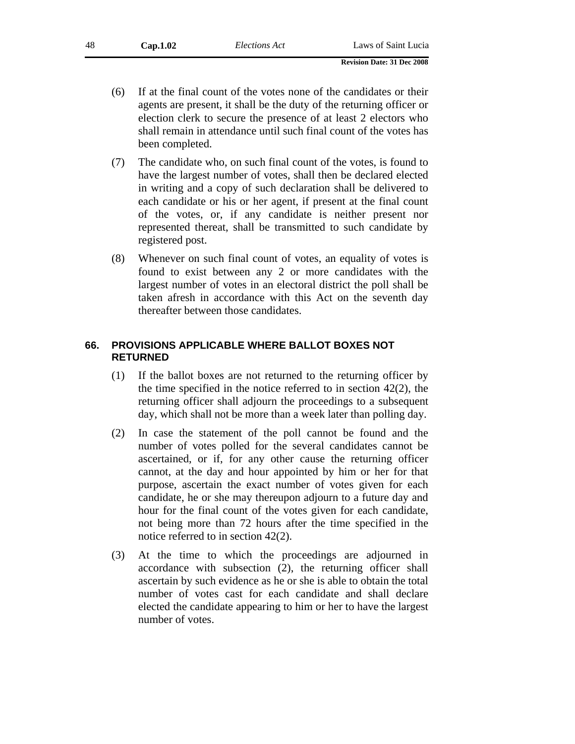- (6) If at the final count of the votes none of the candidates or their agents are present, it shall be the duty of the returning officer or election clerk to secure the presence of at least 2 electors who shall remain in attendance until such final count of the votes has been completed.
- (7) The candidate who, on such final count of the votes, is found to have the largest number of votes, shall then be declared elected in writing and a copy of such declaration shall be delivered to each candidate or his or her agent, if present at the final count of the votes, or, if any candidate is neither present nor represented thereat, shall be transmitted to such candidate by registered post.
- (8) Whenever on such final count of votes, an equality of votes is found to exist between any 2 or more candidates with the largest number of votes in an electoral district the poll shall be taken afresh in accordance with this Act on the seventh day thereafter between those candidates.

### **66. PROVISIONS APPLICABLE WHERE BALLOT BOXES NOT RETURNED**

- (1) If the ballot boxes are not returned to the returning officer by the time specified in the notice referred to in section 42(2), the returning officer shall adjourn the proceedings to a subsequent day, which shall not be more than a week later than polling day.
- (2) In case the statement of the poll cannot be found and the number of votes polled for the several candidates cannot be ascertained, or if, for any other cause the returning officer cannot, at the day and hour appointed by him or her for that purpose, ascertain the exact number of votes given for each candidate, he or she may thereupon adjourn to a future day and hour for the final count of the votes given for each candidate, not being more than 72 hours after the time specified in the notice referred to in section 42(2).
- (3) At the time to which the proceedings are adjourned in accordance with subsection (2), the returning officer shall ascertain by such evidence as he or she is able to obtain the total number of votes cast for each candidate and shall declare elected the candidate appearing to him or her to have the largest number of votes.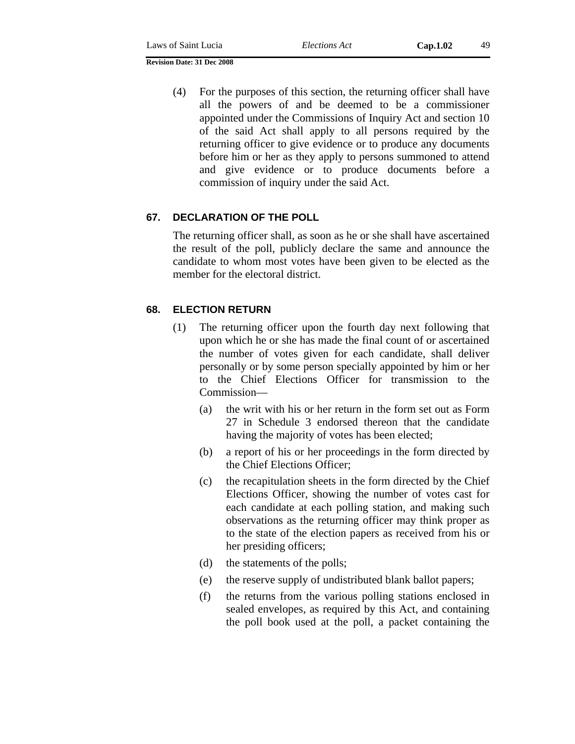(4) For the purposes of this section, the returning officer shall have all the powers of and be deemed to be a commissioner appointed under the Commissions of Inquiry Act and section 10 of the said Act shall apply to all persons required by the returning officer to give evidence or to produce any documents before him or her as they apply to persons summoned to attend and give evidence or to produce documents before a commission of inquiry under the said Act.

### **67. DECLARATION OF THE POLL**

The returning officer shall, as soon as he or she shall have ascertained the result of the poll, publicly declare the same and announce the candidate to whom most votes have been given to be elected as the member for the electoral district.

## **68. ELECTION RETURN**

- (1) The returning officer upon the fourth day next following that upon which he or she has made the final count of or ascertained the number of votes given for each candidate, shall deliver personally or by some person specially appointed by him or her to the Chief Elections Officer for transmission to the Commission—
	- (a) the writ with his or her return in the form set out as Form 27 in Schedule 3 endorsed thereon that the candidate having the majority of votes has been elected;
	- (b) a report of his or her proceedings in the form directed by the Chief Elections Officer;
	- (c) the recapitulation sheets in the form directed by the Chief Elections Officer, showing the number of votes cast for each candidate at each polling station, and making such observations as the returning officer may think proper as to the state of the election papers as received from his or her presiding officers;
	- (d) the statements of the polls;
	- (e) the reserve supply of undistributed blank ballot papers;
	- (f) the returns from the various polling stations enclosed in sealed envelopes, as required by this Act, and containing the poll book used at the poll, a packet containing the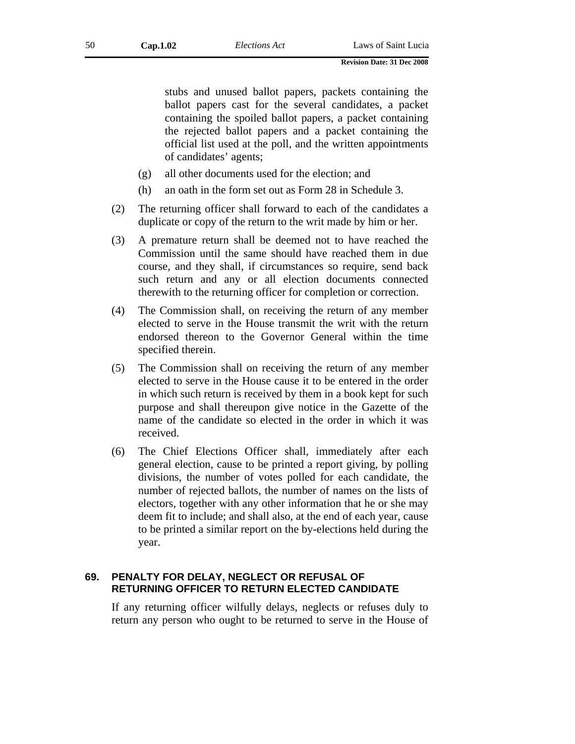stubs and unused ballot papers, packets containing the ballot papers cast for the several candidates, a packet containing the spoiled ballot papers, a packet containing the rejected ballot papers and a packet containing the official list used at the poll, and the written appointments of candidates' agents;

- (g) all other documents used for the election; and
- (h) an oath in the form set out as Form 28 in Schedule 3.
- (2) The returning officer shall forward to each of the candidates a duplicate or copy of the return to the writ made by him or her.
- (3) A premature return shall be deemed not to have reached the Commission until the same should have reached them in due course, and they shall, if circumstances so require, send back such return and any or all election documents connected therewith to the returning officer for completion or correction.
- (4) The Commission shall, on receiving the return of any member elected to serve in the House transmit the writ with the return endorsed thereon to the Governor General within the time specified therein.
- (5) The Commission shall on receiving the return of any member elected to serve in the House cause it to be entered in the order in which such return is received by them in a book kept for such purpose and shall thereupon give notice in the Gazette of the name of the candidate so elected in the order in which it was received.
- (6) The Chief Elections Officer shall, immediately after each general election, cause to be printed a report giving, by polling divisions, the number of votes polled for each candidate, the number of rejected ballots, the number of names on the lists of electors, together with any other information that he or she may deem fit to include; and shall also, at the end of each year, cause to be printed a similar report on the by-elections held during the year.

## **69. PENALTY FOR DELAY, NEGLECT OR REFUSAL OF RETURNING OFFICER TO RETURN ELECTED CANDIDATE**

If any returning officer wilfully delays, neglects or refuses duly to return any person who ought to be returned to serve in the House of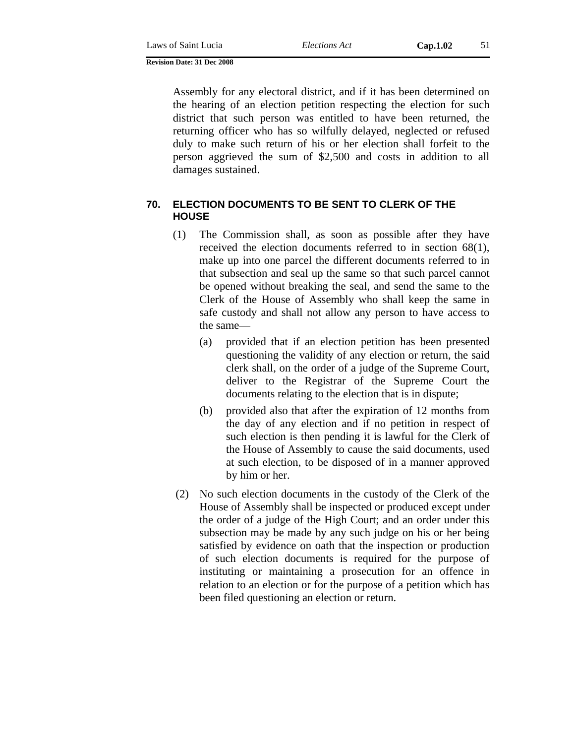Assembly for any electoral district, and if it has been determined on the hearing of an election petition respecting the election for such district that such person was entitled to have been returned, the returning officer who has so wilfully delayed, neglected or refused duly to make such return of his or her election shall forfeit to the person aggrieved the sum of \$2,500 and costs in addition to all damages sustained.

## **70. ELECTION DOCUMENTS TO BE SENT TO CLERK OF THE HOUSE**

- (1) The Commission shall, as soon as possible after they have received the election documents referred to in section 68(1), make up into one parcel the different documents referred to in that subsection and seal up the same so that such parcel cannot be opened without breaking the seal, and send the same to the Clerk of the House of Assembly who shall keep the same in safe custody and shall not allow any person to have access to the same—
	- (a) provided that if an election petition has been presented questioning the validity of any election or return, the said clerk shall, on the order of a judge of the Supreme Court, deliver to the Registrar of the Supreme Court the documents relating to the election that is in dispute;
	- (b) provided also that after the expiration of 12 months from the day of any election and if no petition in respect of such election is then pending it is lawful for the Clerk of the House of Assembly to cause the said documents, used at such election, to be disposed of in a manner approved by him or her.
- (2) No such election documents in the custody of the Clerk of the House of Assembly shall be inspected or produced except under the order of a judge of the High Court; and an order under this subsection may be made by any such judge on his or her being satisfied by evidence on oath that the inspection or production of such election documents is required for the purpose of instituting or maintaining a prosecution for an offence in relation to an election or for the purpose of a petition which has been filed questioning an election or return.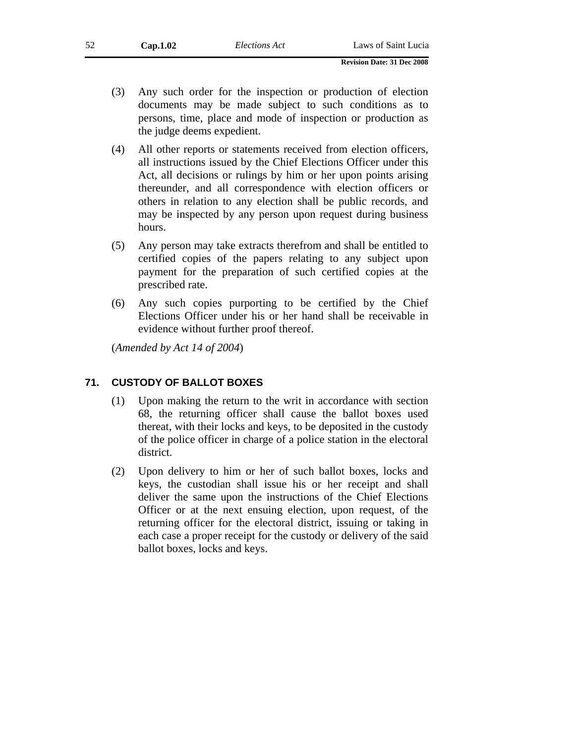- (3) Any such order for the inspection or production of election documents may be made subject to such conditions as to persons, time, place and mode of inspection or production as the judge deems expedient.
- (4) All other reports or statements received from election officers, all instructions issued by the Chief Elections Officer under this Act, all decisions or rulings by him or her upon points arising thereunder, and all correspondence with election officers or others in relation to any election shall be public records, and may be inspected by any person upon request during business hours.
- (5) Any person may take extracts therefrom and shall be entitled to certified copies of the papers relating to any subject upon payment for the preparation of such certified copies at the prescribed rate.
- (6) Any such copies purporting to be certified by the Chief Elections Officer under his or her hand shall be receivable in evidence without further proof thereof.

(*Amended by Act 14 of 2004*)

# **71. CUSTODY OF BALLOT BOXES**

- (1) Upon making the return to the writ in accordance with section 68, the returning officer shall cause the ballot boxes used thereat, with their locks and keys, to be deposited in the custody of the police officer in charge of a police station in the electoral district.
- (2) Upon delivery to him or her of such ballot boxes, locks and keys, the custodian shall issue his or her receipt and shall deliver the same upon the instructions of the Chief Elections Officer or at the next ensuing election, upon request, of the returning officer for the electoral district, issuing or taking in each case a proper receipt for the custody or delivery of the said ballot boxes, locks and keys.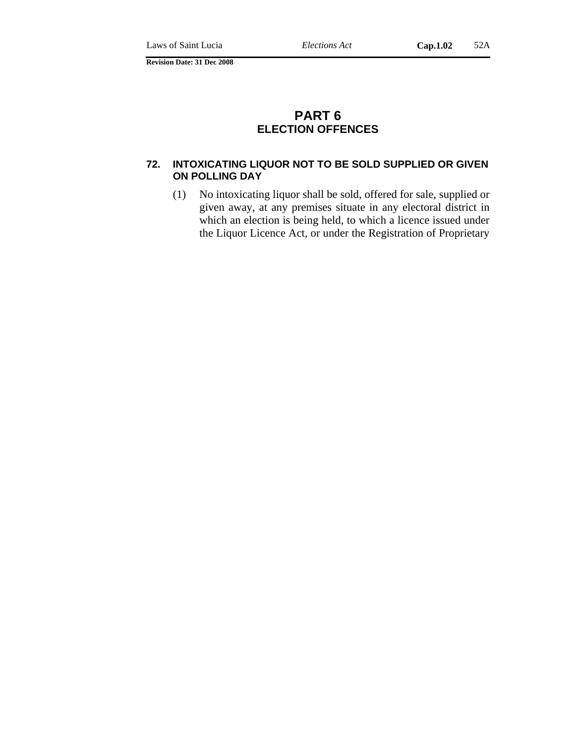# **PART 6 ELECTION OFFENCES**

### **72. INTOXICATING LIQUOR NOT TO BE SOLD SUPPLIED OR GIVEN ON POLLING DAY**

(1) No intoxicating liquor shall be sold, offered for sale, supplied or given away, at any premises situate in any electoral district in which an election is being held, to which a licence issued under the Liquor Licence Act, or under the Registration of Proprietary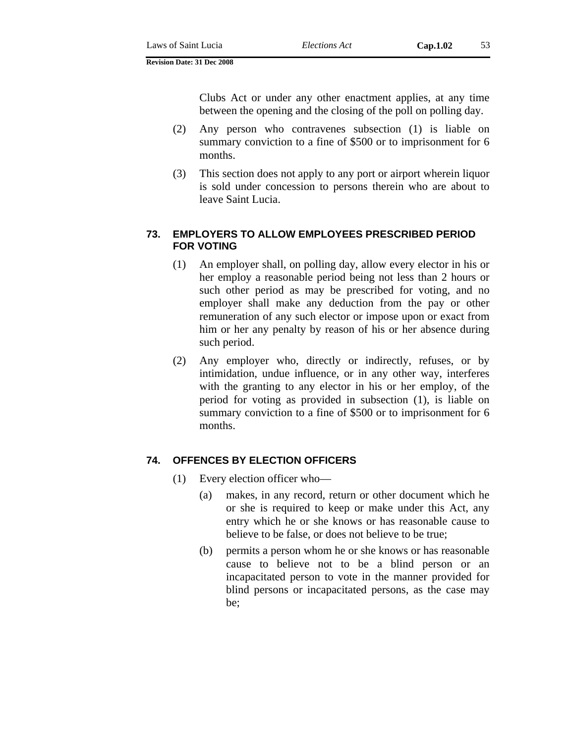Clubs Act or under any other enactment applies, at any time between the opening and the closing of the poll on polling day.

- (2) Any person who contravenes subsection (1) is liable on summary conviction to a fine of \$500 or to imprisonment for 6 months.
- (3) This section does not apply to any port or airport wherein liquor is sold under concession to persons therein who are about to leave Saint Lucia.

## **73. EMPLOYERS TO ALLOW EMPLOYEES PRESCRIBED PERIOD FOR VOTING**

- (1) An employer shall, on polling day, allow every elector in his or her employ a reasonable period being not less than 2 hours or such other period as may be prescribed for voting, and no employer shall make any deduction from the pay or other remuneration of any such elector or impose upon or exact from him or her any penalty by reason of his or her absence during such period.
- (2) Any employer who, directly or indirectly, refuses, or by intimidation, undue influence, or in any other way, interferes with the granting to any elector in his or her employ, of the period for voting as provided in subsection (1), is liable on summary conviction to a fine of \$500 or to imprisonment for 6 months.

## **74. OFFENCES BY ELECTION OFFICERS**

- (1) Every election officer who—
	- (a) makes, in any record, return or other document which he or she is required to keep or make under this Act, any entry which he or she knows or has reasonable cause to believe to be false, or does not believe to be true;
	- (b) permits a person whom he or she knows or has reasonable cause to believe not to be a blind person or an incapacitated person to vote in the manner provided for blind persons or incapacitated persons, as the case may be;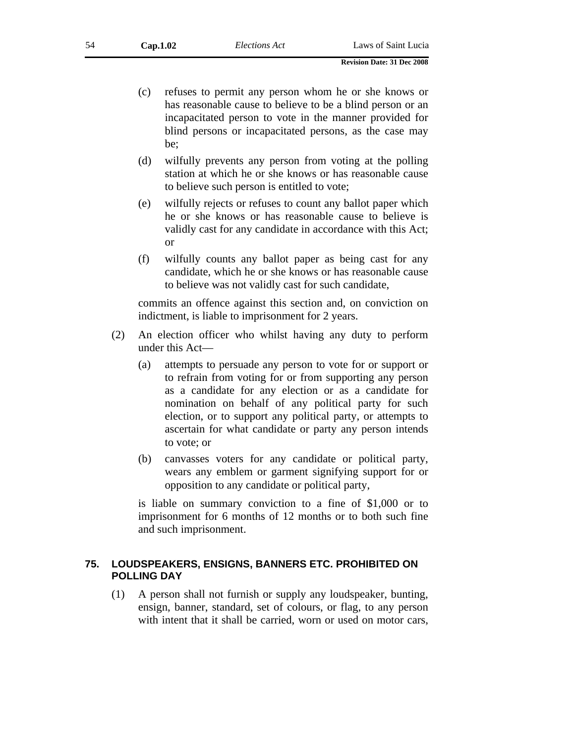- (c) refuses to permit any person whom he or she knows or has reasonable cause to believe to be a blind person or an incapacitated person to vote in the manner provided for blind persons or incapacitated persons, as the case may be;
- (d) wilfully prevents any person from voting at the polling station at which he or she knows or has reasonable cause to believe such person is entitled to vote;
- (e) wilfully rejects or refuses to count any ballot paper which he or she knows or has reasonable cause to believe is validly cast for any candidate in accordance with this Act; or
- (f) wilfully counts any ballot paper as being cast for any candidate, which he or she knows or has reasonable cause to believe was not validly cast for such candidate,

commits an offence against this section and, on conviction on indictment, is liable to imprisonment for 2 years.

- (2) An election officer who whilst having any duty to perform under this Act—
	- (a) attempts to persuade any person to vote for or support or to refrain from voting for or from supporting any person as a candidate for any election or as a candidate for nomination on behalf of any political party for such election, or to support any political party, or attempts to ascertain for what candidate or party any person intends to vote; or
	- (b) canvasses voters for any candidate or political party, wears any emblem or garment signifying support for or opposition to any candidate or political party,

is liable on summary conviction to a fine of \$1,000 or to imprisonment for 6 months of 12 months or to both such fine and such imprisonment.

## **75. LOUDSPEAKERS, ENSIGNS, BANNERS ETC. PROHIBITED ON POLLING DAY**

(1) A person shall not furnish or supply any loudspeaker, bunting, ensign, banner, standard, set of colours, or flag, to any person with intent that it shall be carried, worn or used on motor cars,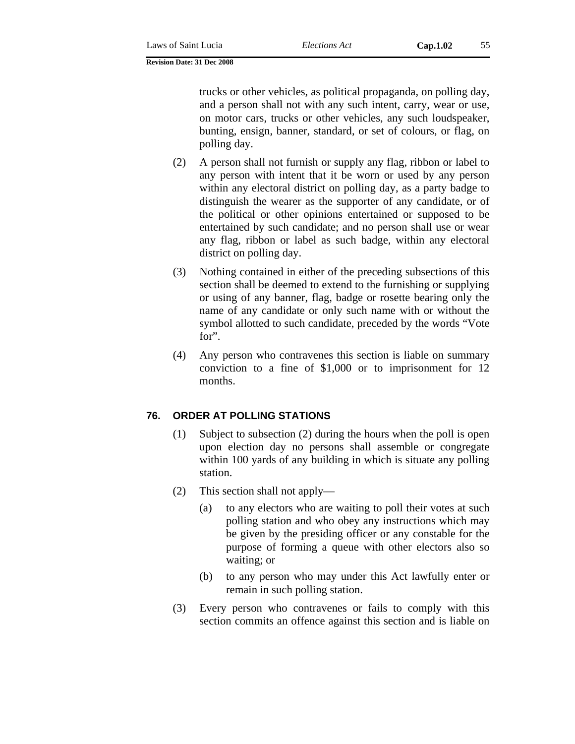trucks or other vehicles, as political propaganda, on polling day, and a person shall not with any such intent, carry, wear or use, on motor cars, trucks or other vehicles, any such loudspeaker, bunting, ensign, banner, standard, or set of colours, or flag, on polling day.

- (2) A person shall not furnish or supply any flag, ribbon or label to any person with intent that it be worn or used by any person within any electoral district on polling day, as a party badge to distinguish the wearer as the supporter of any candidate, or of the political or other opinions entertained or supposed to be entertained by such candidate; and no person shall use or wear any flag, ribbon or label as such badge, within any electoral district on polling day.
- (3) Nothing contained in either of the preceding subsections of this section shall be deemed to extend to the furnishing or supplying or using of any banner, flag, badge or rosette bearing only the name of any candidate or only such name with or without the symbol allotted to such candidate, preceded by the words "Vote for".
- (4) Any person who contravenes this section is liable on summary conviction to a fine of \$1,000 or to imprisonment for 12 months.

# **76. ORDER AT POLLING STATIONS**

- (1) Subject to subsection (2) during the hours when the poll is open upon election day no persons shall assemble or congregate within 100 yards of any building in which is situate any polling station.
- (2) This section shall not apply—
	- (a) to any electors who are waiting to poll their votes at such polling station and who obey any instructions which may be given by the presiding officer or any constable for the purpose of forming a queue with other electors also so waiting; or
	- (b) to any person who may under this Act lawfully enter or remain in such polling station.
- (3) Every person who contravenes or fails to comply with this section commits an offence against this section and is liable on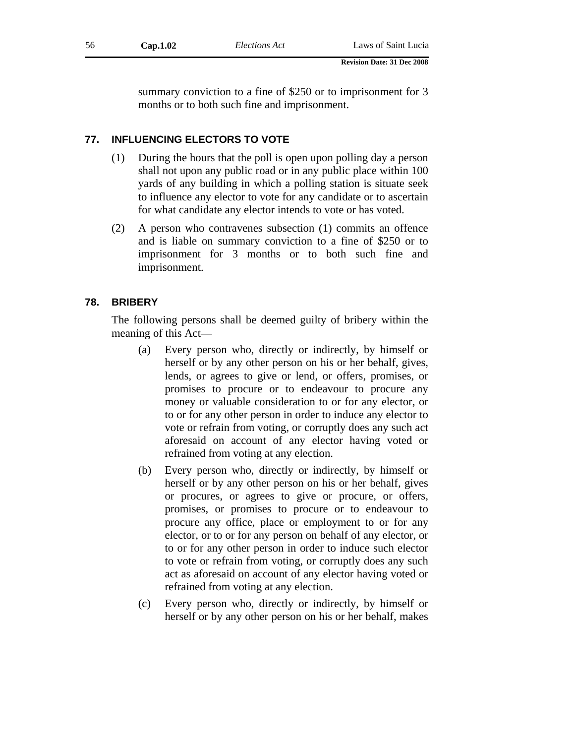summary conviction to a fine of \$250 or to imprisonment for 3 months or to both such fine and imprisonment.

# **77. INFLUENCING ELECTORS TO VOTE**

- (1) During the hours that the poll is open upon polling day a person shall not upon any public road or in any public place within 100 yards of any building in which a polling station is situate seek to influence any elector to vote for any candidate or to ascertain for what candidate any elector intends to vote or has voted.
- (2) A person who contravenes subsection (1) commits an offence and is liable on summary conviction to a fine of \$250 or to imprisonment for 3 months or to both such fine and imprisonment.

# **78. BRIBERY**

The following persons shall be deemed guilty of bribery within the meaning of this Act—

- (a) Every person who, directly or indirectly, by himself or herself or by any other person on his or her behalf, gives, lends, or agrees to give or lend, or offers, promises, or promises to procure or to endeavour to procure any money or valuable consideration to or for any elector, or to or for any other person in order to induce any elector to vote or refrain from voting, or corruptly does any such act aforesaid on account of any elector having voted or refrained from voting at any election.
- (b) Every person who, directly or indirectly, by himself or herself or by any other person on his or her behalf, gives or procures, or agrees to give or procure, or offers, promises, or promises to procure or to endeavour to procure any office, place or employment to or for any elector, or to or for any person on behalf of any elector, or to or for any other person in order to induce such elector to vote or refrain from voting, or corruptly does any such act as aforesaid on account of any elector having voted or refrained from voting at any election.
- (c) Every person who, directly or indirectly, by himself or herself or by any other person on his or her behalf, makes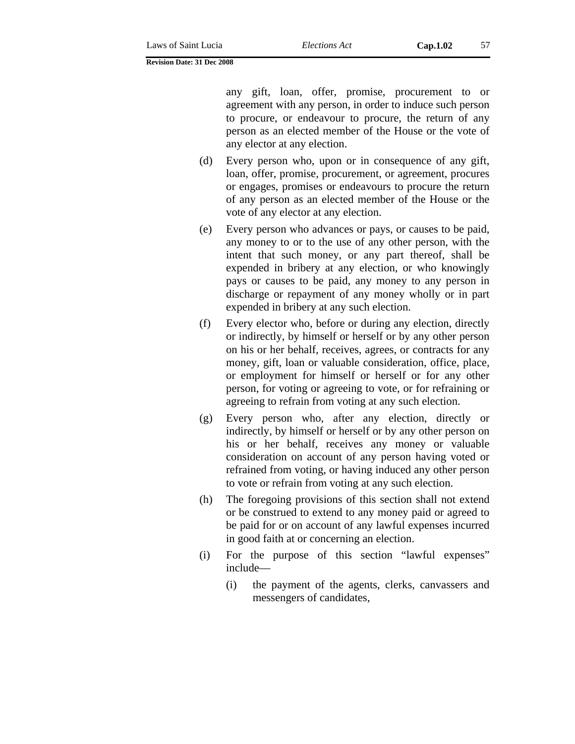any gift, loan, offer, promise, procurement to or agreement with any person, in order to induce such person to procure, or endeavour to procure, the return of any person as an elected member of the House or the vote of any elector at any election.

- (d) Every person who, upon or in consequence of any gift, loan, offer, promise, procurement, or agreement, procures or engages, promises or endeavours to procure the return of any person as an elected member of the House or the vote of any elector at any election.
- (e) Every person who advances or pays, or causes to be paid, any money to or to the use of any other person, with the intent that such money, or any part thereof, shall be expended in bribery at any election, or who knowingly pays or causes to be paid, any money to any person in discharge or repayment of any money wholly or in part expended in bribery at any such election.
- (f) Every elector who, before or during any election, directly or indirectly, by himself or herself or by any other person on his or her behalf, receives, agrees, or contracts for any money, gift, loan or valuable consideration, office, place, or employment for himself or herself or for any other person, for voting or agreeing to vote, or for refraining or agreeing to refrain from voting at any such election.
- (g) Every person who, after any election, directly or indirectly, by himself or herself or by any other person on his or her behalf, receives any money or valuable consideration on account of any person having voted or refrained from voting, or having induced any other person to vote or refrain from voting at any such election.
- (h) The foregoing provisions of this section shall not extend or be construed to extend to any money paid or agreed to be paid for or on account of any lawful expenses incurred in good faith at or concerning an election.
- (i) For the purpose of this section "lawful expenses" include—
	- (i) the payment of the agents, clerks, canvassers and messengers of candidates,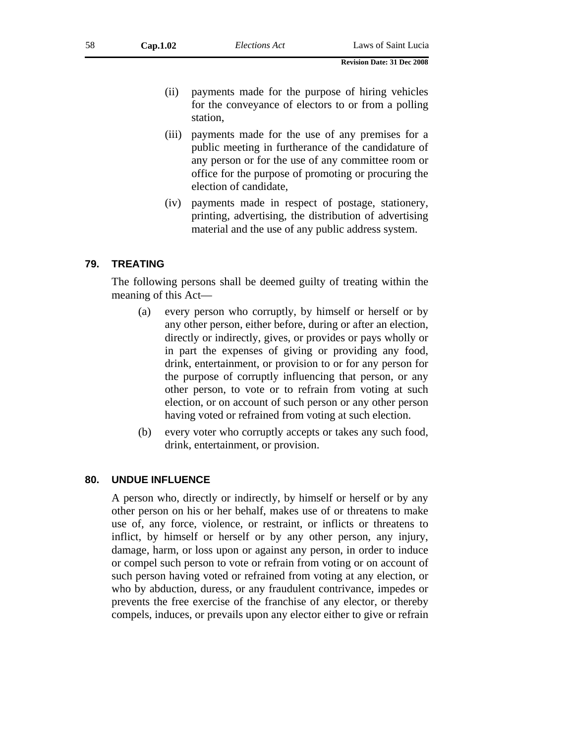- (ii) payments made for the purpose of hiring vehicles for the conveyance of electors to or from a polling station,
- (iii) payments made for the use of any premises for a public meeting in furtherance of the candidature of any person or for the use of any committee room or office for the purpose of promoting or procuring the election of candidate,
- (iv) payments made in respect of postage, stationery, printing, advertising, the distribution of advertising material and the use of any public address system.

### **79. TREATING**

The following persons shall be deemed guilty of treating within the meaning of this Act—

- (a) every person who corruptly, by himself or herself or by any other person, either before, during or after an election, directly or indirectly, gives, or provides or pays wholly or in part the expenses of giving or providing any food, drink, entertainment, or provision to or for any person for the purpose of corruptly influencing that person, or any other person, to vote or to refrain from voting at such election, or on account of such person or any other person having voted or refrained from voting at such election.
- (b) every voter who corruptly accepts or takes any such food, drink, entertainment, or provision.

### **80. UNDUE INFLUENCE**

A person who, directly or indirectly, by himself or herself or by any other person on his or her behalf, makes use of or threatens to make use of, any force, violence, or restraint, or inflicts or threatens to inflict, by himself or herself or by any other person, any injury, damage, harm, or loss upon or against any person, in order to induce or compel such person to vote or refrain from voting or on account of such person having voted or refrained from voting at any election, or who by abduction, duress, or any fraudulent contrivance, impedes or prevents the free exercise of the franchise of any elector, or thereby compels, induces, or prevails upon any elector either to give or refrain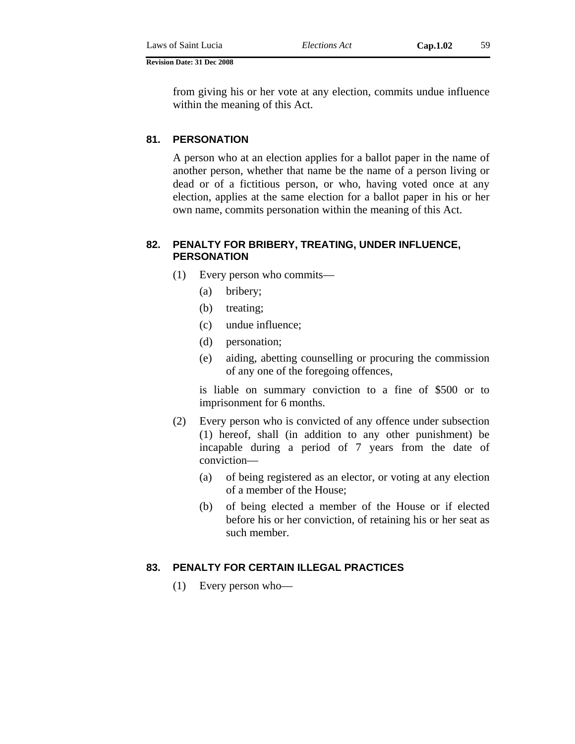from giving his or her vote at any election, commits undue influence within the meaning of this Act.

### **81. PERSONATION**

A person who at an election applies for a ballot paper in the name of another person, whether that name be the name of a person living or dead or of a fictitious person, or who, having voted once at any election, applies at the same election for a ballot paper in his or her own name, commits personation within the meaning of this Act.

## **82. PENALTY FOR BRIBERY, TREATING, UNDER INFLUENCE, PERSONATION**

- (1) Every person who commits—
	- (a) bribery;
	- (b) treating;
	- (c) undue influence;
	- (d) personation;
	- (e) aiding, abetting counselling or procuring the commission of any one of the foregoing offences,

is liable on summary conviction to a fine of \$500 or to imprisonment for 6 months.

- (2) Every person who is convicted of any offence under subsection (1) hereof, shall (in addition to any other punishment) be incapable during a period of 7 years from the date of conviction—
	- (a) of being registered as an elector, or voting at any election of a member of the House;
	- (b) of being elected a member of the House or if elected before his or her conviction, of retaining his or her seat as such member.

### **83. PENALTY FOR CERTAIN ILLEGAL PRACTICES**

(1) Every person who—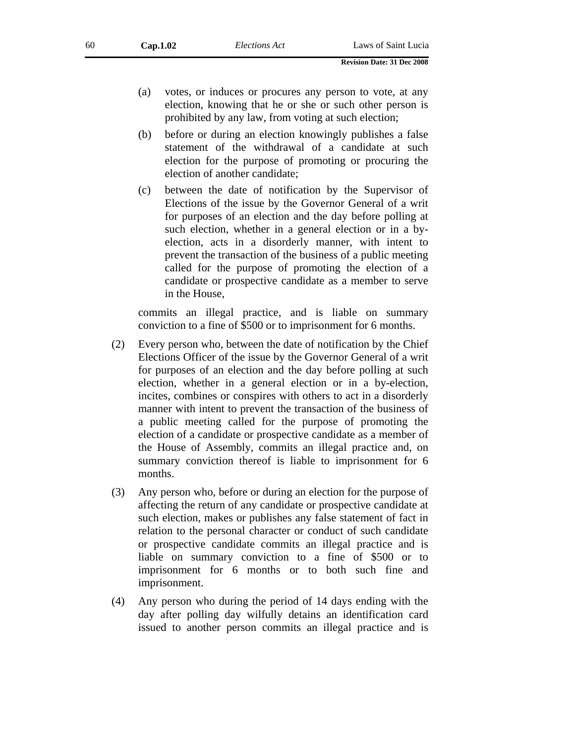- (a) votes, or induces or procures any person to vote, at any election, knowing that he or she or such other person is prohibited by any law, from voting at such election;
- (b) before or during an election knowingly publishes a false statement of the withdrawal of a candidate at such election for the purpose of promoting or procuring the election of another candidate;
- (c) between the date of notification by the Supervisor of Elections of the issue by the Governor General of a writ for purposes of an election and the day before polling at such election, whether in a general election or in a byelection, acts in a disorderly manner, with intent to prevent the transaction of the business of a public meeting called for the purpose of promoting the election of a candidate or prospective candidate as a member to serve in the House,

commits an illegal practice, and is liable on summary conviction to a fine of \$500 or to imprisonment for 6 months.

- (2) Every person who, between the date of notification by the Chief Elections Officer of the issue by the Governor General of a writ for purposes of an election and the day before polling at such election, whether in a general election or in a by-election, incites, combines or conspires with others to act in a disorderly manner with intent to prevent the transaction of the business of a public meeting called for the purpose of promoting the election of a candidate or prospective candidate as a member of the House of Assembly, commits an illegal practice and, on summary conviction thereof is liable to imprisonment for 6 months.
- (3) Any person who, before or during an election for the purpose of affecting the return of any candidate or prospective candidate at such election, makes or publishes any false statement of fact in relation to the personal character or conduct of such candidate or prospective candidate commits an illegal practice and is liable on summary conviction to a fine of \$500 or to imprisonment for 6 months or to both such fine and imprisonment.
- (4) Any person who during the period of 14 days ending with the day after polling day wilfully detains an identification card issued to another person commits an illegal practice and is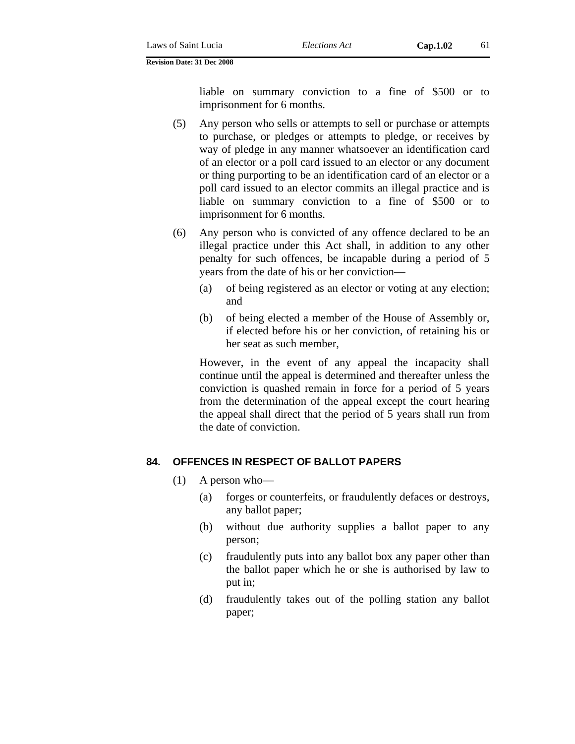liable on summary conviction to a fine of \$500 or to imprisonment for 6 months.

- (5) Any person who sells or attempts to sell or purchase or attempts to purchase, or pledges or attempts to pledge, or receives by way of pledge in any manner whatsoever an identification card of an elector or a poll card issued to an elector or any document or thing purporting to be an identification card of an elector or a poll card issued to an elector commits an illegal practice and is liable on summary conviction to a fine of \$500 or to imprisonment for 6 months.
- (6) Any person who is convicted of any offence declared to be an illegal practice under this Act shall, in addition to any other penalty for such offences, be incapable during a period of 5 years from the date of his or her conviction—
	- (a) of being registered as an elector or voting at any election; and
	- (b) of being elected a member of the House of Assembly or, if elected before his or her conviction, of retaining his or her seat as such member,

However, in the event of any appeal the incapacity shall continue until the appeal is determined and thereafter unless the conviction is quashed remain in force for a period of 5 years from the determination of the appeal except the court hearing the appeal shall direct that the period of 5 years shall run from the date of conviction.

## **84. OFFENCES IN RESPECT OF BALLOT PAPERS**

- (1) A person who—
	- (a) forges or counterfeits, or fraudulently defaces or destroys, any ballot paper;
	- (b) without due authority supplies a ballot paper to any person;
	- (c) fraudulently puts into any ballot box any paper other than the ballot paper which he or she is authorised by law to put in;
	- (d) fraudulently takes out of the polling station any ballot paper;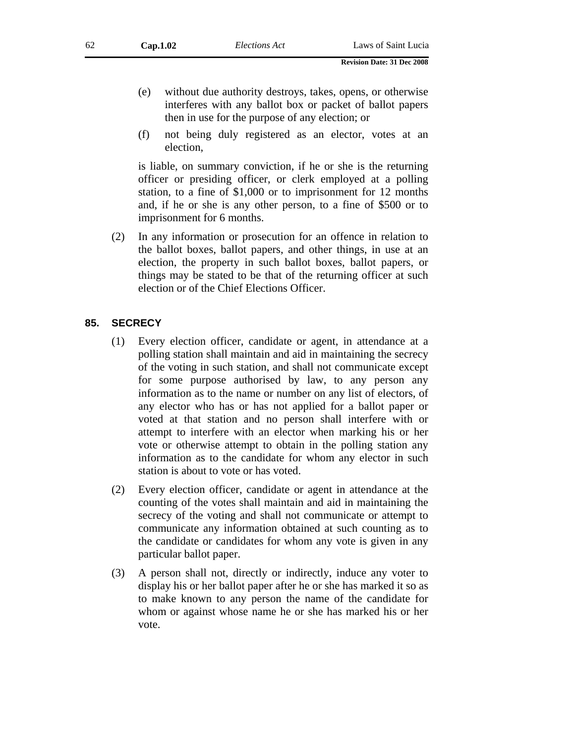- (e) without due authority destroys, takes, opens, or otherwise interferes with any ballot box or packet of ballot papers then in use for the purpose of any election; or
- (f) not being duly registered as an elector, votes at an election,

is liable, on summary conviction, if he or she is the returning officer or presiding officer, or clerk employed at a polling station, to a fine of \$1,000 or to imprisonment for 12 months and, if he or she is any other person, to a fine of \$500 or to imprisonment for 6 months.

(2) In any information or prosecution for an offence in relation to the ballot boxes, ballot papers, and other things, in use at an election, the property in such ballot boxes, ballot papers, or things may be stated to be that of the returning officer at such election or of the Chief Elections Officer.

### **85. SECRECY**

- (1) Every election officer, candidate or agent, in attendance at a polling station shall maintain and aid in maintaining the secrecy of the voting in such station, and shall not communicate except for some purpose authorised by law, to any person any information as to the name or number on any list of electors, of any elector who has or has not applied for a ballot paper or voted at that station and no person shall interfere with or attempt to interfere with an elector when marking his or her vote or otherwise attempt to obtain in the polling station any information as to the candidate for whom any elector in such station is about to vote or has voted.
- (2) Every election officer, candidate or agent in attendance at the counting of the votes shall maintain and aid in maintaining the secrecy of the voting and shall not communicate or attempt to communicate any information obtained at such counting as to the candidate or candidates for whom any vote is given in any particular ballot paper.
- (3) A person shall not, directly or indirectly, induce any voter to display his or her ballot paper after he or she has marked it so as to make known to any person the name of the candidate for whom or against whose name he or she has marked his or her vote.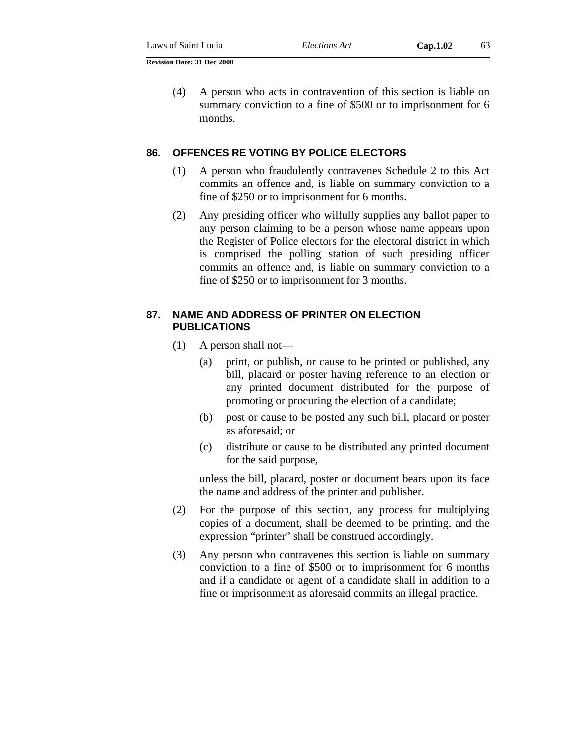(4) A person who acts in contravention of this section is liable on summary conviction to a fine of \$500 or to imprisonment for 6 months.

### **86. OFFENCES RE VOTING BY POLICE ELECTORS**

- (1) A person who fraudulently contravenes Schedule 2 to this Act commits an offence and, is liable on summary conviction to a fine of \$250 or to imprisonment for 6 months.
- (2) Any presiding officer who wilfully supplies any ballot paper to any person claiming to be a person whose name appears upon the Register of Police electors for the electoral district in which is comprised the polling station of such presiding officer commits an offence and, is liable on summary conviction to a fine of \$250 or to imprisonment for 3 months.

## **87. NAME AND ADDRESS OF PRINTER ON ELECTION PUBLICATIONS**

- (1) A person shall not—
	- (a) print, or publish, or cause to be printed or published, any bill, placard or poster having reference to an election or any printed document distributed for the purpose of promoting or procuring the election of a candidate;
	- (b) post or cause to be posted any such bill, placard or poster as aforesaid; or
	- (c) distribute or cause to be distributed any printed document for the said purpose,

unless the bill, placard, poster or document bears upon its face the name and address of the printer and publisher.

- (2) For the purpose of this section, any process for multiplying copies of a document, shall be deemed to be printing, and the expression "printer" shall be construed accordingly.
- (3) Any person who contravenes this section is liable on summary conviction to a fine of \$500 or to imprisonment for 6 months and if a candidate or agent of a candidate shall in addition to a fine or imprisonment as aforesaid commits an illegal practice.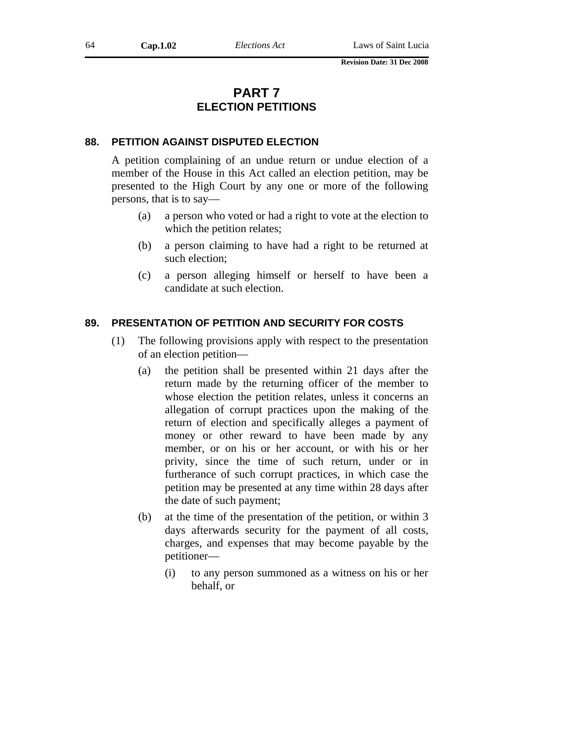# **PART 7 ELECTION PETITIONS**

### **88. PETITION AGAINST DISPUTED ELECTION**

A petition complaining of an undue return or undue election of a member of the House in this Act called an election petition, may be presented to the High Court by any one or more of the following persons, that is to say—

- (a) a person who voted or had a right to vote at the election to which the petition relates;
- (b) a person claiming to have had a right to be returned at such election;
- (c) a person alleging himself or herself to have been a candidate at such election.

### **89. PRESENTATION OF PETITION AND SECURITY FOR COSTS**

- (1) The following provisions apply with respect to the presentation of an election petition—
	- (a) the petition shall be presented within 21 days after the return made by the returning officer of the member to whose election the petition relates, unless it concerns an allegation of corrupt practices upon the making of the return of election and specifically alleges a payment of money or other reward to have been made by any member, or on his or her account, or with his or her privity, since the time of such return, under or in furtherance of such corrupt practices, in which case the petition may be presented at any time within 28 days after the date of such payment;
	- (b) at the time of the presentation of the petition, or within 3 days afterwards security for the payment of all costs, charges, and expenses that may become payable by the petitioner—
		- (i) to any person summoned as a witness on his or her behalf, or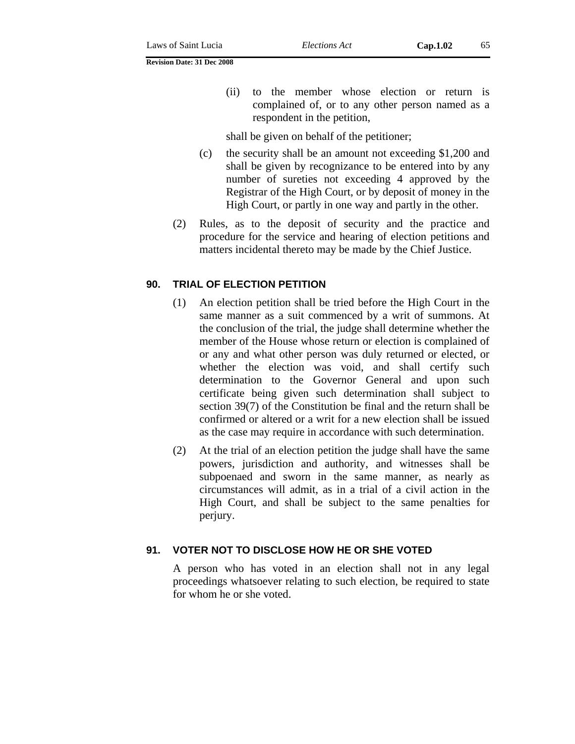(ii) to the member whose election or return is complained of, or to any other person named as a respondent in the petition,

shall be given on behalf of the petitioner;

- (c) the security shall be an amount not exceeding \$1,200 and shall be given by recognizance to be entered into by any number of sureties not exceeding 4 approved by the Registrar of the High Court, or by deposit of money in the High Court, or partly in one way and partly in the other.
- (2) Rules, as to the deposit of security and the practice and procedure for the service and hearing of election petitions and matters incidental thereto may be made by the Chief Justice.

## **90. TRIAL OF ELECTION PETITION**

- (1) An election petition shall be tried before the High Court in the same manner as a suit commenced by a writ of summons. At the conclusion of the trial, the judge shall determine whether the member of the House whose return or election is complained of or any and what other person was duly returned or elected, or whether the election was void, and shall certify such determination to the Governor General and upon such certificate being given such determination shall subject to section 39(7) of the Constitution be final and the return shall be confirmed or altered or a writ for a new election shall be issued as the case may require in accordance with such determination.
- (2) At the trial of an election petition the judge shall have the same powers, jurisdiction and authority, and witnesses shall be subpoenaed and sworn in the same manner, as nearly as circumstances will admit, as in a trial of a civil action in the High Court, and shall be subject to the same penalties for perjury.

## **91. VOTER NOT TO DISCLOSE HOW HE OR SHE VOTED**

A person who has voted in an election shall not in any legal proceedings whatsoever relating to such election, be required to state for whom he or she voted.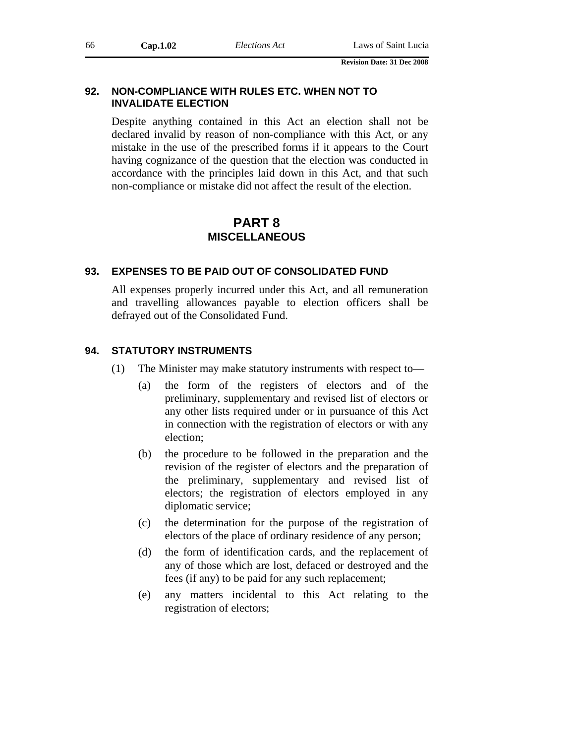## **92. NON-COMPLIANCE WITH RULES ETC. WHEN NOT TO INVALIDATE ELECTION**

Despite anything contained in this Act an election shall not be declared invalid by reason of non-compliance with this Act, or any mistake in the use of the prescribed forms if it appears to the Court having cognizance of the question that the election was conducted in accordance with the principles laid down in this Act, and that such non-compliance or mistake did not affect the result of the election.

# **PART 8 MISCELLANEOUS**

## **93. EXPENSES TO BE PAID OUT OF CONSOLIDATED FUND**

All expenses properly incurred under this Act, and all remuneration and travelling allowances payable to election officers shall be defrayed out of the Consolidated Fund.

## **94. STATUTORY INSTRUMENTS**

- (1) The Minister may make statutory instruments with respect to—
	- (a) the form of the registers of electors and of the preliminary, supplementary and revised list of electors or any other lists required under or in pursuance of this Act in connection with the registration of electors or with any election;
	- (b) the procedure to be followed in the preparation and the revision of the register of electors and the preparation of the preliminary, supplementary and revised list of electors; the registration of electors employed in any diplomatic service;
	- (c) the determination for the purpose of the registration of electors of the place of ordinary residence of any person;
	- (d) the form of identification cards, and the replacement of any of those which are lost, defaced or destroyed and the fees (if any) to be paid for any such replacement;
	- (e) any matters incidental to this Act relating to the registration of electors;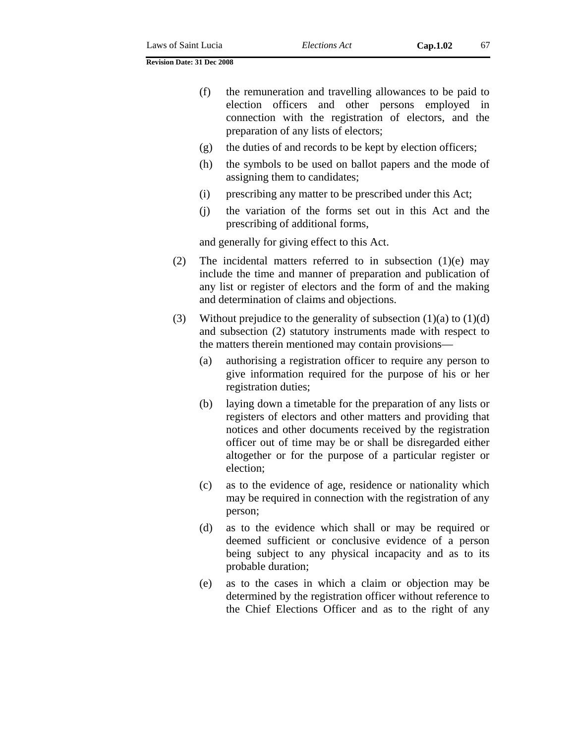- (f) the remuneration and travelling allowances to be paid to election officers and other persons employed in connection with the registration of electors, and the preparation of any lists of electors;
- (g) the duties of and records to be kept by election officers;
- (h) the symbols to be used on ballot papers and the mode of assigning them to candidates;
- (i) prescribing any matter to be prescribed under this Act;
- (j) the variation of the forms set out in this Act and the prescribing of additional forms,

and generally for giving effect to this Act.

- (2) The incidental matters referred to in subsection (1)(e) may include the time and manner of preparation and publication of any list or register of electors and the form of and the making and determination of claims and objections.
- (3) Without prejudice to the generality of subsection  $(1)(a)$  to  $(1)(d)$ and subsection (2) statutory instruments made with respect to the matters therein mentioned may contain provisions—
	- (a) authorising a registration officer to require any person to give information required for the purpose of his or her registration duties;
	- (b) laying down a timetable for the preparation of any lists or registers of electors and other matters and providing that notices and other documents received by the registration officer out of time may be or shall be disregarded either altogether or for the purpose of a particular register or election;
	- (c) as to the evidence of age, residence or nationality which may be required in connection with the registration of any person;
	- (d) as to the evidence which shall or may be required or deemed sufficient or conclusive evidence of a person being subject to any physical incapacity and as to its probable duration;
	- (e) as to the cases in which a claim or objection may be determined by the registration officer without reference to the Chief Elections Officer and as to the right of any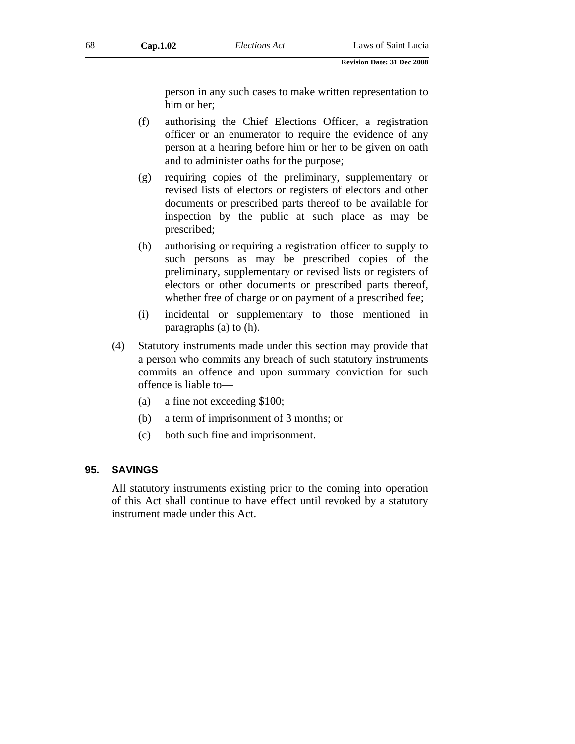person in any such cases to make written representation to him or her;

- (f) authorising the Chief Elections Officer, a registration officer or an enumerator to require the evidence of any person at a hearing before him or her to be given on oath and to administer oaths for the purpose;
- (g) requiring copies of the preliminary, supplementary or revised lists of electors or registers of electors and other documents or prescribed parts thereof to be available for inspection by the public at such place as may be prescribed;
- (h) authorising or requiring a registration officer to supply to such persons as may be prescribed copies of the preliminary, supplementary or revised lists or registers of electors or other documents or prescribed parts thereof, whether free of charge or on payment of a prescribed fee;
- (i) incidental or supplementary to those mentioned in paragraphs (a) to (h).
- (4) Statutory instruments made under this section may provide that a person who commits any breach of such statutory instruments commits an offence and upon summary conviction for such offence is liable to—
	- (a) a fine not exceeding \$100;
	- (b) a term of imprisonment of 3 months; or
	- (c) both such fine and imprisonment.

## **95. SAVINGS**

All statutory instruments existing prior to the coming into operation of this Act shall continue to have effect until revoked by a statutory instrument made under this Act.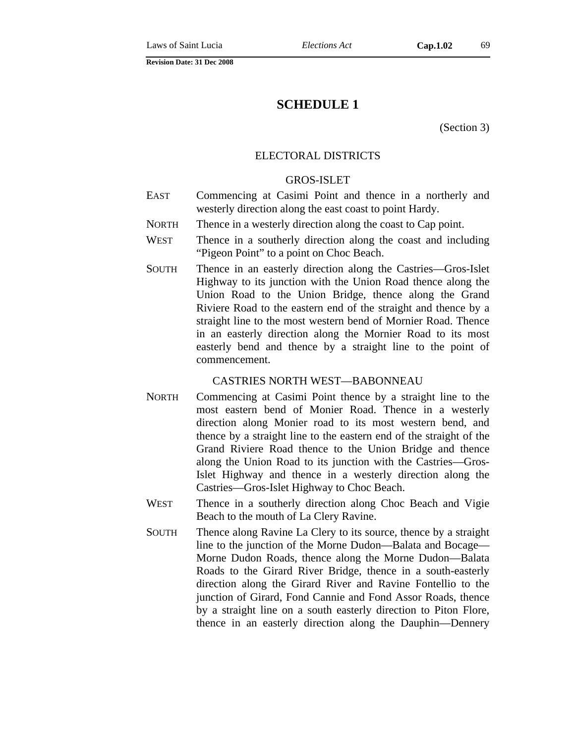# **SCHEDULE 1**

(Section 3)

## ELECTORAL DISTRICTS

## GROS-ISLET

- EAST Commencing at Casimi Point and thence in a northerly and westerly direction along the east coast to point Hardy.
- NORTH Thence in a westerly direction along the coast to Cap point.
- WEST Thence in a southerly direction along the coast and including "Pigeon Point" to a point on Choc Beach.
- SOUTH Thence in an easterly direction along the Castries—Gros-Islet Highway to its junction with the Union Road thence along the Union Road to the Union Bridge, thence along the Grand Riviere Road to the eastern end of the straight and thence by a straight line to the most western bend of Mornier Road. Thence in an easterly direction along the Mornier Road to its most easterly bend and thence by a straight line to the point of commencement.

## CASTRIES NORTH WEST—BABONNEAU

- NORTH Commencing at Casimi Point thence by a straight line to the most eastern bend of Monier Road. Thence in a westerly direction along Monier road to its most western bend, and thence by a straight line to the eastern end of the straight of the Grand Riviere Road thence to the Union Bridge and thence along the Union Road to its junction with the Castries—Gros-Islet Highway and thence in a westerly direction along the Castries—Gros-Islet Highway to Choc Beach.
- WEST Thence in a southerly direction along Choc Beach and Vigie Beach to the mouth of La Clery Ravine.
- SOUTH Thence along Ravine La Clery to its source, thence by a straight line to the junction of the Morne Dudon—Balata and Bocage— Morne Dudon Roads, thence along the Morne Dudon—Balata Roads to the Girard River Bridge, thence in a south-easterly direction along the Girard River and Ravine Fontellio to the junction of Girard, Fond Cannie and Fond Assor Roads, thence by a straight line on a south easterly direction to Piton Flore, thence in an easterly direction along the Dauphin—Dennery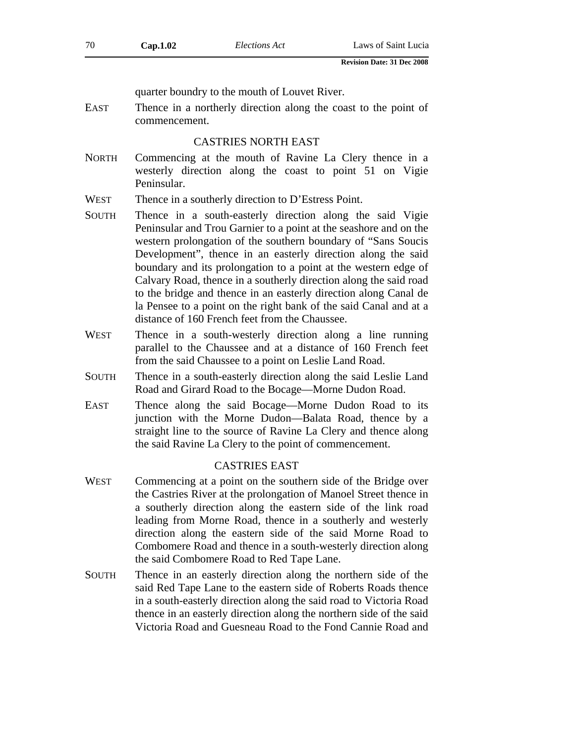quarter boundry to the mouth of Louvet River.

EAST Thence in a northerly direction along the coast to the point of commencement.

## CASTRIES NORTH EAST

- NORTH Commencing at the mouth of Ravine La Clery thence in a westerly direction along the coast to point 51 on Vigie Peninsular.
- WEST Thence in a southerly direction to D'Estress Point.
- SOUTH Thence in a south-easterly direction along the said Vigie Peninsular and Trou Garnier to a point at the seashore and on the western prolongation of the southern boundary of "Sans Soucis Development", thence in an easterly direction along the said boundary and its prolongation to a point at the western edge of Calvary Road, thence in a southerly direction along the said road to the bridge and thence in an easterly direction along Canal de la Pensee to a point on the right bank of the said Canal and at a distance of 160 French feet from the Chaussee.
- WEST Thence in a south-westerly direction along a line running parallel to the Chaussee and at a distance of 160 French feet from the said Chaussee to a point on Leslie Land Road.
- SOUTH Thence in a south-easterly direction along the said Leslie Land Road and Girard Road to the Bocage—Morne Dudon Road.
- EAST Thence along the said Bocage—Morne Dudon Road to its junction with the Morne Dudon—Balata Road, thence by a straight line to the source of Ravine La Clery and thence along the said Ravine La Clery to the point of commencement.

### CASTRIES EAST

- WEST Commencing at a point on the southern side of the Bridge over the Castries River at the prolongation of Manoel Street thence in a southerly direction along the eastern side of the link road leading from Morne Road, thence in a southerly and westerly direction along the eastern side of the said Morne Road to Combomere Road and thence in a south-westerly direction along the said Combomere Road to Red Tape Lane.
- SOUTH Thence in an easterly direction along the northern side of the said Red Tape Lane to the eastern side of Roberts Roads thence in a south-easterly direction along the said road to Victoria Road thence in an easterly direction along the northern side of the said Victoria Road and Guesneau Road to the Fond Cannie Road and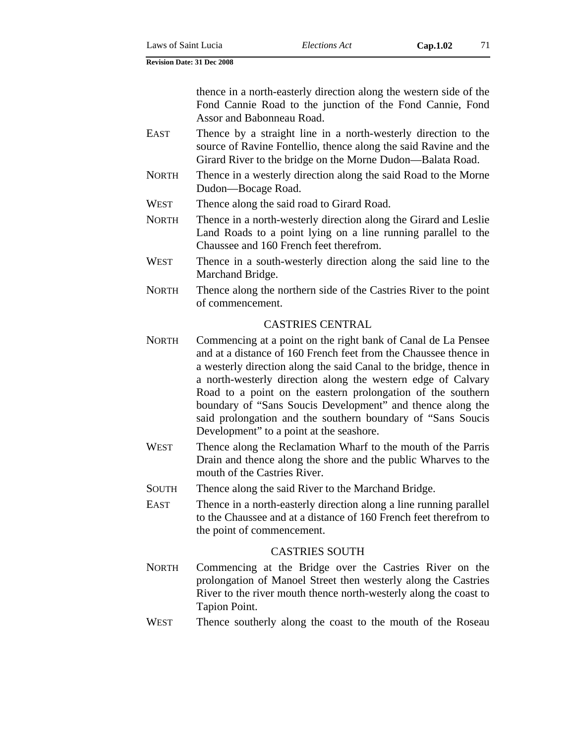thence in a north-easterly direction along the western side of the Fond Cannie Road to the junction of the Fond Cannie, Fond Assor and Babonneau Road.

- EAST Thence by a straight line in a north-westerly direction to the source of Ravine Fontellio, thence along the said Ravine and the Girard River to the bridge on the Morne Dudon—Balata Road.
- NORTH Thence in a westerly direction along the said Road to the Morne Dudon—Bocage Road.
- WEST Thence along the said road to Girard Road.
- NORTH Thence in a north-westerly direction along the Girard and Leslie Land Roads to a point lying on a line running parallel to the Chaussee and 160 French feet therefrom.
- WEST Thence in a south-westerly direction along the said line to the Marchand Bridge.
- NORTH Thence along the northern side of the Castries River to the point of commencement.

## CASTRIES CENTRAL

- NORTH Commencing at a point on the right bank of Canal de La Pensee and at a distance of 160 French feet from the Chaussee thence in a westerly direction along the said Canal to the bridge, thence in a north-westerly direction along the western edge of Calvary Road to a point on the eastern prolongation of the southern boundary of "Sans Soucis Development" and thence along the said prolongation and the southern boundary of "Sans Soucis Development" to a point at the seashore.
- WEST Thence along the Reclamation Wharf to the mouth of the Parris Drain and thence along the shore and the public Wharves to the mouth of the Castries River.
- SOUTH Thence along the said River to the Marchand Bridge.
- EAST Thence in a north-easterly direction along a line running parallel to the Chaussee and at a distance of 160 French feet therefrom to the point of commencement.

## CASTRIES SOUTH

- NORTH Commencing at the Bridge over the Castries River on the prolongation of Manoel Street then westerly along the Castries River to the river mouth thence north-westerly along the coast to Tapion Point.
- WEST Thence southerly along the coast to the mouth of the Roseau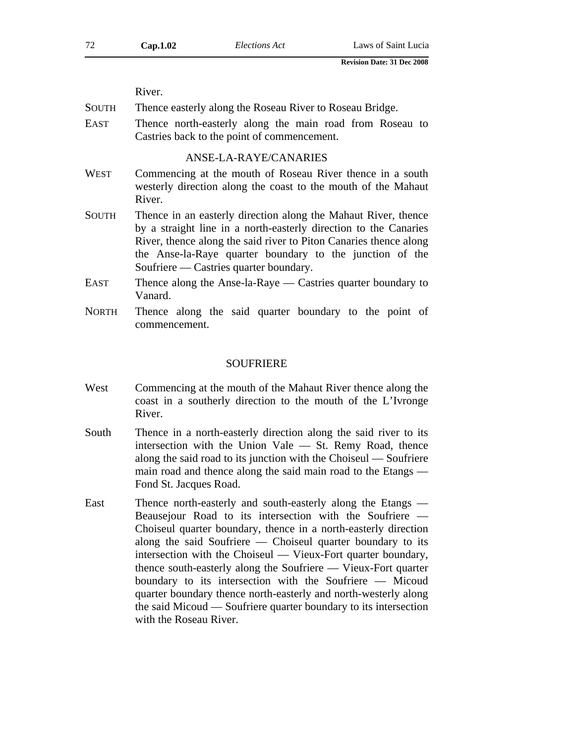|       | River.                                                                                                                                                                                                                                                                                                        |  |  |
|-------|---------------------------------------------------------------------------------------------------------------------------------------------------------------------------------------------------------------------------------------------------------------------------------------------------------------|--|--|
| South | Thence easterly along the Roseau River to Roseau Bridge.                                                                                                                                                                                                                                                      |  |  |
| EAST  | Thence north-easterly along the main road from Roseau to<br>Castries back to the point of commencement.                                                                                                                                                                                                       |  |  |
|       | ANSE-LA-RAYE/CANARIES                                                                                                                                                                                                                                                                                         |  |  |
| WEST  | Commencing at the mouth of Roseau River thence in a south<br>westerly direction along the coast to the mouth of the Mahaut<br>River.                                                                                                                                                                          |  |  |
| SOUTH | Thence in an easterly direction along the Mahaut River, thence<br>by a straight line in a north-easterly direction to the Canaries<br>River, thence along the said river to Piton Canaries thence along<br>the Anse-la-Raye quarter boundary to the junction of the<br>Soufriere — Castries quarter boundary. |  |  |
| EAST  | Thence along the Anse-la-Raye — Castries quarter boundary to<br>Vanard.                                                                                                                                                                                                                                       |  |  |
| NORTH | Thence along the said quarter boundary to the point of<br>commencement.                                                                                                                                                                                                                                       |  |  |
|       |                                                                                                                                                                                                                                                                                                               |  |  |

#### SOUFRIERE

- West Commencing at the mouth of the Mahaut River thence along the coast in a southerly direction to the mouth of the L'Ivronge River.
- South Thence in a north-easterly direction along the said river to its intersection with the Union Vale — St. Remy Road, thence along the said road to its junction with the Choiseul — Soufriere main road and thence along the said main road to the Etangs — Fond St. Jacques Road.
- East Thence north-easterly and south-easterly along the Etangs Beausejour Road to its intersection with the Soufriere — Choiseul quarter boundary, thence in a north-easterly direction along the said Soufriere — Choiseul quarter boundary to its intersection with the Choiseul — Vieux-Fort quarter boundary, thence south-easterly along the Soufriere — Vieux-Fort quarter boundary to its intersection with the Soufriere — Micoud quarter boundary thence north-easterly and north-westerly along the said Micoud — Soufriere quarter boundary to its intersection with the Roseau River.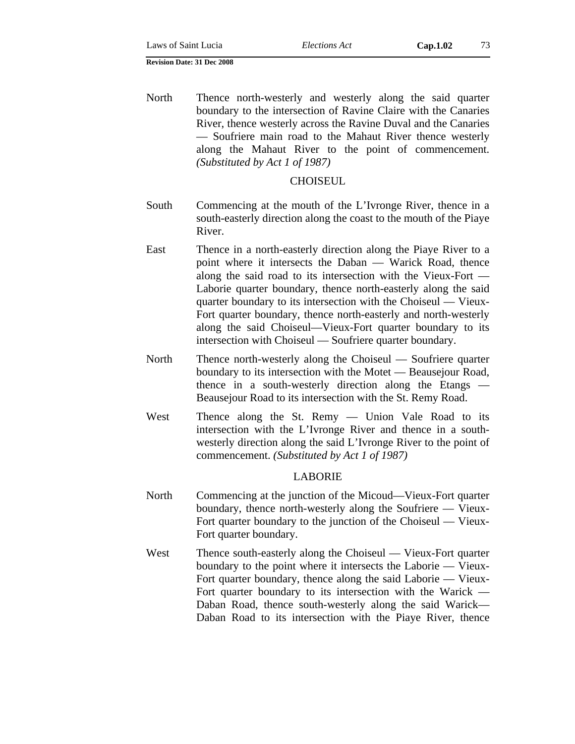North Thence north-westerly and westerly along the said quarter boundary to the intersection of Ravine Claire with the Canaries River, thence westerly across the Ravine Duval and the Canaries — Soufriere main road to the Mahaut River thence westerly along the Mahaut River to the point of commencement. *(Substituted by Act 1 of 1987)*

### **CHOISEUL**

- South Commencing at the mouth of the L'Ivronge River, thence in a south-easterly direction along the coast to the mouth of the Piaye River.
- East Thence in a north-easterly direction along the Piaye River to a point where it intersects the Daban — Warick Road, thence along the said road to its intersection with the Vieux-Fort — Laborie quarter boundary, thence north-easterly along the said quarter boundary to its intersection with the Choiseul — Vieux-Fort quarter boundary, thence north-easterly and north-westerly along the said Choiseul—Vieux-Fort quarter boundary to its intersection with Choiseul — Soufriere quarter boundary.
- North Thence north-westerly along the Choiseul Soufriere quarter boundary to its intersection with the Motet — Beausejour Road, thence in a south-westerly direction along the Etangs — Beausejour Road to its intersection with the St. Remy Road.
- West Thence along the St. Remy Union Vale Road to its intersection with the L'Ivronge River and thence in a southwesterly direction along the said L'Ivronge River to the point of commencement. *(Substituted by Act 1 of 1987)*

### LABORIE

- North Commencing at the junction of the Micoud—Vieux-Fort quarter boundary, thence north-westerly along the Soufriere — Vieux-Fort quarter boundary to the junction of the Choiseul — Vieux-Fort quarter boundary.
- West Thence south-easterly along the Choiseul Vieux-Fort quarter boundary to the point where it intersects the Laborie — Vieux-Fort quarter boundary, thence along the said Laborie — Vieux-Fort quarter boundary to its intersection with the Warick — Daban Road, thence south-westerly along the said Warick— Daban Road to its intersection with the Piaye River, thence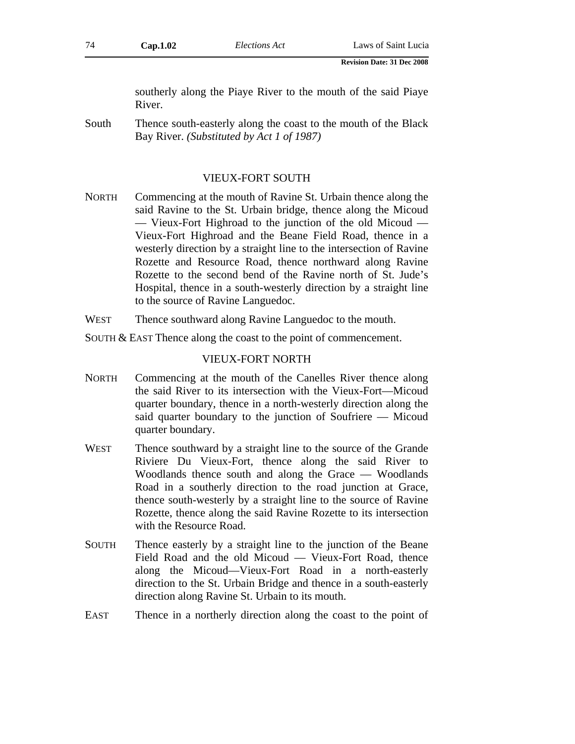southerly along the Piaye River to the mouth of the said Piaye River.

South Thence south-easterly along the coast to the mouth of the Black Bay River. *(Substituted by Act 1 of 1987)*

## VIEUX-FORT SOUTH

- NORTH Commencing at the mouth of Ravine St. Urbain thence along the said Ravine to the St. Urbain bridge, thence along the Micoud — Vieux-Fort Highroad to the junction of the old Micoud — Vieux-Fort Highroad and the Beane Field Road, thence in a westerly direction by a straight line to the intersection of Ravine Rozette and Resource Road, thence northward along Ravine Rozette to the second bend of the Ravine north of St. Jude's Hospital, thence in a south-westerly direction by a straight line to the source of Ravine Languedoc.
- WEST Thence southward along Ravine Languedoc to the mouth.
- SOUTH & EAST Thence along the coast to the point of commencement.

## VIEUX-FORT NORTH

- NORTH Commencing at the mouth of the Canelles River thence along the said River to its intersection with the Vieux-Fort—Micoud quarter boundary, thence in a north-westerly direction along the said quarter boundary to the junction of Soufriere — Micoud quarter boundary.
- WEST Thence southward by a straight line to the source of the Grande Riviere Du Vieux-Fort, thence along the said River to Woodlands thence south and along the Grace — Woodlands Road in a southerly direction to the road junction at Grace, thence south-westerly by a straight line to the source of Ravine Rozette, thence along the said Ravine Rozette to its intersection with the Resource Road.
- SOUTH Thence easterly by a straight line to the junction of the Beane Field Road and the old Micoud — Vieux-Fort Road, thence along the Micoud—Vieux-Fort Road in a north-easterly direction to the St. Urbain Bridge and thence in a south-easterly direction along Ravine St. Urbain to its mouth.
- EAST Thence in a northerly direction along the coast to the point of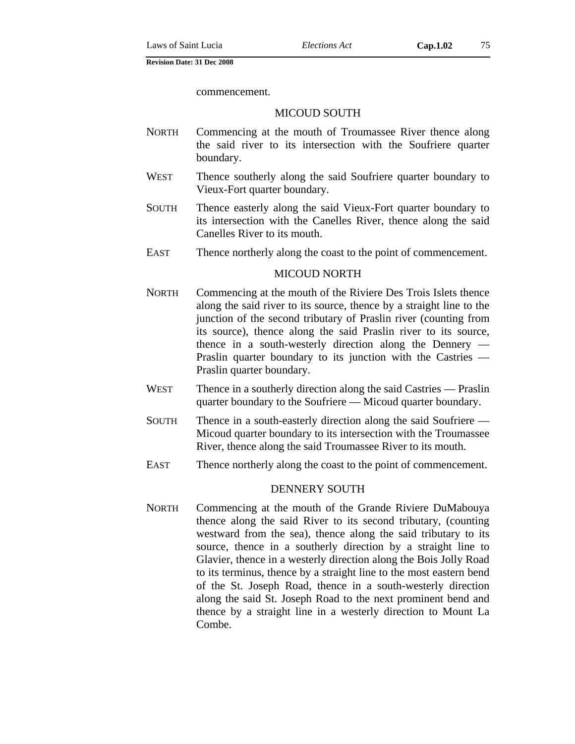commencement.

## MICOUD SOUTH

- NORTH Commencing at the mouth of Troumassee River thence along the said river to its intersection with the Soufriere quarter boundary.
- WEST Thence southerly along the said Soufriere quarter boundary to Vieux-Fort quarter boundary.
- SOUTH Thence easterly along the said Vieux-Fort quarter boundary to its intersection with the Canelles River, thence along the said Canelles River to its mouth.
- EAST Thence northerly along the coast to the point of commencement.

### MICOUD NORTH

- NORTH Commencing at the mouth of the Riviere Des Trois Islets thence along the said river to its source, thence by a straight line to the junction of the second tributary of Praslin river (counting from its source), thence along the said Praslin river to its source, thence in a south-westerly direction along the Dennery — Praslin quarter boundary to its junction with the Castries — Praslin quarter boundary.
- WEST Thence in a southerly direction along the said Castries Praslin quarter boundary to the Soufriere — Micoud quarter boundary.
- SOUTH Thence in a south-easterly direction along the said Soufriere Micoud quarter boundary to its intersection with the Troumassee River, thence along the said Troumassee River to its mouth.
- EAST Thence northerly along the coast to the point of commencement.

#### DENNERY SOUTH

NORTH Commencing at the mouth of the Grande Riviere DuMabouya thence along the said River to its second tributary, (counting westward from the sea), thence along the said tributary to its source, thence in a southerly direction by a straight line to Glavier, thence in a westerly direction along the Bois Jolly Road to its terminus, thence by a straight line to the most eastern bend of the St. Joseph Road, thence in a south-westerly direction along the said St. Joseph Road to the next prominent bend and thence by a straight line in a westerly direction to Mount La Combe.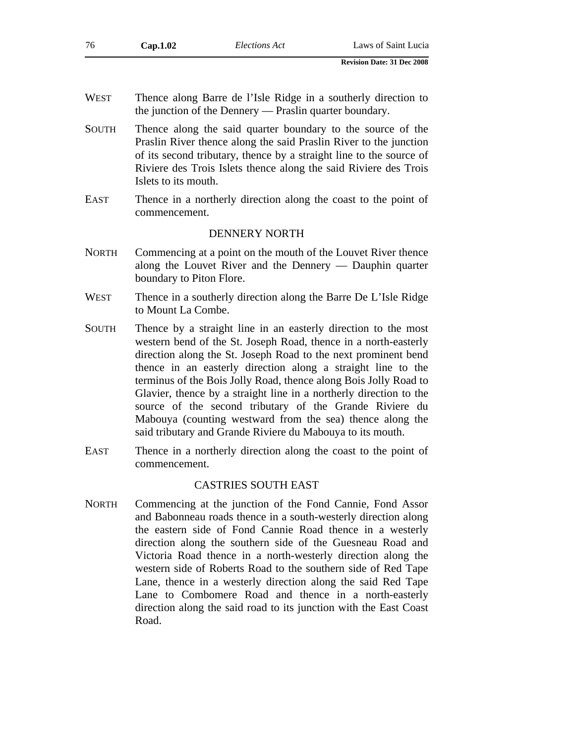| 76           | Cap.1.02                                                                                                                                                                                                                                                                                                                                                                                                                                                                                                                                                                                            | <b>Elections</b> Act       | Laws of Saint Lucia                                                                                                                                                                                                                                                         |
|--------------|-----------------------------------------------------------------------------------------------------------------------------------------------------------------------------------------------------------------------------------------------------------------------------------------------------------------------------------------------------------------------------------------------------------------------------------------------------------------------------------------------------------------------------------------------------------------------------------------------------|----------------------------|-----------------------------------------------------------------------------------------------------------------------------------------------------------------------------------------------------------------------------------------------------------------------------|
|              |                                                                                                                                                                                                                                                                                                                                                                                                                                                                                                                                                                                                     |                            | <b>Revision Date: 31 Dec 2008</b>                                                                                                                                                                                                                                           |
| <b>WEST</b>  | Thence along Barre de l'Isle Ridge in a southerly direction to<br>the junction of the Dennery — Praslin quarter boundary.                                                                                                                                                                                                                                                                                                                                                                                                                                                                           |                            |                                                                                                                                                                                                                                                                             |
| <b>SOUTH</b> | Islets to its mouth.                                                                                                                                                                                                                                                                                                                                                                                                                                                                                                                                                                                |                            | Thence along the said quarter boundary to the source of the<br>Praslin River thence along the said Praslin River to the junction<br>of its second tributary, thence by a straight line to the source of<br>Riviere des Trois Islets thence along the said Riviere des Trois |
| <b>EAST</b>  | commencement.                                                                                                                                                                                                                                                                                                                                                                                                                                                                                                                                                                                       |                            | Thence in a northerly direction along the coast to the point of                                                                                                                                                                                                             |
|              |                                                                                                                                                                                                                                                                                                                                                                                                                                                                                                                                                                                                     | <b>DENNERY NORTH</b>       |                                                                                                                                                                                                                                                                             |
| <b>NORTH</b> | Commencing at a point on the mouth of the Louvet River thence<br>along the Louvet River and the Dennery $-$ Dauphin quarter<br>boundary to Piton Flore.                                                                                                                                                                                                                                                                                                                                                                                                                                             |                            |                                                                                                                                                                                                                                                                             |
| <b>WEST</b>  | to Mount La Combe.                                                                                                                                                                                                                                                                                                                                                                                                                                                                                                                                                                                  |                            | Thence in a southerly direction along the Barre De L'Isle Ridge                                                                                                                                                                                                             |
| <b>SOUTH</b> | Thence by a straight line in an easterly direction to the most<br>western bend of the St. Joseph Road, thence in a north-easterly<br>direction along the St. Joseph Road to the next prominent bend<br>thence in an easterly direction along a straight line to the<br>terminus of the Bois Jolly Road, thence along Bois Jolly Road to<br>Glavier, thence by a straight line in a northerly direction to the<br>source of the second tributary of the Grande Riviere du<br>Mabouya (counting westward from the sea) thence along the<br>said tributary and Grande Riviere du Mabouya to its mouth. |                            |                                                                                                                                                                                                                                                                             |
| <b>EAST</b>  | commencement.                                                                                                                                                                                                                                                                                                                                                                                                                                                                                                                                                                                       |                            | Thence in a northerly direction along the coast to the point of                                                                                                                                                                                                             |
|              |                                                                                                                                                                                                                                                                                                                                                                                                                                                                                                                                                                                                     | <b>CASTRIES SOUTH EAST</b> |                                                                                                                                                                                                                                                                             |
| <b>NORTH</b> |                                                                                                                                                                                                                                                                                                                                                                                                                                                                                                                                                                                                     |                            | Commencing at the junction of the Fond Cannie, Fond Assor<br>and Babonneau roads thence in a south-westerly direction along                                                                                                                                                 |

the eastern side of Fond Cannie Road thence in a westerly direction along the southern side of the Guesneau Road and Victoria Road thence in a north-westerly direction along the western side of Roberts Road to the southern side of Red Tape Lane, thence in a westerly direction along the said Red Tape Lane to Combomere Road and thence in a north-easterly direction along the said road to its junction with the East Coast Road.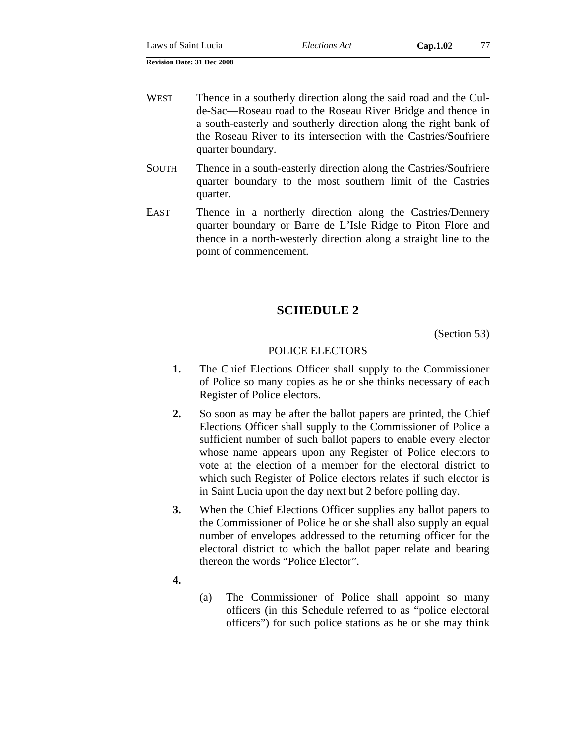- WEST Thence in a southerly direction along the said road and the Culde-Sac—Roseau road to the Roseau River Bridge and thence in a south-easterly and southerly direction along the right bank of the Roseau River to its intersection with the Castries/Soufriere quarter boundary.
- SOUTH Thence in a south-easterly direction along the Castries/Soufriere quarter boundary to the most southern limit of the Castries quarter.
- EAST Thence in a northerly direction along the Castries/Dennery quarter boundary or Barre de L'Isle Ridge to Piton Flore and thence in a north-westerly direction along a straight line to the point of commencement.

# **SCHEDULE 2**

(Section 53)

## POLICE ELECTORS

- **1.** The Chief Elections Officer shall supply to the Commissioner of Police so many copies as he or she thinks necessary of each Register of Police electors.
- **2.** So soon as may be after the ballot papers are printed, the Chief Elections Officer shall supply to the Commissioner of Police a sufficient number of such ballot papers to enable every elector whose name appears upon any Register of Police electors to vote at the election of a member for the electoral district to which such Register of Police electors relates if such elector is in Saint Lucia upon the day next but 2 before polling day.
- **3.** When the Chief Elections Officer supplies any ballot papers to the Commissioner of Police he or she shall also supply an equal number of envelopes addressed to the returning officer for the electoral district to which the ballot paper relate and bearing thereon the words "Police Elector".
- **4.**
- (a) The Commissioner of Police shall appoint so many officers (in this Schedule referred to as "police electoral officers") for such police stations as he or she may think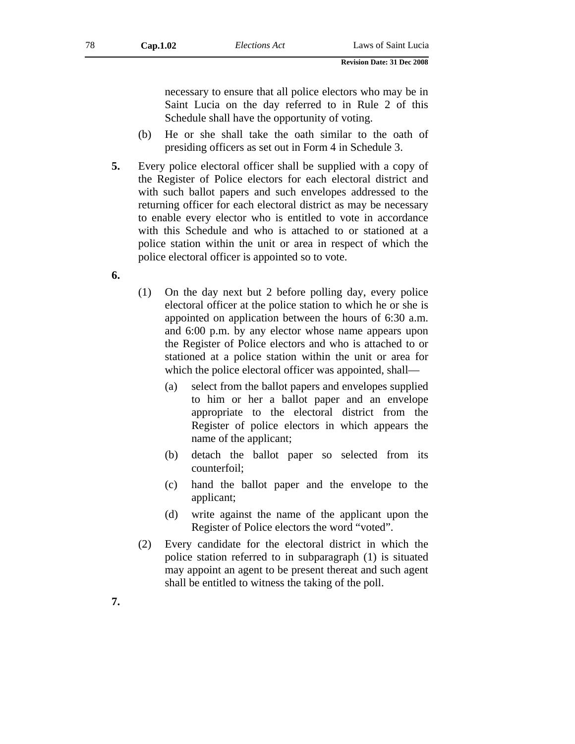necessary to ensure that all police electors who may be in Saint Lucia on the day referred to in Rule 2 of this Schedule shall have the opportunity of voting.

- (b) He or she shall take the oath similar to the oath of presiding officers as set out in Form 4 in Schedule 3.
- **5.** Every police electoral officer shall be supplied with a copy of the Register of Police electors for each electoral district and with such ballot papers and such envelopes addressed to the returning officer for each electoral district as may be necessary to enable every elector who is entitled to vote in accordance with this Schedule and who is attached to or stationed at a police station within the unit or area in respect of which the police electoral officer is appointed so to vote.
- **6.**

**7.** 

- (1) On the day next but 2 before polling day, every police electoral officer at the police station to which he or she is appointed on application between the hours of 6:30 a.m. and 6:00 p.m. by any elector whose name appears upon the Register of Police electors and who is attached to or stationed at a police station within the unit or area for which the police electoral officer was appointed, shall—
	- (a) select from the ballot papers and envelopes supplied to him or her a ballot paper and an envelope appropriate to the electoral district from the Register of police electors in which appears the name of the applicant;
	- (b) detach the ballot paper so selected from its counterfoil;
	- (c) hand the ballot paper and the envelope to the applicant;
	- (d) write against the name of the applicant upon the Register of Police electors the word "voted".
- (2) Every candidate for the electoral district in which the police station referred to in subparagraph (1) is situated may appoint an agent to be present thereat and such agent shall be entitled to witness the taking of the poll.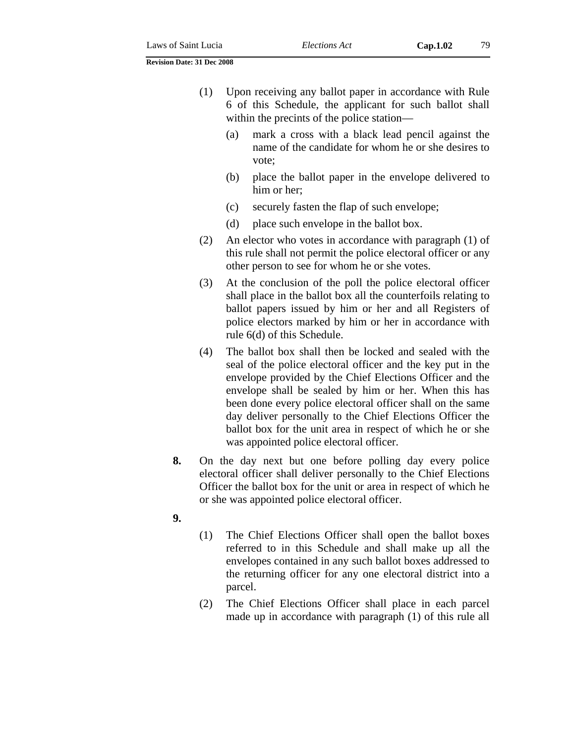- (1) Upon receiving any ballot paper in accordance with Rule 6 of this Schedule, the applicant for such ballot shall within the precints of the police station—
	- (a) mark a cross with a black lead pencil against the name of the candidate for whom he or she desires to vote;
	- (b) place the ballot paper in the envelope delivered to him or her;
	- (c) securely fasten the flap of such envelope;
	- (d) place such envelope in the ballot box.
- (2) An elector who votes in accordance with paragraph (1) of this rule shall not permit the police electoral officer or any other person to see for whom he or she votes.
- (3) At the conclusion of the poll the police electoral officer shall place in the ballot box all the counterfoils relating to ballot papers issued by him or her and all Registers of police electors marked by him or her in accordance with rule 6(d) of this Schedule.
- (4) The ballot box shall then be locked and sealed with the seal of the police electoral officer and the key put in the envelope provided by the Chief Elections Officer and the envelope shall be sealed by him or her. When this has been done every police electoral officer shall on the same day deliver personally to the Chief Elections Officer the ballot box for the unit area in respect of which he or she was appointed police electoral officer.
- **8.** On the day next but one before polling day every police electoral officer shall deliver personally to the Chief Elections Officer the ballot box for the unit or area in respect of which he or she was appointed police electoral officer.
- **9.**
- (1) The Chief Elections Officer shall open the ballot boxes referred to in this Schedule and shall make up all the envelopes contained in any such ballot boxes addressed to the returning officer for any one electoral district into a parcel.
- (2) The Chief Elections Officer shall place in each parcel made up in accordance with paragraph (1) of this rule all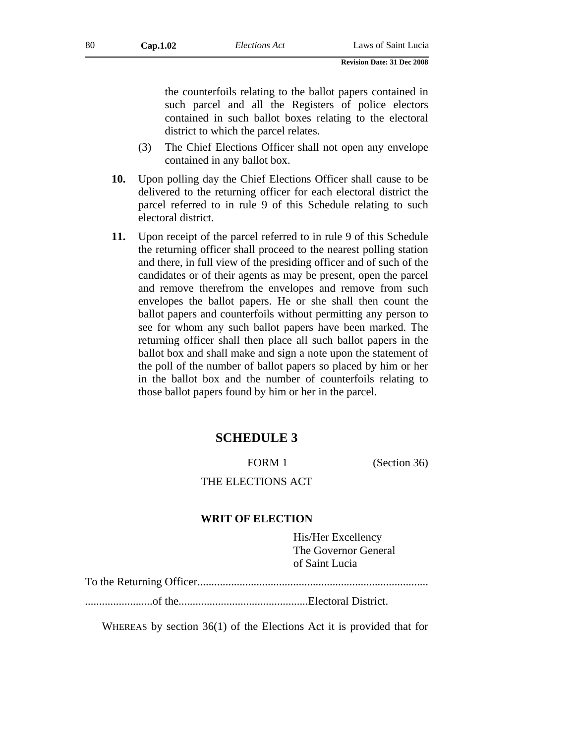the counterfoils relating to the ballot papers contained in such parcel and all the Registers of police electors contained in such ballot boxes relating to the electoral district to which the parcel relates.

- (3) The Chief Elections Officer shall not open any envelope contained in any ballot box.
- **10.** Upon polling day the Chief Elections Officer shall cause to be delivered to the returning officer for each electoral district the parcel referred to in rule 9 of this Schedule relating to such electoral district.
- **11.** Upon receipt of the parcel referred to in rule 9 of this Schedule the returning officer shall proceed to the nearest polling station and there, in full view of the presiding officer and of such of the candidates or of their agents as may be present, open the parcel and remove therefrom the envelopes and remove from such envelopes the ballot papers. He or she shall then count the ballot papers and counterfoils without permitting any person to see for whom any such ballot papers have been marked. The returning officer shall then place all such ballot papers in the ballot box and shall make and sign a note upon the statement of the poll of the number of ballot papers so placed by him or her in the ballot box and the number of counterfoils relating to those ballot papers found by him or her in the parcel.

# **SCHEDULE 3**

FORM 1 (Section 36)

# THE ELECTIONS ACT

### **WRIT OF ELECTION**

His/Her Excellency The Governor General of Saint Lucia

To the Returning Officer..................................................................................

........................of the..............................................Electoral District.

WHEREAS by section 36(1) of the Elections Act it is provided that for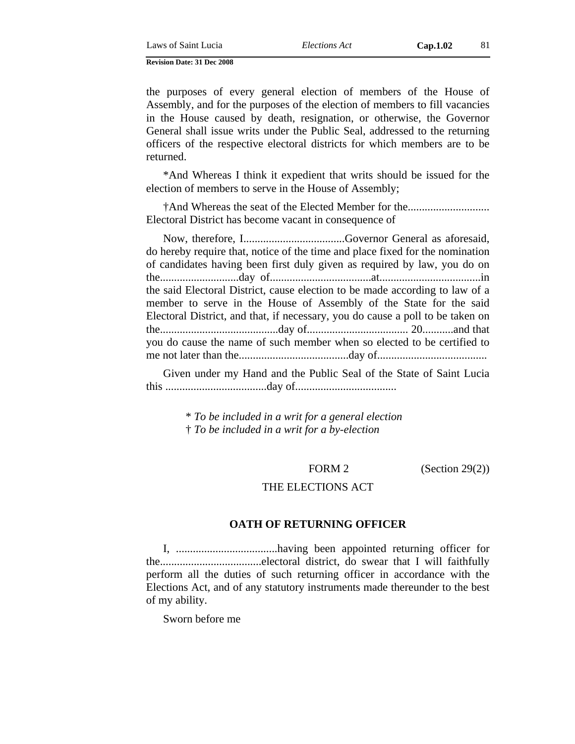Laws of Saint Lucia *Elections Act* **Cap.1.02** 81

**Revision Date: 31 Dec 2008** 

the purposes of every general election of members of the House of Assembly, and for the purposes of the election of members to fill vacancies in the House caused by death, resignation, or otherwise, the Governor General shall issue writs under the Public Seal, addressed to the returning officers of the respective electoral districts for which members are to be returned.

\*And Whereas I think it expedient that writs should be issued for the election of members to serve in the House of Assembly;

†And Whereas the seat of the Elected Member for the............................. Electoral District has become vacant in consequence of

Now, therefore, I....................................Governor General as aforesaid, do hereby require that, notice of the time and place fixed for the nomination of candidates having been first duly given as required by law, you do on the............................day of....................................at....................................in the said Electoral District, cause election to be made according to law of a member to serve in the House of Assembly of the State for the said Electoral District, and that, if necessary, you do cause a poll to be taken on the..........................................day of.................................... 20...........and that you do cause the name of such member when so elected to be certified to me not later than the.......................................day of.......................................

Given under my Hand and the Public Seal of the State of Saint Lucia this ....................................day of....................................

> \* *To be included in a writ for a general election* † *To be included in a writ for a by-election*

FORM 2 (Section 29(2))

### THE ELECTIONS ACT

## **OATH OF RETURNING OFFICER**

I, ....................................having been appointed returning officer for the....................................electoral district, do swear that I will faithfully perform all the duties of such returning officer in accordance with the Elections Act, and of any statutory instruments made thereunder to the best of my ability.

Sworn before me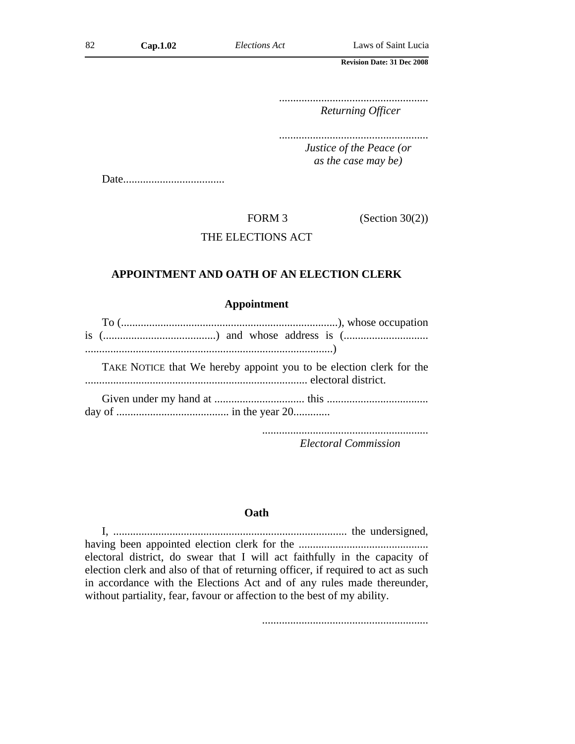..................................................... *Returning Officer*

..................................................... *Justice of the Peace (or* 

*as the case may be)*

Date....................................

FORM 3 (Section 30(2))

## THE ELECTIONS ACT

## **APPOINTMENT AND OATH OF AN ELECTION CLERK**

## **Appointment**

| TAKE NOTICE that We hereby appoint you to be election clerk for the |  |  |  |
|---------------------------------------------------------------------|--|--|--|

............................................................................... electoral district.

Given under my hand at ................................ this .................................... day of ........................................ in the year 20.............

...........................................................

*Electoral Commission*

#### **Oath**

I, ................................................................................... the undersigned, having been appointed election clerk for the .............................................. electoral district, do swear that I will act faithfully in the capacity of election clerk and also of that of returning officer, if required to act as such in accordance with the Elections Act and of any rules made thereunder, without partiality, fear, favour or affection to the best of my ability.

...........................................................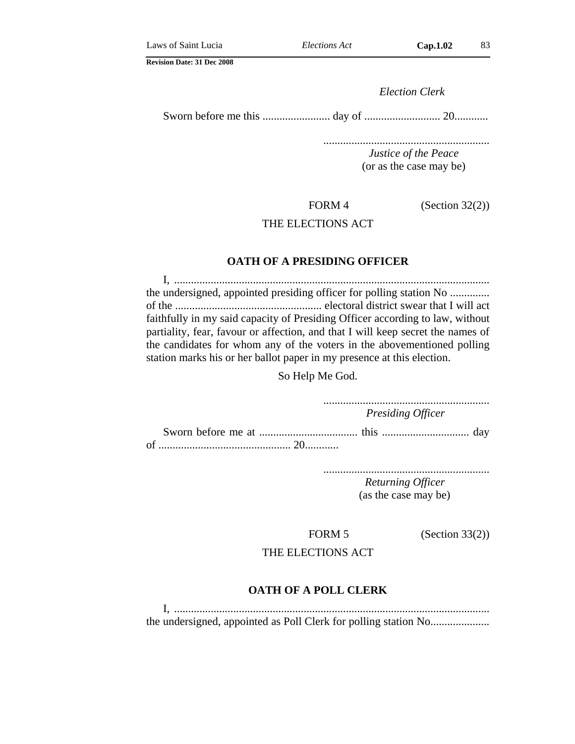*Election Clerk*

Sworn before me this ........................ day of ........................... 20............

........................................................... *Justice of the Peace* (or as the case may be)

FORM 4  $(Section 32(2))$ 

## THE ELECTIONS ACT

## **OATH OF A PRESIDING OFFICER**

I, ................................................................................................................ the undersigned, appointed presiding officer for polling station No .............. of the .................................................... electoral district swear that I will act faithfully in my said capacity of Presiding Officer according to law, without partiality, fear, favour or affection, and that I will keep secret the names of the candidates for whom any of the voters in the abovementioned polling station marks his or her ballot paper in my presence at this election.

So Help Me God.

........................................................... *Presiding Officer*

Sworn before me at ................................... this ............................... day of ............................................... 20............

> ........................................................... *Returning Officer*

> > (as the case may be)

FORM 5 (Section 33(2))

## THE ELECTIONS ACT

### **OATH OF A POLL CLERK**

I, ................................................................................................................ the undersigned, appointed as Poll Clerk for polling station No.....................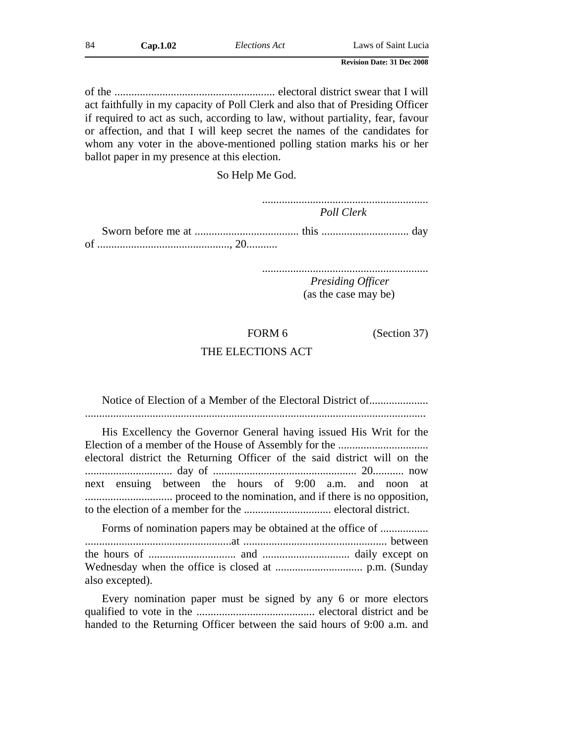of the ......................................................... electoral district swear that I will act faithfully in my capacity of Poll Clerk and also that of Presiding Officer if required to act as such, according to law, without partiality, fear, favour or affection, and that I will keep secret the names of the candidates for whom any voter in the above-mentioned polling station marks his or her ballot paper in my presence at this election.

So Help Me God.

........................................................... *Poll Clerk*

Sworn before me at ..................................... this ............................... day of ..............................................., 20...........

...........................................................

*Presiding Officer* (as the case may be)

FORM 6 (Section 37)

## THE ELECTIONS ACT

Notice of Election of a Member of the Electoral District of...................... ......................................................................................................................... His Excellency the Governor General having issued His Writ for the Election of a member of the House of Assembly for the ................................

electoral district the Returning Officer of the said district will on the ............................... day of ................................................... 20........... now next ensuing between the hours of 9:00 a.m. and noon at ............................... proceed to the nomination, and if there is no opposition, to the election of a member for the ............................... electoral district.

Forms of nomination papers may be obtained at the office of ..................... ....................................................at ................................................... between the hours of ............................... and ............................... daily except on Wednesday when the office is closed at ............................... p.m. (Sunday also excepted).

Every nomination paper must be signed by any 6 or more electors qualified to vote in the .......................................... electoral district and be handed to the Returning Officer between the said hours of 9:00 a.m. and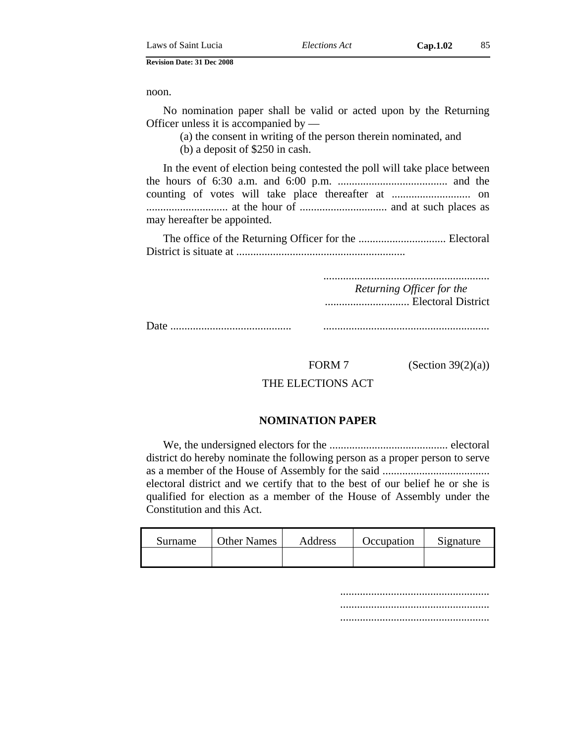noon.

No nomination paper shall be valid or acted upon by the Returning Officer unless it is accompanied by —

(a) the consent in writing of the person therein nominated, and (b) a deposit of \$250 in cash.

In the event of election being contested the poll will take place between the hours of 6:30 a.m. and 6:00 p.m. ....................................... and the counting of votes will take place thereafter at ............................ on ............................. at the hour of ............................... and at such places as may hereafter be appointed.

The office of the Returning Officer for the ............................... Electoral District is situate at ............................................................

...........................................................

*Returning Officer for the* .............................. Electoral District

Date ........................................... ...........................................................

FORM 7 (Section 39 $(2)(a)$ )

THE ELECTIONS ACT

## **NOMINATION PAPER**

We, the undersigned electors for the .......................................... electoral district do hereby nominate the following person as a proper person to serve as a member of the House of Assembly for the said ...................................... electoral district and we certify that to the best of our belief he or she is qualified for election as a member of the House of Assembly under the Constitution and this Act.

| Surname | <b>Other Names</b> | Address | Occupation | Signature |
|---------|--------------------|---------|------------|-----------|
|         |                    |         |            |           |

..................................................... ..................................................... .....................................................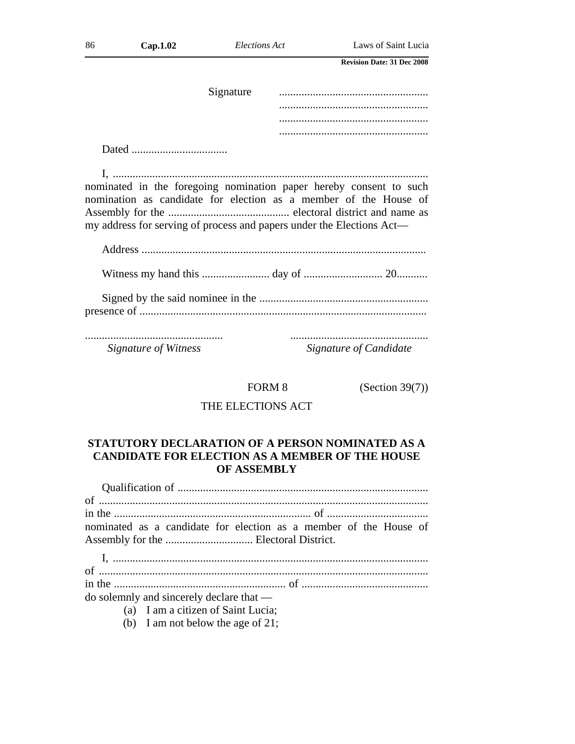| 86 | Cap.1.02 | Elections Act | Laws of Saint Lucia                                                |
|----|----------|---------------|--------------------------------------------------------------------|
|    |          |               | <b>Revision Date: 31 Dec 2008</b>                                  |
|    |          | Signature     |                                                                    |
|    |          |               |                                                                    |
|    |          |               |                                                                    |
|    |          |               |                                                                    |
|    |          |               |                                                                    |
|    |          |               |                                                                    |
|    |          |               | nominated in the foregoing nomination paper hereby consent to such |
|    |          |               | nomination as candidate for election as a member of the House of   |
|    |          |               |                                                                    |

| Signature of Witness | Signature of Candidate |
|----------------------|------------------------|

my address for serving of process and papers under the Elections Act—

FORM 8 (Section 39(7))

# THE ELECTIONS ACT

# **STATUTORY DECLARATION OF A PERSON NOMINATED AS A CANDIDATE FOR ELECTION AS A MEMBER OF THE HOUSE OF ASSEMBLY**

| nominated as a candidate for election as a member of the House of |
|-------------------------------------------------------------------|
|                                                                   |

I, ................................................................................................................ of ..................................................................................................................... in the ............................................................. of ............................................. do solemnly and sincerely declare that —

- (a) I am a citizen of Saint Lucia;
	-
- (b) I am not below the age of 21;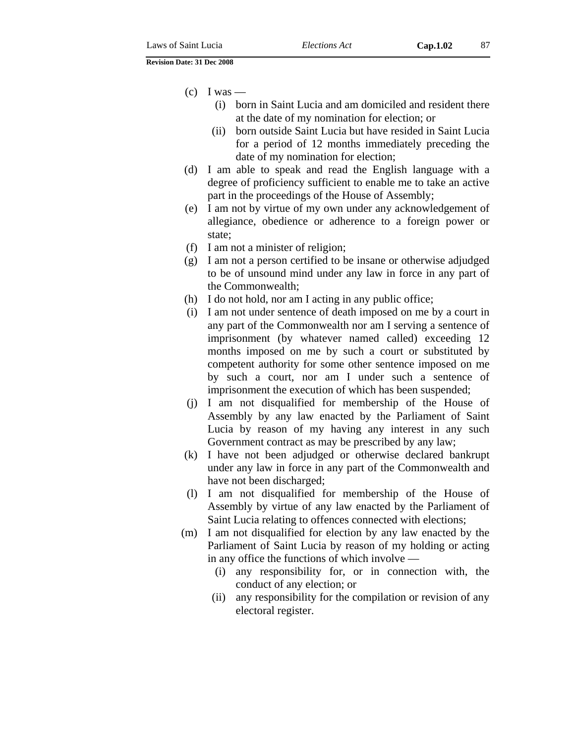$\left( c \right)$  I was —

- (i) born in Saint Lucia and am domiciled and resident there at the date of my nomination for election; or
- (ii) born outside Saint Lucia but have resided in Saint Lucia for a period of 12 months immediately preceding the date of my nomination for election;
- (d) I am able to speak and read the English language with a degree of proficiency sufficient to enable me to take an active part in the proceedings of the House of Assembly;
- (e) I am not by virtue of my own under any acknowledgement of allegiance, obedience or adherence to a foreign power or state;
- (f) I am not a minister of religion;
- (g) I am not a person certified to be insane or otherwise adjudged to be of unsound mind under any law in force in any part of the Commonwealth;
- (h) I do not hold, nor am I acting in any public office;
- (i) I am not under sentence of death imposed on me by a court in any part of the Commonwealth nor am I serving a sentence of imprisonment (by whatever named called) exceeding 12 months imposed on me by such a court or substituted by competent authority for some other sentence imposed on me by such a court, nor am I under such a sentence of imprisonment the execution of which has been suspended;
- (j) I am not disqualified for membership of the House of Assembly by any law enacted by the Parliament of Saint Lucia by reason of my having any interest in any such Government contract as may be prescribed by any law;
- (k) I have not been adjudged or otherwise declared bankrupt under any law in force in any part of the Commonwealth and have not been discharged;
- (l) I am not disqualified for membership of the House of Assembly by virtue of any law enacted by the Parliament of Saint Lucia relating to offences connected with elections;
- (m) I am not disqualified for election by any law enacted by the Parliament of Saint Lucia by reason of my holding or acting in any office the functions of which involve —
	- (i) any responsibility for, or in connection with, the conduct of any election; or
	- (ii) any responsibility for the compilation or revision of any electoral register.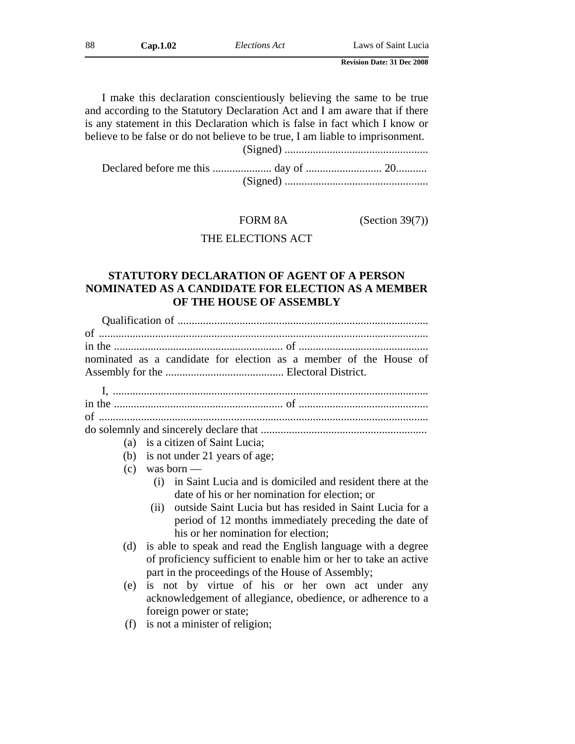| 88 | Cap.1.02 | Elections Act | Laws of Saint Lucia               |
|----|----------|---------------|-----------------------------------|
|    |          |               | <b>Revision Date: 31 Dec 2008</b> |

I make this declaration conscientiously believing the same to be true and according to the Statutory Declaration Act and I am aware that if there is any statement in this Declaration which is false in fact which I know or believe to be false or do not believe to be true, I am liable to imprisonment. (Signed) ...................................................

Declared before me this ..................... day of ........................... 20........... (Signed) ...................................................

### FORM 8A (Section 39(7))

## THE ELECTIONS ACT

# **STATUTORY DECLARATION OF AGENT OF A PERSON NOMINATED AS A CANDIDATE FOR ELECTION AS A MEMBER OF THE HOUSE OF ASSEMBLY**

|                                     | nominated as a candidate for election as a member of the House of |  |  |  |
|-------------------------------------|-------------------------------------------------------------------|--|--|--|
|                                     |                                                                   |  |  |  |
|                                     |                                                                   |  |  |  |
|                                     |                                                                   |  |  |  |
|                                     |                                                                   |  |  |  |
|                                     |                                                                   |  |  |  |
|                                     |                                                                   |  |  |  |
|                                     | (a) is a citizen of Saint Lucia;                                  |  |  |  |
|                                     | (b) is not under 21 years of age;                                 |  |  |  |
|                                     | $(c)$ was born —                                                  |  |  |  |
|                                     | in Saint Lucia and is domiciled and resident there at the<br>(i)  |  |  |  |
|                                     | date of his or her nomination for election; or                    |  |  |  |
|                                     | outside Saint Lucia but has resided in Saint Lucia for a<br>(ii)  |  |  |  |
|                                     | period of 12 months immediately preceding the date of             |  |  |  |
| his or her nomination for election; |                                                                   |  |  |  |
| (d)                                 | is able to speak and read the English language with a degree      |  |  |  |
|                                     | of proficiency sufficient to enable him or her to take an active  |  |  |  |
|                                     | part in the proceedings of the House of Assembly;                 |  |  |  |
|                                     |                                                                   |  |  |  |
| (e)                                 | is not by virtue of his or her own act under any                  |  |  |  |
|                                     | acknowledgement of allegiance, obedience, or adherence to a       |  |  |  |
|                                     | foreign power or state;                                           |  |  |  |

(f) is not a minister of religion;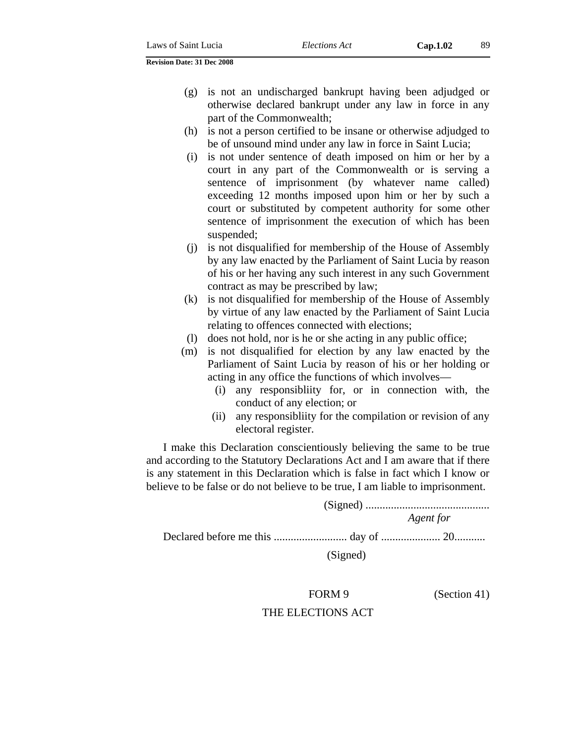- (g) is not an undischarged bankrupt having been adjudged or otherwise declared bankrupt under any law in force in any part of the Commonwealth;
- (h) is not a person certified to be insane or otherwise adjudged to be of unsound mind under any law in force in Saint Lucia;
- (i) is not under sentence of death imposed on him or her by a court in any part of the Commonwealth or is serving a sentence of imprisonment (by whatever name called) exceeding 12 months imposed upon him or her by such a court or substituted by competent authority for some other sentence of imprisonment the execution of which has been suspended;
- (j) is not disqualified for membership of the House of Assembly by any law enacted by the Parliament of Saint Lucia by reason of his or her having any such interest in any such Government contract as may be prescribed by law;
- (k) is not disqualified for membership of the House of Assembly by virtue of any law enacted by the Parliament of Saint Lucia relating to offences connected with elections;
- (l) does not hold, nor is he or she acting in any public office;
- (m) is not disqualified for election by any law enacted by the Parliament of Saint Lucia by reason of his or her holding or acting in any office the functions of which involves—
	- (i) any responsibliity for, or in connection with, the conduct of any election; or
	- (ii) any responsibliity for the compilation or revision of any electoral register.

I make this Declaration conscientiously believing the same to be true and according to the Statutory Declarations Act and I am aware that if there is any statement in this Declaration which is false in fact which I know or believe to be false or do not believe to be true, I am liable to imprisonment.

> (Signed) ............................................ *Agent for*

Declared before me this .......................... day of ..................... 20...........

## (Signed)

FORM 9 (Section 41)

### THE ELECTIONS ACT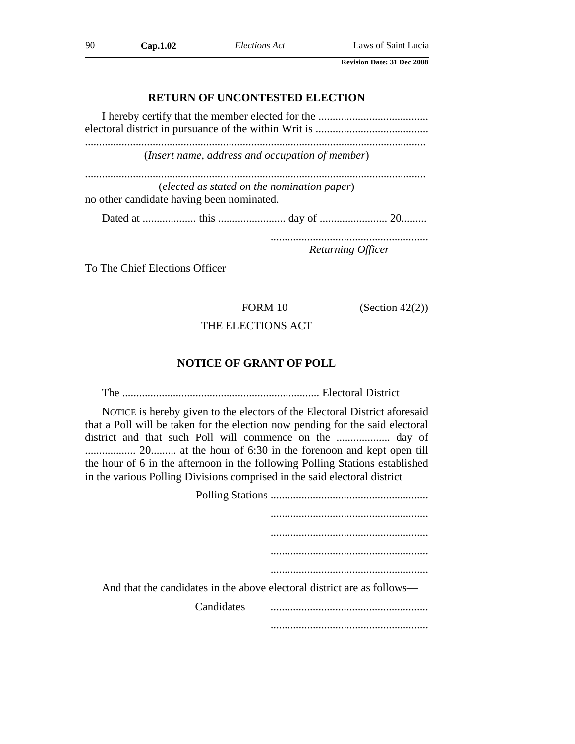# **RETURN OF UNCONTESTED ELECTION**

| ( <i>Insert name, address and occupation of member</i> )                                 |                   |  |
|------------------------------------------------------------------------------------------|-------------------|--|
| (elected as stated on the nomination paper)<br>no other candidate having been nominated. |                   |  |
|                                                                                          |                   |  |
|                                                                                          | Returning Officer |  |

To The Chief Elections Officer

FORM 10 (Section 42(2))

# THE ELECTIONS ACT

## **NOTICE OF GRANT OF POLL**

The ...................................................................... Electoral District

NOTICE is hereby given to the electors of the Electoral District aforesaid that a Poll will be taken for the election now pending for the said electoral district and that such Poll will commence on the ................... day of .................. 20......... at the hour of 6:30 in the forenoon and kept open till the hour of 6 in the afternoon in the following Polling Stations established in the various Polling Divisions comprised in the said electoral district

| And that the candidates in the above electoral district are as follows— |  |
|-------------------------------------------------------------------------|--|
| Candidates                                                              |  |
|                                                                         |  |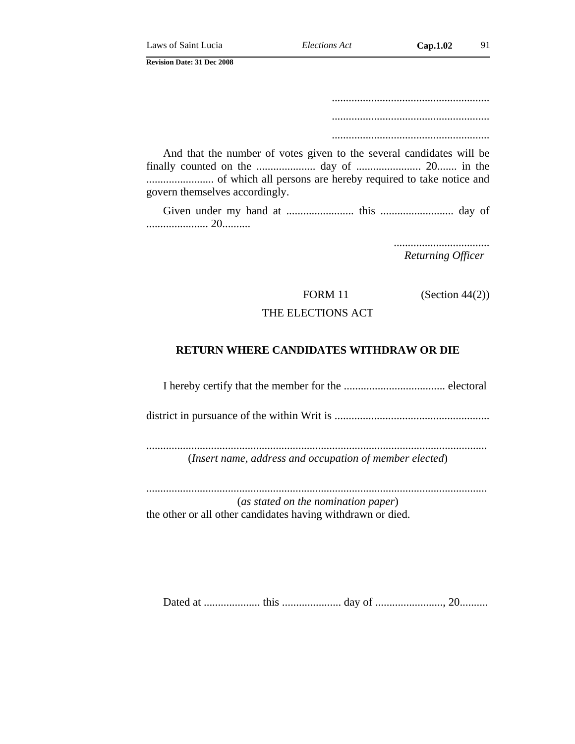........................................................ ........................................................

........................................................

And that the number of votes given to the several candidates will be finally counted on the ..................... day of ....................... 20....... in the ........................ of which all persons are hereby required to take notice and govern themselves accordingly.

Given under my hand at ........................ this .......................... day of ...................... 20..........

> .................................. *Returning Officer*

FORM 11 (Section 44(2))

## THE ELECTIONS ACT

### **RETURN WHERE CANDIDATES WITHDRAW OR DIE**

I hereby certify that the member for the .................................... electoral

district in pursuance of the within Writ is .......................................................

......................................................................................................................... (*Insert name, address and occupation of member elected*)

......................................................................................................................... (*as stated on the nomination paper*) the other or all other candidates having withdrawn or died.

Dated at .................... this ..................... day of ........................, 20..........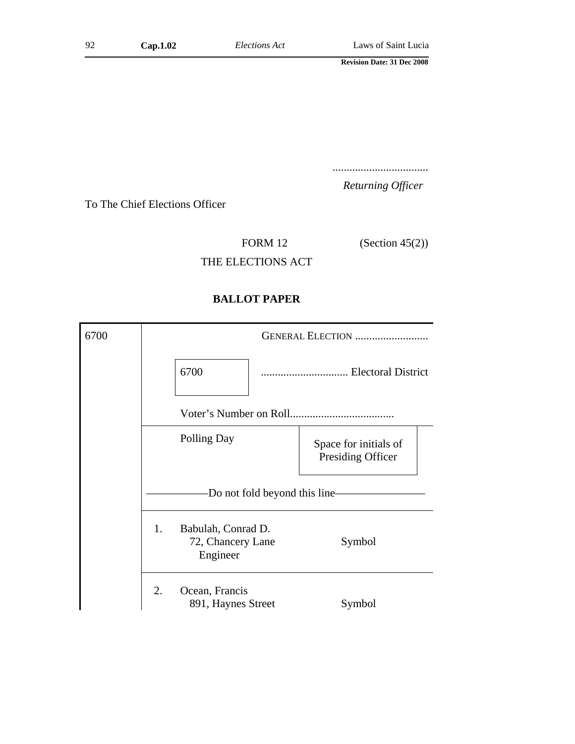..................................

*Returning Officer*

To The Chief Elections Officer

FORM 12 (Section 45(2))

THE ELECTIONS ACT

# **BALLOT PAPER**

| 6700 | GENERAL ELECTION                                          |                                            |  |
|------|-----------------------------------------------------------|--------------------------------------------|--|
|      | 6700                                                      | Electoral District                         |  |
|      |                                                           |                                            |  |
|      | Polling Day                                               | Space for initials of<br>Presiding Officer |  |
|      | -Do not fold beyond this line-                            |                                            |  |
|      | 1.<br>Babulah, Conrad D.<br>72, Chancery Lane<br>Engineer | Symbol                                     |  |
|      | 2.<br>Ocean, Francis<br>891, Haynes Street                | Symbol                                     |  |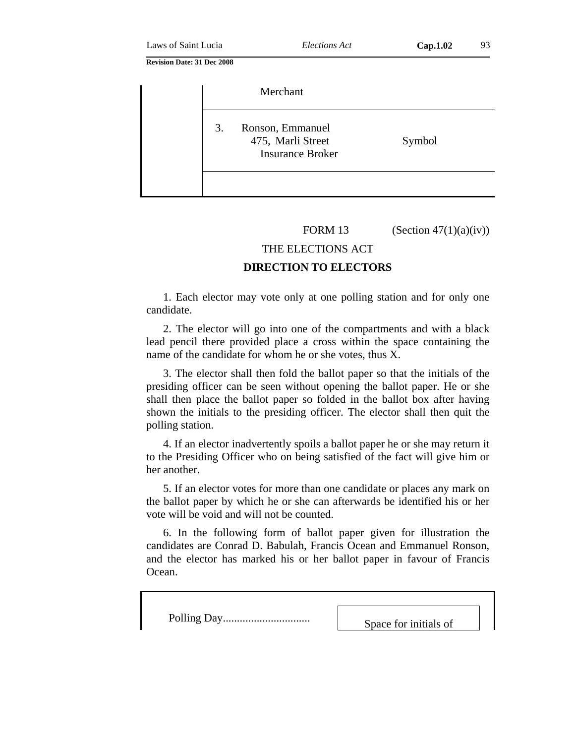|    | Merchant                                                         |        |
|----|------------------------------------------------------------------|--------|
| 3. | Ronson, Emmanuel<br>475, Marli Street<br><b>Insurance Broker</b> | Symbol |
|    |                                                                  |        |

FORM 13 (Section  $47(1)(a)(iv)$ )

### THE ELECTIONS ACT

#### **DIRECTION TO ELECTORS**

1. Each elector may vote only at one polling station and for only one candidate.

2. The elector will go into one of the compartments and with a black lead pencil there provided place a cross within the space containing the name of the candidate for whom he or she votes, thus X.

3. The elector shall then fold the ballot paper so that the initials of the presiding officer can be seen without opening the ballot paper. He or she shall then place the ballot paper so folded in the ballot box after having shown the initials to the presiding officer. The elector shall then quit the polling station.

4. If an elector inadvertently spoils a ballot paper he or she may return it to the Presiding Officer who on being satisfied of the fact will give him or her another.

5. If an elector votes for more than one candidate or places any mark on the ballot paper by which he or she can afterwards be identified his or her vote will be void and will not be counted.

6. In the following form of ballot paper given for illustration the candidates are Conrad D. Babulah, Francis Ocean and Emmanuel Ronson, and the elector has marked his or her ballot paper in favour of Francis Ocean.

Polling Day............................... Space for initials of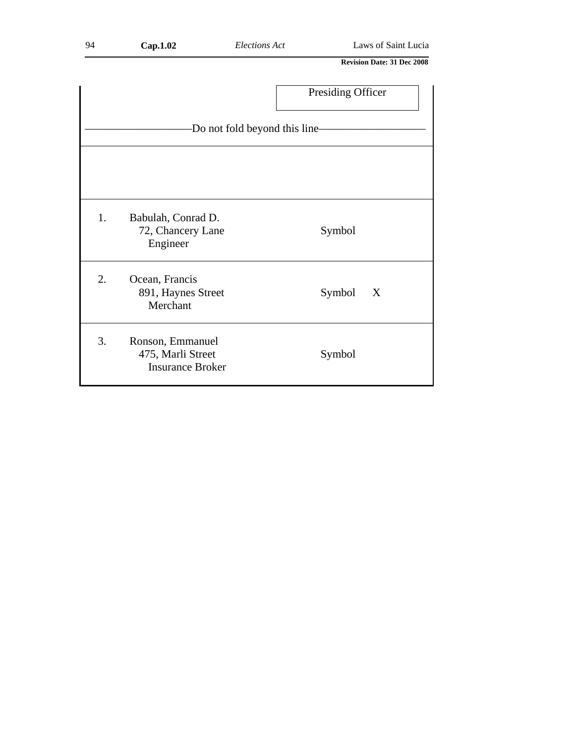|                                |                                                                  | Presiding Officer |  |  |  |
|--------------------------------|------------------------------------------------------------------|-------------------|--|--|--|
| -Do not fold beyond this line- |                                                                  |                   |  |  |  |
|                                |                                                                  |                   |  |  |  |
|                                |                                                                  |                   |  |  |  |
| 1.                             | Babulah, Conrad D.<br>72, Chancery Lane<br>Engineer              | Symbol            |  |  |  |
| 2.                             | Ocean, Francis<br>891, Haynes Street<br>Merchant                 | Symbol<br>X       |  |  |  |
| 3.                             | Ronson, Emmanuel<br>475, Marli Street<br><b>Insurance Broker</b> | Symbol            |  |  |  |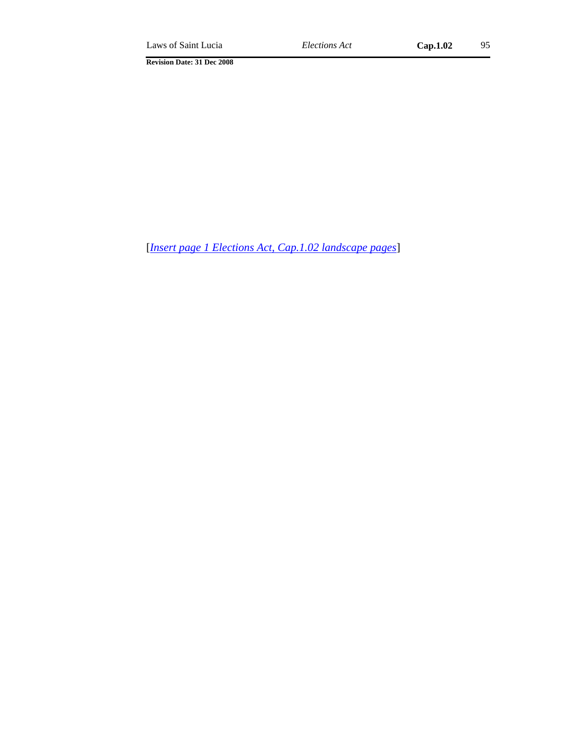[*Insert page 1 Elections Act, Cap.1.02 landscape pages*]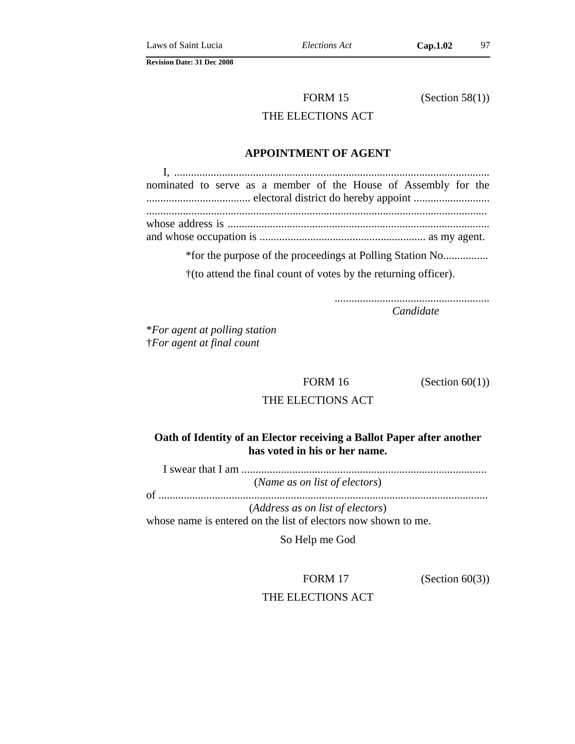FORM 15 (Section 58(1))

## THE ELECTIONS ACT

## **APPOINTMENT OF AGENT**

I, ................................................................................................................ nominated to serve as a member of the House of Assembly for the ..................................... electoral district do hereby appoint ........................... ......................................................................................................................... whose address is ............................................................................................. and whose occupation is ........................................................... as my agent.

\*for the purpose of the proceedings at Polling Station No................

†(to attend the final count of votes by the returning officer).

....................................................... *Candidate*

\**For agent at polling station* †*For agent at final count*

FORM 16 (Section  $60(1)$ )

## THE ELECTIONS ACT

## **Oath of Identity of an Elector receiving a Ballot Paper after another has voted in his or her name.**

I swear that I am .......................................................................................

(*Name as on list of electors*)

of .....................................................................................................................

(*Address as on list of electors*)

whose name is entered on the list of electors now shown to me.

So Help me God

FORM 17 (Section 60(3))

THE ELECTIONS ACT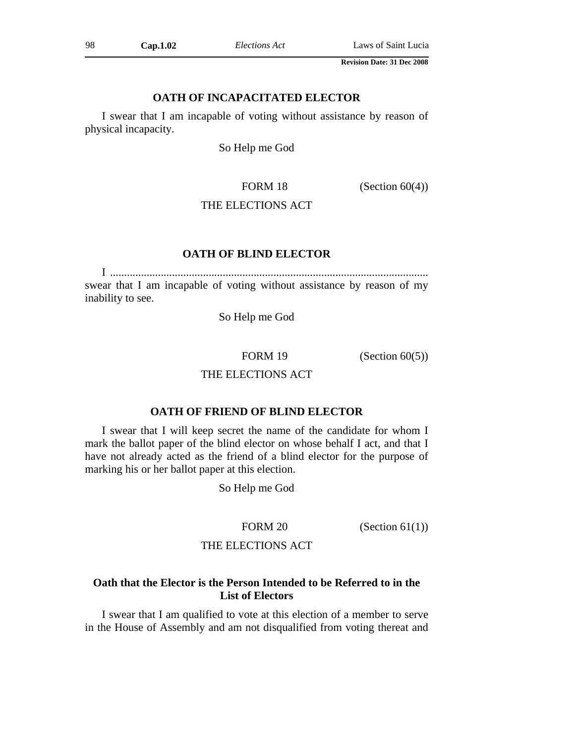## **OATH OF INCAPACITATED ELECTOR**

I swear that I am incapable of voting without assistance by reason of physical incapacity.

So Help me God

FORM 18  $(Section 60(4))$ 

## THE ELECTIONS ACT

## **OATH OF BLIND ELECTOR**

I ................................................................................................................. swear that I am incapable of voting without assistance by reason of my inability to see.

So Help me God

FORM 19 (Section 60(5))

## THE ELECTIONS ACT

### **OATH OF FRIEND OF BLIND ELECTOR**

I swear that I will keep secret the name of the candidate for whom I mark the ballot paper of the blind elector on whose behalf I act, and that I have not already acted as the friend of a blind elector for the purpose of marking his or her ballot paper at this election.

So Help me God

FORM 20 (Section 61(1))

## THE ELECTIONS ACT

## **Oath that the Elector is the Person Intended to be Referred to in the List of Electors**

I swear that I am qualified to vote at this election of a member to serve in the House of Assembly and am not disqualified from voting thereat and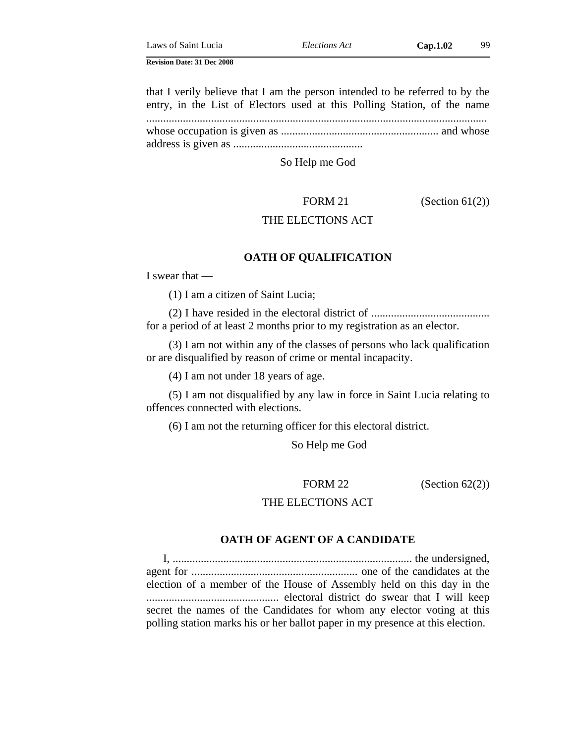that I verily believe that I am the person intended to be referred to by the entry, in the List of Electors used at this Polling Station, of the name ......................................................................................................................... whose occupation is given as ........................................................ and whose address is given as ..............................................

So Help me God

FORM 21 (Section 61(2))

### THE ELECTIONS ACT

#### **OATH OF QUALIFICATION**

I swear that —

(1) I am a citizen of Saint Lucia;

(2) I have resided in the electoral district of .......................................... for a period of at least 2 months prior to my registration as an elector.

(3) I am not within any of the classes of persons who lack qualification or are disqualified by reason of crime or mental incapacity.

(4) I am not under 18 years of age.

(5) I am not disqualified by any law in force in Saint Lucia relating to offences connected with elections.

(6) I am not the returning officer for this electoral district.

So Help me God

FORM 22 (Section  $62(2)$ )

## THE ELECTIONS ACT

## **OATH OF AGENT OF A CANDIDATE**

I, ..................................................................................... the undersigned, agent for ........................................................... one of the candidates at the election of a member of the House of Assembly held on this day in the ............................................... electoral district do swear that I will keep secret the names of the Candidates for whom any elector voting at this polling station marks his or her ballot paper in my presence at this election.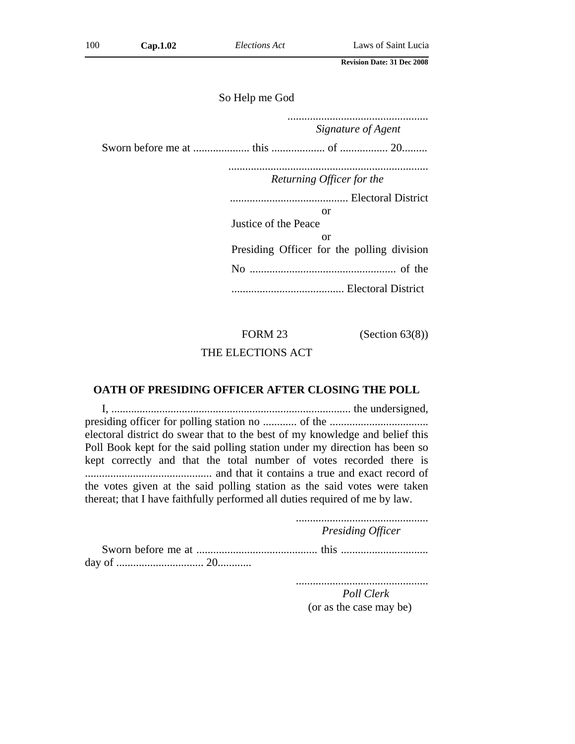So Help me God

.................................................. *Signature of Agent* Sworn before me at .................... this ................... of ................. 20......... ....................................................................... *Returning Officer for the* .......................................... Electoral District or Justice of the Peace or Presiding Officer for the polling division No .................................................... of the ........................................ Electoral District

## FORM 23 (Section 63(8))

#### THE ELECTIONS ACT

#### **OATH OF PRESIDING OFFICER AFTER CLOSING THE POLL**

I, ..................................................................................... the undersigned, presiding officer for polling station no ............ of the ................................... electoral district do swear that to the best of my knowledge and belief this Poll Book kept for the said polling station under my direction has been so kept correctly and that the total number of votes recorded there is ............................................. and that it contains a true and exact record of the votes given at the said polling station as the said votes were taken thereat; that I have faithfully performed all duties required of me by law.

............................................... *Presiding Officer* Sworn before me at ........................................... this ............................... day of ............................... 20............

...............................................

*Poll Clerk* (or as the case may be)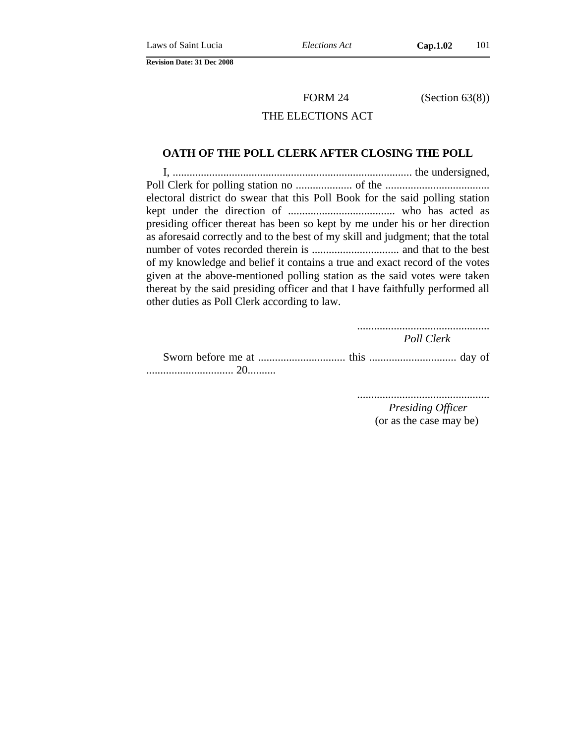FORM 24 (Section 63(8))

## THE ELECTIONS ACT

#### **OATH OF THE POLL CLERK AFTER CLOSING THE POLL**

I, ..................................................................................... the undersigned, Poll Clerk for polling station no .................... of the ..................................... electoral district do swear that this Poll Book for the said polling station kept under the direction of ...................................... who has acted as presiding officer thereat has been so kept by me under his or her direction as aforesaid correctly and to the best of my skill and judgment; that the total number of votes recorded therein is ............................... and that to the best of my knowledge and belief it contains a true and exact record of the votes given at the above-mentioned polling station as the said votes were taken thereat by the said presiding officer and that I have faithfully performed all other duties as Poll Clerk according to law.

> ............................................... *Poll Clerk*

Sworn before me at ............................... this ............................... day of ............................... 20..........

...............................................

*Presiding Officer* (or as the case may be)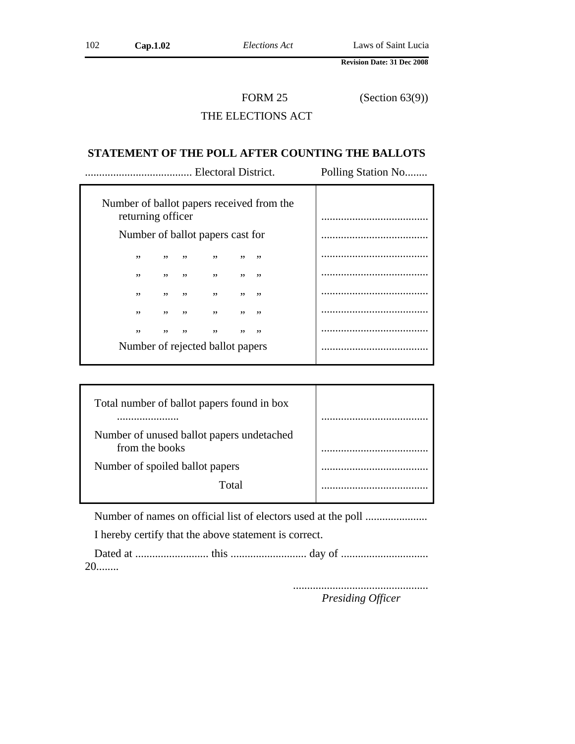FORM 25 (Section 63(9))

## THE ELECTIONS ACT

#### **STATEMENT OF THE POLL AFTER COUNTING THE BALLOTS**

| Electoral District.                                            |     |     |     |     |     | Polling Station No |
|----------------------------------------------------------------|-----|-----|-----|-----|-----|--------------------|
| Number of ballot papers received from the<br>returning officer |     |     |     |     |     |                    |
| Number of ballot papers cast for                               |     |     |     |     |     |                    |
| ,,                                                             | , , | ,,  |     | , , | ,,  |                    |
| ,,                                                             | , , | ,,  | ,,  | , , | ,,  |                    |
| , ,                                                            | , , | , , | , , | , , | ,,  |                    |
| , ,                                                            | , , | , , | , , | , , | , , |                    |
| ,,                                                             | ,,  | ,,  | ,,  | ,,  | ,,  |                    |
| Number of rejected ballot papers                               |     |     |     |     |     |                    |

| Total number of ballot papers found in box                  |  |
|-------------------------------------------------------------|--|
| Number of unused ballot papers undetached<br>from the books |  |
| Number of spoiled ballot papers                             |  |
| Total                                                       |  |

Number of names on official list of electors used at the poll ......................

I hereby certify that the above statement is correct.

Dated at .......................... this ........................... day of ............................... 20........

................................................

*Presiding Officer*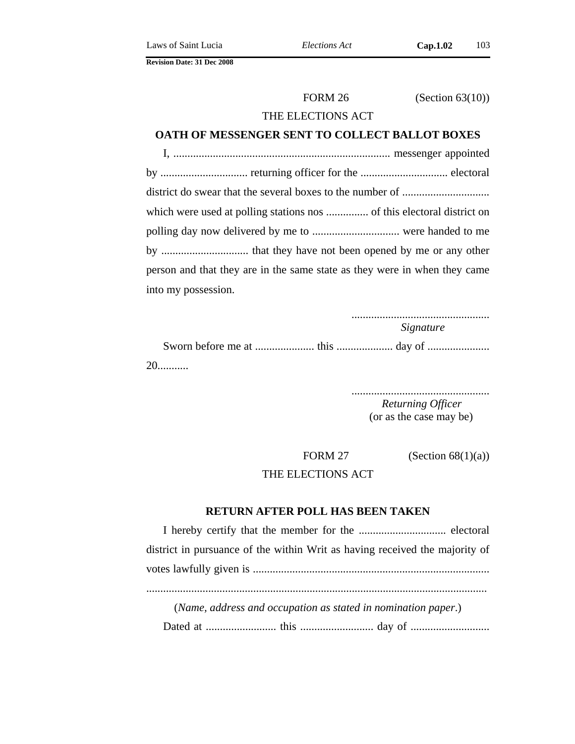FORM 26 (Section 63(10))

## THE ELECTIONS ACT

#### **OATH OF MESSENGER SENT TO COLLECT BALLOT BOXES**

I, ............................................................................. messenger appointed by ............................... returning officer for the ............................... electoral district do swear that the several boxes to the number of ............................... which were used at polling stations nos ............... of this electoral district on polling day now delivered by me to ............................... were handed to me by ............................... that they have not been opened by me or any other person and that they are in the same state as they were in when they came into my possession.

.................................................

*Signature*

Sworn before me at ..................... this .................... day of ...................... 20...........

> ................................................. *Returning Officer* (or as the case may be)

FORM 27 (Section  $68(1)(a)$ )

THE ELECTIONS ACT

## **RETURN AFTER POLL HAS BEEN TAKEN**

I hereby certify that the member for the ............................... electoral district in pursuance of the within Writ as having received the majority of votes lawfully given is .................................................................................... ......................................................................................................................... (*Name, address and occupation as stated in nomination paper*.)

Dated at ......................... this .......................... day of ............................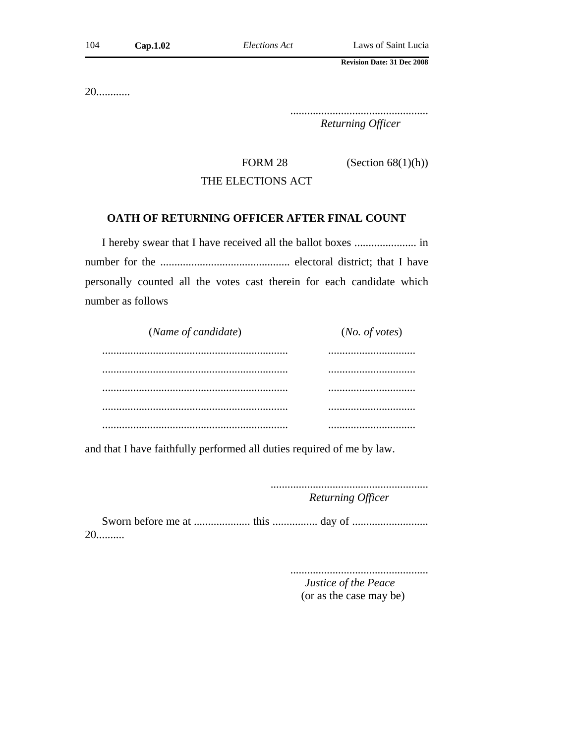20............

................................................. *Returning Officer*

FORM 28 (Section  $68(1)(h)$ )

# THE ELECTIONS ACT

## **OATH OF RETURNING OFFICER AFTER FINAL COUNT**

I hereby swear that I have received all the ballot boxes ...................... in number for the .............................................. electoral district; that I have personally counted all the votes cast therein for each candidate which number as follows

| (Name of candidate) | (No. of votes) |  |  |
|---------------------|----------------|--|--|
|                     |                |  |  |
|                     |                |  |  |
|                     |                |  |  |
|                     |                |  |  |
|                     |                |  |  |

and that I have faithfully performed all duties required of me by law.

........................................................ *Returning Officer*

Sworn before me at .................... this ................ day of ........................... 20..........

> ................................................. *Justice of the Peace*

(or as the case may be)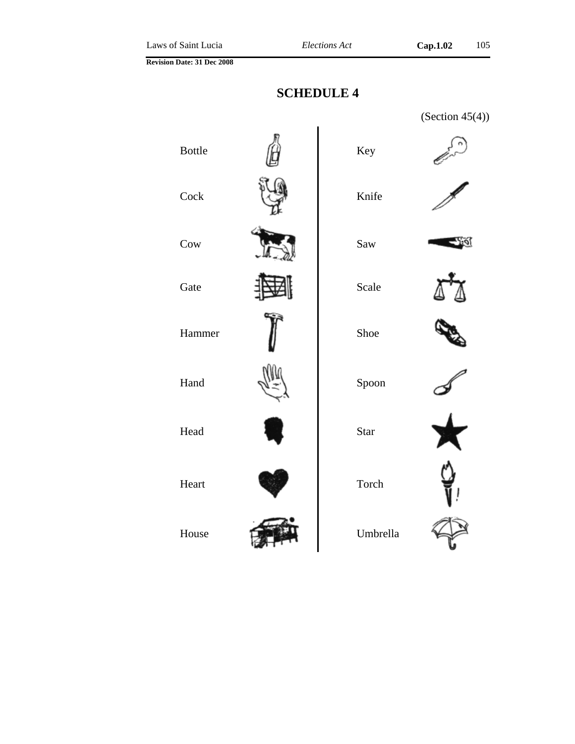# **SCHEDULE 4**

|               |          | (Section $45(4)$ ) |
|---------------|----------|--------------------|
| <b>Bottle</b> | Key      |                    |
| Cock          | Knife    |                    |
| Cow           | Saw      |                    |
| Gate          | Scale    |                    |
| Hammer        | Shoe     |                    |
| Hand          | Spoon    |                    |
| Head          | Star     |                    |
| Heart         | Torch    |                    |
| House         | Umbrella |                    |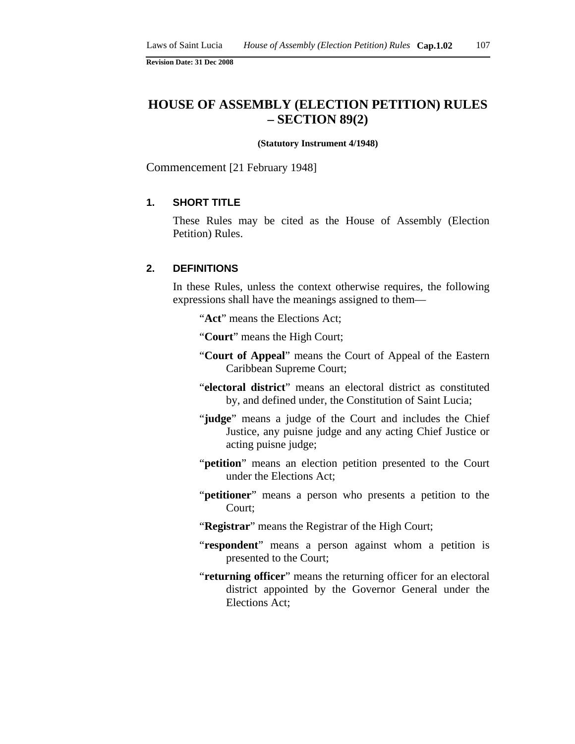# **HOUSE OF ASSEMBLY (ELECTION PETITION) RULES – SECTION 89(2)**

#### **(Statutory Instrument 4/1948)**

Commencement [21 February 1948]

## **1. SHORT TITLE**

These Rules may be cited as the House of Assembly (Election Petition) Rules.

#### **2. DEFINITIONS**

In these Rules, unless the context otherwise requires, the following expressions shall have the meanings assigned to them—

"**Act**" means the Elections Act;

"**Court**" means the High Court;

- "**Court of Appeal**" means the Court of Appeal of the Eastern Caribbean Supreme Court;
- "**electoral district**" means an electoral district as constituted by, and defined under, the Constitution of Saint Lucia;
- "**judge**" means a judge of the Court and includes the Chief Justice, any puisne judge and any acting Chief Justice or acting puisne judge;
- "**petition**" means an election petition presented to the Court under the Elections Act;
- "**petitioner**" means a person who presents a petition to the Court;
- "**Registrar**" means the Registrar of the High Court;
- "**respondent**" means a person against whom a petition is presented to the Court;
- "**returning officer**" means the returning officer for an electoral district appointed by the Governor General under the Elections Act;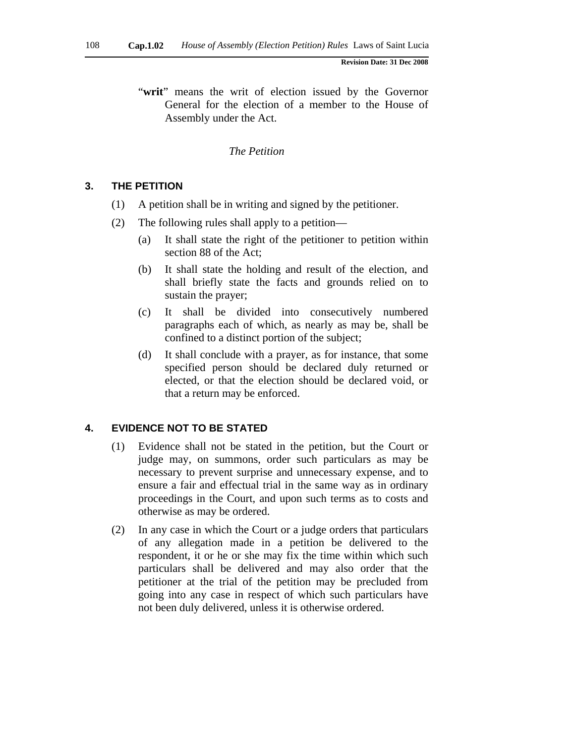"**writ**" means the writ of election issued by the Governor General for the election of a member to the House of Assembly under the Act.

#### *The Petition*

## **3. THE PETITION**

- (1) A petition shall be in writing and signed by the petitioner.
- (2) The following rules shall apply to a petition—
	- (a) It shall state the right of the petitioner to petition within section 88 of the Act;
	- (b) It shall state the holding and result of the election, and shall briefly state the facts and grounds relied on to sustain the prayer;
	- (c) It shall be divided into consecutively numbered paragraphs each of which, as nearly as may be, shall be confined to a distinct portion of the subject;
	- (d) It shall conclude with a prayer, as for instance, that some specified person should be declared duly returned or elected, or that the election should be declared void, or that a return may be enforced.

#### **4. EVIDENCE NOT TO BE STATED**

- (1) Evidence shall not be stated in the petition, but the Court or judge may, on summons, order such particulars as may be necessary to prevent surprise and unnecessary expense, and to ensure a fair and effectual trial in the same way as in ordinary proceedings in the Court, and upon such terms as to costs and otherwise as may be ordered.
- (2) In any case in which the Court or a judge orders that particulars of any allegation made in a petition be delivered to the respondent, it or he or she may fix the time within which such particulars shall be delivered and may also order that the petitioner at the trial of the petition may be precluded from going into any case in respect of which such particulars have not been duly delivered, unless it is otherwise ordered.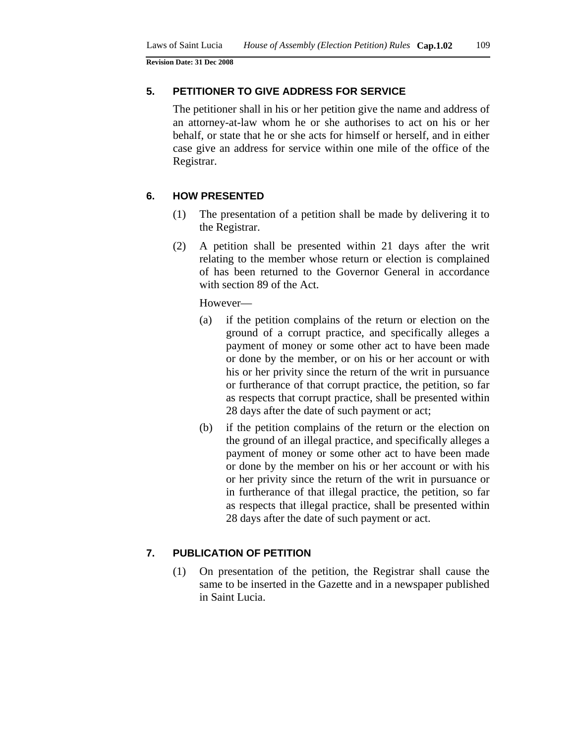#### **5. PETITIONER TO GIVE ADDRESS FOR SERVICE**

The petitioner shall in his or her petition give the name and address of an attorney-at-law whom he or she authorises to act on his or her behalf, or state that he or she acts for himself or herself, and in either case give an address for service within one mile of the office of the Registrar.

#### **6. HOW PRESENTED**

- (1) The presentation of a petition shall be made by delivering it to the Registrar.
- (2) A petition shall be presented within 21 days after the writ relating to the member whose return or election is complained of has been returned to the Governor General in accordance with section 89 of the Act.

However—

- (a) if the petition complains of the return or election on the ground of a corrupt practice, and specifically alleges a payment of money or some other act to have been made or done by the member, or on his or her account or with his or her privity since the return of the writ in pursuance or furtherance of that corrupt practice, the petition, so far as respects that corrupt practice, shall be presented within 28 days after the date of such payment or act;
- (b) if the petition complains of the return or the election on the ground of an illegal practice, and specifically alleges a payment of money or some other act to have been made or done by the member on his or her account or with his or her privity since the return of the writ in pursuance or in furtherance of that illegal practice, the petition, so far as respects that illegal practice, shall be presented within 28 days after the date of such payment or act.

## **7. PUBLICATION OF PETITION**

(1) On presentation of the petition, the Registrar shall cause the same to be inserted in the Gazette and in a newspaper published in Saint Lucia.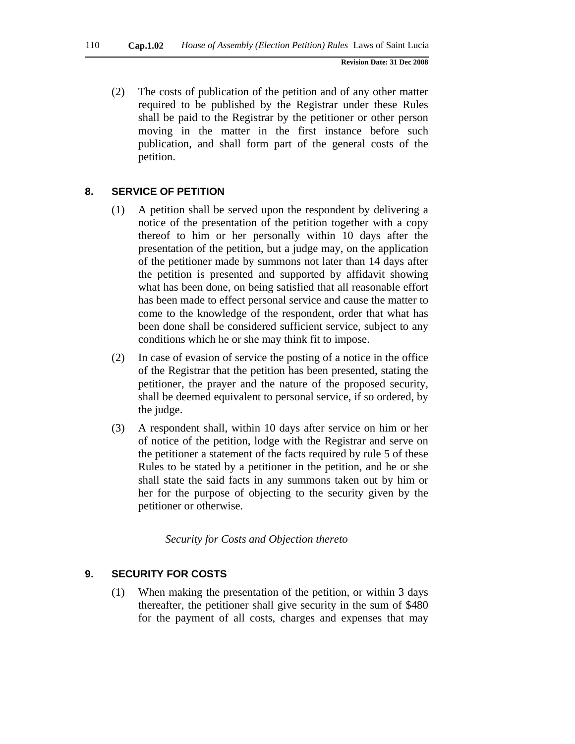(2) The costs of publication of the petition and of any other matter required to be published by the Registrar under these Rules shall be paid to the Registrar by the petitioner or other person moving in the matter in the first instance before such publication, and shall form part of the general costs of the petition.

## **8. SERVICE OF PETITION**

- (1) A petition shall be served upon the respondent by delivering a notice of the presentation of the petition together with a copy thereof to him or her personally within 10 days after the presentation of the petition, but a judge may, on the application of the petitioner made by summons not later than 14 days after the petition is presented and supported by affidavit showing what has been done, on being satisfied that all reasonable effort has been made to effect personal service and cause the matter to come to the knowledge of the respondent, order that what has been done shall be considered sufficient service, subject to any conditions which he or she may think fit to impose.
- (2) In case of evasion of service the posting of a notice in the office of the Registrar that the petition has been presented, stating the petitioner, the prayer and the nature of the proposed security, shall be deemed equivalent to personal service, if so ordered, by the judge.
- (3) A respondent shall, within 10 days after service on him or her of notice of the petition, lodge with the Registrar and serve on the petitioner a statement of the facts required by rule 5 of these Rules to be stated by a petitioner in the petition, and he or she shall state the said facts in any summons taken out by him or her for the purpose of objecting to the security given by the petitioner or otherwise.

*Security for Costs and Objection thereto* 

#### **9. SECURITY FOR COSTS**

(1) When making the presentation of the petition, or within 3 days thereafter, the petitioner shall give security in the sum of \$480 for the payment of all costs, charges and expenses that may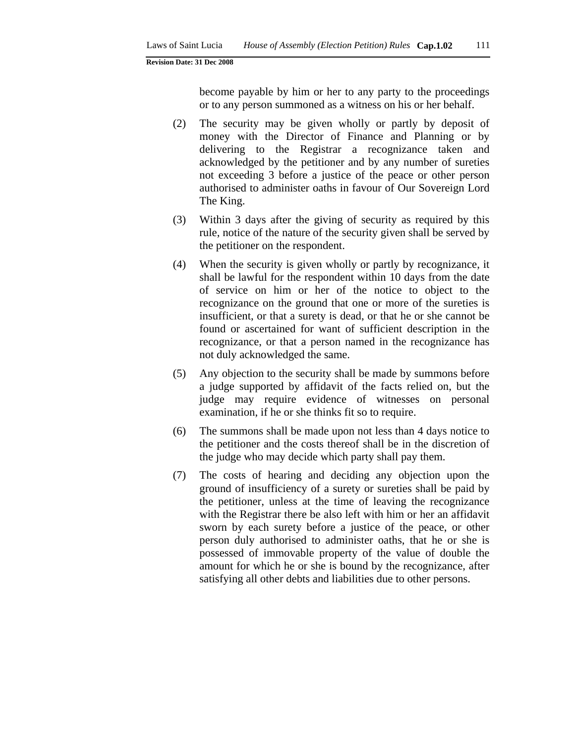become payable by him or her to any party to the proceedings or to any person summoned as a witness on his or her behalf.

- (2) The security may be given wholly or partly by deposit of money with the Director of Finance and Planning or by delivering to the Registrar a recognizance taken and acknowledged by the petitioner and by any number of sureties not exceeding 3 before a justice of the peace or other person authorised to administer oaths in favour of Our Sovereign Lord The King.
- (3) Within 3 days after the giving of security as required by this rule, notice of the nature of the security given shall be served by the petitioner on the respondent.
- (4) When the security is given wholly or partly by recognizance, it shall be lawful for the respondent within 10 days from the date of service on him or her of the notice to object to the recognizance on the ground that one or more of the sureties is insufficient, or that a surety is dead, or that he or she cannot be found or ascertained for want of sufficient description in the recognizance, or that a person named in the recognizance has not duly acknowledged the same.
- (5) Any objection to the security shall be made by summons before a judge supported by affidavit of the facts relied on, but the judge may require evidence of witnesses on personal examination, if he or she thinks fit so to require.
- (6) The summons shall be made upon not less than 4 days notice to the petitioner and the costs thereof shall be in the discretion of the judge who may decide which party shall pay them.
- (7) The costs of hearing and deciding any objection upon the ground of insufficiency of a surety or sureties shall be paid by the petitioner, unless at the time of leaving the recognizance with the Registrar there be also left with him or her an affidavit sworn by each surety before a justice of the peace, or other person duly authorised to administer oaths, that he or she is possessed of immovable property of the value of double the amount for which he or she is bound by the recognizance, after satisfying all other debts and liabilities due to other persons.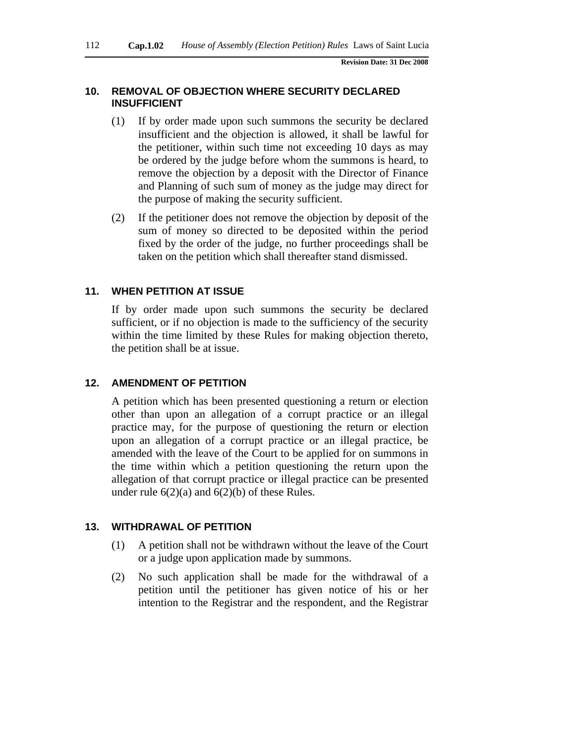#### **10. REMOVAL OF OBJECTION WHERE SECURITY DECLARED INSUFFICIENT**

- (1) If by order made upon such summons the security be declared insufficient and the objection is allowed, it shall be lawful for the petitioner, within such time not exceeding 10 days as may be ordered by the judge before whom the summons is heard, to remove the objection by a deposit with the Director of Finance and Planning of such sum of money as the judge may direct for the purpose of making the security sufficient.
- (2) If the petitioner does not remove the objection by deposit of the sum of money so directed to be deposited within the period fixed by the order of the judge, no further proceedings shall be taken on the petition which shall thereafter stand dismissed.

#### **11. WHEN PETITION AT ISSUE**

If by order made upon such summons the security be declared sufficient, or if no objection is made to the sufficiency of the security within the time limited by these Rules for making objection thereto, the petition shall be at issue.

#### **12. AMENDMENT OF PETITION**

A petition which has been presented questioning a return or election other than upon an allegation of a corrupt practice or an illegal practice may, for the purpose of questioning the return or election upon an allegation of a corrupt practice or an illegal practice, be amended with the leave of the Court to be applied for on summons in the time within which a petition questioning the return upon the allegation of that corrupt practice or illegal practice can be presented under rule  $6(2)(a)$  and  $6(2)(b)$  of these Rules.

#### **13. WITHDRAWAL OF PETITION**

- (1) A petition shall not be withdrawn without the leave of the Court or a judge upon application made by summons.
- (2) No such application shall be made for the withdrawal of a petition until the petitioner has given notice of his or her intention to the Registrar and the respondent, and the Registrar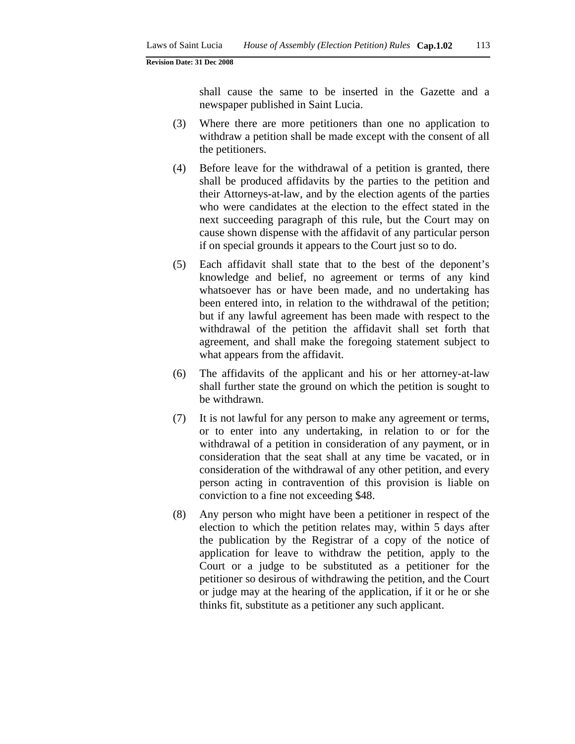shall cause the same to be inserted in the Gazette and a newspaper published in Saint Lucia.

- (3) Where there are more petitioners than one no application to withdraw a petition shall be made except with the consent of all the petitioners.
- (4) Before leave for the withdrawal of a petition is granted, there shall be produced affidavits by the parties to the petition and their Attorneys-at-law, and by the election agents of the parties who were candidates at the election to the effect stated in the next succeeding paragraph of this rule, but the Court may on cause shown dispense with the affidavit of any particular person if on special grounds it appears to the Court just so to do.
- (5) Each affidavit shall state that to the best of the deponent's knowledge and belief, no agreement or terms of any kind whatsoever has or have been made, and no undertaking has been entered into, in relation to the withdrawal of the petition; but if any lawful agreement has been made with respect to the withdrawal of the petition the affidavit shall set forth that agreement, and shall make the foregoing statement subject to what appears from the affidavit.
- (6) The affidavits of the applicant and his or her attorney-at-law shall further state the ground on which the petition is sought to be withdrawn.
- (7) It is not lawful for any person to make any agreement or terms, or to enter into any undertaking, in relation to or for the withdrawal of a petition in consideration of any payment, or in consideration that the seat shall at any time be vacated, or in consideration of the withdrawal of any other petition, and every person acting in contravention of this provision is liable on conviction to a fine not exceeding \$48.
- (8) Any person who might have been a petitioner in respect of the election to which the petition relates may, within 5 days after the publication by the Registrar of a copy of the notice of application for leave to withdraw the petition, apply to the Court or a judge to be substituted as a petitioner for the petitioner so desirous of withdrawing the petition, and the Court or judge may at the hearing of the application, if it or he or she thinks fit, substitute as a petitioner any such applicant.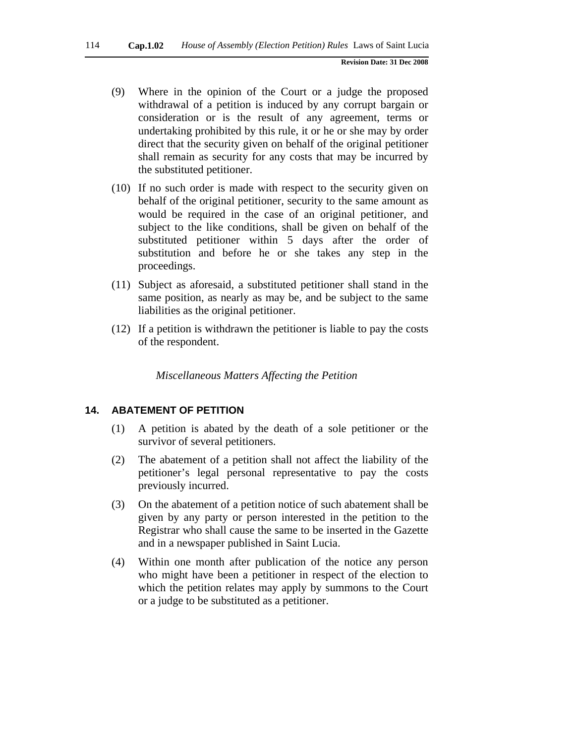- (9) Where in the opinion of the Court or a judge the proposed withdrawal of a petition is induced by any corrupt bargain or consideration or is the result of any agreement, terms or undertaking prohibited by this rule, it or he or she may by order direct that the security given on behalf of the original petitioner shall remain as security for any costs that may be incurred by the substituted petitioner.
- (10) If no such order is made with respect to the security given on behalf of the original petitioner, security to the same amount as would be required in the case of an original petitioner, and subject to the like conditions, shall be given on behalf of the substituted petitioner within 5 days after the order of substitution and before he or she takes any step in the proceedings.
- (11) Subject as aforesaid, a substituted petitioner shall stand in the same position, as nearly as may be, and be subject to the same liabilities as the original petitioner.
- (12) If a petition is withdrawn the petitioner is liable to pay the costs of the respondent.

*Miscellaneous Matters Affecting the Petition* 

#### **14. ABATEMENT OF PETITION**

- (1) A petition is abated by the death of a sole petitioner or the survivor of several petitioners.
- (2) The abatement of a petition shall not affect the liability of the petitioner's legal personal representative to pay the costs previously incurred.
- (3) On the abatement of a petition notice of such abatement shall be given by any party or person interested in the petition to the Registrar who shall cause the same to be inserted in the Gazette and in a newspaper published in Saint Lucia.
- (4) Within one month after publication of the notice any person who might have been a petitioner in respect of the election to which the petition relates may apply by summons to the Court or a judge to be substituted as a petitioner.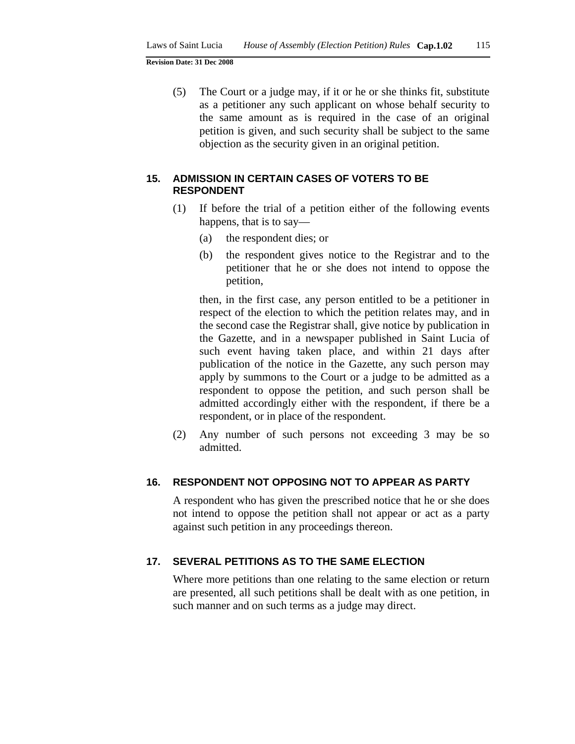(5) The Court or a judge may, if it or he or she thinks fit, substitute as a petitioner any such applicant on whose behalf security to the same amount as is required in the case of an original petition is given, and such security shall be subject to the same objection as the security given in an original petition.

#### **15. ADMISSION IN CERTAIN CASES OF VOTERS TO BE RESPONDENT**

- (1) If before the trial of a petition either of the following events happens, that is to say—
	- (a) the respondent dies; or
	- (b) the respondent gives notice to the Registrar and to the petitioner that he or she does not intend to oppose the petition,

then, in the first case, any person entitled to be a petitioner in respect of the election to which the petition relates may, and in the second case the Registrar shall, give notice by publication in the Gazette, and in a newspaper published in Saint Lucia of such event having taken place, and within 21 days after publication of the notice in the Gazette, any such person may apply by summons to the Court or a judge to be admitted as a respondent to oppose the petition, and such person shall be admitted accordingly either with the respondent, if there be a respondent, or in place of the respondent.

(2) Any number of such persons not exceeding 3 may be so admitted.

#### **16. RESPONDENT NOT OPPOSING NOT TO APPEAR AS PARTY**

A respondent who has given the prescribed notice that he or she does not intend to oppose the petition shall not appear or act as a party against such petition in any proceedings thereon.

## **17. SEVERAL PETITIONS AS TO THE SAME ELECTION**

Where more petitions than one relating to the same election or return are presented, all such petitions shall be dealt with as one petition, in such manner and on such terms as a judge may direct.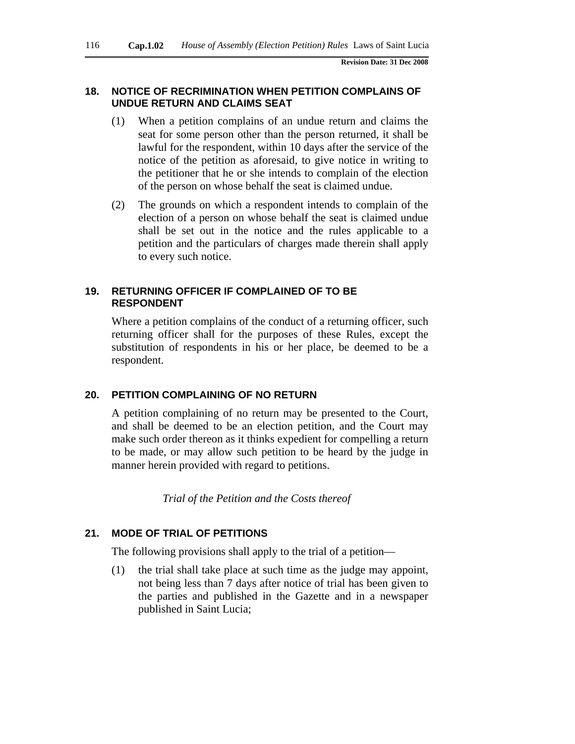#### **18. NOTICE OF RECRIMINATION WHEN PETITION COMPLAINS OF UNDUE RETURN AND CLAIMS SEAT**

- (1) When a petition complains of an undue return and claims the seat for some person other than the person returned, it shall be lawful for the respondent, within 10 days after the service of the notice of the petition as aforesaid, to give notice in writing to the petitioner that he or she intends to complain of the election of the person on whose behalf the seat is claimed undue.
- (2) The grounds on which a respondent intends to complain of the election of a person on whose behalf the seat is claimed undue shall be set out in the notice and the rules applicable to a petition and the particulars of charges made therein shall apply to every such notice.

## **19. RETURNING OFFICER IF COMPLAINED OF TO BE RESPONDENT**

Where a petition complains of the conduct of a returning officer, such returning officer shall for the purposes of these Rules, except the substitution of respondents in his or her place, be deemed to be a respondent.

#### **20. PETITION COMPLAINING OF NO RETURN**

A petition complaining of no return may be presented to the Court, and shall be deemed to be an election petition, and the Court may make such order thereon as it thinks expedient for compelling a return to be made, or may allow such petition to be heard by the judge in manner herein provided with regard to petitions.

*Trial of the Petition and the Costs thereof* 

#### **21. MODE OF TRIAL OF PETITIONS**

The following provisions shall apply to the trial of a petition—

(1) the trial shall take place at such time as the judge may appoint, not being less than 7 days after notice of trial has been given to the parties and published in the Gazette and in a newspaper published in Saint Lucia;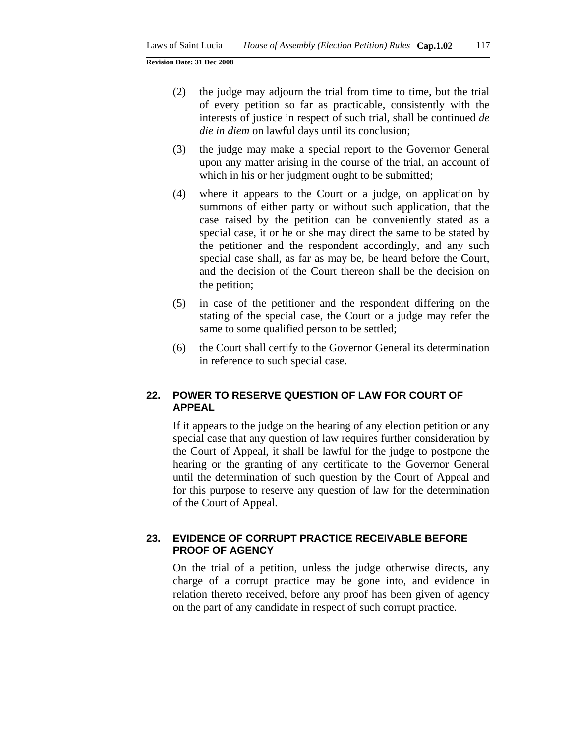- (2) the judge may adjourn the trial from time to time, but the trial of every petition so far as practicable, consistently with the interests of justice in respect of such trial, shall be continued *de die in diem* on lawful days until its conclusion;
- (3) the judge may make a special report to the Governor General upon any matter arising in the course of the trial, an account of which in his or her judgment ought to be submitted;
- (4) where it appears to the Court or a judge, on application by summons of either party or without such application, that the case raised by the petition can be conveniently stated as a special case, it or he or she may direct the same to be stated by the petitioner and the respondent accordingly, and any such special case shall, as far as may be, be heard before the Court, and the decision of the Court thereon shall be the decision on the petition;
- (5) in case of the petitioner and the respondent differing on the stating of the special case, the Court or a judge may refer the same to some qualified person to be settled;
- (6) the Court shall certify to the Governor General its determination in reference to such special case.

## **22. POWER TO RESERVE QUESTION OF LAW FOR COURT OF APPEAL**

If it appears to the judge on the hearing of any election petition or any special case that any question of law requires further consideration by the Court of Appeal, it shall be lawful for the judge to postpone the hearing or the granting of any certificate to the Governor General until the determination of such question by the Court of Appeal and for this purpose to reserve any question of law for the determination of the Court of Appeal.

## **23. EVIDENCE OF CORRUPT PRACTICE RECEIVABLE BEFORE PROOF OF AGENCY**

On the trial of a petition, unless the judge otherwise directs, any charge of a corrupt practice may be gone into, and evidence in relation thereto received, before any proof has been given of agency on the part of any candidate in respect of such corrupt practice.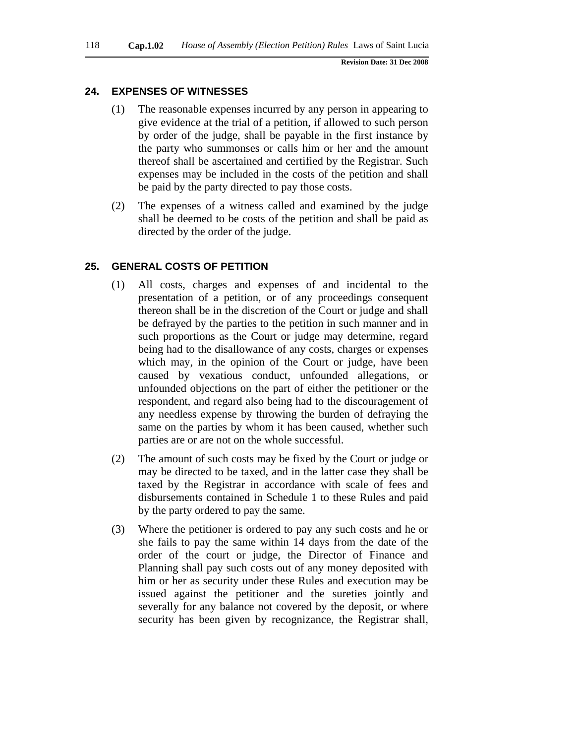## **24. EXPENSES OF WITNESSES**

- (1) The reasonable expenses incurred by any person in appearing to give evidence at the trial of a petition, if allowed to such person by order of the judge, shall be payable in the first instance by the party who summonses or calls him or her and the amount thereof shall be ascertained and certified by the Registrar. Such expenses may be included in the costs of the petition and shall be paid by the party directed to pay those costs.
- (2) The expenses of a witness called and examined by the judge shall be deemed to be costs of the petition and shall be paid as directed by the order of the judge.

## **25. GENERAL COSTS OF PETITION**

- (1) All costs, charges and expenses of and incidental to the presentation of a petition, or of any proceedings consequent thereon shall be in the discretion of the Court or judge and shall be defrayed by the parties to the petition in such manner and in such proportions as the Court or judge may determine, regard being had to the disallowance of any costs, charges or expenses which may, in the opinion of the Court or judge, have been caused by vexatious conduct, unfounded allegations, or unfounded objections on the part of either the petitioner or the respondent, and regard also being had to the discouragement of any needless expense by throwing the burden of defraying the same on the parties by whom it has been caused, whether such parties are or are not on the whole successful.
- (2) The amount of such costs may be fixed by the Court or judge or may be directed to be taxed, and in the latter case they shall be taxed by the Registrar in accordance with scale of fees and disbursements contained in Schedule 1 to these Rules and paid by the party ordered to pay the same.
- (3) Where the petitioner is ordered to pay any such costs and he or she fails to pay the same within 14 days from the date of the order of the court or judge, the Director of Finance and Planning shall pay such costs out of any money deposited with him or her as security under these Rules and execution may be issued against the petitioner and the sureties jointly and severally for any balance not covered by the deposit, or where security has been given by recognizance, the Registrar shall,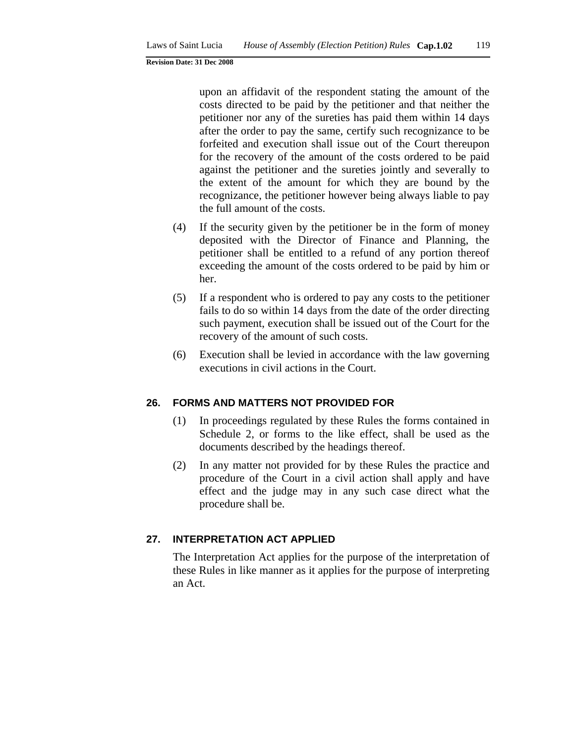upon an affidavit of the respondent stating the amount of the costs directed to be paid by the petitioner and that neither the petitioner nor any of the sureties has paid them within 14 days after the order to pay the same, certify such recognizance to be forfeited and execution shall issue out of the Court thereupon for the recovery of the amount of the costs ordered to be paid against the petitioner and the sureties jointly and severally to the extent of the amount for which they are bound by the recognizance, the petitioner however being always liable to pay the full amount of the costs.

- (4) If the security given by the petitioner be in the form of money deposited with the Director of Finance and Planning, the petitioner shall be entitled to a refund of any portion thereof exceeding the amount of the costs ordered to be paid by him or her.
- (5) If a respondent who is ordered to pay any costs to the petitioner fails to do so within 14 days from the date of the order directing such payment, execution shall be issued out of the Court for the recovery of the amount of such costs.
- (6) Execution shall be levied in accordance with the law governing executions in civil actions in the Court.

#### **26. FORMS AND MATTERS NOT PROVIDED FOR**

- (1) In proceedings regulated by these Rules the forms contained in Schedule 2, or forms to the like effect, shall be used as the documents described by the headings thereof.
- (2) In any matter not provided for by these Rules the practice and procedure of the Court in a civil action shall apply and have effect and the judge may in any such case direct what the procedure shall be.

## **27. INTERPRETATION ACT APPLIED**

The Interpretation Act applies for the purpose of the interpretation of these Rules in like manner as it applies for the purpose of interpreting an Act.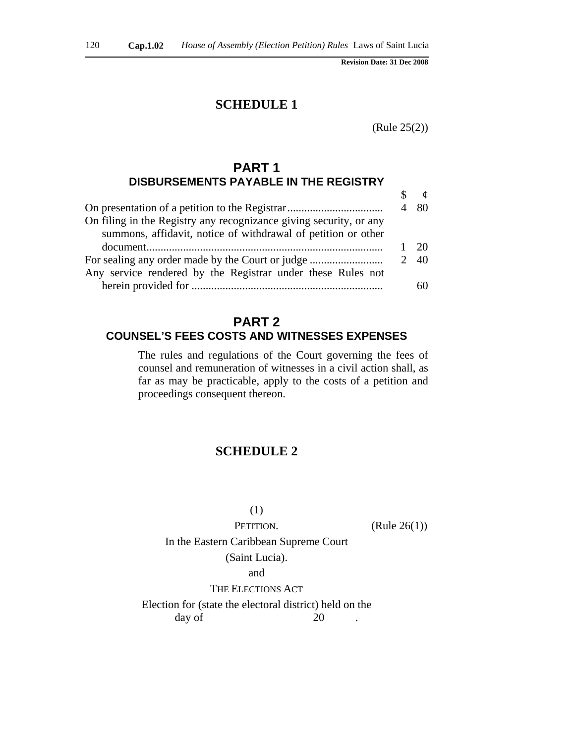## **SCHEDULE 1**

(Rule 25(2))

## **PART 1 DISBURSEMENTS PAYABLE IN THE REGISTRY**

| On filing in the Registry any recognizance giving security, or any<br>summons, affidavit, notice of withdrawal of petition or other |      |
|-------------------------------------------------------------------------------------------------------------------------------------|------|
|                                                                                                                                     |      |
| For sealing any order made by the Court or judge<br>Any service rendered by the Registrar under these Rules not                     | 2 40 |
|                                                                                                                                     |      |

## **PART 2 COUNSEL'S FEES COSTS AND WITNESSES EXPENSES**

The rules and regulations of the Court governing the fees of counsel and remuneration of witnesses in a civil action shall, as far as may be practicable, apply to the costs of a petition and proceedings consequent thereon.

# **SCHEDULE 2**

(1)

PETITION. (Rule 26(1))

In the Eastern Caribbean Supreme Court (Saint Lucia). and THE ELECTIONS ACT Election for (state the electoral district) held on the

day of 20 .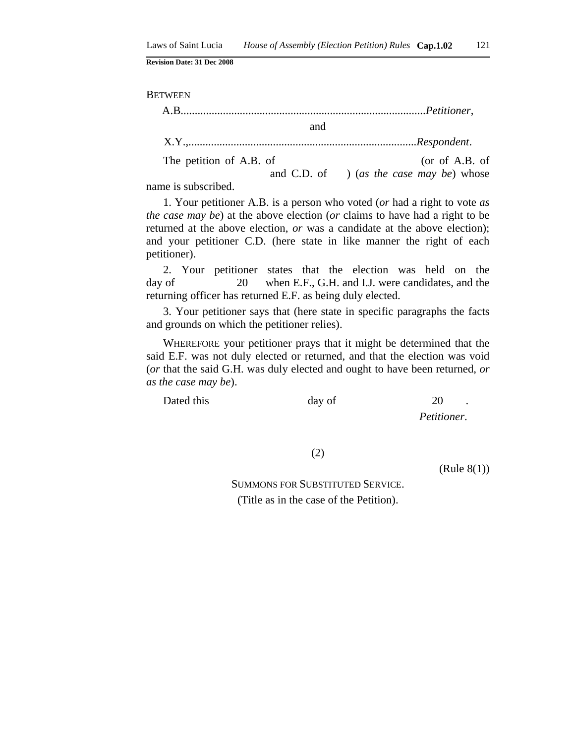**BETWEEN** 

| and                     |                                          |
|-------------------------|------------------------------------------|
|                         |                                          |
| The petition of A.B. of | (or of A.B. of                           |
|                         | and C.D. of ) (as the case may be) whose |

name is subscribed.

1. Your petitioner A.B. is a person who voted (*or* had a right to vote *as the case may be*) at the above election (*or* claims to have had a right to be returned at the above election, *or* was a candidate at the above election); and your petitioner C.D. (here state in like manner the right of each petitioner).

2. Your petitioner states that the election was held on the day of 20 when E.F., G.H. and I.J. were candidates, and the returning officer has returned E.F. as being duly elected.

3. Your petitioner says that (here state in specific paragraphs the facts and grounds on which the petitioner relies).

WHEREFORE your petitioner prays that it might be determined that the said E.F. was not duly elected or returned, and that the election was void (*or* that the said G.H. was duly elected and ought to have been returned, *or as the case may be*).

Dated this day of 20

*Petitioner*.

(2)

(Rule 8(1))

SUMMONS FOR SUBSTITUTED SERVICE. (Title as in the case of the Petition).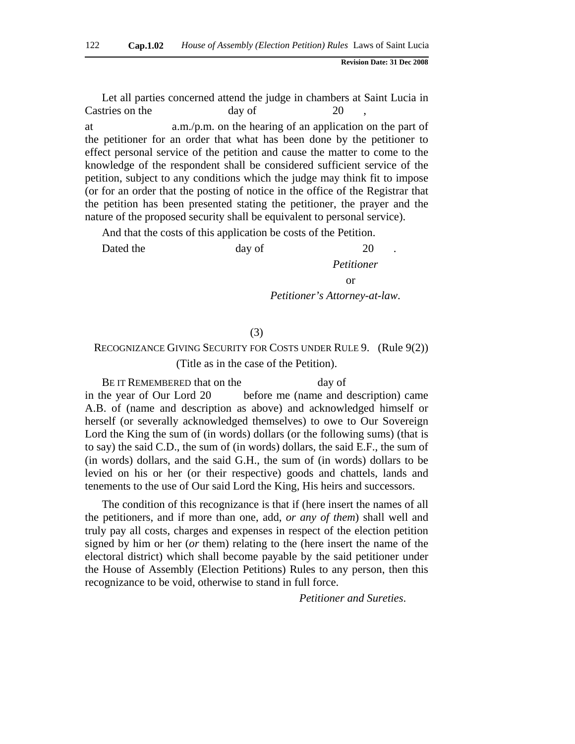Let all parties concerned attend the judge in chambers at Saint Lucia in Castries on the day of 20 at a.m./p.m. on the hearing of an application on the part of the petitioner for an order that what has been done by the petitioner to effect personal service of the petition and cause the matter to come to the knowledge of the respondent shall be considered sufficient service of the petition, subject to any conditions which the judge may think fit to impose (or for an order that the posting of notice in the office of the Registrar that the petition has been presented stating the petitioner, the prayer and the nature of the proposed security shall be equivalent to personal service).

And that the costs of this application be costs of the Petition.

Dated the day of 20

*Petitioner*

or

*Petitioner's Attorney-at-law*.

#### (3)

# RECOGNIZANCE GIVING SECURITY FOR COSTS UNDER RULE 9. (Rule 9(2))

(Title as in the case of the Petition).

BE IT REMEMBERED that on the day of in the year of Our Lord 20 before me (name and description) came A.B. of (name and description as above) and acknowledged himself or herself (or severally acknowledged themselves) to owe to Our Sovereign Lord the King the sum of (in words) dollars (or the following sums) (that is to say) the said C.D., the sum of (in words) dollars, the said E.F., the sum of (in words) dollars, and the said G.H., the sum of (in words) dollars to be levied on his or her (or their respective) goods and chattels, lands and tenements to the use of Our said Lord the King, His heirs and successors.

The condition of this recognizance is that if (here insert the names of all the petitioners, and if more than one, add, *or any of them*) shall well and truly pay all costs, charges and expenses in respect of the election petition signed by him or her (*or* them) relating to the (here insert the name of the electoral district) which shall become payable by the said petitioner under the House of Assembly (Election Petitions) Rules to any person, then this recognizance to be void, otherwise to stand in full force.

*Petitioner and Sureties*.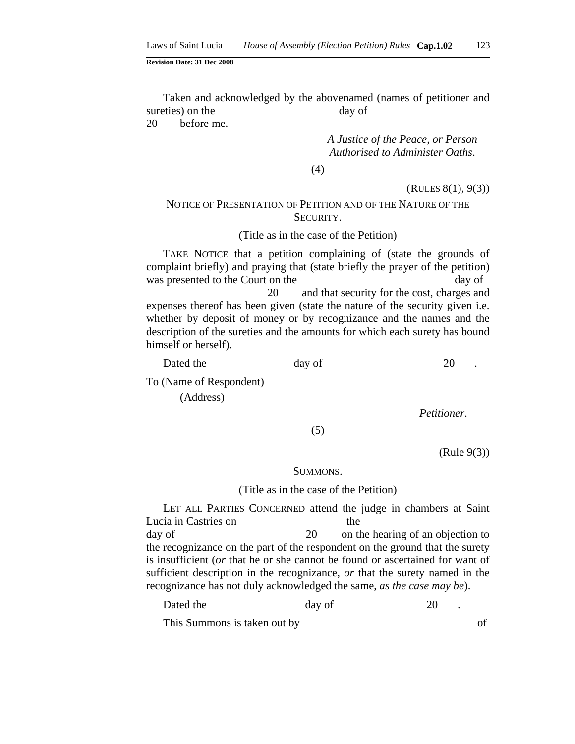Taken and acknowledged by the abovenamed (names of petitioner and sureties) on the day of 20 before me.

> *A Justice of the Peace, or Person Authorised to Administer Oaths*.

(4)

#### (RULES 8(1), 9(3))

## NOTICE OF PRESENTATION OF PETITION AND OF THE NATURE OF THE SECURITY.

#### (Title as in the case of the Petition)

TAKE NOTICE that a petition complaining of (state the grounds of complaint briefly) and praying that (state briefly the prayer of the petition) was presented to the Court on the day of 20 and that security for the cost, charges and expenses thereof has been given (state the nature of the security given i.e. whether by deposit of money or by recognizance and the names and the description of the sureties and the amounts for which each surety has bound himself or herself).

Dated the day of 20 To (Name of Respondent) (Address)

*Petitioner*.

(5)

(Rule 9(3))

#### SUMMONS.

#### (Title as in the case of the Petition)

LET ALL PARTIES CONCERNED attend the judge in chambers at Saint Lucia in Castries on the day of 20 on the hearing of an objection to the recognizance on the part of the respondent on the ground that the surety is insufficient (*or* that he or she cannot be found or ascertained for want of sufficient description in the recognizance, *or* that the surety named in the

Dated the day of 20

recognizance has not duly acknowledged the same, *as the case may be*).

This Summons is taken out by of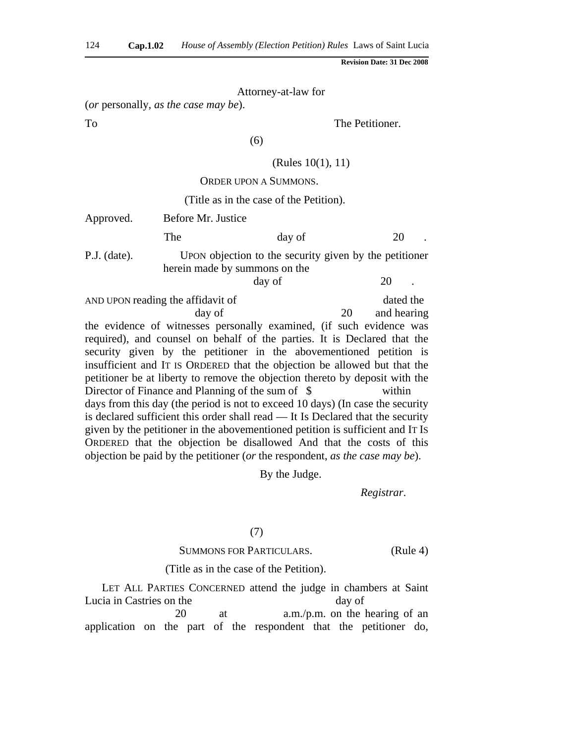Attorney-at-law for

(*or* personally, *as the case may be*).

To The Petitioner.

(6)

## (Rules 10(1), 11)

## ORDER UPON A SUMMONS.

#### (Title as in the case of the Petition).

| Approved.      | Before Mr. Justice                                |                                                                                                                                                                                                                                                                                                                                                                                     |    |                          |
|----------------|---------------------------------------------------|-------------------------------------------------------------------------------------------------------------------------------------------------------------------------------------------------------------------------------------------------------------------------------------------------------------------------------------------------------------------------------------|----|--------------------------|
|                | The                                               | day of                                                                                                                                                                                                                                                                                                                                                                              |    | 20                       |
| $P.J.$ (date). | herein made by summons on the                     | UPON objection to the security given by the petitioner<br>day of                                                                                                                                                                                                                                                                                                                    |    | 20                       |
|                | AND UPON reading the affidavit of<br>day of       |                                                                                                                                                                                                                                                                                                                                                                                     | 20 | dated the<br>and hearing |
|                |                                                   | the evidence of witnesses personally examined, (if such evidence was<br>required), and counsel on behalf of the parties. It is Declared that the<br>security given by the petitioner in the abovementioned petition is<br>insufficient and IT IS ORDERED that the objection be allowed but that the<br>petitioner be at liberty to remove the objection thereto by deposit with the |    |                          |
|                | Director of Finance and Planning of the sum of \$ |                                                                                                                                                                                                                                                                                                                                                                                     |    | within                   |
|                |                                                   | days from this day (the period is not to exceed 10 days) (In case the security<br>is declared sufficient this order shall read — It Is Declared that the security<br>given by the petitioner in the abovementioned petition is sufficient and IT Is                                                                                                                                 |    |                          |

By the Judge.

*Registrar*.

#### (7)

ORDERED that the objection be disallowed And that the costs of this objection be paid by the petitioner (*or* the respondent, *as the case may be*).

## SUMMONS FOR PARTICULARS. (Rule 4)

#### (Title as in the case of the Petition).

LET ALL PARTIES CONCERNED attend the judge in chambers at Saint Lucia in Castries on the day of 20 at a.m./p.m. on the hearing of an application on the part of the respondent that the petitioner do,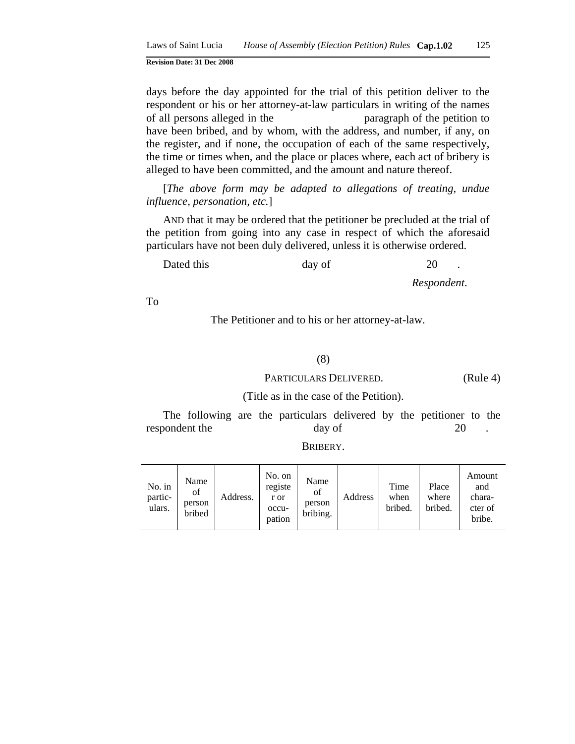days before the day appointed for the trial of this petition deliver to the respondent or his or her attorney-at-law particulars in writing of the names of all persons alleged in the paragraph of the petition to have been bribed, and by whom, with the address, and number, if any, on the register, and if none, the occupation of each of the same respectively, the time or times when, and the place or places where, each act of bribery is alleged to have been committed, and the amount and nature thereof.

[*The above form may be adapted to allegations of treating, undue influence, personation, etc.*]

AND that it may be ordered that the petitioner be precluded at the trial of the petition from going into any case in respect of which the aforesaid particulars have not been duly delivered, unless it is otherwise ordered.

Dated this day of 20

*Respondent*.

To

The Petitioner and to his or her attorney-at-law.

#### (8)

#### PARTICULARS DELIVERED. (Rule 4)

(Title as in the case of the Petition).

The following are the particulars delivered by the petitioner to the respondent the day of 20

| No. in<br>partic-<br>ulars. | Name<br>of<br>person<br>bribed | Address. | No. on<br>registe<br>r or<br>occu-<br>pation | Name<br>of<br>person<br>bribing. | Address | Time<br>when<br>bribed. | Place<br>where<br>bribed. | Amount<br>and<br>chara-<br>cter of<br>bribe. |
|-----------------------------|--------------------------------|----------|----------------------------------------------|----------------------------------|---------|-------------------------|---------------------------|----------------------------------------------|
|-----------------------------|--------------------------------|----------|----------------------------------------------|----------------------------------|---------|-------------------------|---------------------------|----------------------------------------------|

BRIBERY.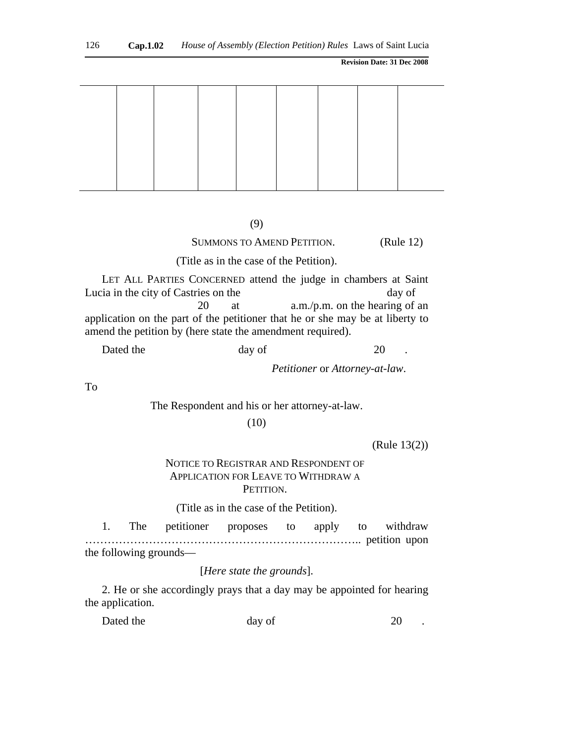#### (9)

## SUMMONS TO AMEND PETITION. (Rule 12)

(Title as in the case of the Petition).

LET ALL PARTIES CONCERNED attend the judge in chambers at Saint Lucia in the city of Castries on the day of 20 at a.m./p.m. on the hearing of an application on the part of the petitioner that he or she may be at liberty to amend the petition by (here state the amendment required).

Dated the day of 20

*Petitioner* or *Attorney-at-law*.

To

The Respondent and his or her attorney-at-law.

(10)

(Rule 13(2))

## NOTICE TO REGISTRAR AND RESPONDENT OF APPLICATION FOR LEAVE TO WITHDRAW A PETITION.

(Title as in the case of the Petition).

1. The petitioner proposes to apply to withdraw ……………………………………………………………….. petition upon the following grounds—

[*Here state the grounds*].

2. He or she accordingly prays that a day may be appointed for hearing the application.

| Dated the | day of | 20 |
|-----------|--------|----|
|-----------|--------|----|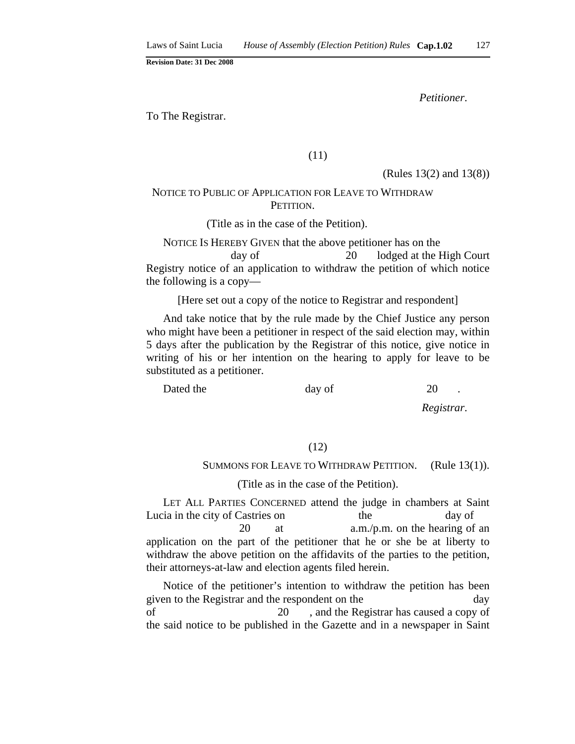*Petitioner*.

To The Registrar.

(11)

(Rules 13(2) and 13(8))

## NOTICE TO PUBLIC OF APPLICATION FOR LEAVE TO WITHDRAW PETITION.

(Title as in the case of the Petition).

NOTICE IS HEREBY GIVEN that the above petitioner has on the day of 20 lodged at the High Court Registry notice of an application to withdraw the petition of which notice the following is a copy—

[Here set out a copy of the notice to Registrar and respondent]

And take notice that by the rule made by the Chief Justice any person who might have been a petitioner in respect of the said election may, within 5 days after the publication by the Registrar of this notice, give notice in writing of his or her intention on the hearing to apply for leave to be substituted as a petitioner.

Dated the day of 20

*Registrar*.

#### (12)

#### SUMMONS FOR LEAVE TO WITHDRAW PETITION. (Rule 13(1)).

#### (Title as in the case of the Petition).

LET ALL PARTIES CONCERNED attend the judge in chambers at Saint Lucia in the city of Castries on the day of 20 at a.m./p.m. on the hearing of an application on the part of the petitioner that he or she be at liberty to withdraw the above petition on the affidavits of the parties to the petition, their attorneys-at-law and election agents filed herein.

Notice of the petitioner's intention to withdraw the petition has been given to the Registrar and the respondent on the day of 20 , and the Registrar has caused a copy of the said notice to be published in the Gazette and in a newspaper in Saint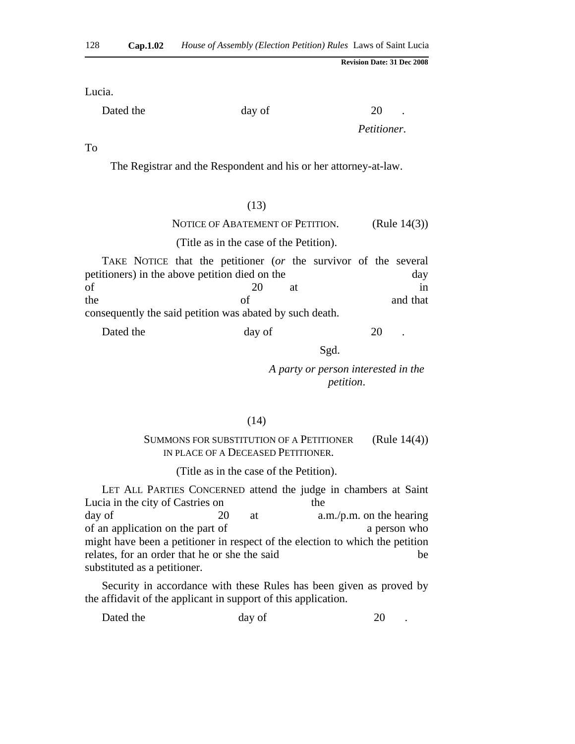Lucia.

Dated the day of 20

*Petitioner*.

To

The Registrar and the Respondent and his or her attorney-at-law.

#### (13)

#### NOTICE OF ABATEMENT OF PETITION. (Rule 14(3))

#### (Title as in the case of the Petition).

TAKE NOTICE that the petitioner (*or* the survivor of the several petitioners) in the above petition died on the day of 20 at in the of and that

consequently the said petition was abated by such death.

| Dated the<br>20<br>day of |  |
|---------------------------|--|
|---------------------------|--|

Sgd.

*A party or person interested in the petition*.

#### (14)

#### SUMMONS FOR SUBSTITUTION OF A PETITIONER IN PLACE OF A DECEASED PETITIONER. (Rule 14(4))

(Title as in the case of the Petition).

LET ALL PARTIES CONCERNED attend the judge in chambers at Saint Lucia in the city of Castries on the day of 20 at a.m./p.m. on the hearing of an application on the part of a person who contract the part of a person who contract a person who might have been a petitioner in respect of the election to which the petition relates, for an order that he or she the said be substituted as a petitioner.

Security in accordance with these Rules has been given as proved by the affidavit of the applicant in support of this application.

| Dated the<br>day of |  |
|---------------------|--|
|---------------------|--|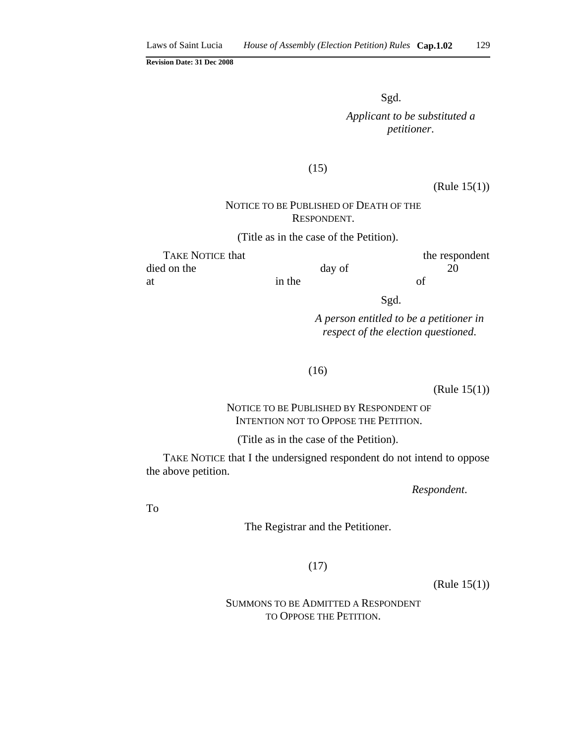Sgd.

*Applicant to be substituted a petitioner*.

#### (15)

(Rule 15(1))

## NOTICE TO BE PUBLISHED OF DEATH OF THE RESPONDENT.

(Title as in the case of the Petition).

| <b>TAKE NOTICE that</b> |        |        | the respondent |
|-------------------------|--------|--------|----------------|
| died on the             |        | day of |                |
| at                      | in the |        | οf             |

Sgd.

*A person entitled to be a petitioner in respect of the election questioned*.

(16)

(Rule 15(1))

## NOTICE TO BE PUBLISHED BY RESPONDENT OF INTENTION NOT TO OPPOSE THE PETITION.

(Title as in the case of the Petition).

TAKE NOTICE that I the undersigned respondent do not intend to oppose the above petition.

*Respondent*.

To

The Registrar and the Petitioner.

(17)

(Rule 15(1))

 SUMMONS TO BE ADMITTED A RESPONDENT TO OPPOSE THE PETITION.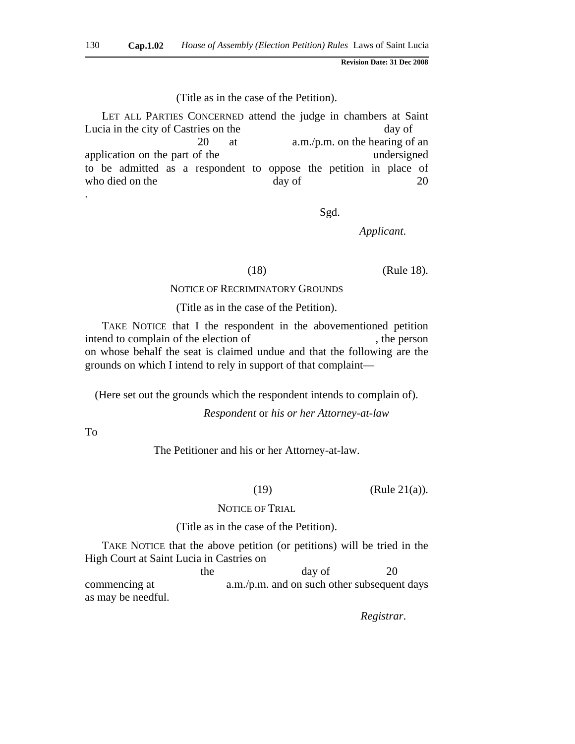#### (Title as in the case of the Petition).

LET ALL PARTIES CONCERNED attend the judge in chambers at Saint Lucia in the city of Castries on the day of 20 at a.m./p.m. on the hearing of an application on the part of the undersigned to be admitted as a respondent to oppose the petition in place of who died on the day of 20 .

Sgd.

*Applicant*.

(18) (Rule 18).

#### NOTICE OF RECRIMINATORY GROUNDS

(Title as in the case of the Petition).

TAKE NOTICE that I the respondent in the abovementioned petition intend to complain of the election of  $\blacksquare$ , the person on whose behalf the seat is claimed undue and that the following are the grounds on which I intend to rely in support of that complaint—

(Here set out the grounds which the respondent intends to complain of).

*Respondent* or *his or her Attorney-at-law*

To

The Petitioner and his or her Attorney-at-law.

(19)  $(Rule 21(a)).$ 

#### NOTICE OF TRIAL

#### (Title as in the case of the Petition).

TAKE NOTICE that the above petition (or petitions) will be tried in the High Court at Saint Lucia in Castries on

the day of 20 commencing at a.m./p.m. and on such other subsequent days as may be needful.

*Registrar*.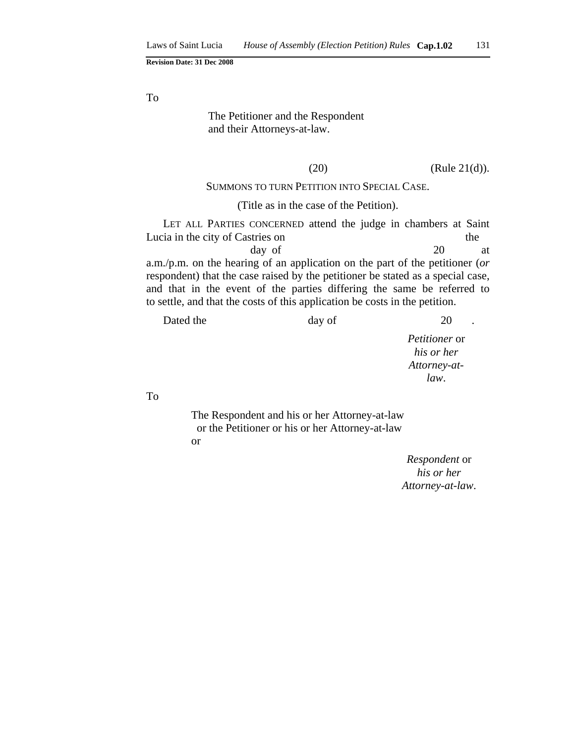To

## The Petitioner and the Respondent and their Attorneys-at-law.

 $(Rule 21(d)).$ 

#### SUMMONS TO TURN PETITION INTO SPECIAL CASE.

#### (Title as in the case of the Petition).

LET ALL PARTIES CONCERNED attend the judge in chambers at Saint Lucia in the city of Castries on the the state of  $\alpha$ day of 20 at a.m./p.m. on the hearing of an application on the part of the petitioner (*or* respondent) that the case raised by the petitioner be stated as a special case, and that in the event of the parties differing the same be referred to to settle, and that the costs of this application be costs in the petition.

*Petitioner* or *his or her Attorney-atlaw*.

To

The Respondent and his or her Attorney-at-law or the Petitioner or his or her Attorney-at-law or

> *Respondent* or *his or her Attorney-at-law*.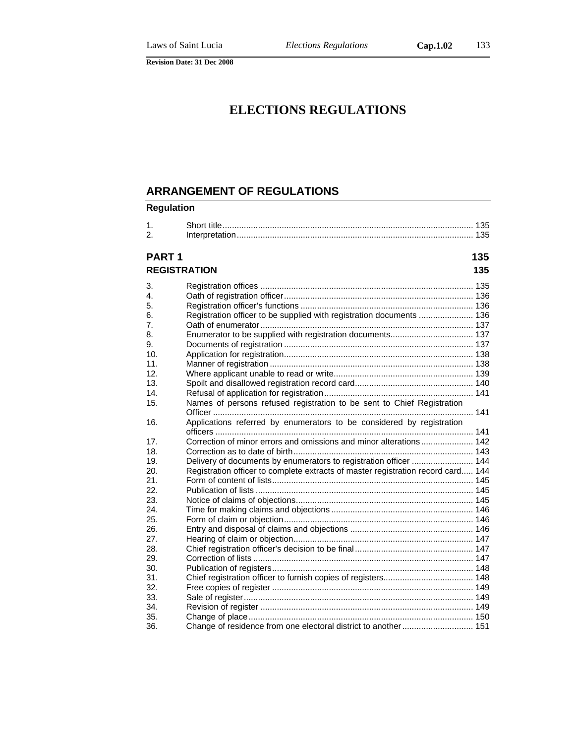# **ELECTIONS REGULATIONS**

## **ARRANGEMENT OF REGULATIONS**

## **Regulation**

| 1.<br>2.          |                                                                                  |     |
|-------------------|----------------------------------------------------------------------------------|-----|
| PART <sub>1</sub> |                                                                                  | 135 |
|                   | <b>REGISTRATION</b>                                                              | 135 |
| 3.                |                                                                                  |     |
| 4.                |                                                                                  |     |
| 5.                |                                                                                  |     |
| 6.                | Registration officer to be supplied with registration documents  136             |     |
| 7.                |                                                                                  |     |
| 8.                | Enumerator to be supplied with registration documents 137                        |     |
| 9.                |                                                                                  |     |
| 10.               |                                                                                  |     |
| 11.               |                                                                                  |     |
| 12.               |                                                                                  |     |
| 13.               |                                                                                  |     |
| 14.               |                                                                                  |     |
| 15.               | Names of persons refused registration to be sent to Chief Registration           |     |
|                   |                                                                                  |     |
| 16.               | Applications referred by enumerators to be considered by registration            |     |
|                   |                                                                                  |     |
| 17.               |                                                                                  |     |
| 18.               |                                                                                  |     |
| 19.               | Delivery of documents by enumerators to registration officer  144                |     |
| 20.               | Registration officer to complete extracts of master registration record card 144 |     |
| 21.               |                                                                                  |     |
| 22.               |                                                                                  |     |
| 23.               |                                                                                  |     |
| 24.               |                                                                                  |     |
| 25.               |                                                                                  |     |
| 26.               |                                                                                  |     |
| 27.               |                                                                                  |     |
| 28.               |                                                                                  |     |
| 29.               |                                                                                  |     |
| 30.               |                                                                                  |     |
| 31.               |                                                                                  |     |
| 32.               |                                                                                  |     |
| 33.               |                                                                                  |     |
| 34.               |                                                                                  |     |
| 35.               |                                                                                  |     |
| 36.               |                                                                                  |     |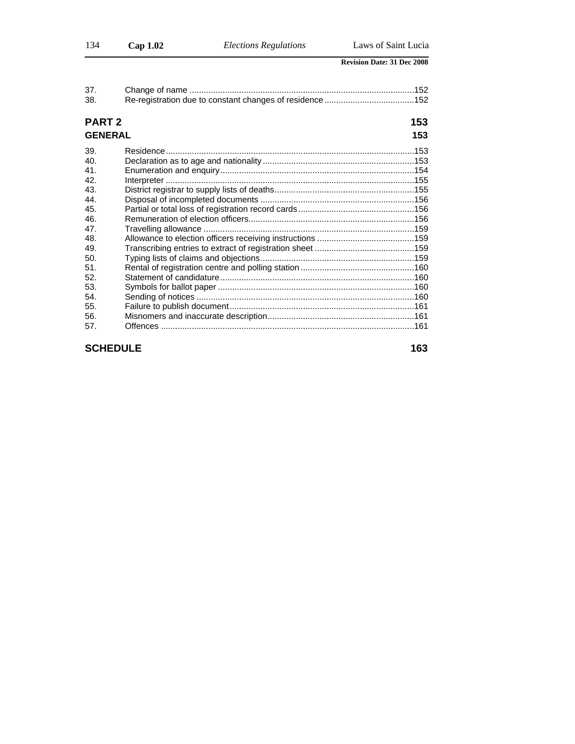| 37.<br>38.     |     |
|----------------|-----|
| <b>PART 2</b>  | 153 |
| <b>GENERAL</b> | 153 |
| 39.            |     |
| 40.            |     |
| 41.            |     |
| 42.            |     |
| 43.            |     |
| 44.            |     |
| 45.            |     |
| 46.            |     |
| 47.            |     |
| 48.            |     |
| 49.            |     |
| 50.            |     |
| 51.            |     |
| 52.            |     |
| 53.            |     |
| 54.            |     |
| 55.            |     |
| 56.            |     |
| 57.            |     |

## **SCHEDULE** 163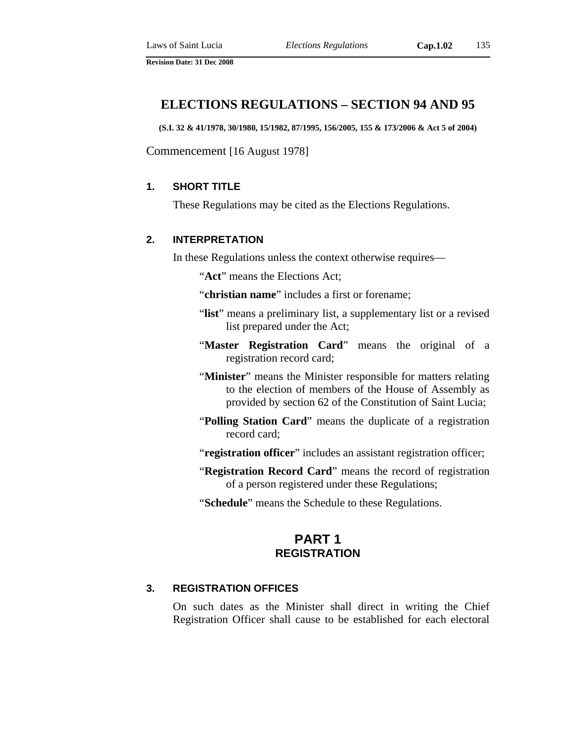## **ELECTIONS REGULATIONS – SECTION 94 AND 95**

**(S.I. 32 & 41/1978, 30/1980, 15/1982, 87/1995, 156/2005, 155 & 173/2006 & Act 5 of 2004)** 

Commencement [16 August 1978]

## **1. SHORT TITLE**

These Regulations may be cited as the Elections Regulations.

#### **2. INTERPRETATION**

In these Regulations unless the context otherwise requires—

"**Act**" means the Elections Act;

- "**christian name**" includes a first or forename;
- "list" means a preliminary list, a supplementary list or a revised list prepared under the Act;
- "Master Registration Card" means the original of a registration record card;
- "**Minister**" means the Minister responsible for matters relating to the election of members of the House of Assembly as provided by section 62 of the Constitution of Saint Lucia;
- "**Polling Station Card**" means the duplicate of a registration record card;

"**registration officer**" includes an assistant registration officer;

- "**Registration Record Card**" means the record of registration of a person registered under these Regulations;
- "**Schedule**" means the Schedule to these Regulations.

## **PART 1 REGISTRATION**

#### **3. REGISTRATION OFFICES**

On such dates as the Minister shall direct in writing the Chief Registration Officer shall cause to be established for each electoral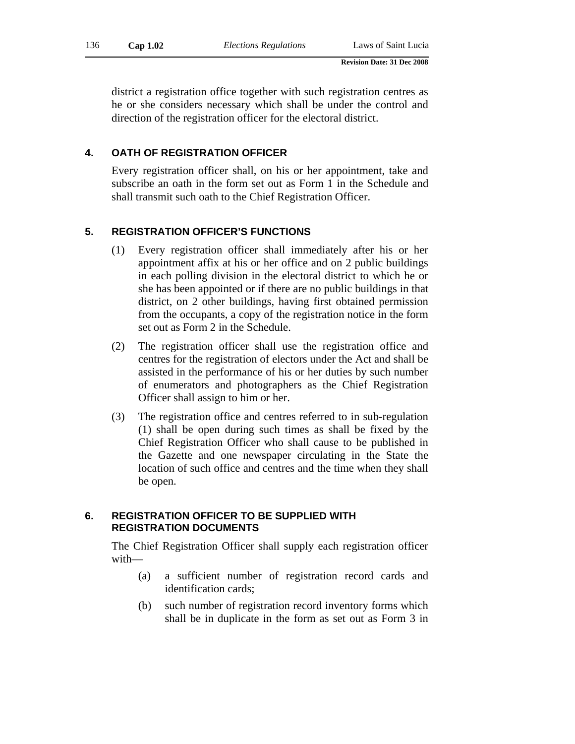district a registration office together with such registration centres as he or she considers necessary which shall be under the control and direction of the registration officer for the electoral district.

#### **4. OATH OF REGISTRATION OFFICER**

Every registration officer shall, on his or her appointment, take and subscribe an oath in the form set out as Form 1 in the Schedule and shall transmit such oath to the Chief Registration Officer.

## **5. REGISTRATION OFFICER'S FUNCTIONS**

- (1) Every registration officer shall immediately after his or her appointment affix at his or her office and on 2 public buildings in each polling division in the electoral district to which he or she has been appointed or if there are no public buildings in that district, on 2 other buildings, having first obtained permission from the occupants, a copy of the registration notice in the form set out as Form 2 in the Schedule.
- (2) The registration officer shall use the registration office and centres for the registration of electors under the Act and shall be assisted in the performance of his or her duties by such number of enumerators and photographers as the Chief Registration Officer shall assign to him or her.
- (3) The registration office and centres referred to in sub-regulation (1) shall be open during such times as shall be fixed by the Chief Registration Officer who shall cause to be published in the Gazette and one newspaper circulating in the State the location of such office and centres and the time when they shall be open.

#### **6. REGISTRATION OFFICER TO BE SUPPLIED WITH REGISTRATION DOCUMENTS**

The Chief Registration Officer shall supply each registration officer with—

- (a) a sufficient number of registration record cards and identification cards;
- (b) such number of registration record inventory forms which shall be in duplicate in the form as set out as Form 3 in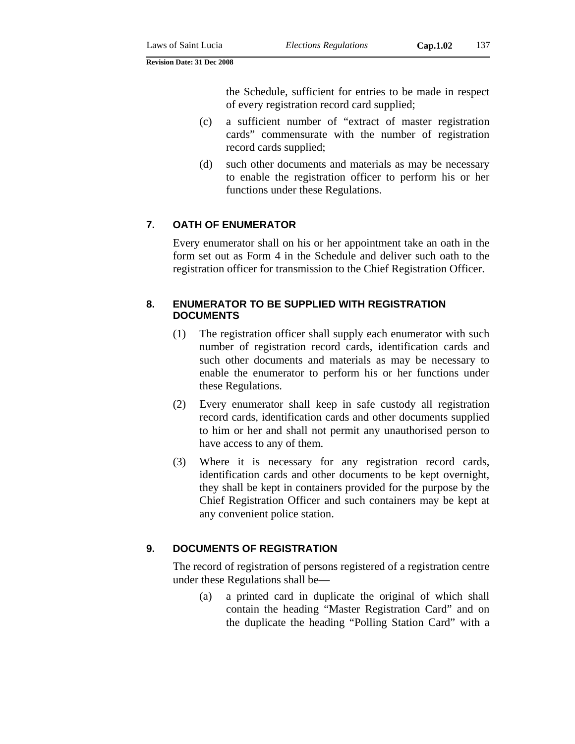the Schedule, sufficient for entries to be made in respect of every registration record card supplied;

- (c) a sufficient number of "extract of master registration cards" commensurate with the number of registration record cards supplied;
- (d) such other documents and materials as may be necessary to enable the registration officer to perform his or her functions under these Regulations.

## **7. OATH OF ENUMERATOR**

Every enumerator shall on his or her appointment take an oath in the form set out as Form 4 in the Schedule and deliver such oath to the registration officer for transmission to the Chief Registration Officer.

## **8. ENUMERATOR TO BE SUPPLIED WITH REGISTRATION DOCUMENTS**

- (1) The registration officer shall supply each enumerator with such number of registration record cards, identification cards and such other documents and materials as may be necessary to enable the enumerator to perform his or her functions under these Regulations.
- (2) Every enumerator shall keep in safe custody all registration record cards, identification cards and other documents supplied to him or her and shall not permit any unauthorised person to have access to any of them.
- (3) Where it is necessary for any registration record cards, identification cards and other documents to be kept overnight, they shall be kept in containers provided for the purpose by the Chief Registration Officer and such containers may be kept at any convenient police station.

## **9. DOCUMENTS OF REGISTRATION**

The record of registration of persons registered of a registration centre under these Regulations shall be—

(a) a printed card in duplicate the original of which shall contain the heading "Master Registration Card" and on the duplicate the heading "Polling Station Card" with a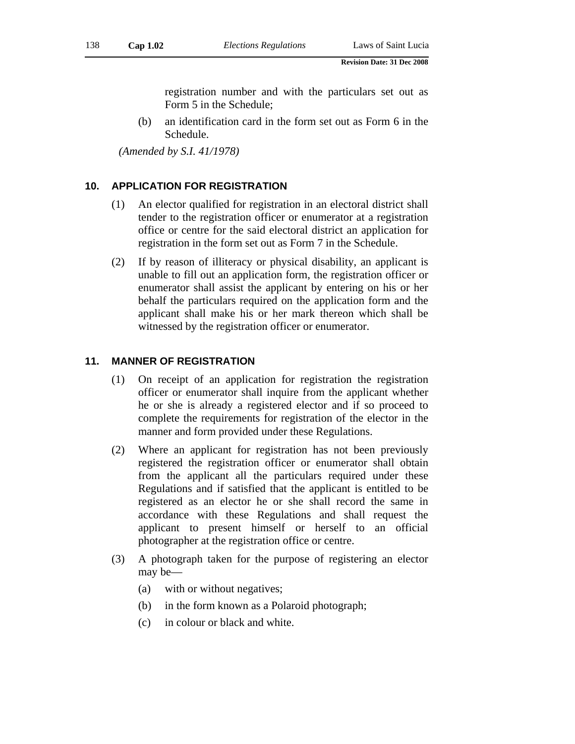registration number and with the particulars set out as Form 5 in the Schedule;

(b) an identification card in the form set out as Form 6 in the Schedule.

*(Amended by S.I. 41/1978)* 

## **10. APPLICATION FOR REGISTRATION**

- (1) An elector qualified for registration in an electoral district shall tender to the registration officer or enumerator at a registration office or centre for the said electoral district an application for registration in the form set out as Form 7 in the Schedule.
- (2) If by reason of illiteracy or physical disability, an applicant is unable to fill out an application form, the registration officer or enumerator shall assist the applicant by entering on his or her behalf the particulars required on the application form and the applicant shall make his or her mark thereon which shall be witnessed by the registration officer or enumerator.

#### **11. MANNER OF REGISTRATION**

- (1) On receipt of an application for registration the registration officer or enumerator shall inquire from the applicant whether he or she is already a registered elector and if so proceed to complete the requirements for registration of the elector in the manner and form provided under these Regulations.
- (2) Where an applicant for registration has not been previously registered the registration officer or enumerator shall obtain from the applicant all the particulars required under these Regulations and if satisfied that the applicant is entitled to be registered as an elector he or she shall record the same in accordance with these Regulations and shall request the applicant to present himself or herself to an official photographer at the registration office or centre.
- (3) A photograph taken for the purpose of registering an elector may be—
	- (a) with or without negatives;
	- (b) in the form known as a Polaroid photograph;
	- (c) in colour or black and white.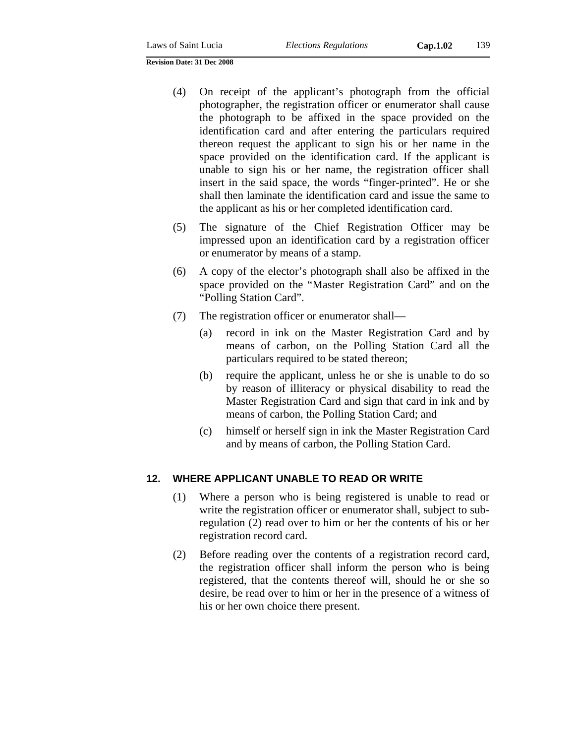- (4) On receipt of the applicant's photograph from the official photographer, the registration officer or enumerator shall cause the photograph to be affixed in the space provided on the identification card and after entering the particulars required thereon request the applicant to sign his or her name in the space provided on the identification card. If the applicant is unable to sign his or her name, the registration officer shall insert in the said space, the words "finger-printed". He or she shall then laminate the identification card and issue the same to the applicant as his or her completed identification card.
- (5) The signature of the Chief Registration Officer may be impressed upon an identification card by a registration officer or enumerator by means of a stamp.
- (6) A copy of the elector's photograph shall also be affixed in the space provided on the "Master Registration Card" and on the "Polling Station Card".
- (7) The registration officer or enumerator shall—
	- (a) record in ink on the Master Registration Card and by means of carbon, on the Polling Station Card all the particulars required to be stated thereon;
	- (b) require the applicant, unless he or she is unable to do so by reason of illiteracy or physical disability to read the Master Registration Card and sign that card in ink and by means of carbon, the Polling Station Card; and
	- (c) himself or herself sign in ink the Master Registration Card and by means of carbon, the Polling Station Card.

#### **12. WHERE APPLICANT UNABLE TO READ OR WRITE**

- (1) Where a person who is being registered is unable to read or write the registration officer or enumerator shall, subject to subregulation (2) read over to him or her the contents of his or her registration record card.
- (2) Before reading over the contents of a registration record card, the registration officer shall inform the person who is being registered, that the contents thereof will, should he or she so desire, be read over to him or her in the presence of a witness of his or her own choice there present.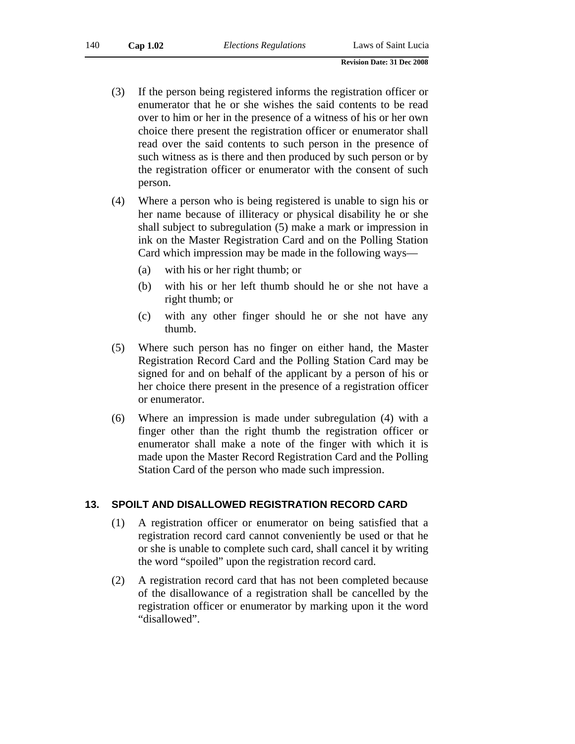- (3) If the person being registered informs the registration officer or enumerator that he or she wishes the said contents to be read over to him or her in the presence of a witness of his or her own choice there present the registration officer or enumerator shall read over the said contents to such person in the presence of such witness as is there and then produced by such person or by the registration officer or enumerator with the consent of such person.
- (4) Where a person who is being registered is unable to sign his or her name because of illiteracy or physical disability he or she shall subject to subregulation (5) make a mark or impression in ink on the Master Registration Card and on the Polling Station Card which impression may be made in the following ways—
	- (a) with his or her right thumb; or
	- (b) with his or her left thumb should he or she not have a right thumb; or
	- (c) with any other finger should he or she not have any thumb.
- (5) Where such person has no finger on either hand, the Master Registration Record Card and the Polling Station Card may be signed for and on behalf of the applicant by a person of his or her choice there present in the presence of a registration officer or enumerator.
- (6) Where an impression is made under subregulation (4) with a finger other than the right thumb the registration officer or enumerator shall make a note of the finger with which it is made upon the Master Record Registration Card and the Polling Station Card of the person who made such impression.

#### **13. SPOILT AND DISALLOWED REGISTRATION RECORD CARD**

- (1) A registration officer or enumerator on being satisfied that a registration record card cannot conveniently be used or that he or she is unable to complete such card, shall cancel it by writing the word "spoiled" upon the registration record card.
- (2) A registration record card that has not been completed because of the disallowance of a registration shall be cancelled by the registration officer or enumerator by marking upon it the word "disallowed".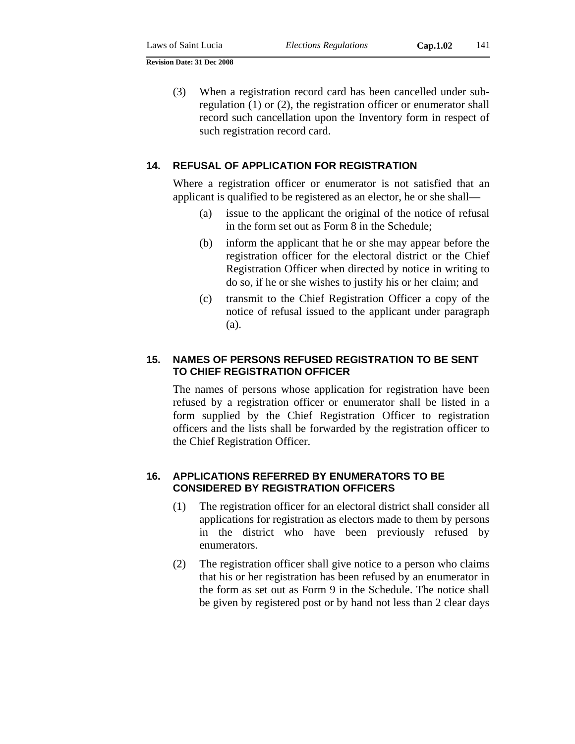(3) When a registration record card has been cancelled under subregulation (1) or (2), the registration officer or enumerator shall record such cancellation upon the Inventory form in respect of such registration record card.

## **14. REFUSAL OF APPLICATION FOR REGISTRATION**

Where a registration officer or enumerator is not satisfied that an applicant is qualified to be registered as an elector, he or she shall—

- (a) issue to the applicant the original of the notice of refusal in the form set out as Form 8 in the Schedule;
- (b) inform the applicant that he or she may appear before the registration officer for the electoral district or the Chief Registration Officer when directed by notice in writing to do so, if he or she wishes to justify his or her claim; and
- (c) transmit to the Chief Registration Officer a copy of the notice of refusal issued to the applicant under paragraph (a).

## **15. NAMES OF PERSONS REFUSED REGISTRATION TO BE SENT TO CHIEF REGISTRATION OFFICER**

The names of persons whose application for registration have been refused by a registration officer or enumerator shall be listed in a form supplied by the Chief Registration Officer to registration officers and the lists shall be forwarded by the registration officer to the Chief Registration Officer.

## **16. APPLICATIONS REFERRED BY ENUMERATORS TO BE CONSIDERED BY REGISTRATION OFFICERS**

- (1) The registration officer for an electoral district shall consider all applications for registration as electors made to them by persons in the district who have been previously refused by enumerators.
- (2) The registration officer shall give notice to a person who claims that his or her registration has been refused by an enumerator in the form as set out as Form 9 in the Schedule. The notice shall be given by registered post or by hand not less than 2 clear days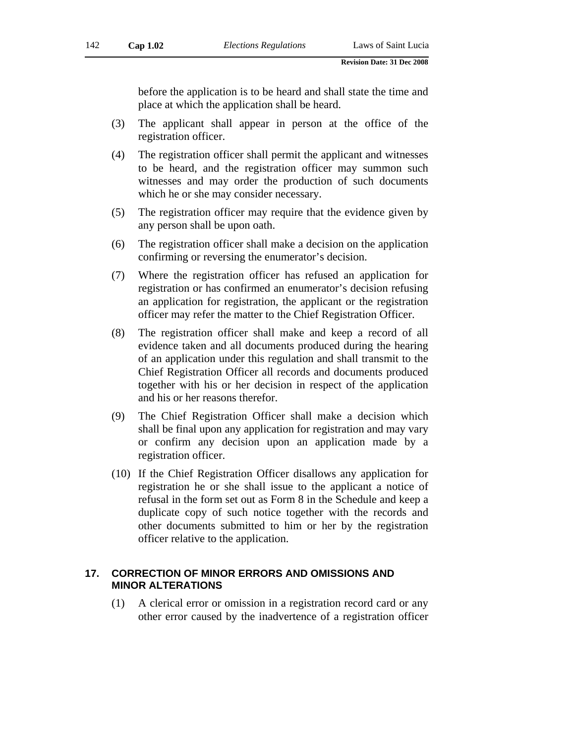before the application is to be heard and shall state the time and place at which the application shall be heard.

- (3) The applicant shall appear in person at the office of the registration officer.
- (4) The registration officer shall permit the applicant and witnesses to be heard, and the registration officer may summon such witnesses and may order the production of such documents which he or she may consider necessary.
- (5) The registration officer may require that the evidence given by any person shall be upon oath.
- (6) The registration officer shall make a decision on the application confirming or reversing the enumerator's decision.
- (7) Where the registration officer has refused an application for registration or has confirmed an enumerator's decision refusing an application for registration, the applicant or the registration officer may refer the matter to the Chief Registration Officer.
- (8) The registration officer shall make and keep a record of all evidence taken and all documents produced during the hearing of an application under this regulation and shall transmit to the Chief Registration Officer all records and documents produced together with his or her decision in respect of the application and his or her reasons therefor.
- (9) The Chief Registration Officer shall make a decision which shall be final upon any application for registration and may vary or confirm any decision upon an application made by a registration officer.
- (10) If the Chief Registration Officer disallows any application for registration he or she shall issue to the applicant a notice of refusal in the form set out as Form 8 in the Schedule and keep a duplicate copy of such notice together with the records and other documents submitted to him or her by the registration officer relative to the application.

## **17. CORRECTION OF MINOR ERRORS AND OMISSIONS AND MINOR ALTERATIONS**

(1) A clerical error or omission in a registration record card or any other error caused by the inadvertence of a registration officer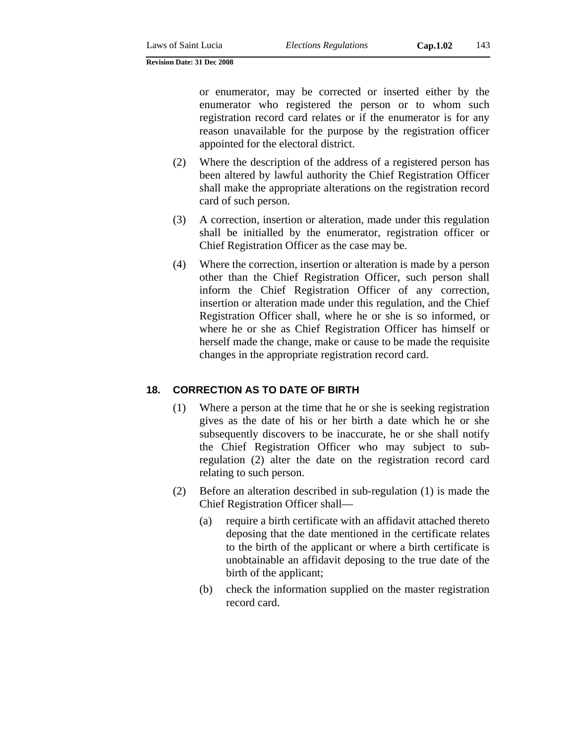or enumerator, may be corrected or inserted either by the enumerator who registered the person or to whom such registration record card relates or if the enumerator is for any reason unavailable for the purpose by the registration officer appointed for the electoral district.

- (2) Where the description of the address of a registered person has been altered by lawful authority the Chief Registration Officer shall make the appropriate alterations on the registration record card of such person.
- (3) A correction, insertion or alteration, made under this regulation shall be initialled by the enumerator, registration officer or Chief Registration Officer as the case may be.
- (4) Where the correction, insertion or alteration is made by a person other than the Chief Registration Officer, such person shall inform the Chief Registration Officer of any correction, insertion or alteration made under this regulation, and the Chief Registration Officer shall, where he or she is so informed, or where he or she as Chief Registration Officer has himself or herself made the change, make or cause to be made the requisite changes in the appropriate registration record card.

## **18. CORRECTION AS TO DATE OF BIRTH**

- (1) Where a person at the time that he or she is seeking registration gives as the date of his or her birth a date which he or she subsequently discovers to be inaccurate, he or she shall notify the Chief Registration Officer who may subject to subregulation (2) alter the date on the registration record card relating to such person.
- (2) Before an alteration described in sub-regulation (1) is made the Chief Registration Officer shall—
	- (a) require a birth certificate with an affidavit attached thereto deposing that the date mentioned in the certificate relates to the birth of the applicant or where a birth certificate is unobtainable an affidavit deposing to the true date of the birth of the applicant;
	- (b) check the information supplied on the master registration record card.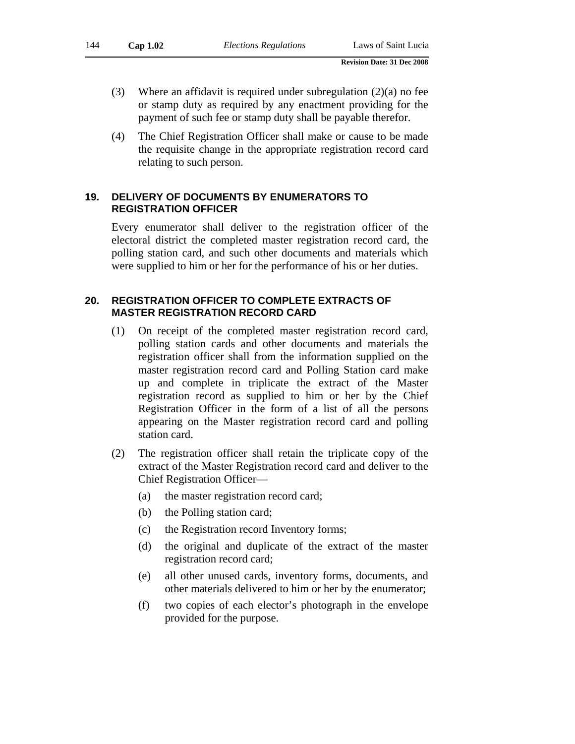- (3) Where an affidavit is required under subregulation  $(2)(a)$  no fee or stamp duty as required by any enactment providing for the payment of such fee or stamp duty shall be payable therefor.
- (4) The Chief Registration Officer shall make or cause to be made the requisite change in the appropriate registration record card relating to such person.

## **19. DELIVERY OF DOCUMENTS BY ENUMERATORS TO REGISTRATION OFFICER**

Every enumerator shall deliver to the registration officer of the electoral district the completed master registration record card, the polling station card, and such other documents and materials which were supplied to him or her for the performance of his or her duties.

## **20. REGISTRATION OFFICER TO COMPLETE EXTRACTS OF MASTER REGISTRATION RECORD CARD**

- (1) On receipt of the completed master registration record card, polling station cards and other documents and materials the registration officer shall from the information supplied on the master registration record card and Polling Station card make up and complete in triplicate the extract of the Master registration record as supplied to him or her by the Chief Registration Officer in the form of a list of all the persons appearing on the Master registration record card and polling station card.
- (2) The registration officer shall retain the triplicate copy of the extract of the Master Registration record card and deliver to the Chief Registration Officer—
	- (a) the master registration record card;
	- (b) the Polling station card;
	- (c) the Registration record Inventory forms;
	- (d) the original and duplicate of the extract of the master registration record card;
	- (e) all other unused cards, inventory forms, documents, and other materials delivered to him or her by the enumerator;
	- (f) two copies of each elector's photograph in the envelope provided for the purpose.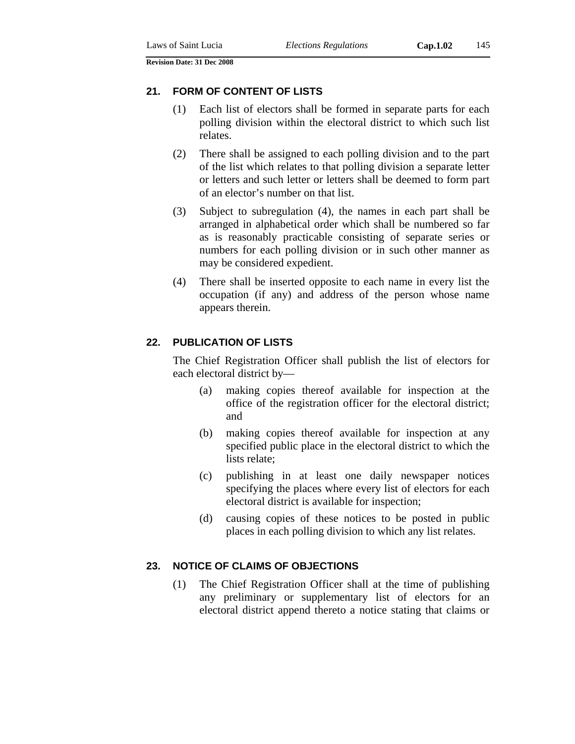## **21. FORM OF CONTENT OF LISTS**

- (1) Each list of electors shall be formed in separate parts for each polling division within the electoral district to which such list relates.
- (2) There shall be assigned to each polling division and to the part of the list which relates to that polling division a separate letter or letters and such letter or letters shall be deemed to form part of an elector's number on that list.
- (3) Subject to subregulation (4), the names in each part shall be arranged in alphabetical order which shall be numbered so far as is reasonably practicable consisting of separate series or numbers for each polling division or in such other manner as may be considered expedient.
- (4) There shall be inserted opposite to each name in every list the occupation (if any) and address of the person whose name appears therein.

## **22. PUBLICATION OF LISTS**

The Chief Registration Officer shall publish the list of electors for each electoral district by—

- (a) making copies thereof available for inspection at the office of the registration officer for the electoral district; and
- (b) making copies thereof available for inspection at any specified public place in the electoral district to which the lists relate;
- (c) publishing in at least one daily newspaper notices specifying the places where every list of electors for each electoral district is available for inspection;
- (d) causing copies of these notices to be posted in public places in each polling division to which any list relates.

## **23. NOTICE OF CLAIMS OF OBJECTIONS**

(1) The Chief Registration Officer shall at the time of publishing any preliminary or supplementary list of electors for an electoral district append thereto a notice stating that claims or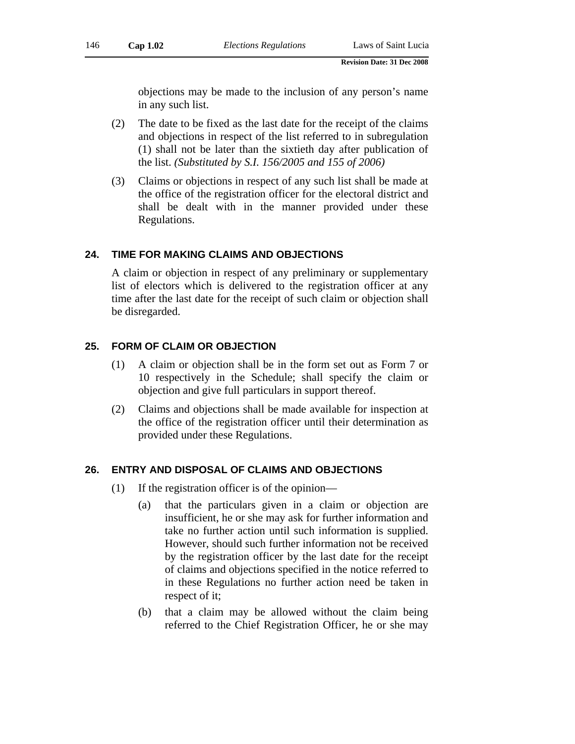objections may be made to the inclusion of any person's name in any such list.

- (2) The date to be fixed as the last date for the receipt of the claims and objections in respect of the list referred to in subregulation (1) shall not be later than the sixtieth day after publication of the list. *(Substituted by S.I. 156/2005 and 155 of 2006)*
- (3) Claims or objections in respect of any such list shall be made at the office of the registration officer for the electoral district and shall be dealt with in the manner provided under these Regulations.

#### **24. TIME FOR MAKING CLAIMS AND OBJECTIONS**

A claim or objection in respect of any preliminary or supplementary list of electors which is delivered to the registration officer at any time after the last date for the receipt of such claim or objection shall be disregarded.

### **25. FORM OF CLAIM OR OBJECTION**

- (1) A claim or objection shall be in the form set out as Form 7 or 10 respectively in the Schedule; shall specify the claim or objection and give full particulars in support thereof.
- (2) Claims and objections shall be made available for inspection at the office of the registration officer until their determination as provided under these Regulations.

# **26. ENTRY AND DISPOSAL OF CLAIMS AND OBJECTIONS**

- (1) If the registration officer is of the opinion—
	- (a) that the particulars given in a claim or objection are insufficient, he or she may ask for further information and take no further action until such information is supplied. However, should such further information not be received by the registration officer by the last date for the receipt of claims and objections specified in the notice referred to in these Regulations no further action need be taken in respect of it;
	- (b) that a claim may be allowed without the claim being referred to the Chief Registration Officer, he or she may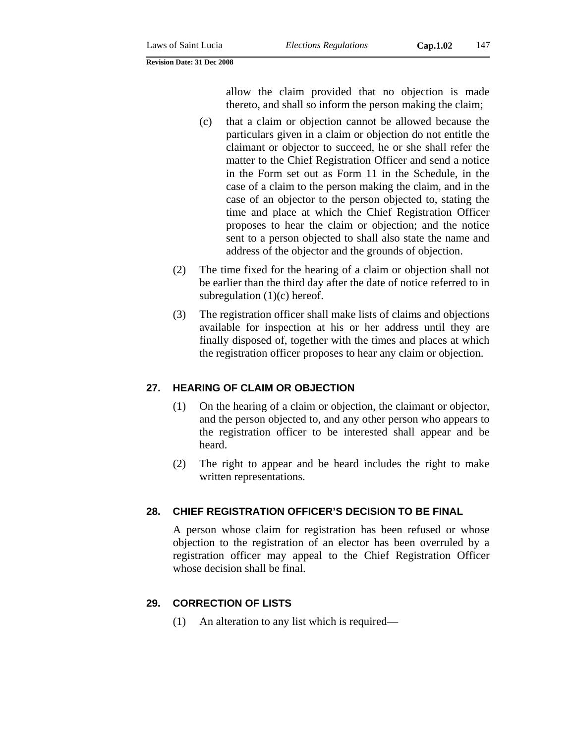allow the claim provided that no objection is made thereto, and shall so inform the person making the claim;

- (c) that a claim or objection cannot be allowed because the particulars given in a claim or objection do not entitle the claimant or objector to succeed, he or she shall refer the matter to the Chief Registration Officer and send a notice in the Form set out as Form 11 in the Schedule, in the case of a claim to the person making the claim, and in the case of an objector to the person objected to, stating the time and place at which the Chief Registration Officer proposes to hear the claim or objection; and the notice sent to a person objected to shall also state the name and address of the objector and the grounds of objection.
- (2) The time fixed for the hearing of a claim or objection shall not be earlier than the third day after the date of notice referred to in subregulation  $(1)(c)$  hereof.
- (3) The registration officer shall make lists of claims and objections available for inspection at his or her address until they are finally disposed of, together with the times and places at which the registration officer proposes to hear any claim or objection.

## **27. HEARING OF CLAIM OR OBJECTION**

- (1) On the hearing of a claim or objection, the claimant or objector, and the person objected to, and any other person who appears to the registration officer to be interested shall appear and be heard.
- (2) The right to appear and be heard includes the right to make written representations.

#### **28. CHIEF REGISTRATION OFFICER'S DECISION TO BE FINAL**

A person whose claim for registration has been refused or whose objection to the registration of an elector has been overruled by a registration officer may appeal to the Chief Registration Officer whose decision shall be final.

#### **29. CORRECTION OF LISTS**

(1) An alteration to any list which is required—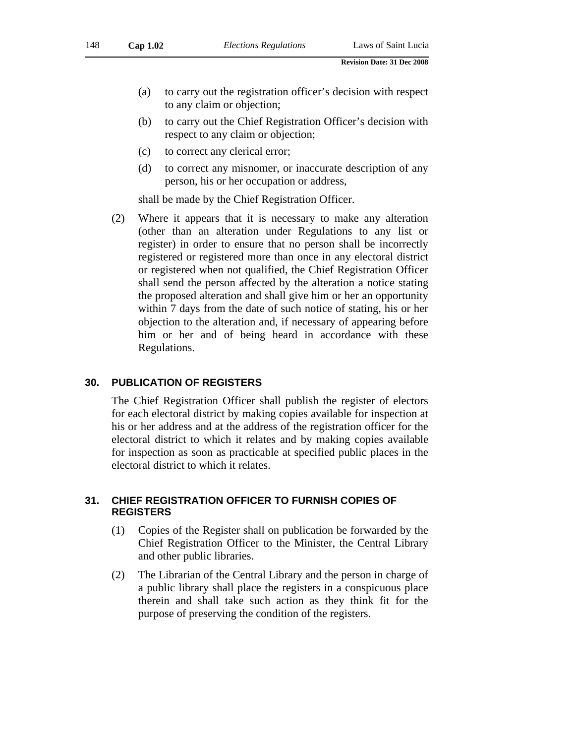- (a) to carry out the registration officer's decision with respect to any claim or objection;
- (b) to carry out the Chief Registration Officer's decision with respect to any claim or objection;
- (c) to correct any clerical error;
- (d) to correct any misnomer, or inaccurate description of any person, his or her occupation or address,

shall be made by the Chief Registration Officer.

(2) Where it appears that it is necessary to make any alteration (other than an alteration under Regulations to any list or register) in order to ensure that no person shall be incorrectly registered or registered more than once in any electoral district or registered when not qualified, the Chief Registration Officer shall send the person affected by the alteration a notice stating the proposed alteration and shall give him or her an opportunity within 7 days from the date of such notice of stating, his or her objection to the alteration and, if necessary of appearing before him or her and of being heard in accordance with these Regulations.

#### **30. PUBLICATION OF REGISTERS**

The Chief Registration Officer shall publish the register of electors for each electoral district by making copies available for inspection at his or her address and at the address of the registration officer for the electoral district to which it relates and by making copies available for inspection as soon as practicable at specified public places in the electoral district to which it relates.

## **31. CHIEF REGISTRATION OFFICER TO FURNISH COPIES OF REGISTERS**

- (1) Copies of the Register shall on publication be forwarded by the Chief Registration Officer to the Minister, the Central Library and other public libraries.
- (2) The Librarian of the Central Library and the person in charge of a public library shall place the registers in a conspicuous place therein and shall take such action as they think fit for the purpose of preserving the condition of the registers.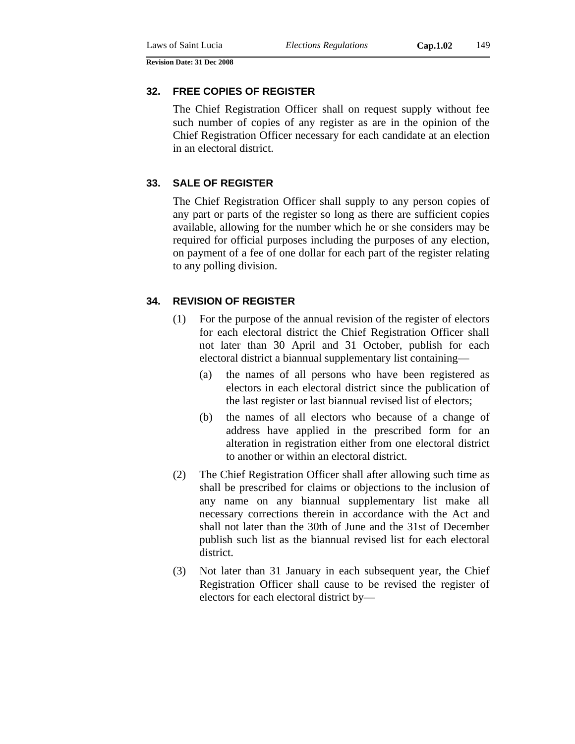#### **32. FREE COPIES OF REGISTER**

The Chief Registration Officer shall on request supply without fee such number of copies of any register as are in the opinion of the Chief Registration Officer necessary for each candidate at an election in an electoral district.

### **33. SALE OF REGISTER**

The Chief Registration Officer shall supply to any person copies of any part or parts of the register so long as there are sufficient copies available, allowing for the number which he or she considers may be required for official purposes including the purposes of any election, on payment of a fee of one dollar for each part of the register relating to any polling division.

### **34. REVISION OF REGISTER**

- (1) For the purpose of the annual revision of the register of electors for each electoral district the Chief Registration Officer shall not later than 30 April and 31 October, publish for each electoral district a biannual supplementary list containing—
	- (a) the names of all persons who have been registered as electors in each electoral district since the publication of the last register or last biannual revised list of electors;
	- (b) the names of all electors who because of a change of address have applied in the prescribed form for an alteration in registration either from one electoral district to another or within an electoral district.
- (2) The Chief Registration Officer shall after allowing such time as shall be prescribed for claims or objections to the inclusion of any name on any biannual supplementary list make all necessary corrections therein in accordance with the Act and shall not later than the 30th of June and the 31st of December publish such list as the biannual revised list for each electoral district.
- (3) Not later than 31 January in each subsequent year, the Chief Registration Officer shall cause to be revised the register of electors for each electoral district by—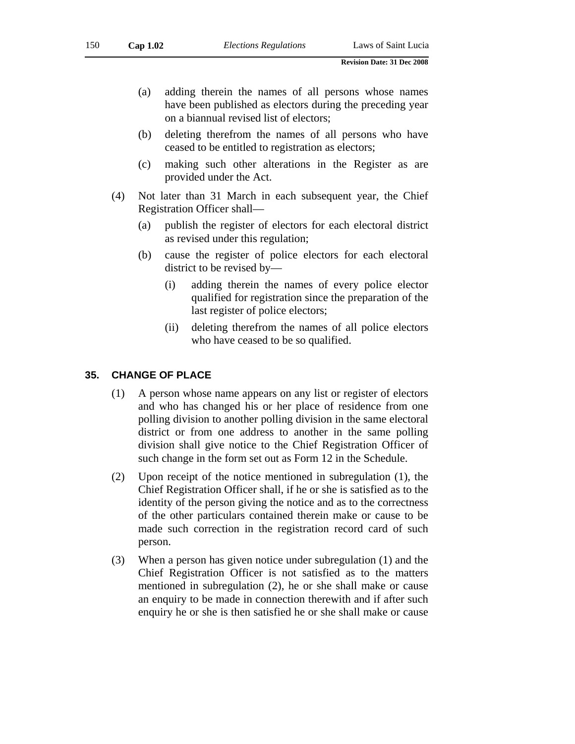- (a) adding therein the names of all persons whose names have been published as electors during the preceding year on a biannual revised list of electors;
- (b) deleting therefrom the names of all persons who have ceased to be entitled to registration as electors;
- (c) making such other alterations in the Register as are provided under the Act.
- (4) Not later than 31 March in each subsequent year, the Chief Registration Officer shall—
	- (a) publish the register of electors for each electoral district as revised under this regulation;
	- (b) cause the register of police electors for each electoral district to be revised by—
		- (i) adding therein the names of every police elector qualified for registration since the preparation of the last register of police electors;
		- (ii) deleting therefrom the names of all police electors who have ceased to be so qualified.

#### **35. CHANGE OF PLACE**

- (1) A person whose name appears on any list or register of electors and who has changed his or her place of residence from one polling division to another polling division in the same electoral district or from one address to another in the same polling division shall give notice to the Chief Registration Officer of such change in the form set out as Form 12 in the Schedule.
- (2) Upon receipt of the notice mentioned in subregulation (1), the Chief Registration Officer shall, if he or she is satisfied as to the identity of the person giving the notice and as to the correctness of the other particulars contained therein make or cause to be made such correction in the registration record card of such person.
- (3) When a person has given notice under subregulation (1) and the Chief Registration Officer is not satisfied as to the matters mentioned in subregulation (2), he or she shall make or cause an enquiry to be made in connection therewith and if after such enquiry he or she is then satisfied he or she shall make or cause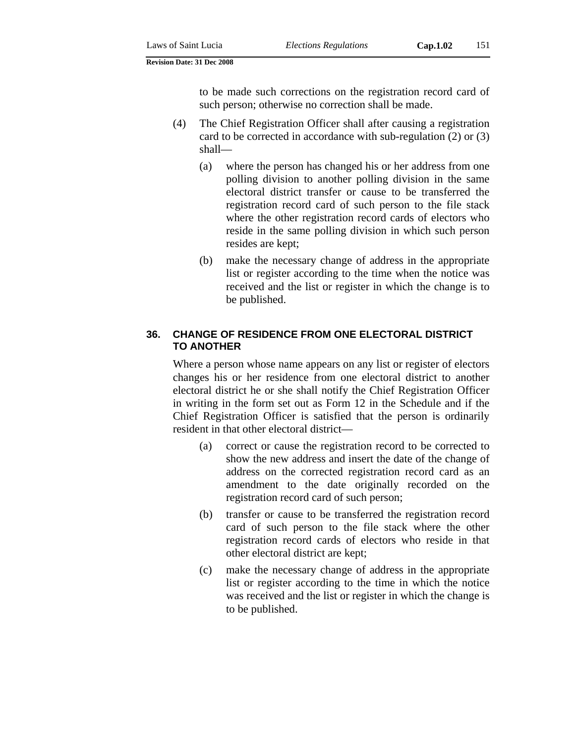to be made such corrections on the registration record card of such person; otherwise no correction shall be made.

- (4) The Chief Registration Officer shall after causing a registration card to be corrected in accordance with sub-regulation (2) or (3) shall—
	- (a) where the person has changed his or her address from one polling division to another polling division in the same electoral district transfer or cause to be transferred the registration record card of such person to the file stack where the other registration record cards of electors who reside in the same polling division in which such person resides are kept;
	- (b) make the necessary change of address in the appropriate list or register according to the time when the notice was received and the list or register in which the change is to be published.

#### **36. CHANGE OF RESIDENCE FROM ONE ELECTORAL DISTRICT TO ANOTHER**

Where a person whose name appears on any list or register of electors changes his or her residence from one electoral district to another electoral district he or she shall notify the Chief Registration Officer in writing in the form set out as Form 12 in the Schedule and if the Chief Registration Officer is satisfied that the person is ordinarily resident in that other electoral district—

- (a) correct or cause the registration record to be corrected to show the new address and insert the date of the change of address on the corrected registration record card as an amendment to the date originally recorded on the registration record card of such person;
- (b) transfer or cause to be transferred the registration record card of such person to the file stack where the other registration record cards of electors who reside in that other electoral district are kept;
- (c) make the necessary change of address in the appropriate list or register according to the time in which the notice was received and the list or register in which the change is to be published.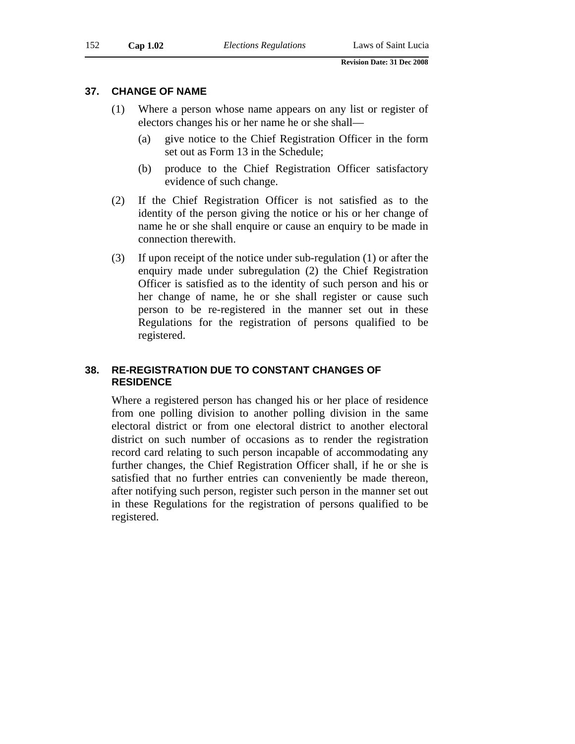#### **37. CHANGE OF NAME**

- (1) Where a person whose name appears on any list or register of electors changes his or her name he or she shall—
	- (a) give notice to the Chief Registration Officer in the form set out as Form 13 in the Schedule;
	- (b) produce to the Chief Registration Officer satisfactory evidence of such change.
- (2) If the Chief Registration Officer is not satisfied as to the identity of the person giving the notice or his or her change of name he or she shall enquire or cause an enquiry to be made in connection therewith.
- (3) If upon receipt of the notice under sub-regulation (1) or after the enquiry made under subregulation (2) the Chief Registration Officer is satisfied as to the identity of such person and his or her change of name, he or she shall register or cause such person to be re-registered in the manner set out in these Regulations for the registration of persons qualified to be registered.

## **38. RE-REGISTRATION DUE TO CONSTANT CHANGES OF RESIDENCE**

Where a registered person has changed his or her place of residence from one polling division to another polling division in the same electoral district or from one electoral district to another electoral district on such number of occasions as to render the registration record card relating to such person incapable of accommodating any further changes, the Chief Registration Officer shall, if he or she is satisfied that no further entries can conveniently be made thereon, after notifying such person, register such person in the manner set out in these Regulations for the registration of persons qualified to be registered.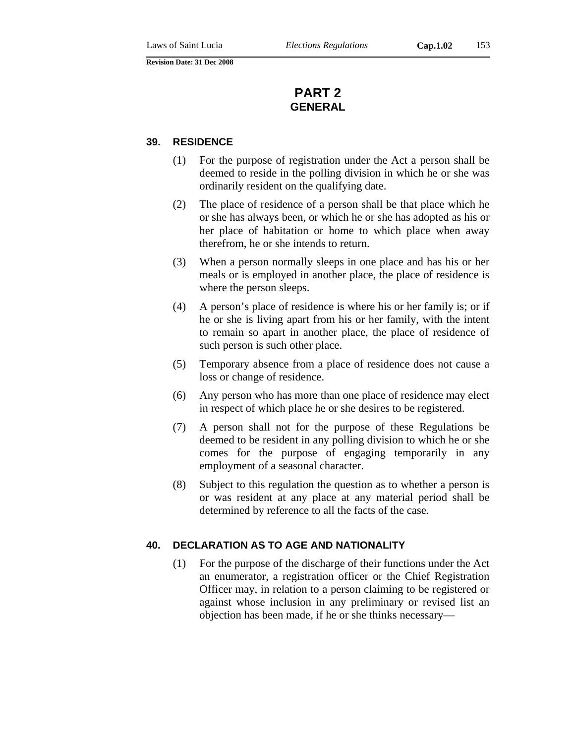# **PART 2 GENERAL**

#### **39. RESIDENCE**

- (1) For the purpose of registration under the Act a person shall be deemed to reside in the polling division in which he or she was ordinarily resident on the qualifying date.
- (2) The place of residence of a person shall be that place which he or she has always been, or which he or she has adopted as his or her place of habitation or home to which place when away therefrom, he or she intends to return.
- (3) When a person normally sleeps in one place and has his or her meals or is employed in another place, the place of residence is where the person sleeps.
- (4) A person's place of residence is where his or her family is; or if he or she is living apart from his or her family, with the intent to remain so apart in another place, the place of residence of such person is such other place.
- (5) Temporary absence from a place of residence does not cause a loss or change of residence.
- (6) Any person who has more than one place of residence may elect in respect of which place he or she desires to be registered.
- (7) A person shall not for the purpose of these Regulations be deemed to be resident in any polling division to which he or she comes for the purpose of engaging temporarily in any employment of a seasonal character.
- (8) Subject to this regulation the question as to whether a person is or was resident at any place at any material period shall be determined by reference to all the facts of the case.

#### **40. DECLARATION AS TO AGE AND NATIONALITY**

(1) For the purpose of the discharge of their functions under the Act an enumerator, a registration officer or the Chief Registration Officer may, in relation to a person claiming to be registered or against whose inclusion in any preliminary or revised list an objection has been made, if he or she thinks necessary—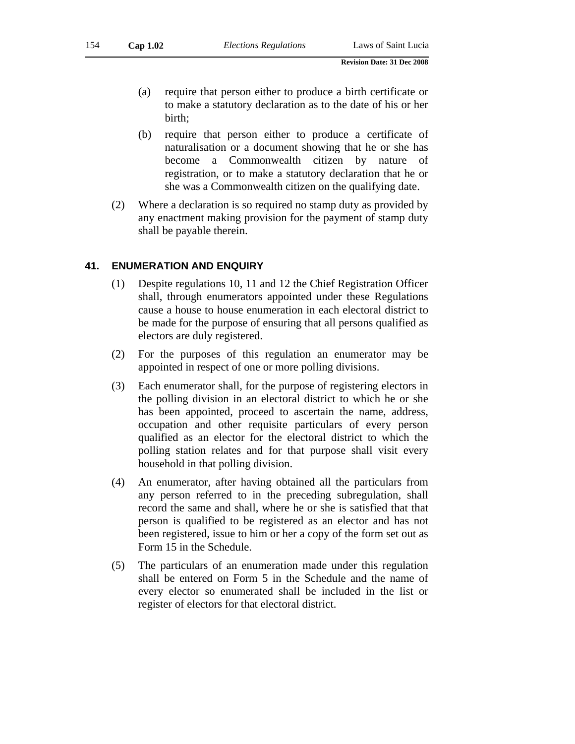- (a) require that person either to produce a birth certificate or to make a statutory declaration as to the date of his or her birth;
- (b) require that person either to produce a certificate of naturalisation or a document showing that he or she has become a Commonwealth citizen by nature of registration, or to make a statutory declaration that he or she was a Commonwealth citizen on the qualifying date.
- (2) Where a declaration is so required no stamp duty as provided by any enactment making provision for the payment of stamp duty shall be payable therein.

#### **41. ENUMERATION AND ENQUIRY**

- (1) Despite regulations 10, 11 and 12 the Chief Registration Officer shall, through enumerators appointed under these Regulations cause a house to house enumeration in each electoral district to be made for the purpose of ensuring that all persons qualified as electors are duly registered.
- (2) For the purposes of this regulation an enumerator may be appointed in respect of one or more polling divisions.
- (3) Each enumerator shall, for the purpose of registering electors in the polling division in an electoral district to which he or she has been appointed, proceed to ascertain the name, address, occupation and other requisite particulars of every person qualified as an elector for the electoral district to which the polling station relates and for that purpose shall visit every household in that polling division.
- (4) An enumerator, after having obtained all the particulars from any person referred to in the preceding subregulation, shall record the same and shall, where he or she is satisfied that that person is qualified to be registered as an elector and has not been registered, issue to him or her a copy of the form set out as Form 15 in the Schedule.
- (5) The particulars of an enumeration made under this regulation shall be entered on Form 5 in the Schedule and the name of every elector so enumerated shall be included in the list or register of electors for that electoral district.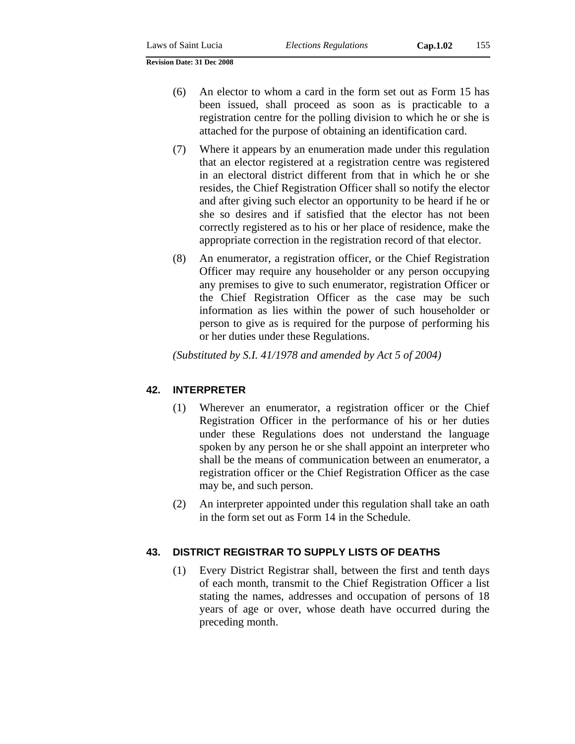- (6) An elector to whom a card in the form set out as Form 15 has been issued, shall proceed as soon as is practicable to a registration centre for the polling division to which he or she is attached for the purpose of obtaining an identification card.
- (7) Where it appears by an enumeration made under this regulation that an elector registered at a registration centre was registered in an electoral district different from that in which he or she resides, the Chief Registration Officer shall so notify the elector and after giving such elector an opportunity to be heard if he or she so desires and if satisfied that the elector has not been correctly registered as to his or her place of residence, make the appropriate correction in the registration record of that elector.
- (8) An enumerator, a registration officer, or the Chief Registration Officer may require any householder or any person occupying any premises to give to such enumerator, registration Officer or the Chief Registration Officer as the case may be such information as lies within the power of such householder or person to give as is required for the purpose of performing his or her duties under these Regulations.

*(Substituted by S.I. 41/1978 and amended by Act 5 of 2004)* 

# **42. INTERPRETER**

- (1) Wherever an enumerator, a registration officer or the Chief Registration Officer in the performance of his or her duties under these Regulations does not understand the language spoken by any person he or she shall appoint an interpreter who shall be the means of communication between an enumerator, a registration officer or the Chief Registration Officer as the case may be, and such person.
- (2) An interpreter appointed under this regulation shall take an oath in the form set out as Form 14 in the Schedule.

## **43. DISTRICT REGISTRAR TO SUPPLY LISTS OF DEATHS**

(1) Every District Registrar shall, between the first and tenth days of each month, transmit to the Chief Registration Officer a list stating the names, addresses and occupation of persons of 18 years of age or over, whose death have occurred during the preceding month.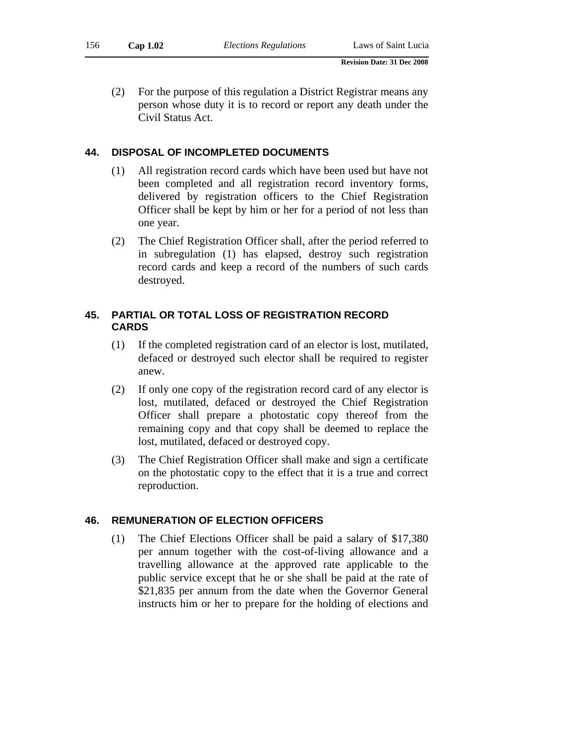(2) For the purpose of this regulation a District Registrar means any person whose duty it is to record or report any death under the Civil Status Act.

## **44. DISPOSAL OF INCOMPLETED DOCUMENTS**

- (1) All registration record cards which have been used but have not been completed and all registration record inventory forms, delivered by registration officers to the Chief Registration Officer shall be kept by him or her for a period of not less than one year.
- (2) The Chief Registration Officer shall, after the period referred to in subregulation (1) has elapsed, destroy such registration record cards and keep a record of the numbers of such cards destroyed.

## **45. PARTIAL OR TOTAL LOSS OF REGISTRATION RECORD CARDS**

- (1) If the completed registration card of an elector is lost, mutilated, defaced or destroyed such elector shall be required to register anew.
- (2) If only one copy of the registration record card of any elector is lost, mutilated, defaced or destroyed the Chief Registration Officer shall prepare a photostatic copy thereof from the remaining copy and that copy shall be deemed to replace the lost, mutilated, defaced or destroyed copy.
- (3) The Chief Registration Officer shall make and sign a certificate on the photostatic copy to the effect that it is a true and correct reproduction.

#### **46. REMUNERATION OF ELECTION OFFICERS**

(1) The Chief Elections Officer shall be paid a salary of \$17,380 per annum together with the cost-of-living allowance and a travelling allowance at the approved rate applicable to the public service except that he or she shall be paid at the rate of \$21,835 per annum from the date when the Governor General instructs him or her to prepare for the holding of elections and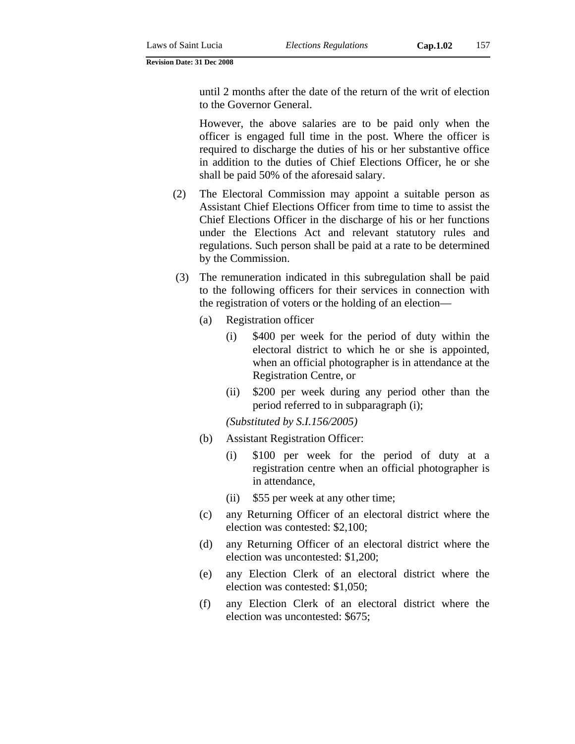until 2 months after the date of the return of the writ of election to the Governor General.

However, the above salaries are to be paid only when the officer is engaged full time in the post. Where the officer is required to discharge the duties of his or her substantive office in addition to the duties of Chief Elections Officer, he or she shall be paid 50% of the aforesaid salary.

- (2) The Electoral Commission may appoint a suitable person as Assistant Chief Elections Officer from time to time to assist the Chief Elections Officer in the discharge of his or her functions under the Elections Act and relevant statutory rules and regulations. Such person shall be paid at a rate to be determined by the Commission.
- (3) The remuneration indicated in this subregulation shall be paid to the following officers for their services in connection with the registration of voters or the holding of an election—
	- (a) Registration officer
		- (i) \$400 per week for the period of duty within the electoral district to which he or she is appointed, when an official photographer is in attendance at the Registration Centre, or
		- (ii) \$200 per week during any period other than the period referred to in subparagraph (i);

*(Substituted by S.I.156/2005)*

- (b) Assistant Registration Officer:
	- (i) \$100 per week for the period of duty at a registration centre when an official photographer is in attendance,
	- (ii) \$55 per week at any other time;
- (c) any Returning Officer of an electoral district where the election was contested: \$2,100;
- (d) any Returning Officer of an electoral district where the election was uncontested: \$1,200;
- (e) any Election Clerk of an electoral district where the election was contested: \$1,050;
- (f) any Election Clerk of an electoral district where the election was uncontested: \$675;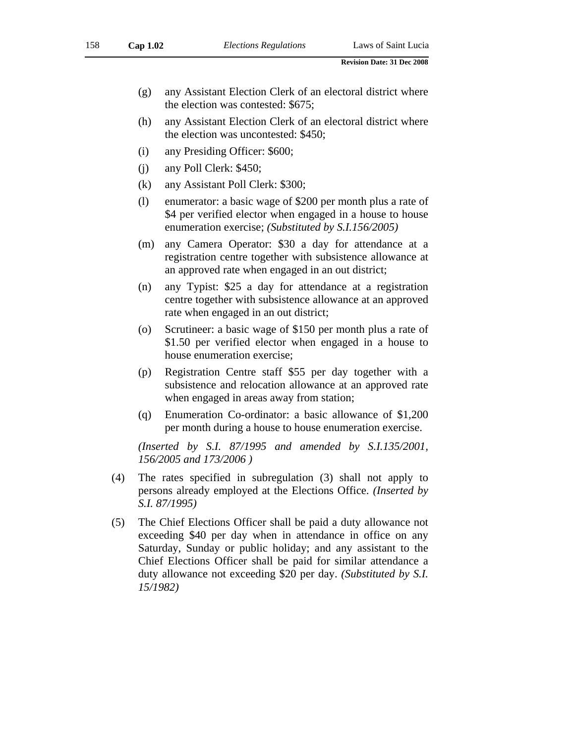- (g) any Assistant Election Clerk of an electoral district where the election was contested: \$675;
- (h) any Assistant Election Clerk of an electoral district where the election was uncontested: \$450;
- (i) any Presiding Officer: \$600;
- (j) any Poll Clerk: \$450;
- (k) any Assistant Poll Clerk: \$300;
- (l) enumerator: a basic wage of \$200 per month plus a rate of \$4 per verified elector when engaged in a house to house enumeration exercise; *(Substituted by S.I.156/2005)*
- (m) any Camera Operator: \$30 a day for attendance at a registration centre together with subsistence allowance at an approved rate when engaged in an out district;
- (n) any Typist: \$25 a day for attendance at a registration centre together with subsistence allowance at an approved rate when engaged in an out district;
- (o) Scrutineer: a basic wage of \$150 per month plus a rate of \$1.50 per verified elector when engaged in a house to house enumeration exercise;
- (p) Registration Centre staff \$55 per day together with a subsistence and relocation allowance at an approved rate when engaged in areas away from station;
- (q) Enumeration Co-ordinator: a basic allowance of \$1,200 per month during a house to house enumeration exercise.

*(Inserted by S.I. 87/1995 and amended by S.I.135/2001, 156/2005 and 173/2006 )* 

- (4) The rates specified in subregulation (3) shall not apply to persons already employed at the Elections Office. *(Inserted by S.I. 87/1995)*
- (5) The Chief Elections Officer shall be paid a duty allowance not exceeding \$40 per day when in attendance in office on any Saturday, Sunday or public holiday; and any assistant to the Chief Elections Officer shall be paid for similar attendance a duty allowance not exceeding \$20 per day. *(Substituted by S.I. 15/1982)*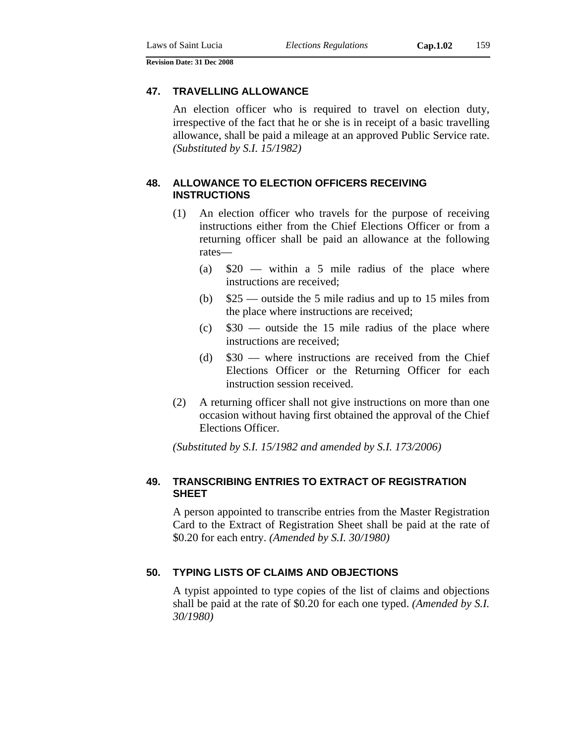#### **47. TRAVELLING ALLOWANCE**

An election officer who is required to travel on election duty, irrespective of the fact that he or she is in receipt of a basic travelling allowance, shall be paid a mileage at an approved Public Service rate. *(Substituted by S.I. 15/1982)* 

## **48. ALLOWANCE TO ELECTION OFFICERS RECEIVING INSTRUCTIONS**

- (1) An election officer who travels for the purpose of receiving instructions either from the Chief Elections Officer or from a returning officer shall be paid an allowance at the following rates—
	- (a)  $$20$  within a 5 mile radius of the place where instructions are received;
	- (b) \$25 outside the 5 mile radius and up to 15 miles from the place where instructions are received;
	- $\text{(c)}$  \$30 outside the 15 mile radius of the place where instructions are received;
	- (d) \$30 where instructions are received from the Chief Elections Officer or the Returning Officer for each instruction session received.
- (2) A returning officer shall not give instructions on more than one occasion without having first obtained the approval of the Chief Elections Officer.

*(Substituted by S.I. 15/1982 and amended by S.I. 173/2006)* 

## **49. TRANSCRIBING ENTRIES TO EXTRACT OF REGISTRATION SHEET**

A person appointed to transcribe entries from the Master Registration Card to the Extract of Registration Sheet shall be paid at the rate of \$0.20 for each entry. *(Amended by S.I. 30/1980)*

### **50. TYPING LISTS OF CLAIMS AND OBJECTIONS**

A typist appointed to type copies of the list of claims and objections shall be paid at the rate of \$0.20 for each one typed. *(Amended by S.I. 30/1980)*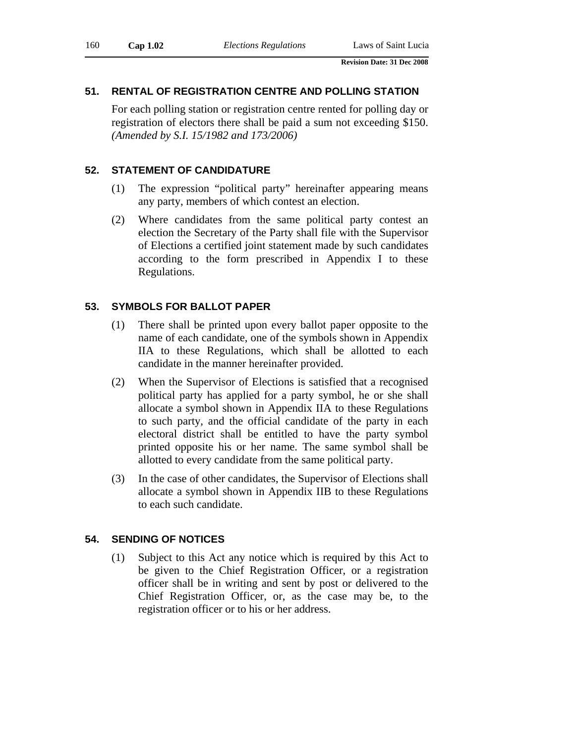## **51. RENTAL OF REGISTRATION CENTRE AND POLLING STATION**

For each polling station or registration centre rented for polling day or registration of electors there shall be paid a sum not exceeding \$150. *(Amended by S.I. 15/1982 and 173/2006)* 

### **52. STATEMENT OF CANDIDATURE**

- (1) The expression "political party" hereinafter appearing means any party, members of which contest an election.
- (2) Where candidates from the same political party contest an election the Secretary of the Party shall file with the Supervisor of Elections a certified joint statement made by such candidates according to the form prescribed in Appendix I to these Regulations.

### **53. SYMBOLS FOR BALLOT PAPER**

- (1) There shall be printed upon every ballot paper opposite to the name of each candidate, one of the symbols shown in Appendix IIA to these Regulations, which shall be allotted to each candidate in the manner hereinafter provided.
- (2) When the Supervisor of Elections is satisfied that a recognised political party has applied for a party symbol, he or she shall allocate a symbol shown in Appendix IIA to these Regulations to such party, and the official candidate of the party in each electoral district shall be entitled to have the party symbol printed opposite his or her name. The same symbol shall be allotted to every candidate from the same political party.
- (3) In the case of other candidates, the Supervisor of Elections shall allocate a symbol shown in Appendix IIB to these Regulations to each such candidate.

#### **54. SENDING OF NOTICES**

(1) Subject to this Act any notice which is required by this Act to be given to the Chief Registration Officer, or a registration officer shall be in writing and sent by post or delivered to the Chief Registration Officer, or, as the case may be, to the registration officer or to his or her address.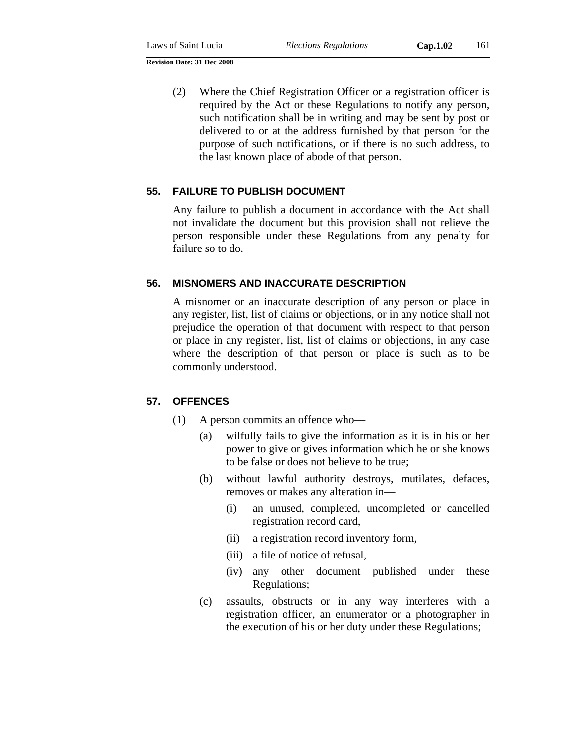(2) Where the Chief Registration Officer or a registration officer is required by the Act or these Regulations to notify any person, such notification shall be in writing and may be sent by post or delivered to or at the address furnished by that person for the purpose of such notifications, or if there is no such address, to the last known place of abode of that person.

## **55. FAILURE TO PUBLISH DOCUMENT**

Any failure to publish a document in accordance with the Act shall not invalidate the document but this provision shall not relieve the person responsible under these Regulations from any penalty for failure so to do.

#### **56. MISNOMERS AND INACCURATE DESCRIPTION**

A misnomer or an inaccurate description of any person or place in any register, list, list of claims or objections, or in any notice shall not prejudice the operation of that document with respect to that person or place in any register, list, list of claims or objections, in any case where the description of that person or place is such as to be commonly understood.

#### **57. OFFENCES**

- (1) A person commits an offence who—
	- (a) wilfully fails to give the information as it is in his or her power to give or gives information which he or she knows to be false or does not believe to be true;
	- (b) without lawful authority destroys, mutilates, defaces, removes or makes any alteration in—
		- (i) an unused, completed, uncompleted or cancelled registration record card,
		- (ii) a registration record inventory form,
		- (iii) a file of notice of refusal,
		- (iv) any other document published under these Regulations;
	- (c) assaults, obstructs or in any way interferes with a registration officer, an enumerator or a photographer in the execution of his or her duty under these Regulations;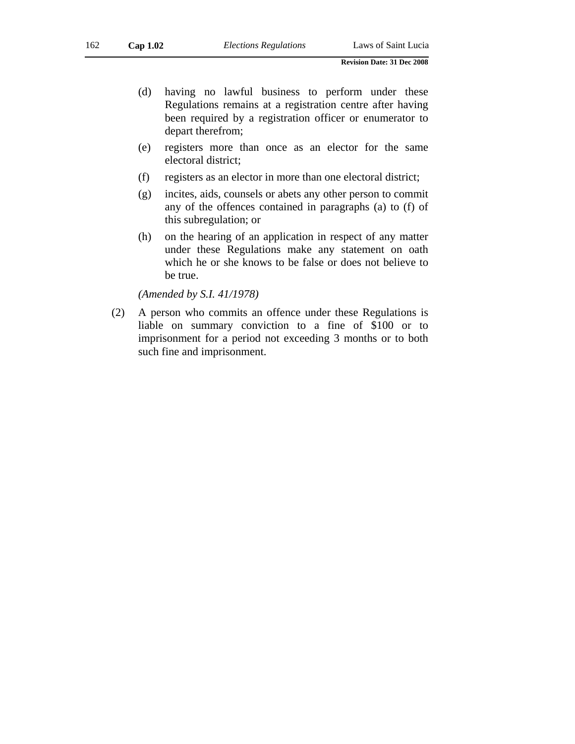- (d) having no lawful business to perform under these Regulations remains at a registration centre after having been required by a registration officer or enumerator to depart therefrom;
- (e) registers more than once as an elector for the same electoral district;
- (f) registers as an elector in more than one electoral district;
- (g) incites, aids, counsels or abets any other person to commit any of the offences contained in paragraphs (a) to (f) of this subregulation; or
- (h) on the hearing of an application in respect of any matter under these Regulations make any statement on oath which he or she knows to be false or does not believe to be true.

*(Amended by S.I. 41/1978)* 

(2) A person who commits an offence under these Regulations is liable on summary conviction to a fine of \$100 or to imprisonment for a period not exceeding 3 months or to both such fine and imprisonment.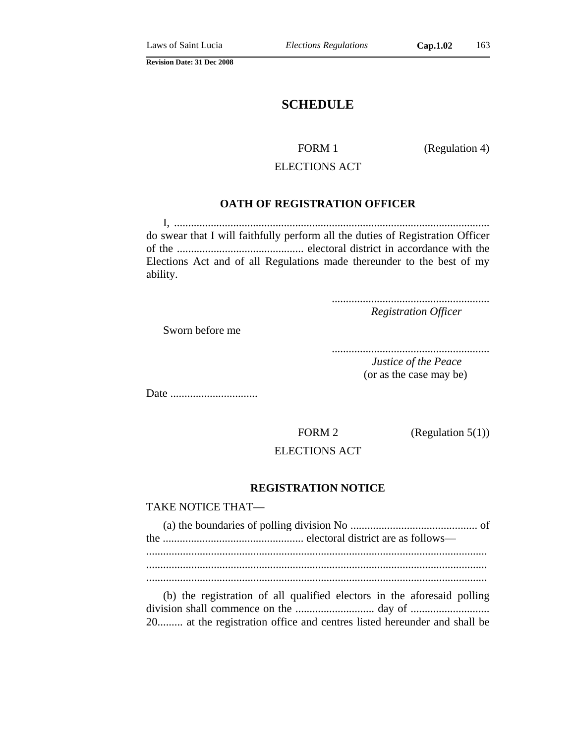# **SCHEDULE**

FORM 1 (Regulation 4)

# ELECTIONS ACT

#### **OATH OF REGISTRATION OFFICER**

I, ................................................................................................................ do swear that I will faithfully perform all the duties of Registration Officer of the ............................................. electoral district in accordance with the Elections Act and of all Regulations made thereunder to the best of my ability.

> ........................................................ *Registration Officer*

Sworn before me

........................................................

*Justice of the Peace* (or as the case may be)

Date ...............................

FORM 2 (Regulation 5(1))

## ELECTIONS ACT

#### **REGISTRATION NOTICE**

TAKE NOTICE THAT—

(b) the registration of all qualified electors in the aforesaid polling division shall commence on the ............................ day of ............................ 20......... at the registration office and centres listed hereunder and shall be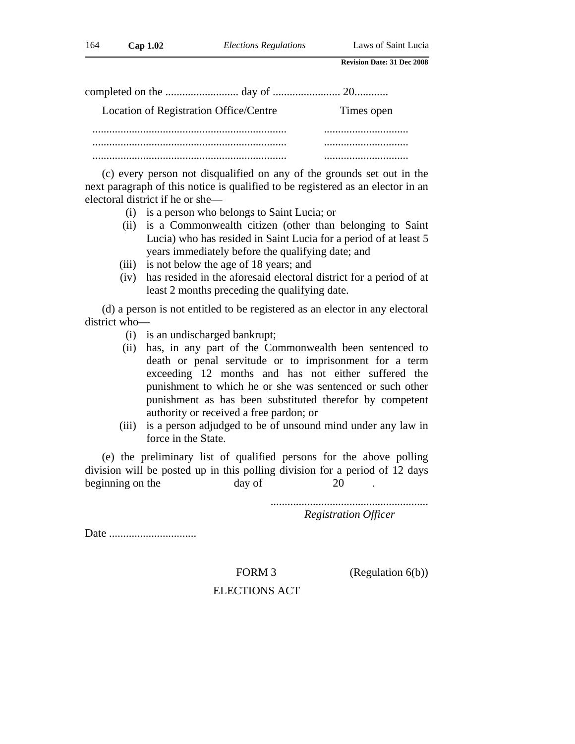| Location of Registration Office/Centre | Times open |
|----------------------------------------|------------|
|                                        |            |
|                                        |            |
|                                        |            |

(c) every person not disqualified on any of the grounds set out in the next paragraph of this notice is qualified to be registered as an elector in an electoral district if he or she—

- (i) is a person who belongs to Saint Lucia; or
- (ii) is a Commonwealth citizen (other than belonging to Saint Lucia) who has resided in Saint Lucia for a period of at least 5 years immediately before the qualifying date; and
- (iii) is not below the age of 18 years; and
- (iv) has resided in the aforesaid electoral district for a period of at least 2 months preceding the qualifying date.

(d) a person is not entitled to be registered as an elector in any electoral district who—

- (i) is an undischarged bankrupt;
- (ii) has, in any part of the Commonwealth been sentenced to death or penal servitude or to imprisonment for a term exceeding 12 months and has not either suffered the punishment to which he or she was sentenced or such other punishment as has been substituted therefor by competent authority or received a free pardon; or
- (iii) is a person adjudged to be of unsound mind under any law in force in the State.

(e) the preliminary list of qualified persons for the above polling division will be posted up in this polling division for a period of 12 days beginning on the day of 20

> ........................................................ *Registration Officer*

Date ...............................

FORM 3 (Regulation 6(b))

#### ELECTIONS ACT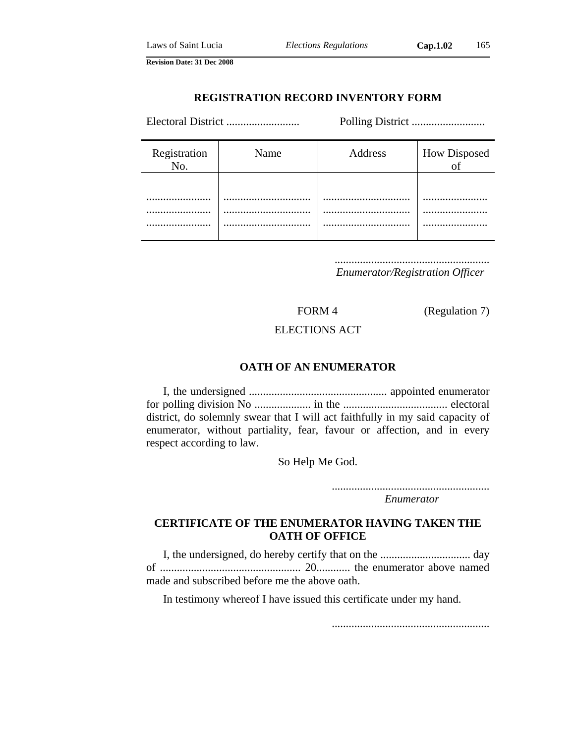#### **REGISTRATION RECORD INVENTORY FORM**

Electoral District .......................... Polling District ..........................

| Registration<br>No. | Name   | Address | How Disposed |
|---------------------|--------|---------|--------------|
|                     | <br>   |         | <br>.        |
|                     | .<br>. | .       | .<br>        |

.......................................................

*Enumerator/Registration Officer* 

FORM 4 (Regulation 7)

#### ELECTIONS ACT

## **OATH OF AN ENUMERATOR**

I, the undersigned ................................................. appointed enumerator for polling division No .................... in the ..................................... electoral district, do solemnly swear that I will act faithfully in my said capacity of enumerator, without partiality, fear, favour or affection, and in every respect according to law.

So Help Me God.

........................................................ *Enumerator*

## **CERTIFICATE OF THE ENUMERATOR HAVING TAKEN THE OATH OF OFFICE**

I, the undersigned, do hereby certify that on the ................................ day of .................................................. 20............ the enumerator above named made and subscribed before me the above oath.

In testimony whereof I have issued this certificate under my hand.

........................................................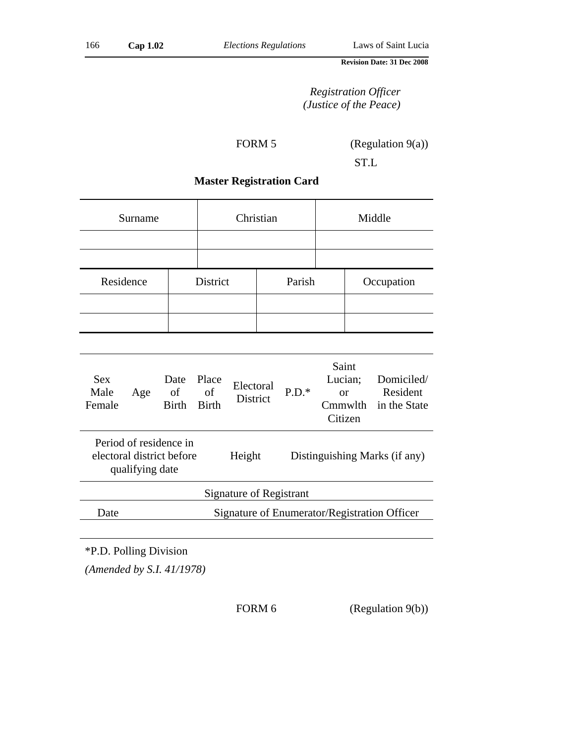# *Registration Officer (Justice of the Peace)*

FORM 5 (Regulation 9(a))

ST.L

# **Master Registration Card**

| Surname   |  | Christian |        | Middle |                  |
|-----------|--|-----------|--------|--------|------------------|
|           |  |           |        |        |                  |
|           |  |           |        |        |                  |
| Residence |  | District  | Parish |        | Occupation       |
|           |  |           |        |        |                  |
|           |  |           |        |        |                  |
|           |  |           |        |        |                  |
|           |  |           |        |        | $\sum_{i=1}^{n}$ |

| <b>Sex</b><br>Male<br>Female                                           | Age                                          | Date<br>of<br><b>Birth</b> | Place<br>of<br><b>Birth</b> | Electoral<br><b>District</b> | $P.D.*$                       | Saint<br>Lucian;<br>or<br>Cmmwlth<br>Citizen | Domiciled/<br>Resident<br>in the State |
|------------------------------------------------------------------------|----------------------------------------------|----------------------------|-----------------------------|------------------------------|-------------------------------|----------------------------------------------|----------------------------------------|
| Period of residence in<br>electoral district before<br>qualifying date |                                              |                            | Height                      |                              | Distinguishing Marks (if any) |                                              |                                        |
| Signature of Registrant                                                |                                              |                            |                             |                              |                               |                                              |                                        |
| Date                                                                   | Signature of Enumerator/Registration Officer |                            |                             |                              |                               |                                              |                                        |
|                                                                        |                                              |                            |                             |                              |                               |                                              |                                        |

\*P.D. Polling Division

*(Amended by S.I. 41/1978)* 

FORM 6 (Regulation 9(b))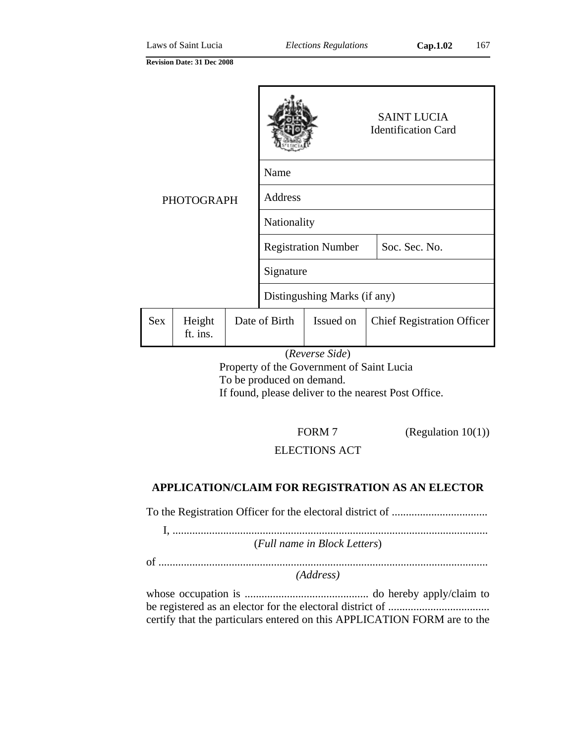| <b>PHOTOGRAPH</b> |                    |                              |                |                            | <b>SAINT LUCIA</b><br><b>Identification Card</b> |                                   |
|-------------------|--------------------|------------------------------|----------------|----------------------------|--------------------------------------------------|-----------------------------------|
|                   |                    | Name                         |                |                            |                                                  |                                   |
|                   |                    |                              | <b>Address</b> |                            |                                                  |                                   |
|                   |                    |                              | Nationality    |                            |                                                  |                                   |
|                   |                    |                              |                | <b>Registration Number</b> |                                                  | Soc. Sec. No.                     |
|                   |                    |                              | Signature      |                            |                                                  |                                   |
|                   |                    | Distingushing Marks (if any) |                |                            |                                                  |                                   |
| <b>Sex</b>        | Height<br>ft. ins. |                              | Date of Birth  | Issued on                  |                                                  | <b>Chief Registration Officer</b> |

## (*Reverse Side*)

Property of the Government of Saint Lucia To be produced on demand. If found, please deliver to the nearest Post Office.

FORM 7 (Regulation 10(1))

## ELECTIONS ACT

## **APPLICATION/CLAIM FOR REGISTRATION AS AN ELECTOR**

To the Registration Officer for the electoral district of ..................................

I, ................................................................................................................ (*Full name in Block Letters*)

of .....................................................................................................................

*(Address)* 

whose occupation is ............................................ do hereby apply/claim to be registered as an elector for the electoral district of .................................... certify that the particulars entered on this APPLICATION FORM are to the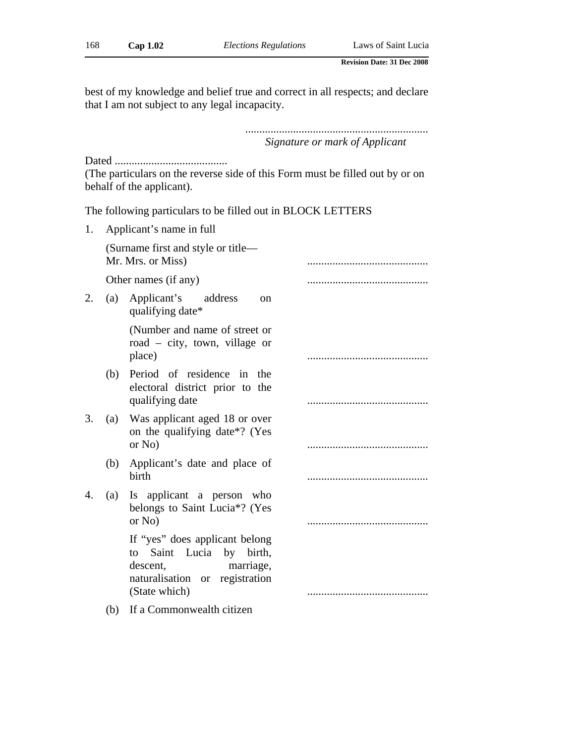best of my knowledge and belief true and correct in all respects; and declare that I am not subject to any legal incapacity.

> ................................................................. *Signature or mark of Applicant*

Dated ........................................

(The particulars on the reverse side of this Form must be filled out by or on behalf of the applicant).

The following particulars to be filled out in BLOCK LETTERS

| 1. |     | Applicant's name in full                                                                                                                  |  |
|----|-----|-------------------------------------------------------------------------------------------------------------------------------------------|--|
|    |     | (Surname first and style or title—<br>Mr. Mrs. or Miss)                                                                                   |  |
|    |     | Other names (if any)                                                                                                                      |  |
| 2. | (a) | Applicant's<br>address<br>on<br>qualifying date*                                                                                          |  |
|    |     | (Number and name of street or<br>road $-$ city, town, village or<br>place)                                                                |  |
|    | (b) | Period of residence in the<br>electoral district prior to the<br>qualifying date                                                          |  |
| 3. | (a) | Was applicant aged 18 or over<br>on the qualifying date <sup>*?</sup> (Yes<br>or No)                                                      |  |
|    | (b) | Applicant's date and place of<br>birth                                                                                                    |  |
| 4. |     | (a) Is applicant a person who<br>belongs to Saint Lucia*? (Yes<br>or No)                                                                  |  |
|    |     | If "yes" does applicant belong<br>to Saint Lucia by birth,<br>marriage,<br>descent,<br>naturalisation or<br>registration<br>(State which) |  |
|    | (b) | If a Commonwealth citizen                                                                                                                 |  |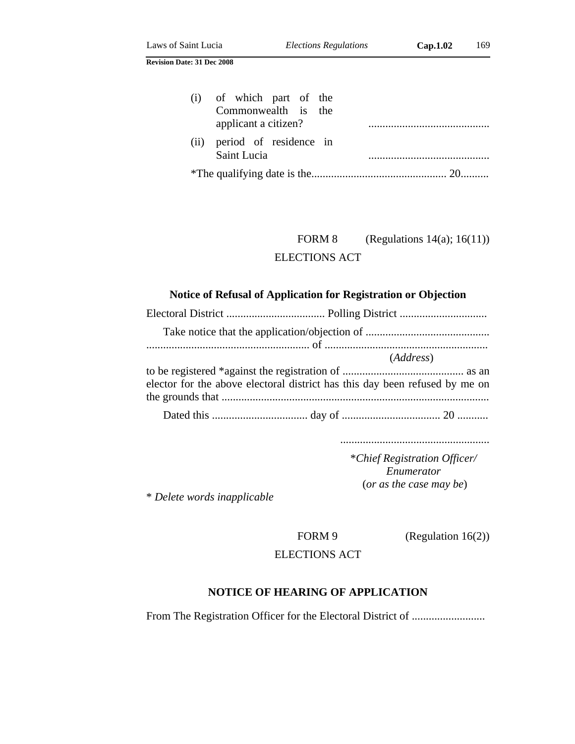| (i) of which part of the<br>Commonwealth is the<br>applicant a citizen? |  |
|-------------------------------------------------------------------------|--|
| (ii) period of residence in<br>Saint Lucia                              |  |
|                                                                         |  |

FORM 8 (Regulations  $14(a)$ ;  $16(11)$ ) ELECTIONS ACT

# **Notice of Refusal of Application for Registration or Objection**

|                                                                             | ( <i>Address</i> ) |
|-----------------------------------------------------------------------------|--------------------|
|                                                                             |                    |
| elector for the above electoral district has this day been refused by me on |                    |
|                                                                             |                    |
|                                                                             |                    |

.....................................................

\**Chief Registration Officer/ Enumerator* (*or as the case may be*)

\* *Delete words inapplicable*

FORM 9 (Regulation 16(2))

ELECTIONS ACT

## **NOTICE OF HEARING OF APPLICATION**

From The Registration Officer for the Electoral District of ..........................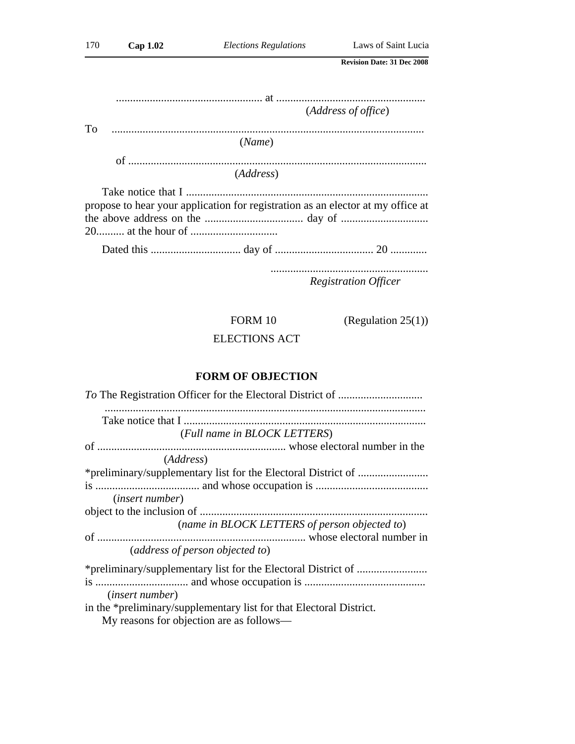|           |                                                                                 | (Address of office)         |
|-----------|---------------------------------------------------------------------------------|-----------------------------|
| <b>To</b> |                                                                                 |                             |
|           | (Name)                                                                          |                             |
|           |                                                                                 |                             |
|           | (Address)                                                                       |                             |
|           |                                                                                 |                             |
|           | propose to hear your application for registration as an elector at my office at |                             |
|           |                                                                                 |                             |
|           |                                                                                 |                             |
|           |                                                                                 |                             |
|           |                                                                                 | <b>Registration Officer</b> |

FORM 10 (Regulation 25(1))

ELECTIONS ACT

# **FORM OF OBJECTION**

| (Full name in BLOCK LETTERS)                                        |
|---------------------------------------------------------------------|
|                                                                     |
| ( <i>Address</i> )                                                  |
|                                                                     |
|                                                                     |
| <i>(insert number)</i>                                              |
|                                                                     |
| (name in BLOCK LETTERS of person objected to)                       |
|                                                                     |
| (address of person objected to)                                     |
|                                                                     |
| <i>(insert number)</i>                                              |
| in the *preliminary/supplementary list for that Electoral District. |

My reasons for objection are as follows—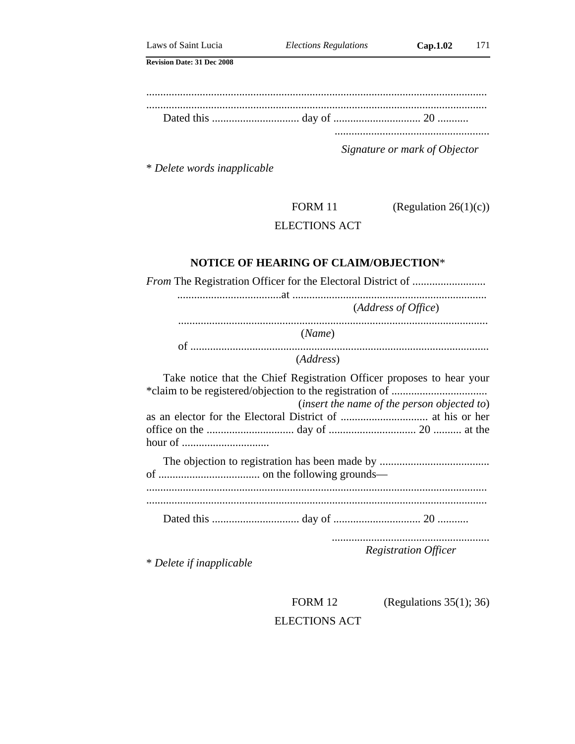*Signature or mark of Objector*

.......................................................

\* *Delete words inapplicable*

FORM 11  $(Regularian 26(1)(c))$ 

ELECTIONS ACT

#### **NOTICE OF HEARING OF CLAIM/OBJECTION**\*

*From* The Registration Officer for the Electoral District of .......................... .....................................at ..................................................................... (*Address of Office*) .............................................................................................................. (*Name*) of .......................................................................................................... (*Address*) Take notice that the Chief Registration Officer proposes to hear your \*claim to be registered/objection to the registration of .................................. (*insert the name of the person objected to*) as an elector for the Electoral District of ............................... at his or her office on the ............................... day of ............................... 20 .......... at the hour of ............................... The objection to registration has been made by ....................................... of .................................... on the following grounds— ......................................................................................................................... ......................................................................................................................... Dated this ............................... day of ............................... 20 ........... ........................................................ *Registration Officer* \* *Delete if inapplicable*

> FORM 12 (Regulations 35(1); 36) ELECTIONS ACT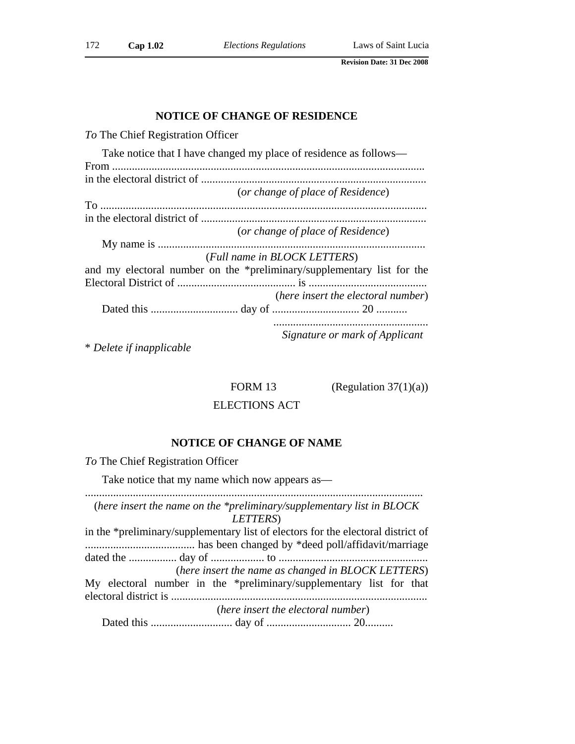#### **NOTICE OF CHANGE OF RESIDENCE**

*To* The Chief Registration Officer

| Take notice that I have changed my place of residence as follows—      |
|------------------------------------------------------------------------|
|                                                                        |
|                                                                        |
| (or change of place of Residence)                                      |
|                                                                        |
|                                                                        |
| (or change of place of Residence)                                      |
|                                                                        |
| (Full name in BLOCK LETTERS)                                           |
| and my electoral number on the *preliminary/supplementary list for the |
|                                                                        |
| (here insert the electoral number)                                     |
|                                                                        |
|                                                                        |
| Signature or mark of Applicant                                         |

\* *Delete if inapplicable*

FORM 13 (Regulation  $37(1)(a)$ )

## ELECTIONS ACT

#### **NOTICE OF CHANGE OF NAME**

*To* The Chief Registration Officer

Take notice that my name which now appears as—

........................................................................................................................ (*here insert the name on the \*preliminary/supplementary list in BLOCK LETTERS*)

in the \*preliminary/supplementary list of electors for the electoral district of ....................................... has been changed by \*deed poll/affidavit/marriage dated the ................. day of ................... to ..................................................... (*here insert the name as changed in BLOCK LETTERS*) My electoral number in the \*preliminary/supplementary list for that electoral district is ........................................................................................... (*here insert the electoral number*) Dated this ............................. day of .............................. 20..........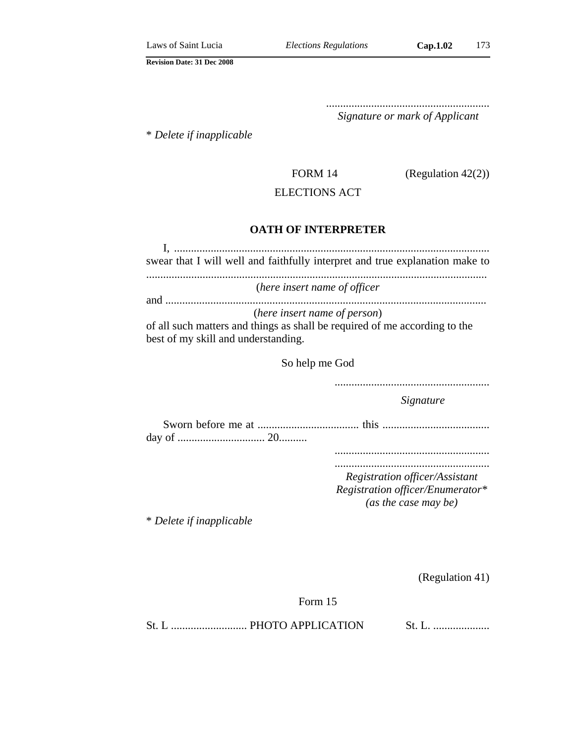.......................................................... *Signature or mark of Applicant*

\* *Delete if inapplicable*

FORM 14 (Regulation 42(2))

## ELECTIONS ACT

## **OATH OF INTERPRETER**

| swear that I will well and faithfully interpret and true explanation make to                                                                      |
|---------------------------------------------------------------------------------------------------------------------------------------------------|
| (here insert name of officer                                                                                                                      |
| (here insert name of person)<br>of all such matters and things as shall be required of me according to the<br>best of my skill and understanding. |
| $\mathcal{C}_{\alpha}$ halm ma $\mathcal{C}_{\alpha}$ d                                                                                           |

So help me God

.......................................................

*Signature*

Sworn before me at .................................... this ...................................... day of ............................... 20..........

.......................................................

....................................................... *Registration officer/Assistant Registration officer/Enumerator\* (as the case may be)*

\* *Delete if inapplicable*

(Regulation 41)

Form 15

St. L ........................... PHOTO APPLICATION St. L. ....................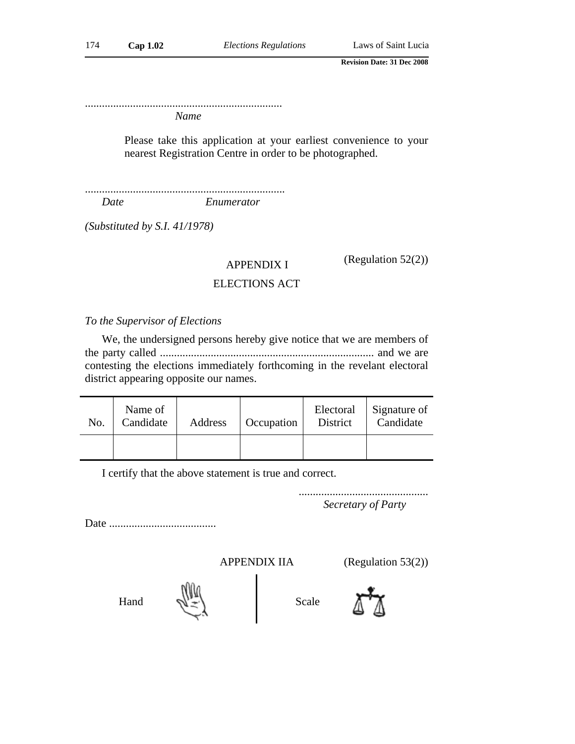...................................................................... *Name*

> Please take this application at your earliest convenience to your nearest Registration Centre in order to be photographed.

....................................................................... *Date Enumerator*

*(Substituted by S.I. 41/1978)* 

APPENDIX I (Regulation 52(2))

# ELECTIONS ACT

*To the Supervisor of Elections* 

We, the undersigned persons hereby give notice that we are members of the party called ............................................................................ and we are contesting the elections immediately forthcoming in the revelant electoral district appearing opposite our names.

| No. | Name of<br>Candidate | Address | Occupation | District | Electoral Signature of<br>Candidate |  |
|-----|----------------------|---------|------------|----------|-------------------------------------|--|
|     |                      |         |            |          |                                     |  |

I certify that the above statement is true and correct.

.............................................. *Secretary of Party*

Date ......................................

APPENDIX IIA (Regulation 53(2))





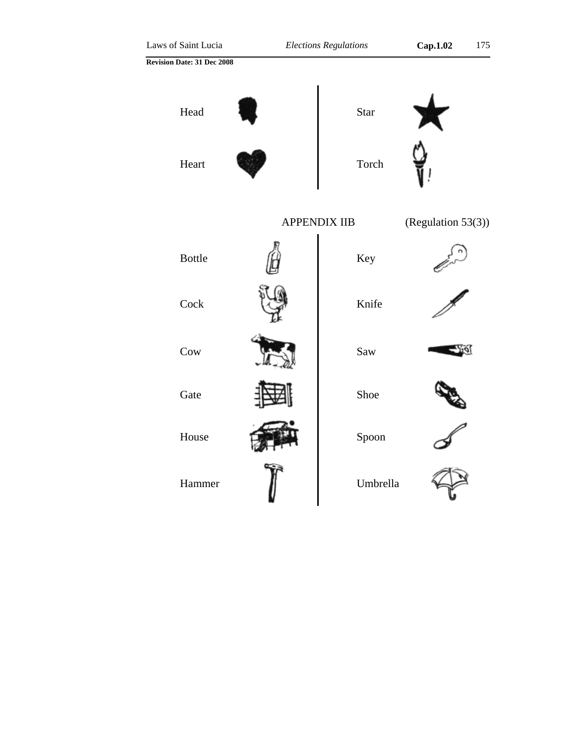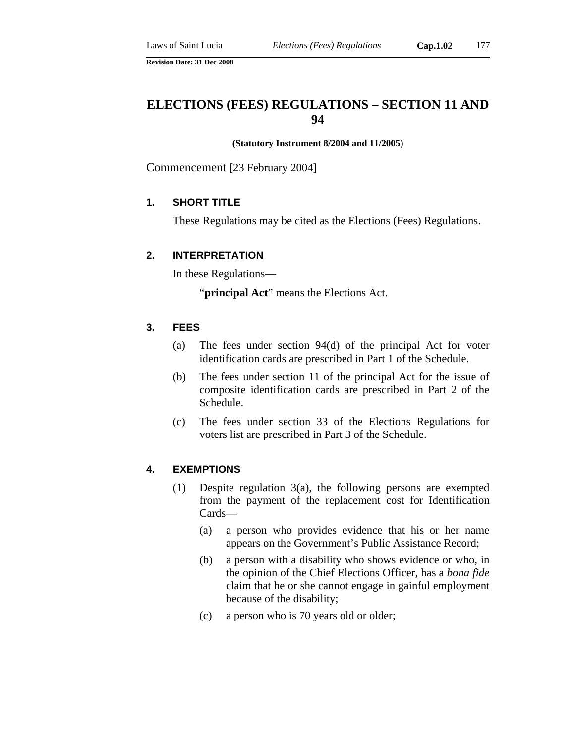#### **(Statutory Instrument 8/2004 and 11/2005)**

Commencement [23 February 2004]

## **1. SHORT TITLE**

These Regulations may be cited as the Elections (Fees) Regulations.

### **2. INTERPRETATION**

In these Regulations—

"**principal Act**" means the Elections Act.

## **3. FEES**

- (a) The fees under section 94(d) of the principal Act for voter identification cards are prescribed in Part 1 of the Schedule.
- (b) The fees under section 11 of the principal Act for the issue of composite identification cards are prescribed in Part 2 of the Schedule.
- (c) The fees under section 33 of the Elections Regulations for voters list are prescribed in Part 3 of the Schedule.

#### **4. EXEMPTIONS**

- (1) Despite regulation 3(a), the following persons are exempted from the payment of the replacement cost for Identification Cards—
	- (a) a person who provides evidence that his or her name appears on the Government's Public Assistance Record;
	- (b) a person with a disability who shows evidence or who, in the opinion of the Chief Elections Officer, has a *bona fide* claim that he or she cannot engage in gainful employment because of the disability;
	- (c) a person who is 70 years old or older;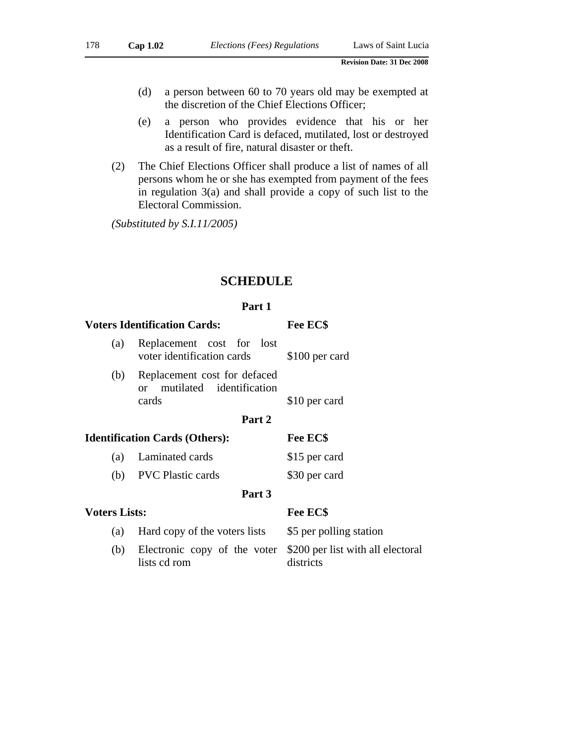- (d) a person between 60 to 70 years old may be exempted at the discretion of the Chief Elections Officer;
- (e) a person who provides evidence that his or her Identification Card is defaced, mutilated, lost or destroyed as a result of fire, natural disaster or theft.
- (2) The Chief Elections Officer shall produce a list of names of all persons whom he or she has exempted from payment of the fees in regulation 3(a) and shall provide a copy of such list to the Electoral Commission.

*(Substituted by S.I.11/2005)* 

# **SCHEDULE**

### **Part 1**

|                                                                      | Fee EC\$                                                                                             |  |  |  |  |  |  |  |  |  |
|----------------------------------------------------------------------|------------------------------------------------------------------------------------------------------|--|--|--|--|--|--|--|--|--|
| Replacement cost for lost<br>voter identification cards              | \$100 per card                                                                                       |  |  |  |  |  |  |  |  |  |
| Replacement cost for defaced<br>or mutilated identification<br>cards | \$10 per card                                                                                        |  |  |  |  |  |  |  |  |  |
| Part 2                                                               |                                                                                                      |  |  |  |  |  |  |  |  |  |
|                                                                      | Fee EC\$                                                                                             |  |  |  |  |  |  |  |  |  |
| Laminated cards                                                      | \$15 per card                                                                                        |  |  |  |  |  |  |  |  |  |
| <b>PVC</b> Plastic cards                                             | \$30 per card                                                                                        |  |  |  |  |  |  |  |  |  |
| Part 3                                                               |                                                                                                      |  |  |  |  |  |  |  |  |  |
|                                                                      | Fee EC\$                                                                                             |  |  |  |  |  |  |  |  |  |
| Hard copy of the voters lists                                        | \$5 per polling station                                                                              |  |  |  |  |  |  |  |  |  |
| Electronic copy of the voter<br>lists cd rom                         | \$200 per list with all electoral<br>districts                                                       |  |  |  |  |  |  |  |  |  |
|                                                                      | <b>Voters Identification Cards:</b><br><b>Identification Cards (Others):</b><br><b>Voters Lists:</b> |  |  |  |  |  |  |  |  |  |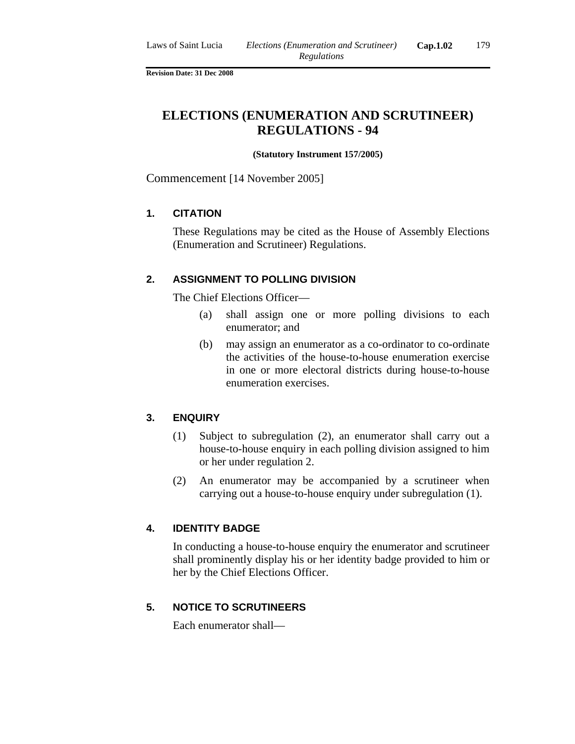# **ELECTIONS (ENUMERATION AND SCRUTINEER) REGULATIONS - 94**

#### **(Statutory Instrument 157/2005)**

Commencement [14 November 2005]

## **1. CITATION**

These Regulations may be cited as the House of Assembly Elections (Enumeration and Scrutineer) Regulations.

## **2. ASSIGNMENT TO POLLING DIVISION**

The Chief Elections Officer—

- (a) shall assign one or more polling divisions to each enumerator; and
- (b) may assign an enumerator as a co-ordinator to co-ordinate the activities of the house-to-house enumeration exercise in one or more electoral districts during house-to-house enumeration exercises.

## **3. ENQUIRY**

- (1) Subject to subregulation (2), an enumerator shall carry out a house-to-house enquiry in each polling division assigned to him or her under regulation 2.
- (2) An enumerator may be accompanied by a scrutineer when carrying out a house-to-house enquiry under subregulation (1).

## **4. IDENTITY BADGE**

In conducting a house-to-house enquiry the enumerator and scrutineer shall prominently display his or her identity badge provided to him or her by the Chief Elections Officer.

## **5. NOTICE TO SCRUTINEERS**

Each enumerator shall—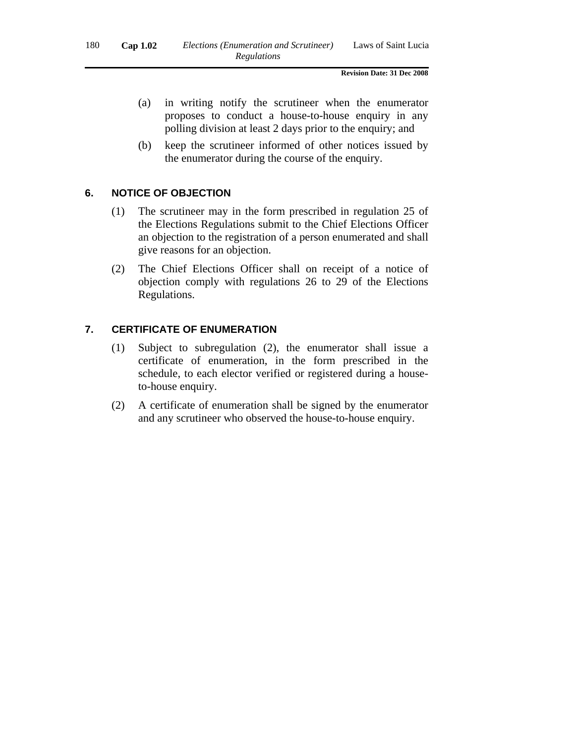- (a) in writing notify the scrutineer when the enumerator proposes to conduct a house-to-house enquiry in any polling division at least 2 days prior to the enquiry; and
- (b) keep the scrutineer informed of other notices issued by the enumerator during the course of the enquiry.

## **6. NOTICE OF OBJECTION**

- (1) The scrutineer may in the form prescribed in regulation 25 of the Elections Regulations submit to the Chief Elections Officer an objection to the registration of a person enumerated and shall give reasons for an objection.
- (2) The Chief Elections Officer shall on receipt of a notice of objection comply with regulations 26 to 29 of the Elections Regulations.

### **7. CERTIFICATE OF ENUMERATION**

- (1) Subject to subregulation (2), the enumerator shall issue a certificate of enumeration, in the form prescribed in the schedule, to each elector verified or registered during a houseto-house enquiry.
- (2) A certificate of enumeration shall be signed by the enumerator and any scrutineer who observed the house-to-house enquiry.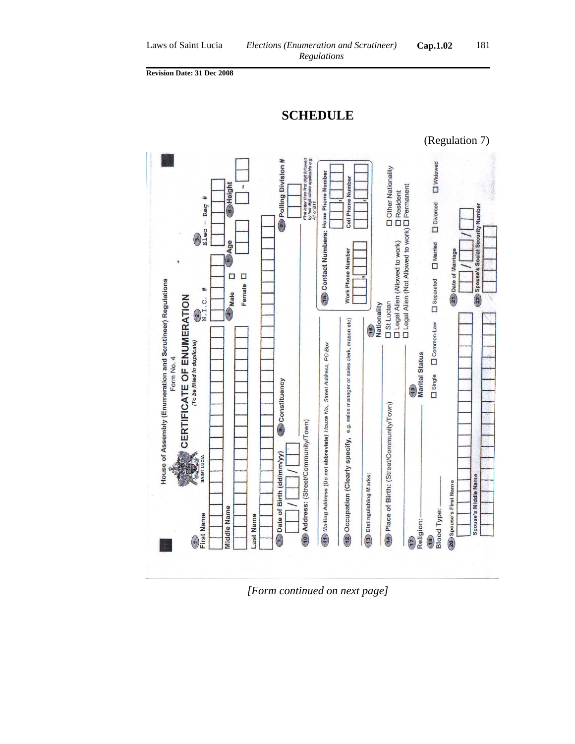



*[Form continued on next page]*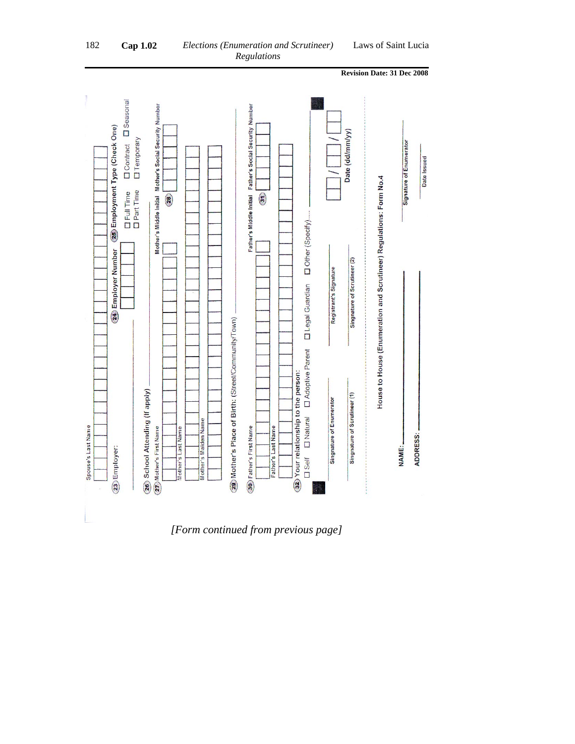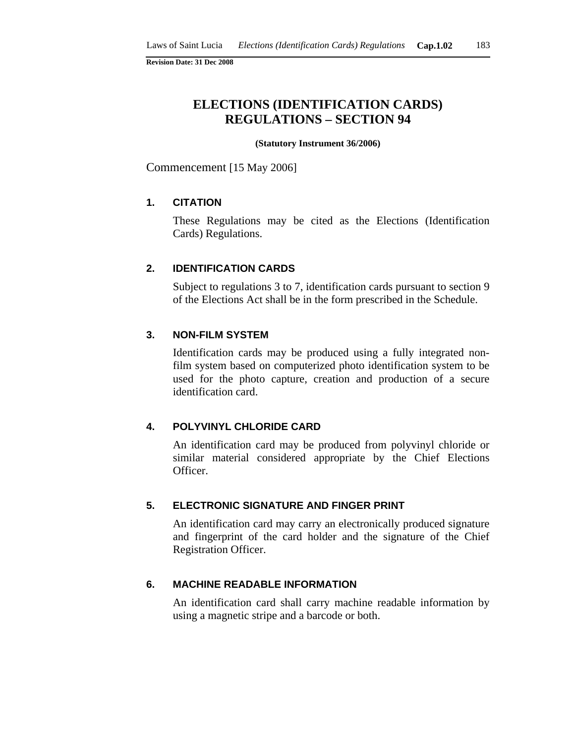# **ELECTIONS (IDENTIFICATION CARDS) REGULATIONS – SECTION 94**

#### **(Statutory Instrument 36/2006)**

Commencement [15 May 2006]

## **1. CITATION**

These Regulations may be cited as the Elections (Identification Cards) Regulations.

#### **2. IDENTIFICATION CARDS**

Subject to regulations 3 to 7, identification cards pursuant to section 9 of the Elections Act shall be in the form prescribed in the Schedule.

#### **3. NON-FILM SYSTEM**

Identification cards may be produced using a fully integrated nonfilm system based on computerized photo identification system to be used for the photo capture, creation and production of a secure identification card.

## **4. POLYVINYL CHLORIDE CARD**

An identification card may be produced from polyvinyl chloride or similar material considered appropriate by the Chief Elections Officer.

### **5. ELECTRONIC SIGNATURE AND FINGER PRINT**

An identification card may carry an electronically produced signature and fingerprint of the card holder and the signature of the Chief Registration Officer.

## **6. MACHINE READABLE INFORMATION**

An identification card shall carry machine readable information by using a magnetic stripe and a barcode or both.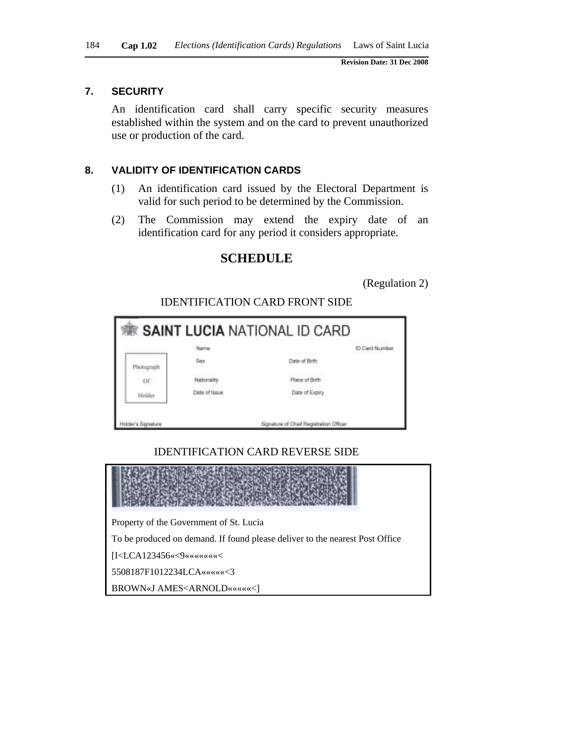### **7. SECURITY**

An identification card shall carry specific security measures established within the system and on the card to prevent unauthorized use or production of the card.

## **8. VALIDITY OF IDENTIFICATION CARDS**

- (1) An identification card issued by the Electoral Department is valid for such period to be determined by the Commission.
- (2) The Commission may extend the expiry date of an identification card for any period it considers appropriate.

## **SCHEDULE**

(Regulation 2)

|            |                                | <b>KE SAINT LUCIA</b> NATIONAL ID CARD |                |
|------------|--------------------------------|----------------------------------------|----------------|
|            | Name                           |                                        | ID Card Number |
| Photograph | Sex<br><b>CONTROL</b>          | Date of Birth                          |                |
| Of         | Nationality                    | Place of Birth                         |                |
| Holder     | Date of Issue<br>2010년 10월 10월 | Date of Expiry                         |                |

## IDENTIFICATION CARD FRONT SIDE

## IDENTIFICATION CARD REVERSE SIDE